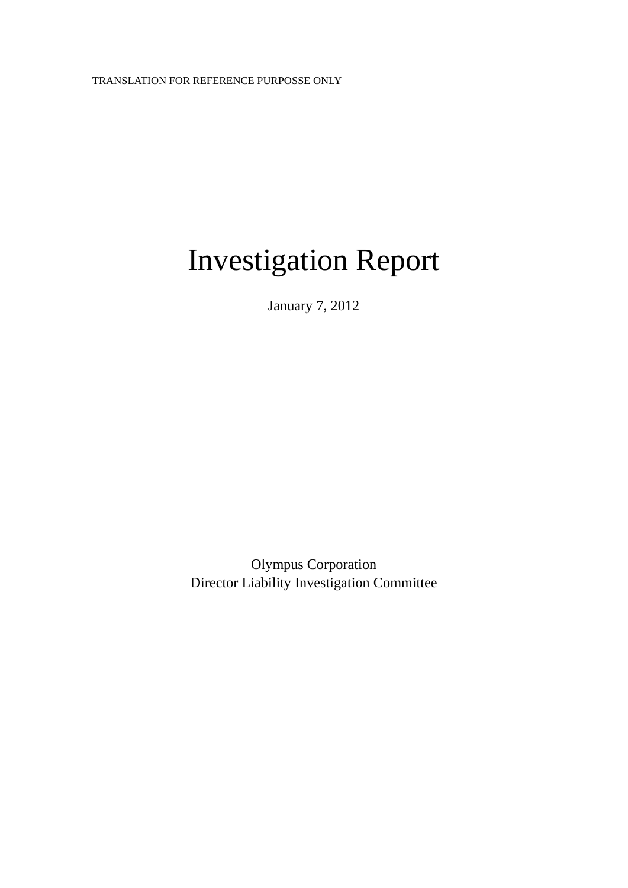# Investigation Report

January 7, 2012

Olympus Corporation Director Liability Investigation Committee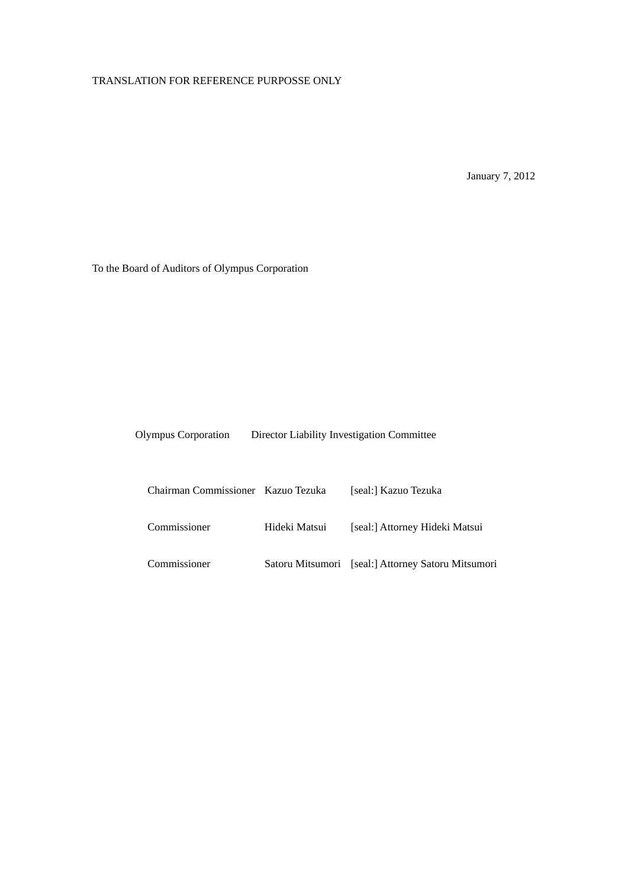January 7, 2012

To the Board of Auditors of Olympus Corporation

| <b>Olympus Corporation</b> | Director Liability Investigation Committee |
|----------------------------|--------------------------------------------|
|                            |                                            |

| Chairman Commissioner Kazuo Tezuka |               | [seal:] Kazuo Tezuka                               |
|------------------------------------|---------------|----------------------------------------------------|
| Commissioner                       | Hideki Matsui | [seal:] Attorney Hideki Matsui                     |
| Commissioner                       |               | Satoru Mitsumori [seal:] Attorney Satoru Mitsumori |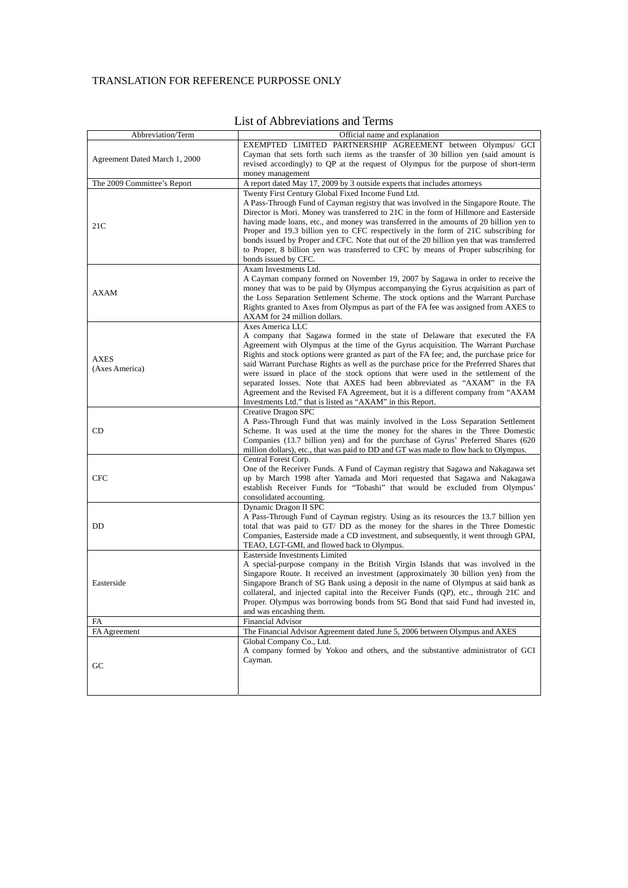| Abbreviation/Term             | Official name and explanation                                                                                                                                         |
|-------------------------------|-----------------------------------------------------------------------------------------------------------------------------------------------------------------------|
|                               | EXEMPTED LIMITED PARTNERSHIP AGREEMENT between Olympus/ GCI                                                                                                           |
| Agreement Dated March 1, 2000 | Cayman that sets forth such items as the transfer of 30 billion yen (said amount is                                                                                   |
|                               | revised accordingly) to QP at the request of Olympus for the purpose of short-term                                                                                    |
|                               | money management                                                                                                                                                      |
| The 2009 Committee's Report   | A report dated May 17, 2009 by 3 outside experts that includes attorneys                                                                                              |
|                               | Twenty First Century Global Fixed Income Fund Ltd.                                                                                                                    |
|                               | A Pass-Through Fund of Cayman registry that was involved in the Singapore Route. The                                                                                  |
|                               | Director is Mori. Money was transferred to 21C in the form of Hillmore and Easterside                                                                                 |
| 21C                           | having made loans, etc., and money was transferred in the amounts of 20 billion yen to                                                                                |
|                               | Proper and 19.3 billion yen to CFC respectively in the form of 21C subscribing for                                                                                    |
|                               | bonds issued by Proper and CFC. Note that out of the 20 billion yen that was transferred                                                                              |
|                               | to Proper, 8 billion yen was transferred to CFC by means of Proper subscribing for<br>bonds issued by CFC.                                                            |
|                               | Axam Investments Ltd.                                                                                                                                                 |
|                               | A Cayman company formed on November 19, 2007 by Sagawa in order to receive the                                                                                        |
|                               | money that was to be paid by Olympus accompanying the Gyrus acquisition as part of                                                                                    |
| <b>AXAM</b>                   | the Loss Separation Settlement Scheme. The stock options and the Warrant Purchase                                                                                     |
|                               | Rights granted to Axes from Olympus as part of the FA fee was assigned from AXES to                                                                                   |
|                               | AXAM for 24 million dollars.                                                                                                                                          |
|                               | Axes America LLC                                                                                                                                                      |
|                               | A company that Sagawa formed in the state of Delaware that executed the FA                                                                                            |
|                               | Agreement with Olympus at the time of the Gyrus acquisition. The Warrant Purchase                                                                                     |
| <b>AXES</b>                   | Rights and stock options were granted as part of the FA fee; and, the purchase price for                                                                              |
| (Axes America)                | said Warrant Purchase Rights as well as the purchase price for the Preferred Shares that                                                                              |
|                               | were issued in place of the stock options that were used in the settlement of the                                                                                     |
|                               | separated losses. Note that AXES had been abbreviated as "AXAM" in the FA                                                                                             |
|                               | Agreement and the Revised FA Agreement, but it is a different company from "AXAM                                                                                      |
|                               | Investments Ltd." that is listed as "AXAM" in this Report.<br>Creative Dragon SPC                                                                                     |
|                               | A Pass-Through Fund that was mainly involved in the Loss Separation Settlement                                                                                        |
| CD                            | Scheme. It was used at the time the money for the shares in the Three Domestic                                                                                        |
|                               | Companies (13.7 billion yen) and for the purchase of Gyrus' Preferred Shares (620                                                                                     |
|                               | million dollars), etc., that was paid to DD and GT was made to flow back to Olympus.                                                                                  |
|                               | Central Forest Corp.                                                                                                                                                  |
|                               | One of the Receiver Funds. A Fund of Cayman registry that Sagawa and Nakagawa set                                                                                     |
| <b>CFC</b>                    | up by March 1998 after Yamada and Mori requested that Sagawa and Nakagawa                                                                                             |
|                               | establish Receiver Funds for "Tobashi" that would be excluded from Olympus'                                                                                           |
|                               | consolidated accounting.                                                                                                                                              |
|                               | Dynamic Dragon II SPC                                                                                                                                                 |
|                               | A Pass-Through Fund of Cayman registry. Using as its resources the 13.7 billion yen                                                                                   |
| DD                            | total that was paid to GT/DD as the money for the shares in the Three Domestic<br>Companies, Easterside made a CD investment, and subsequently, it went through GPAI, |
|                               | TEAO, LGT-GMI, and flowed back to Olympus.                                                                                                                            |
|                               | Easterside Investments Limited                                                                                                                                        |
|                               | A special-purpose company in the British Virgin Islands that was involved in the                                                                                      |
|                               | Singapore Route. It received an investment (approximately 30 billion yen) from the                                                                                    |
| Easterside                    | Singapore Branch of SG Bank using a deposit in the name of Olympus at said bank as                                                                                    |
|                               | collateral, and injected capital into the Receiver Funds (QP), etc., through 21C and                                                                                  |
|                               | Proper. Olympus was borrowing bonds from SG Bond that said Fund had invested in,                                                                                      |
|                               | and was encashing them.                                                                                                                                               |
| FA                            | <b>Financial Advisor</b>                                                                                                                                              |
| FA Agreement                  | The Financial Advisor Agreement dated June 5, 2006 between Olympus and AXES                                                                                           |
|                               | Global Company Co., Ltd.                                                                                                                                              |
|                               | A company formed by Yokoo and others, and the substantive administrator of GCI<br>Cayman.                                                                             |
| GC                            |                                                                                                                                                                       |
|                               |                                                                                                                                                                       |
|                               |                                                                                                                                                                       |
|                               |                                                                                                                                                                       |

# List of Abbreviations and Terms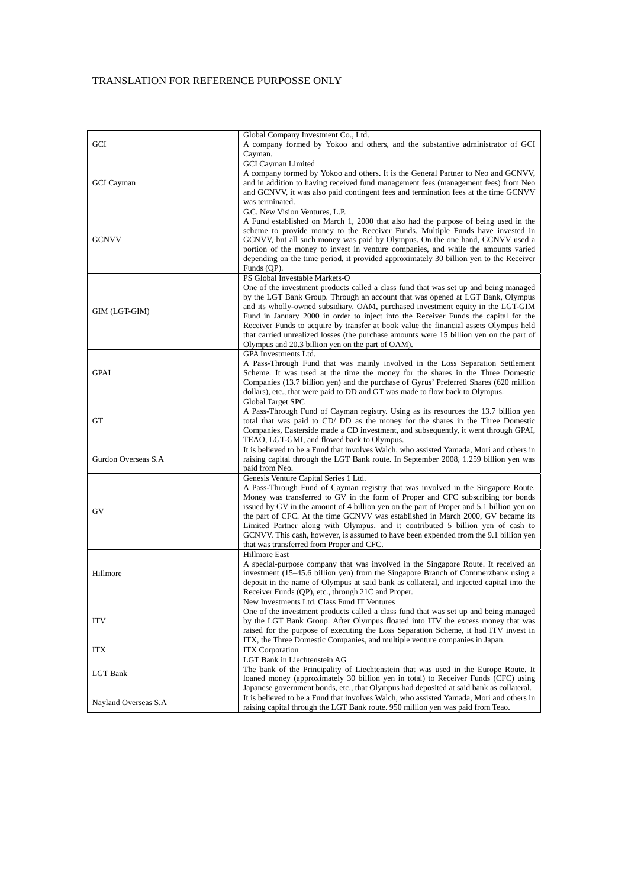|                       | Global Company Investment Co., Ltd.                                                                                                                                     |
|-----------------------|-------------------------------------------------------------------------------------------------------------------------------------------------------------------------|
| GCI                   | A company formed by Yokoo and others, and the substantive administrator of GCI                                                                                          |
|                       | Cayman.                                                                                                                                                                 |
|                       | <b>GCI</b> Cayman Limited                                                                                                                                               |
|                       | A company formed by Yokoo and others. It is the General Partner to Neo and GCNVV,<br>and in addition to having received fund management fees (management fees) from Neo |
| GCI Cayman            | and GCNVV, it was also paid contingent fees and termination fees at the time GCNVV                                                                                      |
|                       | was terminated.                                                                                                                                                         |
|                       | G.C. New Vision Ventures, L.P.                                                                                                                                          |
|                       | A Fund established on March 1, 2000 that also had the purpose of being used in the                                                                                      |
|                       | scheme to provide money to the Receiver Funds. Multiple Funds have invested in                                                                                          |
| <b>GCNVV</b>          | GCNVV, but all such money was paid by Olympus. On the one hand, GCNVV used a                                                                                            |
|                       | portion of the money to invest in venture companies, and while the amounts varied                                                                                       |
|                       | depending on the time period, it provided approximately 30 billion yen to the Receiver<br>Funds (QP).                                                                   |
|                       | PS Global Investable Markets-O                                                                                                                                          |
|                       | One of the investment products called a class fund that was set up and being managed                                                                                    |
|                       | by the LGT Bank Group. Through an account that was opened at LGT Bank, Olympus                                                                                          |
| GIM (LGT-GIM)         | and its wholly-owned subsidiary, OAM, purchased investment equity in the LGT-GIM                                                                                        |
|                       | Fund in January 2000 in order to inject into the Receiver Funds the capital for the                                                                                     |
|                       | Receiver Funds to acquire by transfer at book value the financial assets Olympus held                                                                                   |
|                       | that carried unrealized losses (the purchase amounts were 15 billion yen on the part of                                                                                 |
|                       | Olympus and 20.3 billion yen on the part of OAM).<br>GPA Investments Ltd.                                                                                               |
|                       | A Pass-Through Fund that was mainly involved in the Loss Separation Settlement                                                                                          |
| <b>GPAI</b>           | Scheme. It was used at the time the money for the shares in the Three Domestic                                                                                          |
|                       | Companies (13.7 billion yen) and the purchase of Gyrus' Preferred Shares (620 million                                                                                   |
|                       | dollars), etc., that were paid to DD and GT was made to flow back to Olympus.                                                                                           |
|                       | Global Target SPC                                                                                                                                                       |
|                       | A Pass-Through Fund of Cayman registry. Using as its resources the 13.7 billion yen                                                                                     |
| GT                    | total that was paid to CD/DD as the money for the shares in the Three Domestic<br>Companies, Easterside made a CD investment, and subsequently, it went through GPAI,   |
|                       | TEAO, LGT-GMI, and flowed back to Olympus.                                                                                                                              |
|                       | It is believed to be a Fund that involves Walch, who assisted Yamada, Mori and others in                                                                                |
| Gurdon Overseas S.A   | raising capital through the LGT Bank route. In September 2008, 1.259 billion yen was                                                                                    |
|                       | paid from Neo.                                                                                                                                                          |
|                       | Genesis Venture Capital Series 1 Ltd.                                                                                                                                   |
|                       | A Pass-Through Fund of Cayman registry that was involved in the Singapore Route.<br>Money was transferred to GV in the form of Proper and CFC subscribing for bonds     |
|                       | issued by GV in the amount of 4 billion yen on the part of Proper and 5.1 billion yen on                                                                                |
| GV                    | the part of CFC. At the time GCNVV was established in March 2000, GV became its                                                                                         |
|                       | Limited Partner along with Olympus, and it contributed 5 billion yen of cash to                                                                                         |
|                       | GCNVV. This cash, however, is assumed to have been expended from the 9.1 billion yen                                                                                    |
|                       | that was transferred from Proper and CFC.                                                                                                                               |
|                       | <b>Hillmore East</b>                                                                                                                                                    |
| Hillmore              | A special-purpose company that was involved in the Singapore Route. It received an<br>investment (15-45.6 billion yen) from the Singapore Branch of Commerzbank using a |
|                       | deposit in the name of Olympus at said bank as collateral, and injected capital into the                                                                                |
|                       | Receiver Funds (QP), etc., through 21C and Proper.                                                                                                                      |
|                       | New Investments Ltd. Class Fund IT Ventures                                                                                                                             |
|                       | One of the investment products called a class fund that was set up and being managed                                                                                    |
| <b>ITV</b>            | by the LGT Bank Group. After Olympus floated into ITV the excess money that was                                                                                         |
|                       | raised for the purpose of executing the Loss Separation Scheme, it had ITV invest in                                                                                    |
|                       | ITX, the Three Domestic Companies, and multiple venture companies in Japan.                                                                                             |
| <b>ITX</b>            | <b>ITX</b> Corporation<br>LGT Bank in Liechtenstein AG                                                                                                                  |
| LGT Bank              | The bank of the Principality of Liechtenstein that was used in the Europe Route. It                                                                                     |
|                       | loaned money (approximately 30 billion yen in total) to Receiver Funds (CFC) using                                                                                      |
|                       | Japanese government bonds, etc., that Olympus had deposited at said bank as collateral.                                                                                 |
| Nayland Overseas S.A. | It is believed to be a Fund that involves Walch, who assisted Yamada, Mori and others in                                                                                |
|                       | raising capital through the LGT Bank route. 950 million yen was paid from Teao.                                                                                         |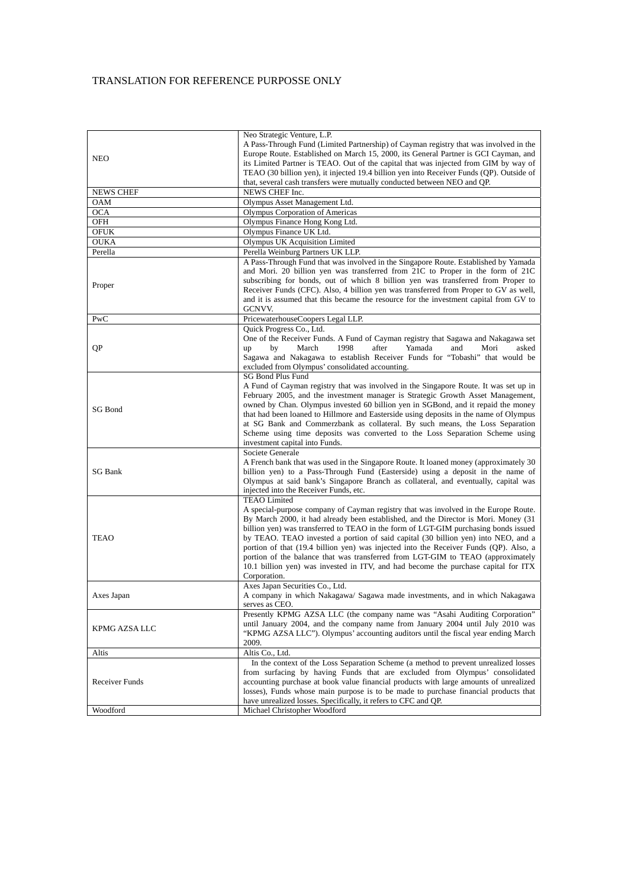|                                | Neo Strategic Venture, L.P.                                                                                                                                  |
|--------------------------------|--------------------------------------------------------------------------------------------------------------------------------------------------------------|
|                                | A Pass-Through Fund (Limited Partnership) of Cayman registry that was involved in the                                                                        |
| <b>NEO</b>                     | Europe Route. Established on March 15, 2000, its General Partner is GCI Cayman, and                                                                          |
|                                | its Limited Partner is TEAO. Out of the capital that was injected from GIM by way of                                                                         |
|                                | TEAO (30 billion yen), it injected 19.4 billion yen into Receiver Funds (QP). Outside of                                                                     |
|                                | that, several cash transfers were mutually conducted between NEO and QP.                                                                                     |
| <b>NEWS CHEF</b><br><b>OAM</b> | NEWS CHEF Inc.                                                                                                                                               |
|                                | Olympus Asset Management Ltd.                                                                                                                                |
| <b>OCA</b><br>OFH              | Olympus Corporation of Americas<br>Olympus Finance Hong Kong Ltd.                                                                                            |
| OFUK                           | Olympus Finance UK Ltd.                                                                                                                                      |
| <b>OUKA</b>                    | Olympus UK Acquisition Limited                                                                                                                               |
| Perella                        | Perella Weinburg Partners UK LLP.                                                                                                                            |
|                                | A Pass-Through Fund that was involved in the Singapore Route. Established by Yamada                                                                          |
|                                | and Mori. 20 billion yen was transferred from 21C to Proper in the form of 21C                                                                               |
|                                | subscribing for bonds, out of which 8 billion yen was transferred from Proper to                                                                             |
| Proper                         | Receiver Funds (CFC). Also, 4 billion yen was transferred from Proper to GV as well,                                                                         |
|                                | and it is assumed that this became the resource for the investment capital from GV to                                                                        |
|                                | GCNVV.                                                                                                                                                       |
| PwC                            | PricewaterhouseCoopers Legal LLP.                                                                                                                            |
|                                | Quick Progress Co., Ltd.                                                                                                                                     |
|                                | One of the Receiver Funds. A Fund of Cayman registry that Sagawa and Nakagawa set                                                                            |
| QP                             | March<br>1998<br>after<br>Yamada<br>asked<br>up<br>by<br>and<br>Mori                                                                                         |
|                                | Sagawa and Nakagawa to establish Receiver Funds for "Tobashi" that would be                                                                                  |
|                                | excluded from Olympus' consolidated accounting.                                                                                                              |
|                                | <b>SG Bond Plus Fund</b>                                                                                                                                     |
|                                | A Fund of Cayman registry that was involved in the Singapore Route. It was set up in                                                                         |
|                                | February 2005, and the investment manager is Strategic Growth Asset Management,                                                                              |
| SG Bond                        | owned by Chan. Olympus invested 60 billion yen in SGBond, and it repaid the money                                                                            |
|                                | that had been loaned to Hillmore and Easterside using deposits in the name of Olympus                                                                        |
|                                | at SG Bank and Commerzbank as collateral. By such means, the Loss Separation<br>Scheme using time deposits was converted to the Loss Separation Scheme using |
|                                | investment capital into Funds.                                                                                                                               |
|                                | Societe Generale                                                                                                                                             |
|                                | A French bank that was used in the Singapore Route. It loaned money (approximately 30)                                                                       |
| <b>SG Bank</b>                 | billion yen) to a Pass-Through Fund (Easterside) using a deposit in the name of                                                                              |
|                                | Olympus at said bank's Singapore Branch as collateral, and eventually, capital was                                                                           |
|                                | injected into the Receiver Funds, etc.                                                                                                                       |
|                                | <b>TEAO</b> Limited                                                                                                                                          |
|                                | A special-purpose company of Cayman registry that was involved in the Europe Route.                                                                          |
|                                | By March 2000, it had already been established, and the Director is Mori. Money (31                                                                          |
|                                | billion yen) was transferred to TEAO in the form of LGT-GIM purchasing bonds issued                                                                          |
| TEAO                           | by TEAO. TEAO invested a portion of said capital (30 billion yen) into NEO, and a                                                                            |
|                                | portion of that (19.4 billion yen) was injected into the Receiver Funds (QP). Also, a                                                                        |
|                                | portion of the balance that was transferred from LGT-GIM to TEAO (approximately                                                                              |
|                                | 10.1 billion yen) was invested in ITV, and had become the purchase capital for ITX<br>Corporation.                                                           |
|                                | Axes Japan Securities Co., Ltd.                                                                                                                              |
| Axes Japan                     | A company in which Nakagawa/ Sagawa made investments, and in which Nakagawa                                                                                  |
|                                | serves as CEO.                                                                                                                                               |
|                                | Presently KPMG AZSA LLC (the company name was "Asahi Auditing Corporation"                                                                                   |
| KPMG AZSA LLC                  | until January 2004, and the company name from January 2004 until July 2010 was                                                                               |
|                                | "KPMG AZSA LLC"). Olympus' accounting auditors until the fiscal year ending March                                                                            |
|                                | 2009.                                                                                                                                                        |
| Altis                          | Altis Co., Ltd.                                                                                                                                              |
|                                | In the context of the Loss Separation Scheme (a method to prevent unrealized losses                                                                          |
|                                | from surfacing by having Funds that are excluded from Olympus' consolidated                                                                                  |
| Receiver Funds                 | accounting purchase at book value financial products with large amounts of unrealized                                                                        |
|                                | losses), Funds whose main purpose is to be made to purchase financial products that                                                                          |
|                                | have unrealized losses. Specifically, it refers to CFC and QP.                                                                                               |
| Woodford                       | Michael Christopher Woodford                                                                                                                                 |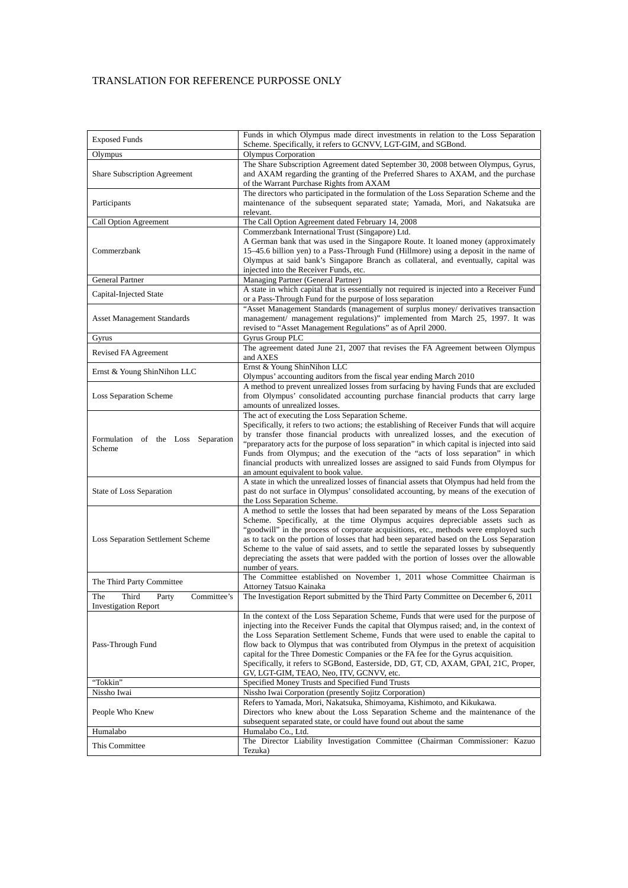| <b>Exposed Funds</b>                                                | Funds in which Olympus made direct investments in relation to the Loss Separation<br>Scheme. Specifically, it refers to GCNVV, LGT-GIM, and SGBond.                                                                                                                                                                                                                                                                                                                                                                                                                                        |
|---------------------------------------------------------------------|--------------------------------------------------------------------------------------------------------------------------------------------------------------------------------------------------------------------------------------------------------------------------------------------------------------------------------------------------------------------------------------------------------------------------------------------------------------------------------------------------------------------------------------------------------------------------------------------|
| Olympus                                                             | <b>Olympus Corporation</b>                                                                                                                                                                                                                                                                                                                                                                                                                                                                                                                                                                 |
| <b>Share Subscription Agreement</b>                                 | The Share Subscription Agreement dated September 30, 2008 between Olympus, Gyrus,<br>and AXAM regarding the granting of the Preferred Shares to AXAM, and the purchase<br>of the Warrant Purchase Rights from AXAM                                                                                                                                                                                                                                                                                                                                                                         |
| Participants                                                        | The directors who participated in the formulation of the Loss Separation Scheme and the<br>maintenance of the subsequent separated state; Yamada, Mori, and Nakatsuka are<br>relevant.                                                                                                                                                                                                                                                                                                                                                                                                     |
| Call Option Agreement                                               | The Call Option Agreement dated February 14, 2008                                                                                                                                                                                                                                                                                                                                                                                                                                                                                                                                          |
| Commerzbank                                                         | Commerzbank International Trust (Singapore) Ltd.<br>A German bank that was used in the Singapore Route. It loaned money (approximately<br>15–45.6 billion yen) to a Pass-Through Fund (Hillmore) using a deposit in the name of<br>Olympus at said bank's Singapore Branch as collateral, and eventually, capital was<br>injected into the Receiver Funds, etc.                                                                                                                                                                                                                            |
| <b>General Partner</b>                                              | Managing Partner (General Partner)                                                                                                                                                                                                                                                                                                                                                                                                                                                                                                                                                         |
| Capital-Injected State                                              | A state in which capital that is essentially not required is injected into a Receiver Fund<br>or a Pass-Through Fund for the purpose of loss separation                                                                                                                                                                                                                                                                                                                                                                                                                                    |
| <b>Asset Management Standards</b>                                   | "Asset Management Standards (management of surplus money/ derivatives transaction<br>management/ management regulations)" implemented from March 25, 1997. It was<br>revised to "Asset Management Regulations" as of April 2000.                                                                                                                                                                                                                                                                                                                                                           |
| Gyrus                                                               | Gyrus Group PLC                                                                                                                                                                                                                                                                                                                                                                                                                                                                                                                                                                            |
| Revised FA Agreement                                                | The agreement dated June 21, 2007 that revises the FA Agreement between Olympus<br>and AXES                                                                                                                                                                                                                                                                                                                                                                                                                                                                                                |
| Ernst & Young ShinNihon LLC                                         | Ernst & Young ShinNihon LLC<br>Olympus' accounting auditors from the fiscal year ending March 2010                                                                                                                                                                                                                                                                                                                                                                                                                                                                                         |
| Loss Separation Scheme                                              | A method to prevent unrealized losses from surfacing by having Funds that are excluded<br>from Olympus' consolidated accounting purchase financial products that carry large<br>amounts of unrealized losses.                                                                                                                                                                                                                                                                                                                                                                              |
| Formulation of the Loss Separation<br>Scheme                        | The act of executing the Loss Separation Scheme.<br>Specifically, it refers to two actions; the establishing of Receiver Funds that will acquire<br>by transfer those financial products with unrealized losses, and the execution of<br>"preparatory acts for the purpose of loss separation" in which capital is injected into said<br>Funds from Olympus; and the execution of the "acts of loss separation" in which<br>financial products with unrealized losses are assigned to said Funds from Olympus for<br>an amount equivalent to book value.                                   |
| State of Loss Separation                                            | A state in which the unrealized losses of financial assets that Olympus had held from the<br>past do not surface in Olympus' consolidated accounting, by means of the execution of<br>the Loss Separation Scheme.                                                                                                                                                                                                                                                                                                                                                                          |
| <b>Loss Separation Settlement Scheme</b>                            | A method to settle the losses that had been separated by means of the Loss Separation<br>Scheme. Specifically, at the time Olympus acquires depreciable assets such as<br>"goodwill" in the process of corporate acquisitions, etc., methods were employed such<br>as to tack on the portion of losses that had been separated based on the Loss Separation<br>Scheme to the value of said assets, and to settle the separated losses by subsequently<br>depreciating the assets that were padded with the portion of losses over the allowable<br>number of years.                        |
| The Third Party Committee                                           | The Committee established on November 1, 2011 whose Committee Chairman is<br>Attorney Tatsuo Kainaka                                                                                                                                                                                                                                                                                                                                                                                                                                                                                       |
| Committee's<br>The<br>Third<br>Party<br><b>Investigation Report</b> | The Investigation Report submitted by the Third Party Committee on December 6, 2011                                                                                                                                                                                                                                                                                                                                                                                                                                                                                                        |
| Pass-Through Fund                                                   | In the context of the Loss Separation Scheme, Funds that were used for the purpose of<br>injecting into the Receiver Funds the capital that Olympus raised; and, in the context of<br>the Loss Separation Settlement Scheme, Funds that were used to enable the capital to<br>flow back to Olympus that was contributed from Olympus in the pretext of acquisition<br>capital for the Three Domestic Companies or the FA fee for the Gyrus acquisition.<br>Specifically, it refers to SGBond, Easterside, DD, GT, CD, AXAM, GPAI, 21C, Proper,<br>GV, LGT-GIM, TEAO, Neo, ITV, GCNVV, etc. |
| "Tokkin"                                                            | Specified Money Trusts and Specified Fund Trusts                                                                                                                                                                                                                                                                                                                                                                                                                                                                                                                                           |
| Nissho Iwai<br>People Who Knew                                      | Nissho Iwai Corporation (presently Sojitz Corporation)<br>Refers to Yamada, Mori, Nakatsuka, Shimoyama, Kishimoto, and Kikukawa.<br>Directors who knew about the Loss Separation Scheme and the maintenance of the<br>subsequent separated state, or could have found out about the same                                                                                                                                                                                                                                                                                                   |
| Humalabo                                                            | Humalabo Co., Ltd.                                                                                                                                                                                                                                                                                                                                                                                                                                                                                                                                                                         |
| This Committee                                                      | The Director Liability Investigation Committee (Chairman Commissioner: Kazuo<br>Tezuka)                                                                                                                                                                                                                                                                                                                                                                                                                                                                                                    |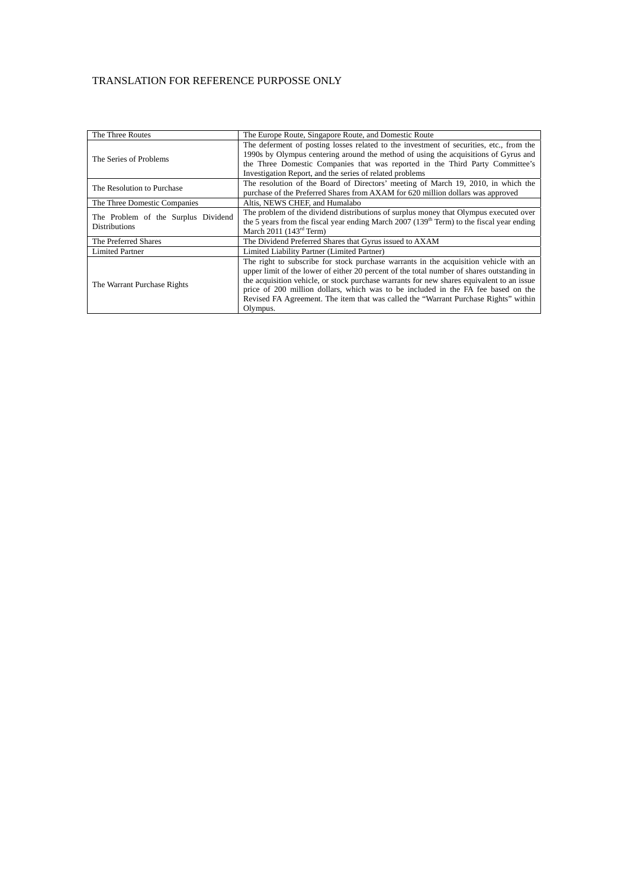| The Three Routes                                            | The Europe Route, Singapore Route, and Domestic Route                                                                                                                                                                                                                                                                                                                                                                                                                    |
|-------------------------------------------------------------|--------------------------------------------------------------------------------------------------------------------------------------------------------------------------------------------------------------------------------------------------------------------------------------------------------------------------------------------------------------------------------------------------------------------------------------------------------------------------|
| The Series of Problems                                      | The deferment of posting losses related to the investment of securities, etc., from the<br>1990s by Olympus centering around the method of using the acquisitions of Gyrus and<br>the Three Domestic Companies that was reported in the Third Party Committee's<br>Investigation Report, and the series of related problems                                                                                                                                              |
| The Resolution to Purchase                                  | The resolution of the Board of Directors' meeting of March 19, 2010, in which the<br>purchase of the Preferred Shares from AXAM for 620 million dollars was approved                                                                                                                                                                                                                                                                                                     |
| The Three Domestic Companies                                | Altis, NEWS CHEF, and Humalabo                                                                                                                                                                                                                                                                                                                                                                                                                                           |
| The Problem of the Surplus Dividend<br><b>Distributions</b> | The problem of the dividend distributions of surplus money that Olympus executed over<br>the 5 years from the fiscal year ending March 2007 (139 <sup>th</sup> Term) to the fiscal year ending<br>March 2011 $(143rd Term)$                                                                                                                                                                                                                                              |
| The Preferred Shares                                        | The Dividend Preferred Shares that Gyrus issued to AXAM                                                                                                                                                                                                                                                                                                                                                                                                                  |
| <b>Limited Partner</b>                                      | Limited Liability Partner (Limited Partner)                                                                                                                                                                                                                                                                                                                                                                                                                              |
| The Warrant Purchase Rights                                 | The right to subscribe for stock purchase warrants in the acquisition vehicle with an<br>upper limit of the lower of either 20 percent of the total number of shares outstanding in<br>the acquisition vehicle, or stock purchase warrants for new shares equivalent to an issue<br>price of 200 million dollars, which was to be included in the FA fee based on the<br>Revised FA Agreement. The item that was called the "Warrant Purchase Rights" within<br>Olympus. |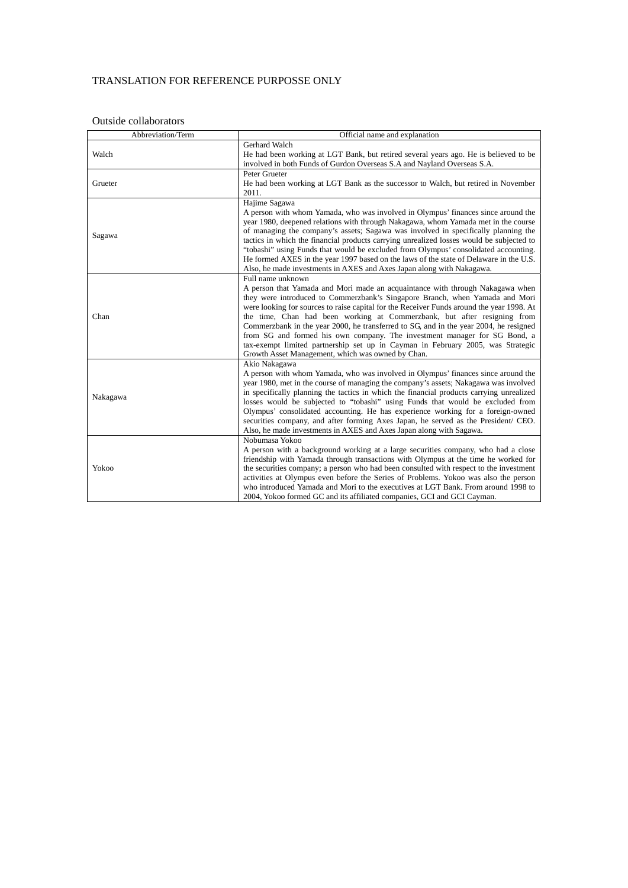| Abbreviation/Term | Official name and explanation                                                                                                                                                                                                                                                                                                                                                                                                                                                                                                                                                                                                                                             |  |
|-------------------|---------------------------------------------------------------------------------------------------------------------------------------------------------------------------------------------------------------------------------------------------------------------------------------------------------------------------------------------------------------------------------------------------------------------------------------------------------------------------------------------------------------------------------------------------------------------------------------------------------------------------------------------------------------------------|--|
| Walch             | Gerhard Walch<br>He had been working at LGT Bank, but retired several years ago. He is believed to be<br>involved in both Funds of Gurdon Overseas S.A and Nayland Overseas S.A.                                                                                                                                                                                                                                                                                                                                                                                                                                                                                          |  |
| Grueter           | Peter Grueter<br>He had been working at LGT Bank as the successor to Walch, but retired in November<br>2011.                                                                                                                                                                                                                                                                                                                                                                                                                                                                                                                                                              |  |
| Sagawa            | Hajime Sagawa<br>A person with whom Yamada, who was involved in Olympus' finances since around the<br>year 1980, deepened relations with through Nakagawa, whom Yamada met in the course<br>of managing the company's assets; Sagawa was involved in specifically planning the<br>tactics in which the financial products carrying unrealized losses would be subjected to<br>"tobashi" using Funds that would be excluded from Olympus' consolidated accounting.<br>He formed AXES in the year 1997 based on the laws of the state of Delaware in the U.S.<br>Also, he made investments in AXES and Axes Japan along with Nakagawa.                                      |  |
| Chan              | Full name unknown<br>A person that Yamada and Mori made an acquaintance with through Nakagawa when<br>they were introduced to Commerzbank's Singapore Branch, when Yamada and Mori<br>were looking for sources to raise capital for the Receiver Funds around the year 1998. At<br>the time, Chan had been working at Commerzbank, but after resigning from<br>Commerzbank in the year 2000, he transferred to SG, and in the year 2004, he resigned<br>from SG and formed his own company. The investment manager for SG Bond, a<br>tax-exempt limited partnership set up in Cayman in February 2005, was Strategic<br>Growth Asset Management, which was owned by Chan. |  |
| Nakagawa          | Akio Nakagawa<br>A person with whom Yamada, who was involved in Olympus' finances since around the<br>year 1980, met in the course of managing the company's assets; Nakagawa was involved<br>in specifically planning the tactics in which the financial products carrying unrealized<br>losses would be subjected to "tobashi" using Funds that would be excluded from<br>Olympus' consolidated accounting. He has experience working for a foreign-owned<br>securities company, and after forming Axes Japan, he served as the President/ CEO.<br>Also, he made investments in AXES and Axes Japan along with Sagawa.                                                  |  |
| Yokoo             | Nobumasa Yokoo<br>A person with a background working at a large securities company, who had a close<br>friendship with Yamada through transactions with Olympus at the time he worked for<br>the securities company; a person who had been consulted with respect to the investment<br>activities at Olympus even before the Series of Problems. Yokoo was also the person<br>who introduced Yamada and Mori to the executives at LGT Bank. From around 1998 to<br>2004, Yokoo formed GC and its affiliated companies, GCI and GCI Cayman.                                                                                                                                |  |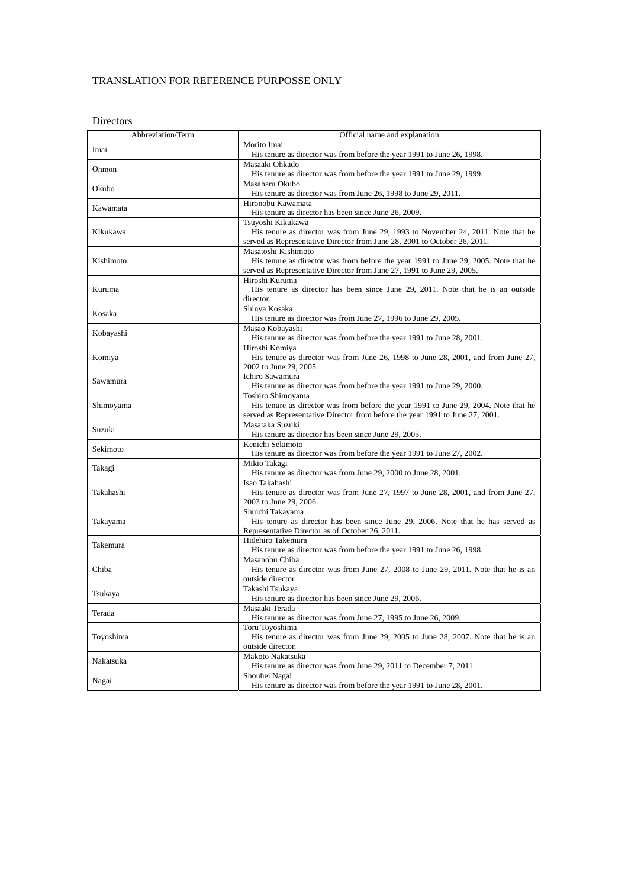Directors

| Abbreviation/Term | Official name and explanation                                                                                                      |  |
|-------------------|------------------------------------------------------------------------------------------------------------------------------------|--|
|                   | Morito Imai                                                                                                                        |  |
| Imai              | His tenure as director was from before the year 1991 to June 26, 1998.                                                             |  |
|                   | Masaaki Ohkado                                                                                                                     |  |
| Ohmon             | His tenure as director was from before the year 1991 to June 29, 1999.                                                             |  |
|                   | Masaharu Okubo                                                                                                                     |  |
| Okubo             | His tenure as director was from June 26, 1998 to June 29, 2011.                                                                    |  |
|                   | Hironobu Kawamata                                                                                                                  |  |
| Kawamata          | His tenure as director has been since June 26, 2009.                                                                               |  |
|                   | Tsuyoshi Kikukawa                                                                                                                  |  |
| Kikukawa          | His tenure as director was from June 29, 1993 to November 24, 2011. Note that he                                                   |  |
|                   | served as Representative Director from June 28, 2001 to October 26, 2011.                                                          |  |
|                   | Masatoshi Kishimoto                                                                                                                |  |
| Kishimoto         | His tenure as director was from before the year 1991 to June 29, 2005. Note that he                                                |  |
|                   | served as Representative Director from June 27, 1991 to June 29, 2005.                                                             |  |
|                   | Hiroshi Kuruma                                                                                                                     |  |
| Kuruma            | His tenure as director has been since June 29, 2011. Note that he is an outside                                                    |  |
|                   | director.                                                                                                                          |  |
|                   | Shinya Kosaka                                                                                                                      |  |
| Kosaka            | His tenure as director was from June 27, 1996 to June 29, 2005.                                                                    |  |
|                   | Masao Kobayashi                                                                                                                    |  |
| Kobayashi         | His tenure as director was from before the year 1991 to June 28, 2001.                                                             |  |
|                   | Hiroshi Komiya                                                                                                                     |  |
| Komiya            | His tenure as director was from June 26, 1998 to June 28, 2001, and from June 27,                                                  |  |
|                   | 2002 to June 29, 2005.                                                                                                             |  |
| Sawamura          | Ichiro Sawamura                                                                                                                    |  |
|                   | His tenure as director was from before the year 1991 to June 29, 2000.                                                             |  |
|                   | Toshiro Shimoyama                                                                                                                  |  |
| Shimoyama         | His tenure as director was from before the year 1991 to June 29, 2004. Note that he                                                |  |
|                   | served as Representative Director from before the year 1991 to June 27, 2001.                                                      |  |
| Suzuki            | Masataka Suzuki                                                                                                                    |  |
|                   | His tenure as director has been since June 29, 2005.                                                                               |  |
| Sekimoto          | Kenichi Sekimoto                                                                                                                   |  |
|                   | His tenure as director was from before the year 1991 to June 27, 2002.                                                             |  |
| Takagi            | Mikio Takagi                                                                                                                       |  |
|                   | His tenure as director was from June 29, 2000 to June 28, 2001.                                                                    |  |
|                   | Isao Takahashi                                                                                                                     |  |
| Takahashi         | His tenure as director was from June 27, 1997 to June 28, 2001, and from June 27,                                                  |  |
|                   | 2003 to June 29, 2006.                                                                                                             |  |
|                   | Shuichi Takayama                                                                                                                   |  |
| Takayama          | His tenure as director has been since June 29, 2006. Note that he has served as<br>Representative Director as of October 26, 2011. |  |
|                   | Hidehiro Takemura                                                                                                                  |  |
| Takemura          | His tenure as director was from before the year 1991 to June 26, 1998.                                                             |  |
|                   | Masanobu Chiba                                                                                                                     |  |
| Chiba             | His tenure as director was from June 27, 2008 to June 29, 2011. Note that he is an                                                 |  |
|                   | outside director.                                                                                                                  |  |
|                   | Takashi Tsukaya                                                                                                                    |  |
| Tsukaya           | His tenure as director has been since June 29, 2006.                                                                               |  |
|                   | Masaaki Terada                                                                                                                     |  |
| Terada            | His tenure as director was from June 27, 1995 to June 26, 2009.                                                                    |  |
|                   | Toru Toyoshima                                                                                                                     |  |
| Toyoshima         | His tenure as director was from June 29, 2005 to June 28, 2007. Note that he is an                                                 |  |
|                   | outside director.                                                                                                                  |  |
|                   | Makoto Nakatsuka                                                                                                                   |  |
| Nakatsuka         | His tenure as director was from June 29, 2011 to December 7, 2011.                                                                 |  |
|                   | Shouhei Nagai                                                                                                                      |  |
| Nagai             | His tenure as director was from before the year 1991 to June 28, 2001.                                                             |  |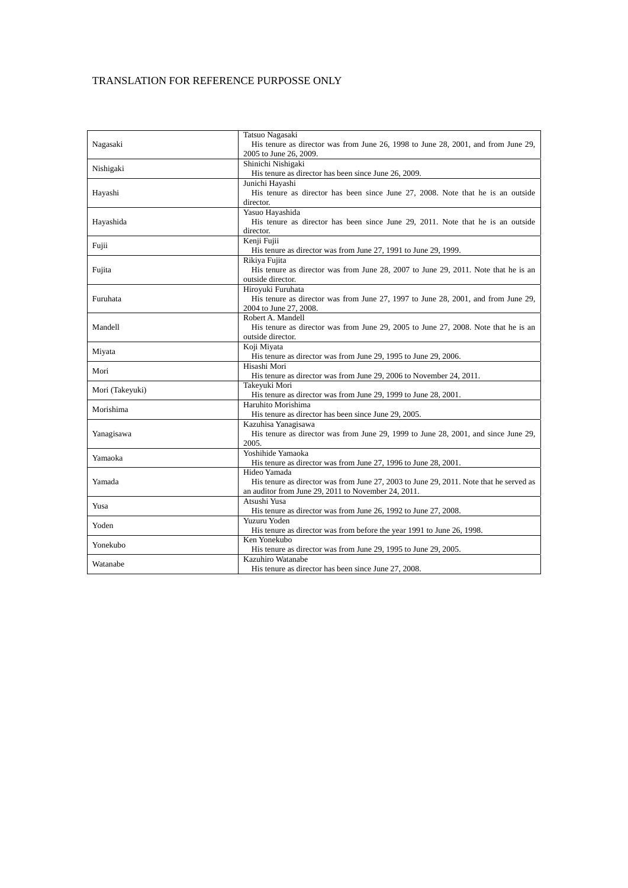|                 | Tatsuo Nagasaki                                                                        |
|-----------------|----------------------------------------------------------------------------------------|
| Nagasaki        | His tenure as director was from June 26, 1998 to June 28, 2001, and from June 29,      |
|                 | 2005 to June 26, 2009.                                                                 |
| Nishigaki       | Shinichi Nishigaki                                                                     |
|                 | His tenure as director has been since June 26, 2009.                                   |
|                 | Junichi Hayashi                                                                        |
| Hayashi         | His tenure as director has been since June 27, 2008. Note that he is an outside        |
|                 | director.                                                                              |
|                 | Yasuo Hayashida                                                                        |
| Hayashida       | His tenure as director has been since June 29, 2011. Note that he is an outside        |
|                 | director.                                                                              |
| Fujii           | Kenji Fujii                                                                            |
|                 | His tenure as director was from June 27, 1991 to June 29, 1999.                        |
|                 | Rikiya Fujita                                                                          |
| Fujita          | His tenure as director was from June 28, 2007 to June 29, 2011. Note that he is an     |
|                 | outside director.                                                                      |
|                 | Hiroyuki Furuhata                                                                      |
| Furuhata        | His tenure as director was from June 27, 1997 to June 28, 2001, and from June 29,      |
|                 | 2004 to June 27, 2008.                                                                 |
|                 | Robert A. Mandell                                                                      |
| Mandell         | His tenure as director was from June 29, 2005 to June 27, 2008. Note that he is an     |
|                 | outside director.                                                                      |
| Miyata          | Koji Miyata                                                                            |
|                 | His tenure as director was from June 29, 1995 to June 29, 2006.                        |
| Mori            | Hisashi Mori                                                                           |
|                 | His tenure as director was from June 29, 2006 to November 24, 2011.                    |
| Mori (Takeyuki) | Takeyuki Mori                                                                          |
|                 | His tenure as director was from June 29, 1999 to June 28, 2001.                        |
| Morishima       | Haruhito Morishima                                                                     |
|                 | His tenure as director has been since June 29, 2005.                                   |
|                 | Kazuhisa Yanagisawa                                                                    |
| Yanagisawa      | His tenure as director was from June 29, 1999 to June 28, 2001, and since June 29,     |
|                 | 2005.                                                                                  |
|                 | Yoshihide Yamaoka                                                                      |
| Yamaoka         | His tenure as director was from June 27, 1996 to June 28, 2001.                        |
|                 | Hideo Yamada                                                                           |
| Yamada          | His tenure as director was from June 27, 2003 to June 29, 2011. Note that he served as |
|                 | an auditor from June 29, 2011 to November 24, 2011.                                    |
| Yusa            | Atsushi Yusa                                                                           |
|                 | His tenure as director was from June 26, 1992 to June 27, 2008.                        |
|                 | Yuzuru Yoden                                                                           |
| Yoden           | His tenure as director was from before the year 1991 to June 26, 1998.                 |
|                 | Ken Yonekubo                                                                           |
| Yonekubo        | His tenure as director was from June 29, 1995 to June 29, 2005.                        |
|                 | Kazuhiro Watanabe                                                                      |
| Watanabe        | His tenure as director has been since June 27, 2008.                                   |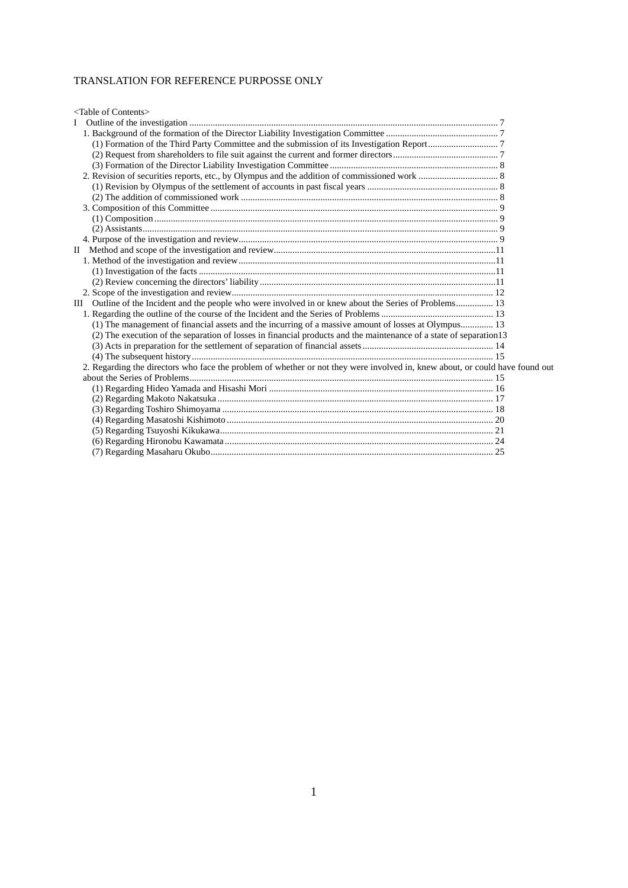| <table contents="" of=""></table>                                                                                            |  |
|------------------------------------------------------------------------------------------------------------------------------|--|
|                                                                                                                              |  |
|                                                                                                                              |  |
|                                                                                                                              |  |
|                                                                                                                              |  |
|                                                                                                                              |  |
|                                                                                                                              |  |
|                                                                                                                              |  |
|                                                                                                                              |  |
|                                                                                                                              |  |
|                                                                                                                              |  |
|                                                                                                                              |  |
|                                                                                                                              |  |
| $\mathbf{H}$                                                                                                                 |  |
|                                                                                                                              |  |
|                                                                                                                              |  |
|                                                                                                                              |  |
|                                                                                                                              |  |
| III Outline of the Incident and the people who were involved in or knew about the Series of Problems 13                      |  |
|                                                                                                                              |  |
| (1) The management of financial assets and the incurring of a massive amount of losses at Olympus 13                         |  |
| (2) The execution of the separation of losses in financial products and the maintenance of a state of separation 13          |  |
|                                                                                                                              |  |
|                                                                                                                              |  |
| 2. Regarding the directors who face the problem of whether or not they were involved in, knew about, or could have found out |  |
|                                                                                                                              |  |
|                                                                                                                              |  |
|                                                                                                                              |  |
|                                                                                                                              |  |
|                                                                                                                              |  |
|                                                                                                                              |  |
|                                                                                                                              |  |
|                                                                                                                              |  |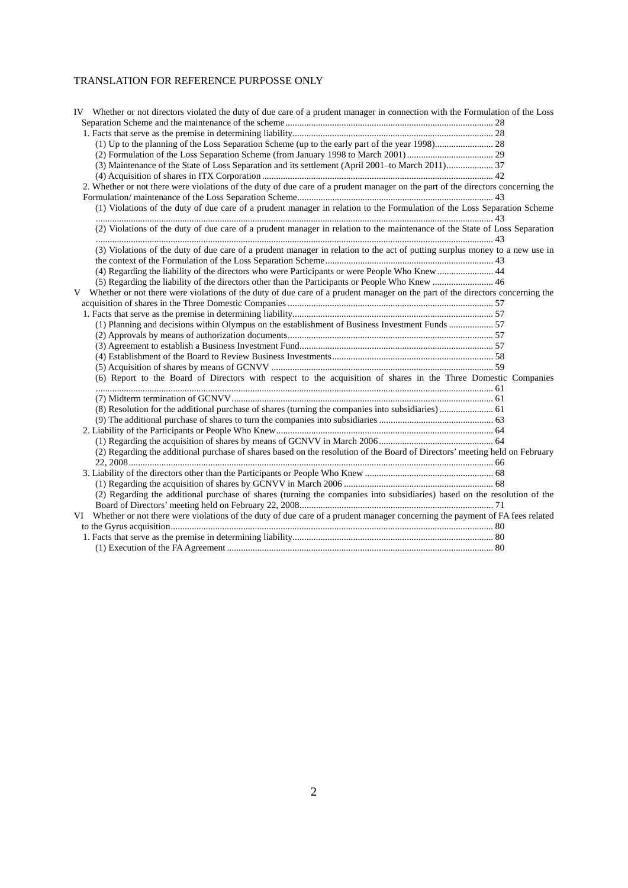| IV Whether or not directors violated the duty of due care of a prudent manager in connection with the Formulation of the Loss    |  |
|----------------------------------------------------------------------------------------------------------------------------------|--|
|                                                                                                                                  |  |
|                                                                                                                                  |  |
|                                                                                                                                  |  |
|                                                                                                                                  |  |
|                                                                                                                                  |  |
|                                                                                                                                  |  |
| 2. Whether or not there were violations of the duty of due care of a prudent manager on the part of the directors concerning the |  |
|                                                                                                                                  |  |
| (1) Violations of the duty of due care of a prudent manager in relation to the Formulation of the Loss Separation Scheme         |  |
| (2) Violations of the duty of due care of a prudent manager in relation to the maintenance of the State of Loss Separation       |  |
| (3) Violations of the duty of due care of a prudent manager in relation to the act of putting surplus money to a new use in      |  |
|                                                                                                                                  |  |
| (4) Regarding the liability of the directors who were Participants or were People Who Knew  44                                   |  |
|                                                                                                                                  |  |
| V Whether or not there were violations of the duty of due care of a prudent manager on the part of the directors concerning the  |  |
|                                                                                                                                  |  |
|                                                                                                                                  |  |
| (1) Planning and decisions within Olympus on the establishment of Business Investment Funds  57                                  |  |
|                                                                                                                                  |  |
|                                                                                                                                  |  |
|                                                                                                                                  |  |
|                                                                                                                                  |  |
| (6) Report to the Board of Directors with respect to the acquisition of shares in the Three Domestic Companies                   |  |
|                                                                                                                                  |  |
|                                                                                                                                  |  |
|                                                                                                                                  |  |
|                                                                                                                                  |  |
|                                                                                                                                  |  |
| (2) Regarding the additional purchase of shares based on the resolution of the Board of Directors' meeting held on February      |  |
|                                                                                                                                  |  |
|                                                                                                                                  |  |
|                                                                                                                                  |  |
| (2) Regarding the additional purchase of shares (turning the companies into subsidiaries) based on the resolution of the         |  |
|                                                                                                                                  |  |
| VI Whether or not there were violations of the duty of due care of a prudent manager concerning the payment of FA fees related   |  |
|                                                                                                                                  |  |
|                                                                                                                                  |  |
|                                                                                                                                  |  |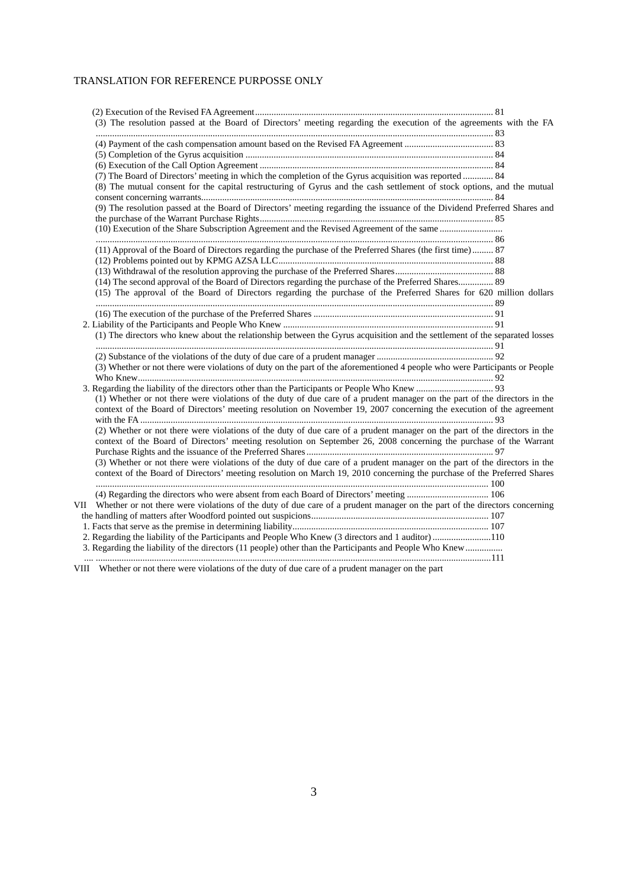| (3) The resolution passed at the Board of Directors' meeting regarding the execution of the agreements with the FA            |  |
|-------------------------------------------------------------------------------------------------------------------------------|--|
|                                                                                                                               |  |
|                                                                                                                               |  |
|                                                                                                                               |  |
|                                                                                                                               |  |
| (7) The Board of Directors' meeting in which the completion of the Gyrus acquisition was reported  84                         |  |
| (8) The mutual consent for the capital restructuring of Gyrus and the cash settlement of stock options, and the mutual        |  |
| (9) The resolution passed at the Board of Directors' meeting regarding the issuance of the Dividend Preferred Shares and      |  |
|                                                                                                                               |  |
|                                                                                                                               |  |
|                                                                                                                               |  |
| (11) Approval of the Board of Directors regarding the purchase of the Preferred Shares (the first time) 87                    |  |
|                                                                                                                               |  |
|                                                                                                                               |  |
| (14) The second approval of the Board of Directors regarding the purchase of the Preferred Shares 89                          |  |
| (15) The approval of the Board of Directors regarding the purchase of the Preferred Shares for 620 million dollars            |  |
|                                                                                                                               |  |
|                                                                                                                               |  |
|                                                                                                                               |  |
| (1) The directors who knew about the relationship between the Gyrus acquisition and the settlement of the separated losses    |  |
|                                                                                                                               |  |
|                                                                                                                               |  |
| (3) Whether or not there were violations of duty on the part of the aforementioned 4 people who were Participants or People   |  |
|                                                                                                                               |  |
| (1) Whether or not there were violations of the duty of due care of a prudent manager on the part of the directors in the     |  |
| context of the Board of Directors' meeting resolution on November 19, 2007 concerning the execution of the agreement          |  |
| (2) Whether or not there were violations of the duty of due care of a prudent manager on the part of the directors in the     |  |
| context of the Board of Directors' meeting resolution on September 26, 2008 concerning the purchase of the Warrant            |  |
| (3) Whether or not there were violations of the duty of due care of a prudent manager on the part of the directors in the     |  |
| context of the Board of Directors' meeting resolution on March 19, 2010 concerning the purchase of the Preferred Shares       |  |
|                                                                                                                               |  |
| VII Whether or not there were violations of the duty of due care of a prudent manager on the part of the directors concerning |  |
|                                                                                                                               |  |
|                                                                                                                               |  |
| 2. Regarding the liability of the Participants and People Who Knew (3 directors and 1 auditor) 110                            |  |
| 3. Regarding the liability of the directors (11 people) other than the Participants and People Who Knew                       |  |
|                                                                                                                               |  |
|                                                                                                                               |  |

VIII Whether or not there were violations of the duty of due care of a prudent manager on the part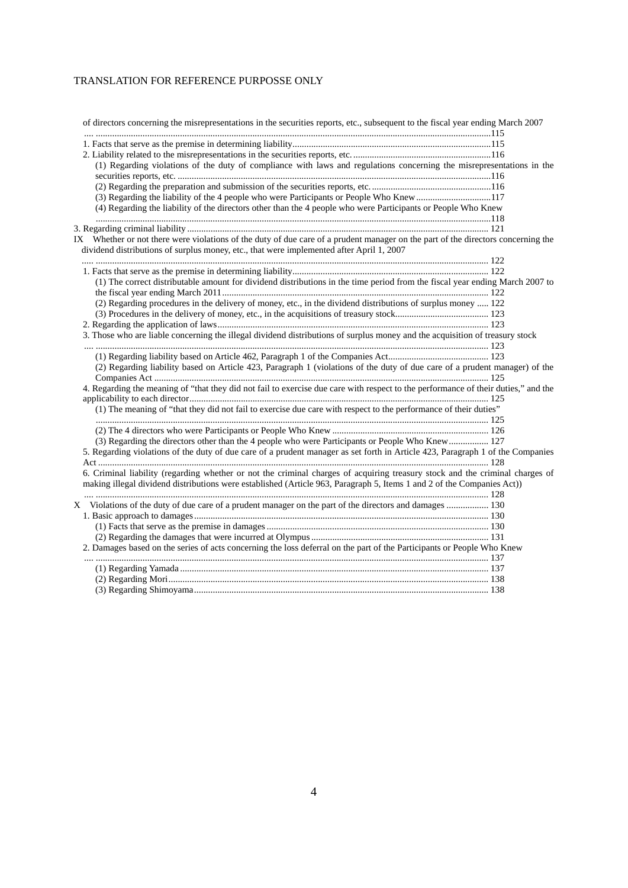| of directors concerning the misrepresentations in the securities reports, etc., subsequent to the fiscal year ending March 2007    |  |
|------------------------------------------------------------------------------------------------------------------------------------|--|
|                                                                                                                                    |  |
|                                                                                                                                    |  |
|                                                                                                                                    |  |
| (1) Regarding violations of the duty of compliance with laws and regulations concerning the misrepresentations in the              |  |
|                                                                                                                                    |  |
|                                                                                                                                    |  |
| (3) Regarding the liability of the 4 people who were Participants or People Who Knew117                                            |  |
| (4) Regarding the liability of the directors other than the 4 people who were Participants or People Who Knew                      |  |
|                                                                                                                                    |  |
|                                                                                                                                    |  |
| IX Whether or not there were violations of the duty of due care of a prudent manager on the part of the directors concerning the   |  |
| dividend distributions of surplus money, etc., that were implemented after April 1, 2007                                           |  |
|                                                                                                                                    |  |
|                                                                                                                                    |  |
| (1) The correct distributable amount for dividend distributions in the time period from the fiscal year ending March 2007 to       |  |
|                                                                                                                                    |  |
| (2) Regarding procedures in the delivery of money, etc., in the dividend distributions of surplus money  122                       |  |
|                                                                                                                                    |  |
|                                                                                                                                    |  |
| 3. Those who are liable concerning the illegal dividend distributions of surplus money and the acquisition of treasury stock       |  |
|                                                                                                                                    |  |
|                                                                                                                                    |  |
| (2) Regarding liability based on Article 423, Paragraph 1 (violations of the duty of due care of a prudent manager) of the         |  |
| 4. Regarding the meaning of "that they did not fail to exercise due care with respect to the performance of their duties," and the |  |
| (1) The meaning of "that they did not fail to exercise due care with respect to the performance of their duties"                   |  |
|                                                                                                                                    |  |
|                                                                                                                                    |  |
| (3) Regarding the directors other than the 4 people who were Participants or People Who Knew  127                                  |  |
| 5. Regarding violations of the duty of due care of a prudent manager as set forth in Article 423, Paragraph 1 of the Companies     |  |
|                                                                                                                                    |  |
| 6. Criminal liability (regarding whether or not the criminal charges of acquiring treasury stock and the criminal charges of       |  |
| making illegal dividend distributions were established (Article 963, Paragraph 5, Items 1 and 2 of the Companies Act))             |  |
|                                                                                                                                    |  |
| X Violations of the duty of due care of a prudent manager on the part of the directors and damages  130                            |  |
|                                                                                                                                    |  |
|                                                                                                                                    |  |
|                                                                                                                                    |  |
| 2. Damages based on the series of acts concerning the loss deferral on the part of the Participants or People Who Knew             |  |
|                                                                                                                                    |  |
|                                                                                                                                    |  |
|                                                                                                                                    |  |
|                                                                                                                                    |  |
|                                                                                                                                    |  |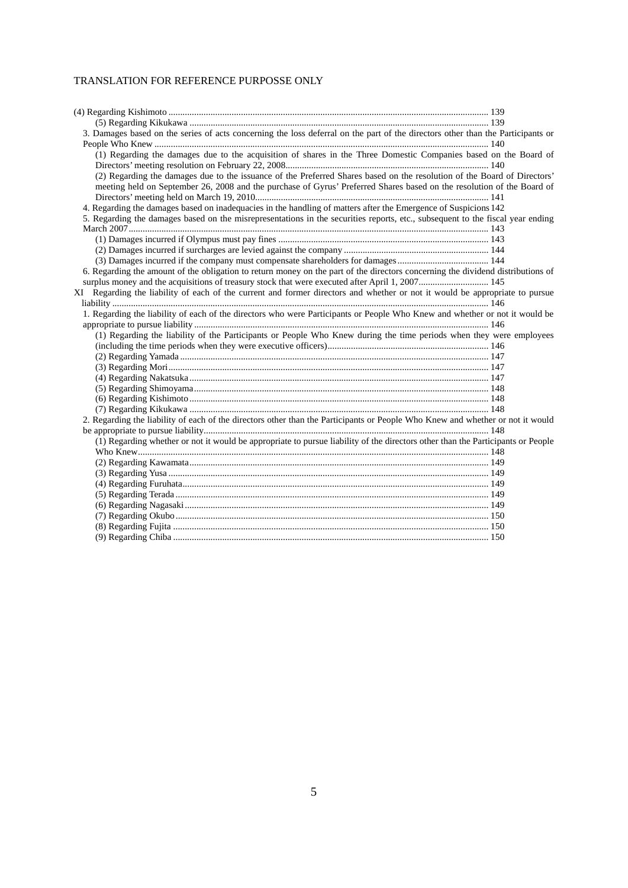| 3. Damages based on the series of acts concerning the loss deferral on the part of the directors other than the Participants or |  |
|---------------------------------------------------------------------------------------------------------------------------------|--|
|                                                                                                                                 |  |
| (1) Regarding the damages due to the acquisition of shares in the Three Domestic Companies based on the Board of                |  |
|                                                                                                                                 |  |
| (2) Regarding the damages due to the issuance of the Preferred Shares based on the resolution of the Board of Directors'        |  |
| meeting held on September 26, 2008 and the purchase of Gyrus' Preferred Shares based on the resolution of the Board of          |  |
|                                                                                                                                 |  |
| 4. Regarding the damages based on inadequacies in the handling of matters after the Emergence of Suspicions 142                 |  |
| 5. Regarding the damages based on the misrepresentations in the securities reports, etc., subsequent to the fiscal year ending  |  |
|                                                                                                                                 |  |
|                                                                                                                                 |  |
|                                                                                                                                 |  |
|                                                                                                                                 |  |
| 6. Regarding the amount of the obligation to return money on the part of the directors concerning the dividend distributions of |  |
| surplus money and the acquisitions of treasury stock that were executed after April 1, 2007 145                                 |  |
| XI Regarding the liability of each of the current and former directors and whether or not it would be appropriate to pursue     |  |
|                                                                                                                                 |  |
| 1. Regarding the liability of each of the directors who were Participants or People Who Knew and whether or not it would be     |  |
|                                                                                                                                 |  |
| (1) Regarding the liability of the Participants or People Who Knew during the time periods when they were employees             |  |
|                                                                                                                                 |  |
|                                                                                                                                 |  |
|                                                                                                                                 |  |
|                                                                                                                                 |  |
|                                                                                                                                 |  |
|                                                                                                                                 |  |
|                                                                                                                                 |  |
| 2. Regarding the liability of each of the directors other than the Participants or People Who Knew and whether or not it would  |  |
|                                                                                                                                 |  |
| (1) Regarding whether or not it would be appropriate to pursue liability of the directors other than the Participants or People |  |
|                                                                                                                                 |  |
|                                                                                                                                 |  |
|                                                                                                                                 |  |
|                                                                                                                                 |  |
|                                                                                                                                 |  |
|                                                                                                                                 |  |
|                                                                                                                                 |  |
|                                                                                                                                 |  |
|                                                                                                                                 |  |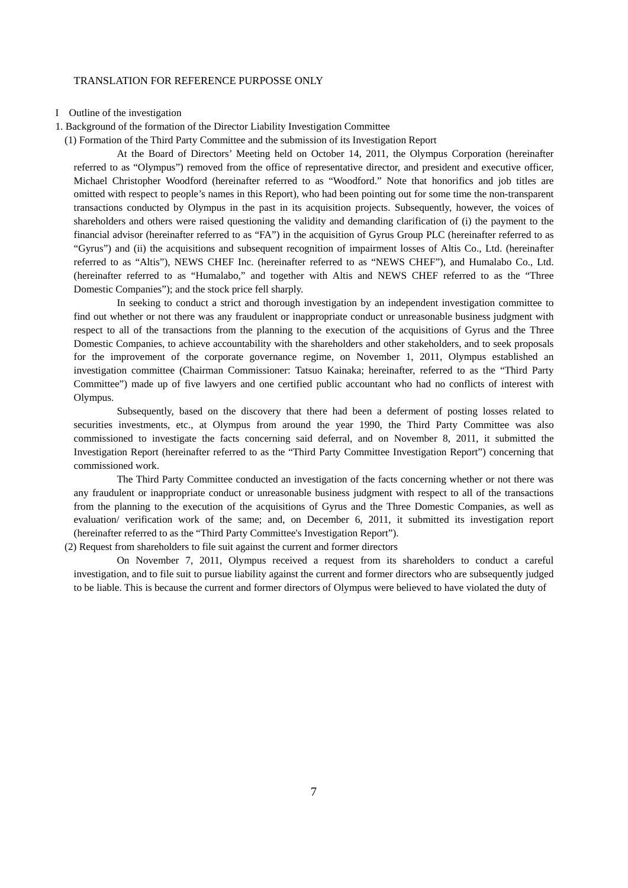#### I Outline of the investigation

1. Background of the formation of the Director Liability Investigation Committee

(1) Formation of the Third Party Committee and the submission of its Investigation Report

At the Board of Directors' Meeting held on October 14, 2011, the Olympus Corporation (hereinafter referred to as "Olympus") removed from the office of representative director, and president and executive officer, Michael Christopher Woodford (hereinafter referred to as "Woodford." Note that honorifics and job titles are omitted with respect to people's names in this Report), who had been pointing out for some time the non-transparent transactions conducted by Olympus in the past in its acquisition projects. Subsequently, however, the voices of shareholders and others were raised questioning the validity and demanding clarification of (i) the payment to the financial advisor (hereinafter referred to as "FA") in the acquisition of Gyrus Group PLC (hereinafter referred to as "Gyrus") and (ii) the acquisitions and subsequent recognition of impairment losses of Altis Co., Ltd. (hereinafter referred to as "Altis"), NEWS CHEF Inc. (hereinafter referred to as "NEWS CHEF"), and Humalabo Co., Ltd. (hereinafter referred to as "Humalabo," and together with Altis and NEWS CHEF referred to as the "Three Domestic Companies"); and the stock price fell sharply.

In seeking to conduct a strict and thorough investigation by an independent investigation committee to find out whether or not there was any fraudulent or inappropriate conduct or unreasonable business judgment with respect to all of the transactions from the planning to the execution of the acquisitions of Gyrus and the Three Domestic Companies, to achieve accountability with the shareholders and other stakeholders, and to seek proposals for the improvement of the corporate governance regime, on November 1, 2011, Olympus established an investigation committee (Chairman Commissioner: Tatsuo Kainaka; hereinafter, referred to as the "Third Party Committee") made up of five lawyers and one certified public accountant who had no conflicts of interest with Olympus.

Subsequently, based on the discovery that there had been a deferment of posting losses related to securities investments, etc., at Olympus from around the year 1990, the Third Party Committee was also commissioned to investigate the facts concerning said deferral, and on November 8, 2011, it submitted the Investigation Report (hereinafter referred to as the "Third Party Committee Investigation Report") concerning that commissioned work.

The Third Party Committee conducted an investigation of the facts concerning whether or not there was any fraudulent or inappropriate conduct or unreasonable business judgment with respect to all of the transactions from the planning to the execution of the acquisitions of Gyrus and the Three Domestic Companies, as well as evaluation/ verification work of the same; and, on December 6, 2011, it submitted its investigation report (hereinafter referred to as the "Third Party Committee's Investigation Report").

(2) Request from shareholders to file suit against the current and former directors

On November 7, 2011, Olympus received a request from its shareholders to conduct a careful investigation, and to file suit to pursue liability against the current and former directors who are subsequently judged to be liable. This is because the current and former directors of Olympus were believed to have violated the duty of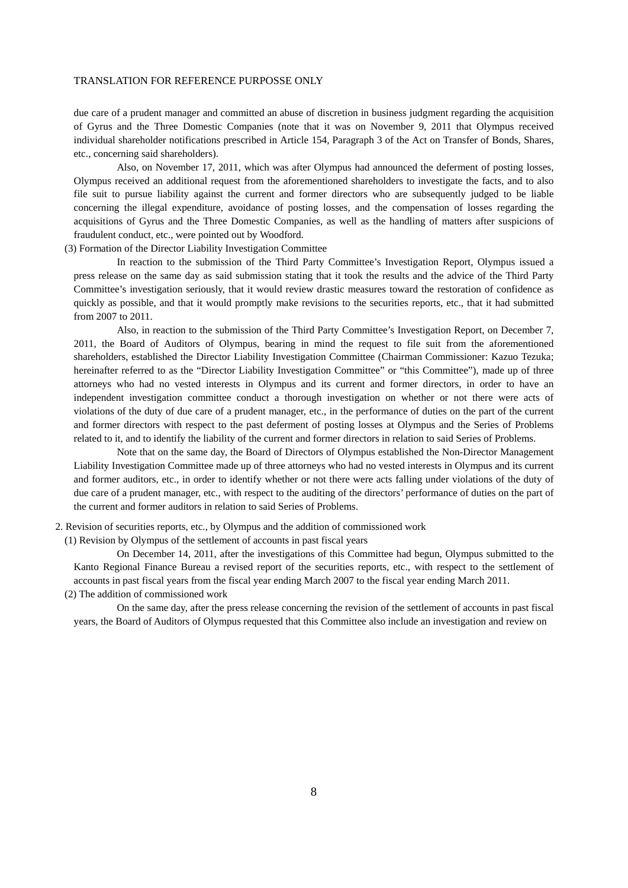due care of a prudent manager and committed an abuse of discretion in business judgment regarding the acquisition of Gyrus and the Three Domestic Companies (note that it was on November 9, 2011 that Olympus received individual shareholder notifications prescribed in Article 154, Paragraph 3 of the Act on Transfer of Bonds, Shares, etc., concerning said shareholders).

Also, on November 17, 2011, which was after Olympus had announced the deferment of posting losses, Olympus received an additional request from the aforementioned shareholders to investigate the facts, and to also file suit to pursue liability against the current and former directors who are subsequently judged to be liable concerning the illegal expenditure, avoidance of posting losses, and the compensation of losses regarding the acquisitions of Gyrus and the Three Domestic Companies, as well as the handling of matters after suspicions of fraudulent conduct, etc., were pointed out by Woodford.

(3) Formation of the Director Liability Investigation Committee

In reaction to the submission of the Third Party Committee's Investigation Report, Olympus issued a press release on the same day as said submission stating that it took the results and the advice of the Third Party Committee's investigation seriously, that it would review drastic measures toward the restoration of confidence as quickly as possible, and that it would promptly make revisions to the securities reports, etc., that it had submitted from 2007 to 2011.

Also, in reaction to the submission of the Third Party Committee's Investigation Report, on December 7, 2011, the Board of Auditors of Olympus, bearing in mind the request to file suit from the aforementioned shareholders, established the Director Liability Investigation Committee (Chairman Commissioner: Kazuo Tezuka; hereinafter referred to as the "Director Liability Investigation Committee" or "this Committee"), made up of three attorneys who had no vested interests in Olympus and its current and former directors, in order to have an independent investigation committee conduct a thorough investigation on whether or not there were acts of violations of the duty of due care of a prudent manager, etc., in the performance of duties on the part of the current and former directors with respect to the past deferment of posting losses at Olympus and the Series of Problems related to it, and to identify the liability of the current and former directors in relation to said Series of Problems.

Note that on the same day, the Board of Directors of Olympus established the Non-Director Management Liability Investigation Committee made up of three attorneys who had no vested interests in Olympus and its current and former auditors, etc., in order to identify whether or not there were acts falling under violations of the duty of due care of a prudent manager, etc., with respect to the auditing of the directors' performance of duties on the part of the current and former auditors in relation to said Series of Problems.

2. Revision of securities reports, etc., by Olympus and the addition of commissioned work

(1) Revision by Olympus of the settlement of accounts in past fiscal years

On December 14, 2011, after the investigations of this Committee had begun, Olympus submitted to the Kanto Regional Finance Bureau a revised report of the securities reports, etc., with respect to the settlement of accounts in past fiscal years from the fiscal year ending March 2007 to the fiscal year ending March 2011. (2) The addition of commissioned work

On the same day, after the press release concerning the revision of the settlement of accounts in past fiscal years, the Board of Auditors of Olympus requested that this Committee also include an investigation and review on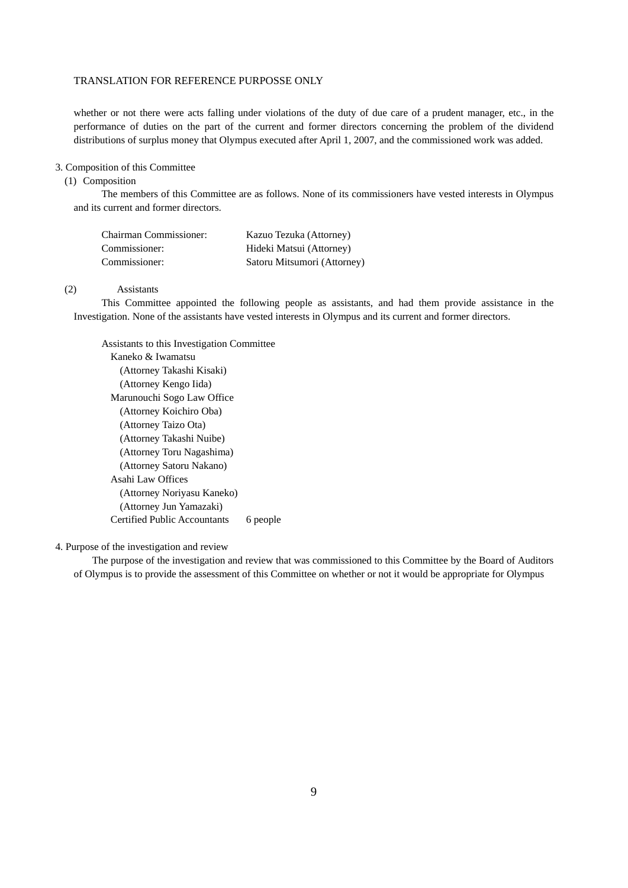whether or not there were acts falling under violations of the duty of due care of a prudent manager, etc., in the performance of duties on the part of the current and former directors concerning the problem of the dividend distributions of surplus money that Olympus executed after April 1, 2007, and the commissioned work was added.

## 3. Composition of this Committee

## (1) Composition

The members of this Committee are as follows. None of its commissioners have vested interests in Olympus and its current and former directors.

| <b>Chairman Commissioner:</b> | Kazuo Tezuka (Attorney)     |
|-------------------------------|-----------------------------|
| Commissioner:                 | Hideki Matsui (Attorney)    |
| Commissioner:                 | Satoru Mitsumori (Attorney) |

#### (2) Assistants

This Committee appointed the following people as assistants, and had them provide assistance in the Investigation. None of the assistants have vested interests in Olympus and its current and former directors.

Assistants to this Investigation Committee Kaneko & Iwamatsu (Attorney Takashi Kisaki) (Attorney Kengo Iida) Marunouchi Sogo Law Office (Attorney Koichiro Oba) (Attorney Taizo Ota) (Attorney Takashi Nuibe) (Attorney Toru Nagashima) (Attorney Satoru Nakano) Asahi Law Offices (Attorney Noriyasu Kaneko) (Attorney Jun Yamazaki) Certified Public Accountants 6 people

4. Purpose of the investigation and review

The purpose of the investigation and review that was commissioned to this Committee by the Board of Auditors of Olympus is to provide the assessment of this Committee on whether or not it would be appropriate for Olympus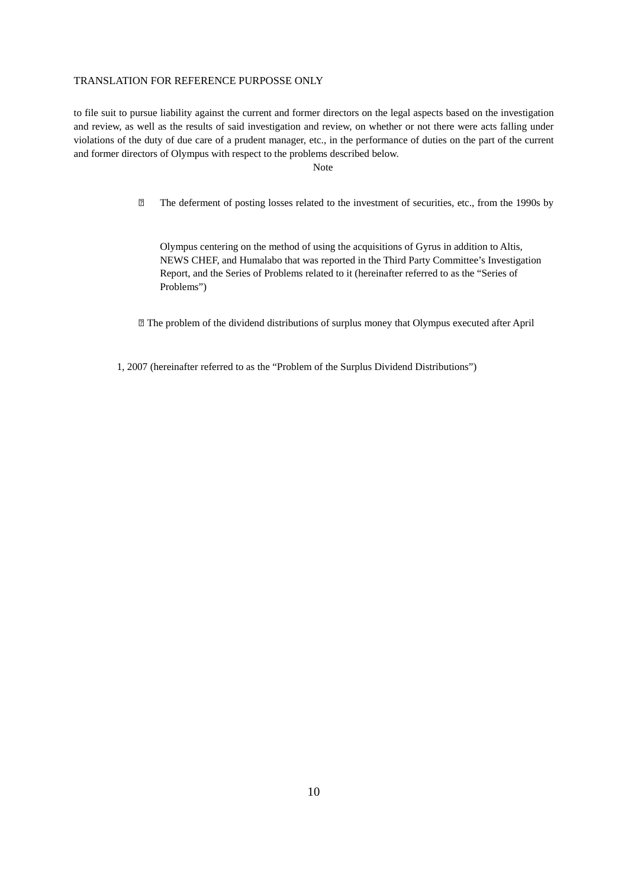to file suit to pursue liability against the current and former directors on the legal aspects based on the investigation and review, as well as the results of said investigation and review, on whether or not there were acts falling under violations of the duty of due care of a prudent manager, etc., in the performance of duties on the part of the current and former directors of Olympus with respect to the problems described below.

Note

The deferment of posting losses related to the investment of securities, etc., from the 1990s by

 Olympus centering on the method of using the acquisitions of Gyrus in addition to Altis, NEWS CHEF, and Humalabo that was reported in the Third Party Committee's Investigation Report, and the Series of Problems related to it (hereinafter referred to as the "Series of Problems")

The problem of the dividend distributions of surplus money that Olympus executed after April

1, 2007 (hereinafter referred to as the "Problem of the Surplus Dividend Distributions")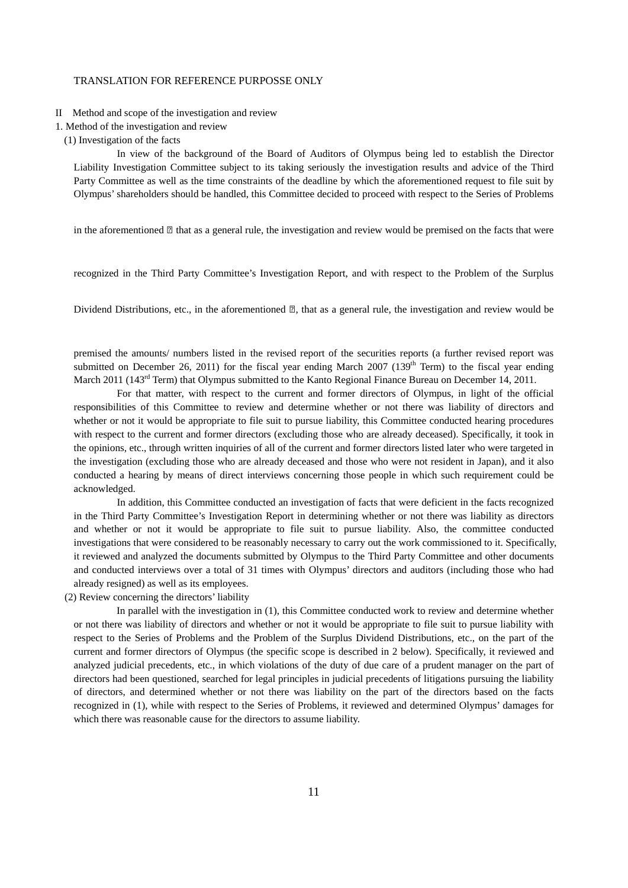- II Method and scope of the investigation and review
- 1. Method of the investigation and review
- (1) Investigation of the facts

In view of the background of the Board of Auditors of Olympus being led to establish the Director Liability Investigation Committee subject to its taking seriously the investigation results and advice of the Third Party Committee as well as the time constraints of the deadline by which the aforementioned request to file suit by Olympus' shareholders should be handled, this Committee decided to proceed with respect to the Series of Problems

in the aforementioned  $\mathbb Z$  that as a general rule, the investigation and review would be premised on the facts that were

recognized in the Third Party Committee's Investigation Report, and with respect to the Problem of the Surplus

Dividend Distributions, etc., in the aforementioned  $\mathbb{Z}$ , that as a general rule, the investigation and review would be

premised the amounts/ numbers listed in the revised report of the securities reports (a further revised report was submitted on December 26, 2011) for the fiscal year ending March 2007 (139<sup>th</sup> Term) to the fiscal year ending March 2011 (143<sup>rd</sup> Term) that Olympus submitted to the Kanto Regional Finance Bureau on December 14, 2011.

For that matter, with respect to the current and former directors of Olympus, in light of the official responsibilities of this Committee to review and determine whether or not there was liability of directors and whether or not it would be appropriate to file suit to pursue liability, this Committee conducted hearing procedures with respect to the current and former directors (excluding those who are already deceased). Specifically, it took in the opinions, etc., through written inquiries of all of the current and former directors listed later who were targeted in the investigation (excluding those who are already deceased and those who were not resident in Japan), and it also conducted a hearing by means of direct interviews concerning those people in which such requirement could be acknowledged.

In addition, this Committee conducted an investigation of facts that were deficient in the facts recognized in the Third Party Committee's Investigation Report in determining whether or not there was liability as directors and whether or not it would be appropriate to file suit to pursue liability. Also, the committee conducted investigations that were considered to be reasonably necessary to carry out the work commissioned to it. Specifically, it reviewed and analyzed the documents submitted by Olympus to the Third Party Committee and other documents and conducted interviews over a total of 31 times with Olympus' directors and auditors (including those who had already resigned) as well as its employees.

(2) Review concerning the directors' liability

In parallel with the investigation in (1), this Committee conducted work to review and determine whether or not there was liability of directors and whether or not it would be appropriate to file suit to pursue liability with respect to the Series of Problems and the Problem of the Surplus Dividend Distributions, etc., on the part of the current and former directors of Olympus (the specific scope is described in 2 below). Specifically, it reviewed and analyzed judicial precedents, etc., in which violations of the duty of due care of a prudent manager on the part of directors had been questioned, searched for legal principles in judicial precedents of litigations pursuing the liability of directors, and determined whether or not there was liability on the part of the directors based on the facts recognized in (1), while with respect to the Series of Problems, it reviewed and determined Olympus' damages for which there was reasonable cause for the directors to assume liability.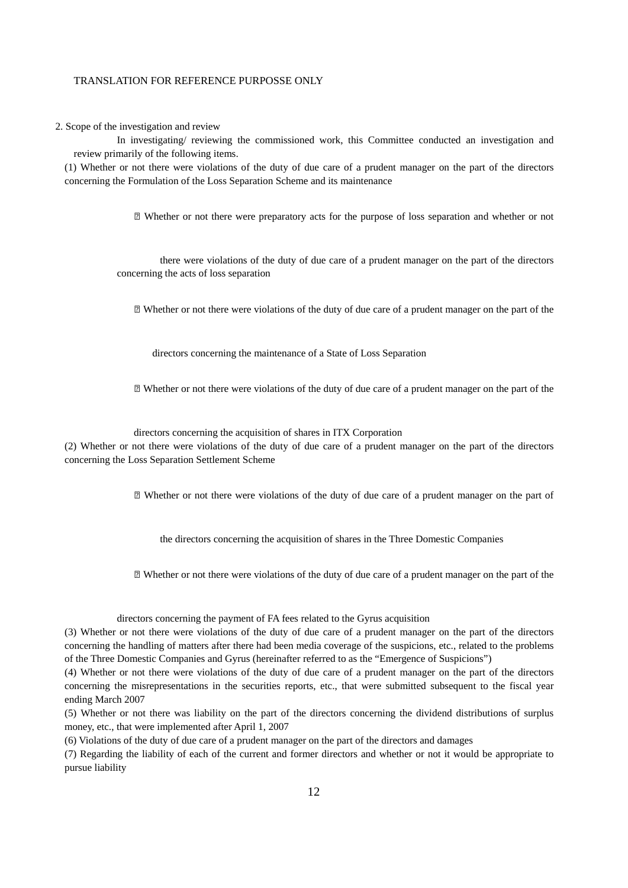2. Scope of the investigation and review

In investigating/ reviewing the commissioned work, this Committee conducted an investigation and review primarily of the following items.

(1) Whether or not there were violations of the duty of due care of a prudent manager on the part of the directors concerning the Formulation of the Loss Separation Scheme and its maintenance

Whether or not there were preparatory acts for the purpose of loss separation and whether or not

 there were violations of the duty of due care of a prudent manager on the part of the directors concerning the acts of loss separation

Whether or not there were violations of the duty of due care of a prudent manager on the part of the

directors concerning the maintenance of a State of Loss Separation

Whether or not there were violations of the duty of due care of a prudent manager on the part of the

directors concerning the acquisition of shares in ITX Corporation

(2) Whether or not there were violations of the duty of due care of a prudent manager on the part of the directors concerning the Loss Separation Settlement Scheme

Whether or not there were violations of the duty of due care of a prudent manager on the part of

the directors concerning the acquisition of shares in the Three Domestic Companies

Whether or not there were violations of the duty of due care of a prudent manager on the part of the

directors concerning the payment of FA fees related to the Gyrus acquisition

(3) Whether or not there were violations of the duty of due care of a prudent manager on the part of the directors concerning the handling of matters after there had been media coverage of the suspicions, etc., related to the problems of the Three Domestic Companies and Gyrus (hereinafter referred to as the "Emergence of Suspicions")

(4) Whether or not there were violations of the duty of due care of a prudent manager on the part of the directors concerning the misrepresentations in the securities reports, etc., that were submitted subsequent to the fiscal year ending March 2007

(5) Whether or not there was liability on the part of the directors concerning the dividend distributions of surplus money, etc., that were implemented after April 1, 2007

(6) Violations of the duty of due care of a prudent manager on the part of the directors and damages

(7) Regarding the liability of each of the current and former directors and whether or not it would be appropriate to pursue liability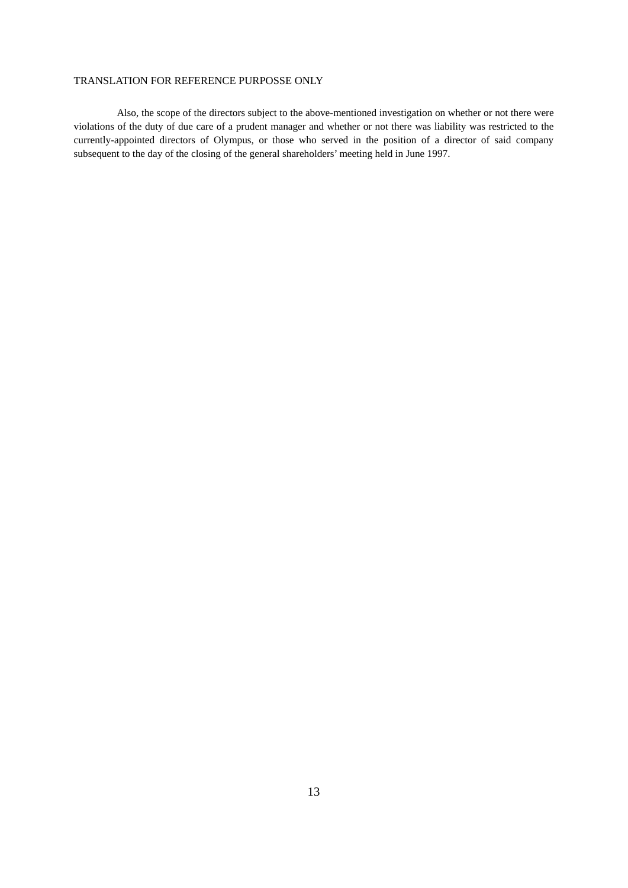Also, the scope of the directors subject to the above-mentioned investigation on whether or not there were violations of the duty of due care of a prudent manager and whether or not there was liability was restricted to the currently-appointed directors of Olympus, or those who served in the position of a director of said company subsequent to the day of the closing of the general shareholders' meeting held in June 1997.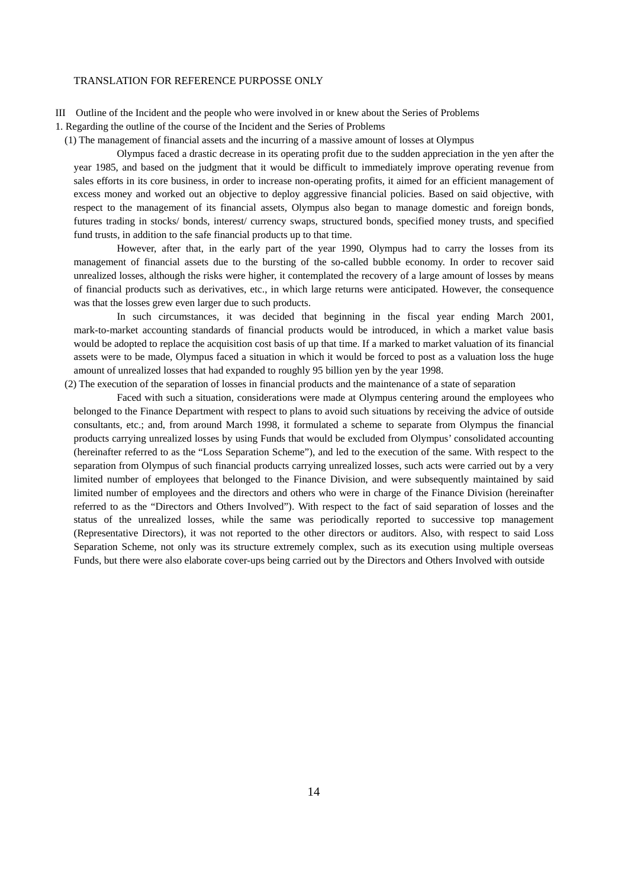III Outline of the Incident and the people who were involved in or knew about the Series of Problems

1. Regarding the outline of the course of the Incident and the Series of Problems

(1) The management of financial assets and the incurring of a massive amount of losses at Olympus

Olympus faced a drastic decrease in its operating profit due to the sudden appreciation in the yen after the year 1985, and based on the judgment that it would be difficult to immediately improve operating revenue from sales efforts in its core business, in order to increase non-operating profits, it aimed for an efficient management of excess money and worked out an objective to deploy aggressive financial policies. Based on said objective, with respect to the management of its financial assets, Olympus also began to manage domestic and foreign bonds, futures trading in stocks/ bonds, interest/ currency swaps, structured bonds, specified money trusts, and specified fund trusts, in addition to the safe financial products up to that time.

However, after that, in the early part of the year 1990, Olympus had to carry the losses from its management of financial assets due to the bursting of the so-called bubble economy. In order to recover said unrealized losses, although the risks were higher, it contemplated the recovery of a large amount of losses by means of financial products such as derivatives, etc., in which large returns were anticipated. However, the consequence was that the losses grew even larger due to such products.

In such circumstances, it was decided that beginning in the fiscal year ending March 2001, mark-to-market accounting standards of financial products would be introduced, in which a market value basis would be adopted to replace the acquisition cost basis of up that time. If a marked to market valuation of its financial assets were to be made, Olympus faced a situation in which it would be forced to post as a valuation loss the huge amount of unrealized losses that had expanded to roughly 95 billion yen by the year 1998.

(2) The execution of the separation of losses in financial products and the maintenance of a state of separation

Faced with such a situation, considerations were made at Olympus centering around the employees who belonged to the Finance Department with respect to plans to avoid such situations by receiving the advice of outside consultants, etc.; and, from around March 1998, it formulated a scheme to separate from Olympus the financial products carrying unrealized losses by using Funds that would be excluded from Olympus' consolidated accounting (hereinafter referred to as the "Loss Separation Scheme"), and led to the execution of the same. With respect to the separation from Olympus of such financial products carrying unrealized losses, such acts were carried out by a very limited number of employees that belonged to the Finance Division, and were subsequently maintained by said limited number of employees and the directors and others who were in charge of the Finance Division (hereinafter referred to as the "Directors and Others Involved"). With respect to the fact of said separation of losses and the status of the unrealized losses, while the same was periodically reported to successive top management (Representative Directors), it was not reported to the other directors or auditors. Also, with respect to said Loss Separation Scheme, not only was its structure extremely complex, such as its execution using multiple overseas Funds, but there were also elaborate cover-ups being carried out by the Directors and Others Involved with outside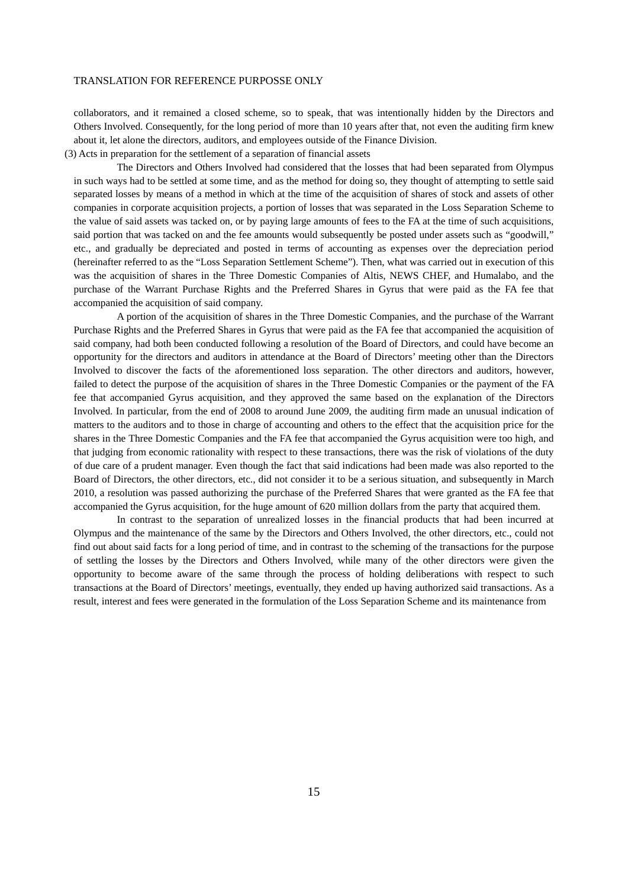collaborators, and it remained a closed scheme, so to speak, that was intentionally hidden by the Directors and Others Involved. Consequently, for the long period of more than 10 years after that, not even the auditing firm knew about it, let alone the directors, auditors, and employees outside of the Finance Division.

(3) Acts in preparation for the settlement of a separation of financial assets

The Directors and Others Involved had considered that the losses that had been separated from Olympus in such ways had to be settled at some time, and as the method for doing so, they thought of attempting to settle said separated losses by means of a method in which at the time of the acquisition of shares of stock and assets of other companies in corporate acquisition projects, a portion of losses that was separated in the Loss Separation Scheme to the value of said assets was tacked on, or by paying large amounts of fees to the FA at the time of such acquisitions, said portion that was tacked on and the fee amounts would subsequently be posted under assets such as "goodwill," etc., and gradually be depreciated and posted in terms of accounting as expenses over the depreciation period (hereinafter referred to as the "Loss Separation Settlement Scheme"). Then, what was carried out in execution of this was the acquisition of shares in the Three Domestic Companies of Altis, NEWS CHEF, and Humalabo, and the purchase of the Warrant Purchase Rights and the Preferred Shares in Gyrus that were paid as the FA fee that accompanied the acquisition of said company.

A portion of the acquisition of shares in the Three Domestic Companies, and the purchase of the Warrant Purchase Rights and the Preferred Shares in Gyrus that were paid as the FA fee that accompanied the acquisition of said company, had both been conducted following a resolution of the Board of Directors, and could have become an opportunity for the directors and auditors in attendance at the Board of Directors' meeting other than the Directors Involved to discover the facts of the aforementioned loss separation. The other directors and auditors, however, failed to detect the purpose of the acquisition of shares in the Three Domestic Companies or the payment of the FA fee that accompanied Gyrus acquisition, and they approved the same based on the explanation of the Directors Involved. In particular, from the end of 2008 to around June 2009, the auditing firm made an unusual indication of matters to the auditors and to those in charge of accounting and others to the effect that the acquisition price for the shares in the Three Domestic Companies and the FA fee that accompanied the Gyrus acquisition were too high, and that judging from economic rationality with respect to these transactions, there was the risk of violations of the duty of due care of a prudent manager. Even though the fact that said indications had been made was also reported to the Board of Directors, the other directors, etc., did not consider it to be a serious situation, and subsequently in March 2010, a resolution was passed authorizing the purchase of the Preferred Shares that were granted as the FA fee that accompanied the Gyrus acquisition, for the huge amount of 620 million dollars from the party that acquired them.

In contrast to the separation of unrealized losses in the financial products that had been incurred at Olympus and the maintenance of the same by the Directors and Others Involved, the other directors, etc., could not find out about said facts for a long period of time, and in contrast to the scheming of the transactions for the purpose of settling the losses by the Directors and Others Involved, while many of the other directors were given the opportunity to become aware of the same through the process of holding deliberations with respect to such transactions at the Board of Directors' meetings, eventually, they ended up having authorized said transactions. As a result, interest and fees were generated in the formulation of the Loss Separation Scheme and its maintenance from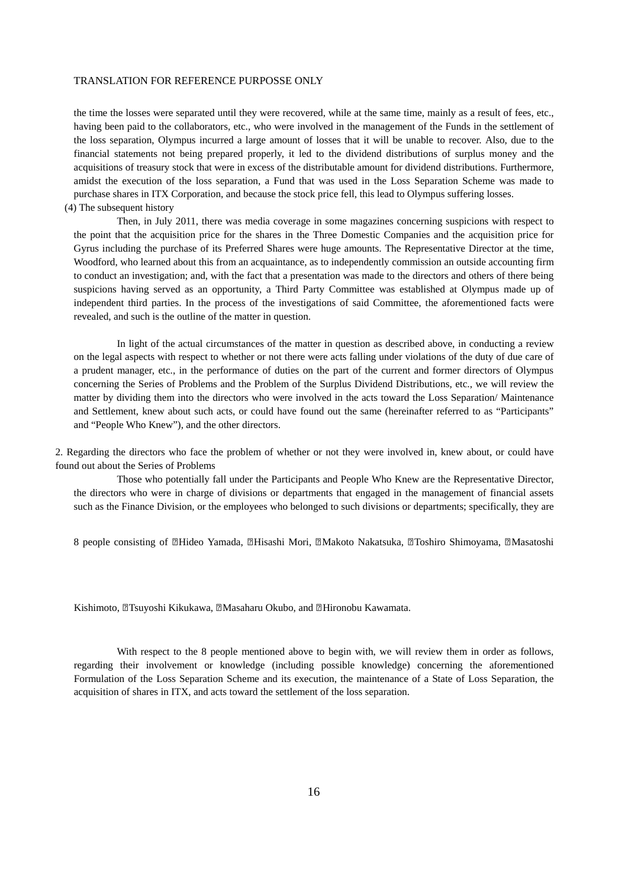the time the losses were separated until they were recovered, while at the same time, mainly as a result of fees, etc., having been paid to the collaborators, etc., who were involved in the management of the Funds in the settlement of the loss separation, Olympus incurred a large amount of losses that it will be unable to recover. Also, due to the financial statements not being prepared properly, it led to the dividend distributions of surplus money and the acquisitions of treasury stock that were in excess of the distributable amount for dividend distributions. Furthermore, amidst the execution of the loss separation, a Fund that was used in the Loss Separation Scheme was made to purchase shares in ITX Corporation, and because the stock price fell, this lead to Olympus suffering losses.

(4) The subsequent history

Then, in July 2011, there was media coverage in some magazines concerning suspicions with respect to the point that the acquisition price for the shares in the Three Domestic Companies and the acquisition price for Gyrus including the purchase of its Preferred Shares were huge amounts. The Representative Director at the time, Woodford, who learned about this from an acquaintance, as to independently commission an outside accounting firm to conduct an investigation; and, with the fact that a presentation was made to the directors and others of there being suspicions having served as an opportunity, a Third Party Committee was established at Olympus made up of independent third parties. In the process of the investigations of said Committee, the aforementioned facts were revealed, and such is the outline of the matter in question.

In light of the actual circumstances of the matter in question as described above, in conducting a review on the legal aspects with respect to whether or not there were acts falling under violations of the duty of due care of a prudent manager, etc., in the performance of duties on the part of the current and former directors of Olympus concerning the Series of Problems and the Problem of the Surplus Dividend Distributions, etc., we will review the matter by dividing them into the directors who were involved in the acts toward the Loss Separation/ Maintenance and Settlement, knew about such acts, or could have found out the same (hereinafter referred to as "Participants" and "People Who Knew"), and the other directors.

2. Regarding the directors who face the problem of whether or not they were involved in, knew about, or could have found out about the Series of Problems

Those who potentially fall under the Participants and People Who Knew are the Representative Director, the directors who were in charge of divisions or departments that engaged in the management of financial assets such as the Finance Division, or the employees who belonged to such divisions or departments; specifically, they are

8 people consisting of **ZHideo Yamada, ZHisashi Mori, ZMakoto Nakatsuka**, ZToshiro Shimoyama, ZMasatoshi

Kishimoto, **Tsuyoshi Kikukawa, Masaharu Okubo, and Hironobu Kawamata.** 

With respect to the 8 people mentioned above to begin with, we will review them in order as follows, regarding their involvement or knowledge (including possible knowledge) concerning the aforementioned Formulation of the Loss Separation Scheme and its execution, the maintenance of a State of Loss Separation, the acquisition of shares in ITX, and acts toward the settlement of the loss separation.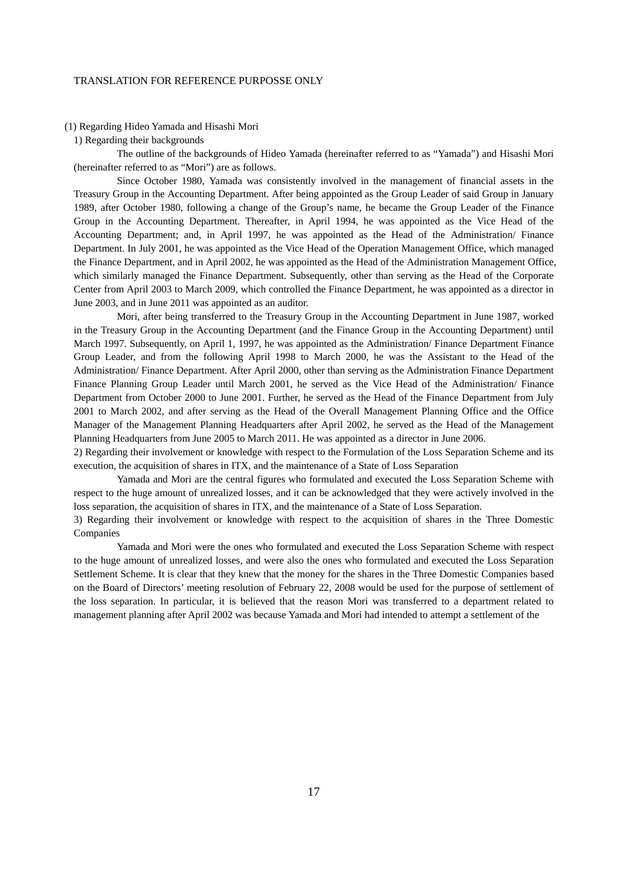#### (1) Regarding Hideo Yamada and Hisashi Mori

1) Regarding their backgrounds

The outline of the backgrounds of Hideo Yamada (hereinafter referred to as "Yamada") and Hisashi Mori (hereinafter referred to as "Mori") are as follows.

Since October 1980, Yamada was consistently involved in the management of financial assets in the Treasury Group in the Accounting Department. After being appointed as the Group Leader of said Group in January 1989, after October 1980, following a change of the Group's name, he became the Group Leader of the Finance Group in the Accounting Department. Thereafter, in April 1994, he was appointed as the Vice Head of the Accounting Department; and, in April 1997, he was appointed as the Head of the Administration/ Finance Department. In July 2001, he was appointed as the Vice Head of the Operation Management Office, which managed the Finance Department, and in April 2002, he was appointed as the Head of the Administration Management Office, which similarly managed the Finance Department. Subsequently, other than serving as the Head of the Corporate Center from April 2003 to March 2009, which controlled the Finance Department, he was appointed as a director in June 2003, and in June 2011 was appointed as an auditor.

Mori, after being transferred to the Treasury Group in the Accounting Department in June 1987, worked in the Treasury Group in the Accounting Department (and the Finance Group in the Accounting Department) until March 1997. Subsequently, on April 1, 1997, he was appointed as the Administration/ Finance Department Finance Group Leader, and from the following April 1998 to March 2000, he was the Assistant to the Head of the Administration/ Finance Department. After April 2000, other than serving as the Administration Finance Department Finance Planning Group Leader until March 2001, he served as the Vice Head of the Administration/ Finance Department from October 2000 to June 2001. Further, he served as the Head of the Finance Department from July 2001 to March 2002, and after serving as the Head of the Overall Management Planning Office and the Office Manager of the Management Planning Headquarters after April 2002, he served as the Head of the Management Planning Headquarters from June 2005 to March 2011. He was appointed as a director in June 2006.

2) Regarding their involvement or knowledge with respect to the Formulation of the Loss Separation Scheme and its execution, the acquisition of shares in ITX, and the maintenance of a State of Loss Separation

Yamada and Mori are the central figures who formulated and executed the Loss Separation Scheme with respect to the huge amount of unrealized losses, and it can be acknowledged that they were actively involved in the loss separation, the acquisition of shares in ITX, and the maintenance of a State of Loss Separation.

3) Regarding their involvement or knowledge with respect to the acquisition of shares in the Three Domestic Companies

Yamada and Mori were the ones who formulated and executed the Loss Separation Scheme with respect to the huge amount of unrealized losses, and were also the ones who formulated and executed the Loss Separation Settlement Scheme. It is clear that they knew that the money for the shares in the Three Domestic Companies based on the Board of Directors' meeting resolution of February 22, 2008 would be used for the purpose of settlement of the loss separation. In particular, it is believed that the reason Mori was transferred to a department related to management planning after April 2002 was because Yamada and Mori had intended to attempt a settlement of the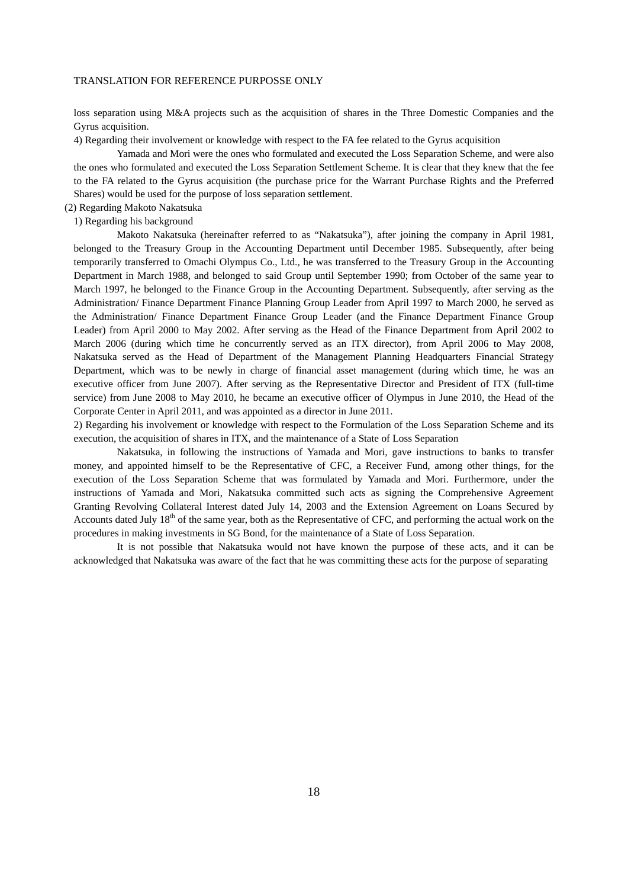loss separation using M&A projects such as the acquisition of shares in the Three Domestic Companies and the Gyrus acquisition.

4) Regarding their involvement or knowledge with respect to the FA fee related to the Gyrus acquisition

Yamada and Mori were the ones who formulated and executed the Loss Separation Scheme, and were also the ones who formulated and executed the Loss Separation Settlement Scheme. It is clear that they knew that the fee to the FA related to the Gyrus acquisition (the purchase price for the Warrant Purchase Rights and the Preferred Shares) would be used for the purpose of loss separation settlement.

- (2) Regarding Makoto Nakatsuka
	- 1) Regarding his background

Makoto Nakatsuka (hereinafter referred to as "Nakatsuka"), after joining the company in April 1981, belonged to the Treasury Group in the Accounting Department until December 1985. Subsequently, after being temporarily transferred to Omachi Olympus Co., Ltd., he was transferred to the Treasury Group in the Accounting Department in March 1988, and belonged to said Group until September 1990; from October of the same year to March 1997, he belonged to the Finance Group in the Accounting Department. Subsequently, after serving as the Administration/ Finance Department Finance Planning Group Leader from April 1997 to March 2000, he served as the Administration/ Finance Department Finance Group Leader (and the Finance Department Finance Group Leader) from April 2000 to May 2002. After serving as the Head of the Finance Department from April 2002 to March 2006 (during which time he concurrently served as an ITX director), from April 2006 to May 2008, Nakatsuka served as the Head of Department of the Management Planning Headquarters Financial Strategy Department, which was to be newly in charge of financial asset management (during which time, he was an executive officer from June 2007). After serving as the Representative Director and President of ITX (full-time service) from June 2008 to May 2010, he became an executive officer of Olympus in June 2010, the Head of the Corporate Center in April 2011, and was appointed as a director in June 2011.

2) Regarding his involvement or knowledge with respect to the Formulation of the Loss Separation Scheme and its execution, the acquisition of shares in ITX, and the maintenance of a State of Loss Separation

Nakatsuka, in following the instructions of Yamada and Mori, gave instructions to banks to transfer money, and appointed himself to be the Representative of CFC, a Receiver Fund, among other things, for the execution of the Loss Separation Scheme that was formulated by Yamada and Mori. Furthermore, under the instructions of Yamada and Mori, Nakatsuka committed such acts as signing the Comprehensive Agreement Granting Revolving Collateral Interest dated July 14, 2003 and the Extension Agreement on Loans Secured by Accounts dated July 18<sup>th</sup> of the same year, both as the Representative of CFC, and performing the actual work on the procedures in making investments in SG Bond, for the maintenance of a State of Loss Separation.

It is not possible that Nakatsuka would not have known the purpose of these acts, and it can be acknowledged that Nakatsuka was aware of the fact that he was committing these acts for the purpose of separating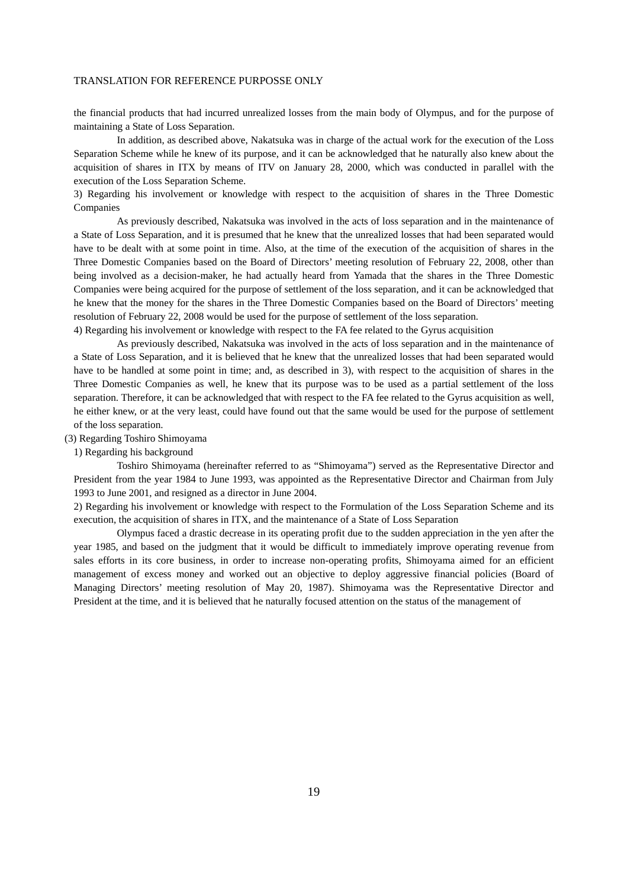the financial products that had incurred unrealized losses from the main body of Olympus, and for the purpose of maintaining a State of Loss Separation.

In addition, as described above, Nakatsuka was in charge of the actual work for the execution of the Loss Separation Scheme while he knew of its purpose, and it can be acknowledged that he naturally also knew about the acquisition of shares in ITX by means of ITV on January 28, 2000, which was conducted in parallel with the execution of the Loss Separation Scheme.

3) Regarding his involvement or knowledge with respect to the acquisition of shares in the Three Domestic Companies

As previously described, Nakatsuka was involved in the acts of loss separation and in the maintenance of a State of Loss Separation, and it is presumed that he knew that the unrealized losses that had been separated would have to be dealt with at some point in time. Also, at the time of the execution of the acquisition of shares in the Three Domestic Companies based on the Board of Directors' meeting resolution of February 22, 2008, other than being involved as a decision-maker, he had actually heard from Yamada that the shares in the Three Domestic Companies were being acquired for the purpose of settlement of the loss separation, and it can be acknowledged that he knew that the money for the shares in the Three Domestic Companies based on the Board of Directors' meeting resolution of February 22, 2008 would be used for the purpose of settlement of the loss separation.

4) Regarding his involvement or knowledge with respect to the FA fee related to the Gyrus acquisition

As previously described, Nakatsuka was involved in the acts of loss separation and in the maintenance of a State of Loss Separation, and it is believed that he knew that the unrealized losses that had been separated would have to be handled at some point in time; and, as described in 3), with respect to the acquisition of shares in the Three Domestic Companies as well, he knew that its purpose was to be used as a partial settlement of the loss separation. Therefore, it can be acknowledged that with respect to the FA fee related to the Gyrus acquisition as well, he either knew, or at the very least, could have found out that the same would be used for the purpose of settlement of the loss separation.

(3) Regarding Toshiro Shimoyama

1) Regarding his background

Toshiro Shimoyama (hereinafter referred to as "Shimoyama") served as the Representative Director and President from the year 1984 to June 1993, was appointed as the Representative Director and Chairman from July 1993 to June 2001, and resigned as a director in June 2004.

2) Regarding his involvement or knowledge with respect to the Formulation of the Loss Separation Scheme and its execution, the acquisition of shares in ITX, and the maintenance of a State of Loss Separation

Olympus faced a drastic decrease in its operating profit due to the sudden appreciation in the yen after the year 1985, and based on the judgment that it would be difficult to immediately improve operating revenue from sales efforts in its core business, in order to increase non-operating profits, Shimoyama aimed for an efficient management of excess money and worked out an objective to deploy aggressive financial policies (Board of Managing Directors' meeting resolution of May 20, 1987). Shimoyama was the Representative Director and President at the time, and it is believed that he naturally focused attention on the status of the management of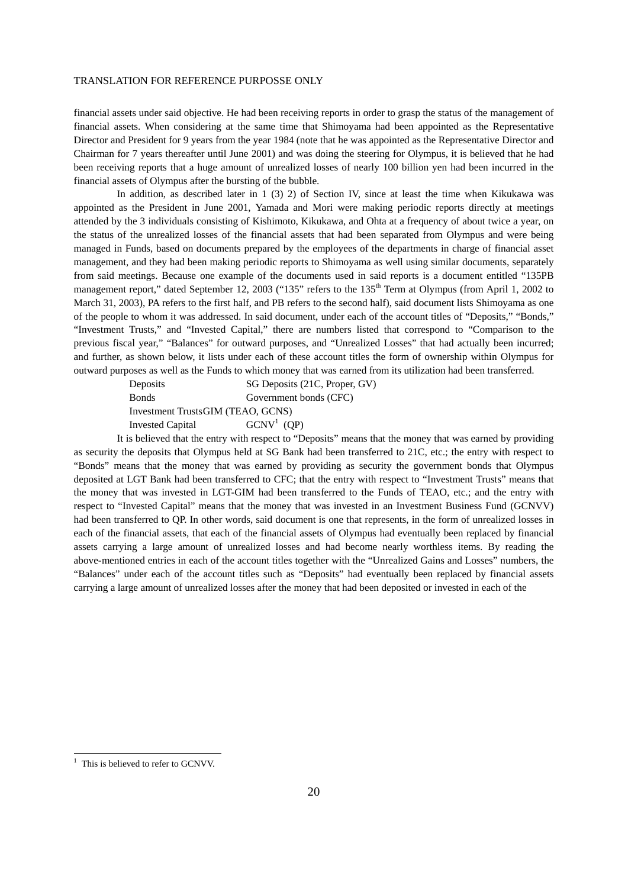financial assets under said objective. He had been receiving reports in order to grasp the status of the management of financial assets. When considering at the same time that Shimoyama had been appointed as the Representative Director and President for 9 years from the year 1984 (note that he was appointed as the Representative Director and Chairman for 7 years thereafter until June 2001) and was doing the steering for Olympus, it is believed that he had been receiving reports that a huge amount of unrealized losses of nearly 100 billion yen had been incurred in the financial assets of Olympus after the bursting of the bubble.

In addition, as described later in 1 (3) 2) of Section IV, since at least the time when Kikukawa was appointed as the President in June 2001, Yamada and Mori were making periodic reports directly at meetings attended by the 3 individuals consisting of Kishimoto, Kikukawa, and Ohta at a frequency of about twice a year, on the status of the unrealized losses of the financial assets that had been separated from Olympus and were being managed in Funds, based on documents prepared by the employees of the departments in charge of financial asset management, and they had been making periodic reports to Shimoyama as well using similar documents, separately from said meetings. Because one example of the documents used in said reports is a document entitled "135PB management report," dated September 12, 2003 ("135" refers to the 135<sup>th</sup> Term at Olympus (from April 1, 2002 to March 31, 2003), PA refers to the first half, and PB refers to the second half), said document lists Shimoyama as one of the people to whom it was addressed. In said document, under each of the account titles of "Deposits," "Bonds," "Investment Trusts," and "Invested Capital," there are numbers listed that correspond to "Comparison to the previous fiscal year," "Balances" for outward purposes, and "Unrealized Losses" that had actually been incurred; and further, as shown below, it lists under each of these account titles the form of ownership within Olympus for outward purposes as well as the Funds to which money that was earned from its utilization had been transferred.

| Deposits                          | SG Deposits (21C, Proper, GV) |
|-----------------------------------|-------------------------------|
| <b>Bonds</b>                      | Government bonds (CFC)        |
| Investment TrustsGIM (TEAO, GCNS) |                               |
| <b>Invested Capital</b>           | $GCNV1$ (QP)                  |

It is believed that the entry with respect to "Deposits" means that the money that was earned by providing as security the deposits that Olympus held at SG Bank had been transferred to 21C, etc.; the entry with respect to "Bonds" means that the money that was earned by providing as security the government bonds that Olympus deposited at LGT Bank had been transferred to CFC; that the entry with respect to "Investment Trusts" means that the money that was invested in LGT-GIM had been transferred to the Funds of TEAO, etc.; and the entry with respect to "Invested Capital" means that the money that was invested in an Investment Business Fund (GCNVV) had been transferred to QP. In other words, said document is one that represents, in the form of unrealized losses in each of the financial assets, that each of the financial assets of Olympus had eventually been replaced by financial assets carrying a large amount of unrealized losses and had become nearly worthless items. By reading the above-mentioned entries in each of the account titles together with the "Unrealized Gains and Losses" numbers, the "Balances" under each of the account titles such as "Deposits" had eventually been replaced by financial assets carrying a large amount of unrealized losses after the money that had been deposited or invested in each of the

<sup>&</sup>lt;sup>1</sup> This is believed to refer to GCNVV.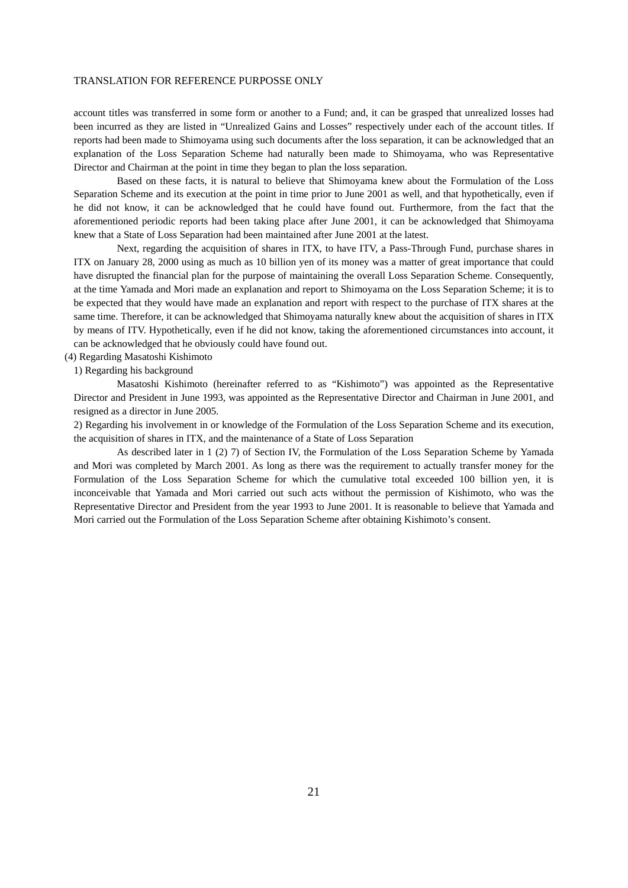account titles was transferred in some form or another to a Fund; and, it can be grasped that unrealized losses had been incurred as they are listed in "Unrealized Gains and Losses" respectively under each of the account titles. If reports had been made to Shimoyama using such documents after the loss separation, it can be acknowledged that an explanation of the Loss Separation Scheme had naturally been made to Shimoyama, who was Representative Director and Chairman at the point in time they began to plan the loss separation.

Based on these facts, it is natural to believe that Shimoyama knew about the Formulation of the Loss Separation Scheme and its execution at the point in time prior to June 2001 as well, and that hypothetically, even if he did not know, it can be acknowledged that he could have found out. Furthermore, from the fact that the aforementioned periodic reports had been taking place after June 2001, it can be acknowledged that Shimoyama knew that a State of Loss Separation had been maintained after June 2001 at the latest.

Next, regarding the acquisition of shares in ITX, to have ITV, a Pass-Through Fund, purchase shares in ITX on January 28, 2000 using as much as 10 billion yen of its money was a matter of great importance that could have disrupted the financial plan for the purpose of maintaining the overall Loss Separation Scheme. Consequently, at the time Yamada and Mori made an explanation and report to Shimoyama on the Loss Separation Scheme; it is to be expected that they would have made an explanation and report with respect to the purchase of ITX shares at the same time. Therefore, it can be acknowledged that Shimoyama naturally knew about the acquisition of shares in ITX by means of ITV. Hypothetically, even if he did not know, taking the aforementioned circumstances into account, it can be acknowledged that he obviously could have found out.

- (4) Regarding Masatoshi Kishimoto
	- 1) Regarding his background

Masatoshi Kishimoto (hereinafter referred to as "Kishimoto") was appointed as the Representative Director and President in June 1993, was appointed as the Representative Director and Chairman in June 2001, and resigned as a director in June 2005.

2) Regarding his involvement in or knowledge of the Formulation of the Loss Separation Scheme and its execution, the acquisition of shares in ITX, and the maintenance of a State of Loss Separation

As described later in 1 (2) 7) of Section IV, the Formulation of the Loss Separation Scheme by Yamada and Mori was completed by March 2001. As long as there was the requirement to actually transfer money for the Formulation of the Loss Separation Scheme for which the cumulative total exceeded 100 billion yen, it is inconceivable that Yamada and Mori carried out such acts without the permission of Kishimoto, who was the Representative Director and President from the year 1993 to June 2001. It is reasonable to believe that Yamada and Mori carried out the Formulation of the Loss Separation Scheme after obtaining Kishimoto's consent.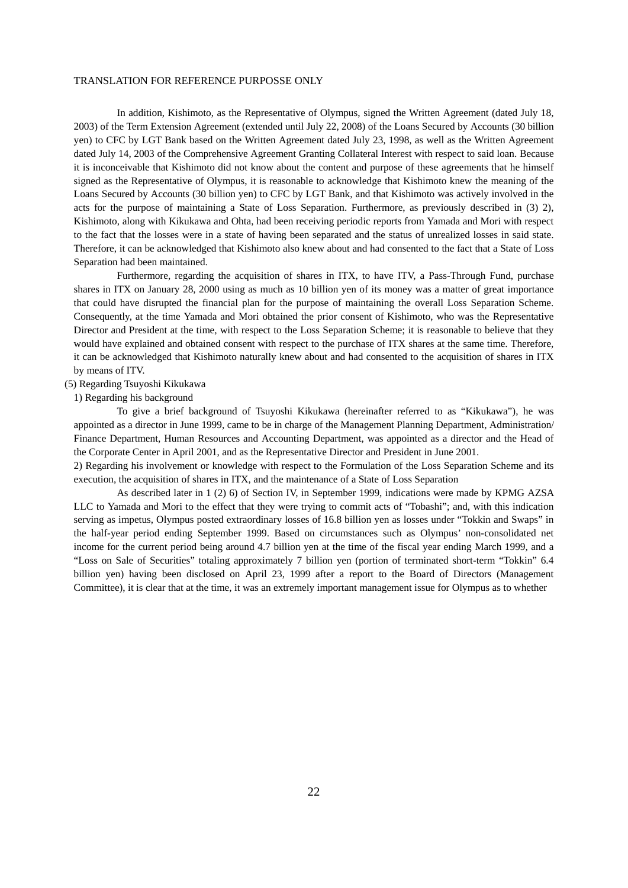In addition, Kishimoto, as the Representative of Olympus, signed the Written Agreement (dated July 18, 2003) of the Term Extension Agreement (extended until July 22, 2008) of the Loans Secured by Accounts (30 billion yen) to CFC by LGT Bank based on the Written Agreement dated July 23, 1998, as well as the Written Agreement dated July 14, 2003 of the Comprehensive Agreement Granting Collateral Interest with respect to said loan. Because it is inconceivable that Kishimoto did not know about the content and purpose of these agreements that he himself signed as the Representative of Olympus, it is reasonable to acknowledge that Kishimoto knew the meaning of the Loans Secured by Accounts (30 billion yen) to CFC by LGT Bank, and that Kishimoto was actively involved in the acts for the purpose of maintaining a State of Loss Separation. Furthermore, as previously described in (3) 2), Kishimoto, along with Kikukawa and Ohta, had been receiving periodic reports from Yamada and Mori with respect to the fact that the losses were in a state of having been separated and the status of unrealized losses in said state. Therefore, it can be acknowledged that Kishimoto also knew about and had consented to the fact that a State of Loss Separation had been maintained.

Furthermore, regarding the acquisition of shares in ITX, to have ITV, a Pass-Through Fund, purchase shares in ITX on January 28, 2000 using as much as 10 billion yen of its money was a matter of great importance that could have disrupted the financial plan for the purpose of maintaining the overall Loss Separation Scheme. Consequently, at the time Yamada and Mori obtained the prior consent of Kishimoto, who was the Representative Director and President at the time, with respect to the Loss Separation Scheme; it is reasonable to believe that they would have explained and obtained consent with respect to the purchase of ITX shares at the same time. Therefore, it can be acknowledged that Kishimoto naturally knew about and had consented to the acquisition of shares in ITX by means of ITV.

#### (5) Regarding Tsuyoshi Kikukawa

1) Regarding his background

To give a brief background of Tsuyoshi Kikukawa (hereinafter referred to as "Kikukawa"), he was appointed as a director in June 1999, came to be in charge of the Management Planning Department, Administration/ Finance Department, Human Resources and Accounting Department, was appointed as a director and the Head of the Corporate Center in April 2001, and as the Representative Director and President in June 2001.

2) Regarding his involvement or knowledge with respect to the Formulation of the Loss Separation Scheme and its execution, the acquisition of shares in ITX, and the maintenance of a State of Loss Separation

As described later in 1 (2) 6) of Section IV, in September 1999, indications were made by KPMG AZSA LLC to Yamada and Mori to the effect that they were trying to commit acts of "Tobashi"; and, with this indication serving as impetus, Olympus posted extraordinary losses of 16.8 billion yen as losses under "Tokkin and Swaps" in the half-year period ending September 1999. Based on circumstances such as Olympus' non-consolidated net income for the current period being around 4.7 billion yen at the time of the fiscal year ending March 1999, and a "Loss on Sale of Securities" totaling approximately 7 billion yen (portion of terminated short-term "Tokkin" 6.4 billion yen) having been disclosed on April 23, 1999 after a report to the Board of Directors (Management Committee), it is clear that at the time, it was an extremely important management issue for Olympus as to whether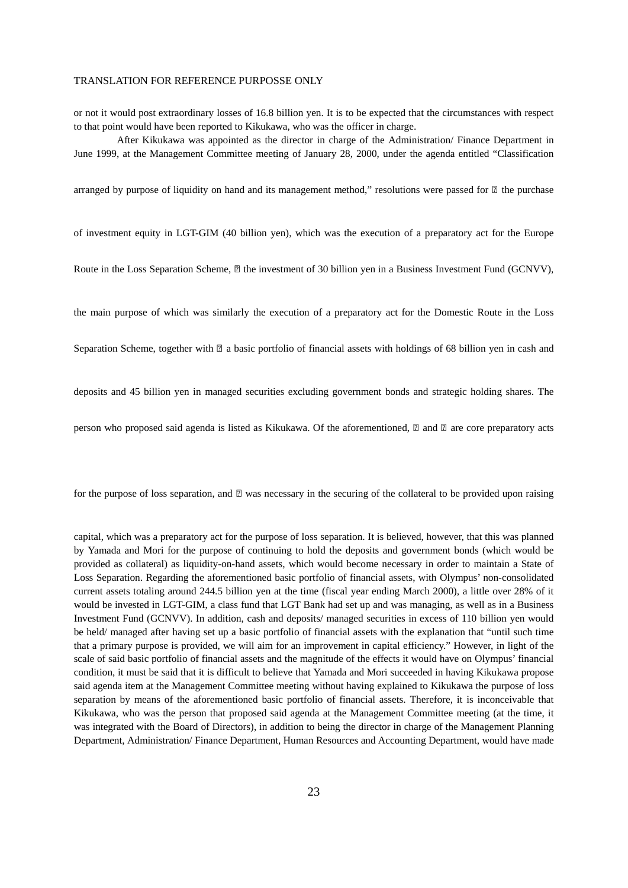or not it would post extraordinary losses of 16.8 billion yen. It is to be expected that the circumstances with respect to that point would have been reported to Kikukawa, who was the officer in charge.

After Kikukawa was appointed as the director in charge of the Administration/ Finance Department in June 1999, at the Management Committee meeting of January 28, 2000, under the agenda entitled "Classification

arranged by purpose of liquidity on hand and its management method," resolutions were passed for  $\mathbb{Z}$  the purchase

of investment equity in LGT-GIM (40 billion yen), which was the execution of a preparatory act for the Europe

Route in the Loss Separation Scheme,  $\mathbb D$  the investment of 30 billion yen in a Business Investment Fund (GCNVV),

the main purpose of which was similarly the execution of a preparatory act for the Domestic Route in the Loss

Separation Scheme, together with  $\mathbb{Z}$  a basic portfolio of financial assets with holdings of 68 billion yen in cash and

deposits and 45 billion yen in managed securities excluding government bonds and strategic holding shares. The

person who proposed said agenda is listed as Kikukawa. Of the aforementioned,  $\mathbb D$  and  $\mathbb D$  are core preparatory acts

for the purpose of loss separation, and  $\mathbb{Z}$  was necessary in the securing of the collateral to be provided upon raising

capital, which was a preparatory act for the purpose of loss separation. It is believed, however, that this was planned by Yamada and Mori for the purpose of continuing to hold the deposits and government bonds (which would be provided as collateral) as liquidity-on-hand assets, which would become necessary in order to maintain a State of Loss Separation. Regarding the aforementioned basic portfolio of financial assets, with Olympus' non-consolidated current assets totaling around 244.5 billion yen at the time (fiscal year ending March 2000), a little over 28% of it would be invested in LGT-GIM, a class fund that LGT Bank had set up and was managing, as well as in a Business Investment Fund (GCNVV). In addition, cash and deposits/ managed securities in excess of 110 billion yen would be held/ managed after having set up a basic portfolio of financial assets with the explanation that "until such time that a primary purpose is provided, we will aim for an improvement in capital efficiency." However, in light of the scale of said basic portfolio of financial assets and the magnitude of the effects it would have on Olympus' financial condition, it must be said that it is difficult to believe that Yamada and Mori succeeded in having Kikukawa propose said agenda item at the Management Committee meeting without having explained to Kikukawa the purpose of loss separation by means of the aforementioned basic portfolio of financial assets. Therefore, it is inconceivable that Kikukawa, who was the person that proposed said agenda at the Management Committee meeting (at the time, it was integrated with the Board of Directors), in addition to being the director in charge of the Management Planning Department, Administration/ Finance Department, Human Resources and Accounting Department, would have made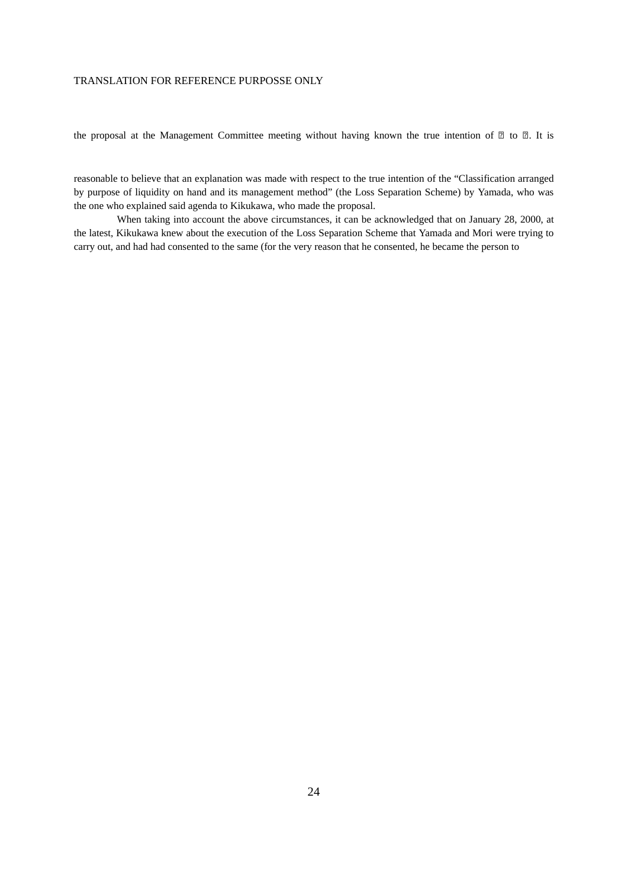the proposal at the Management Committee meeting without having known the true intention of  $\mathbb{Z}$  to  $\mathbb{Z}$ . It is

reasonable to believe that an explanation was made with respect to the true intention of the "Classification arranged by purpose of liquidity on hand and its management method" (the Loss Separation Scheme) by Yamada, who was the one who explained said agenda to Kikukawa, who made the proposal.

When taking into account the above circumstances, it can be acknowledged that on January 28, 2000, at the latest, Kikukawa knew about the execution of the Loss Separation Scheme that Yamada and Mori were trying to carry out, and had had consented to the same (for the very reason that he consented, he became the person to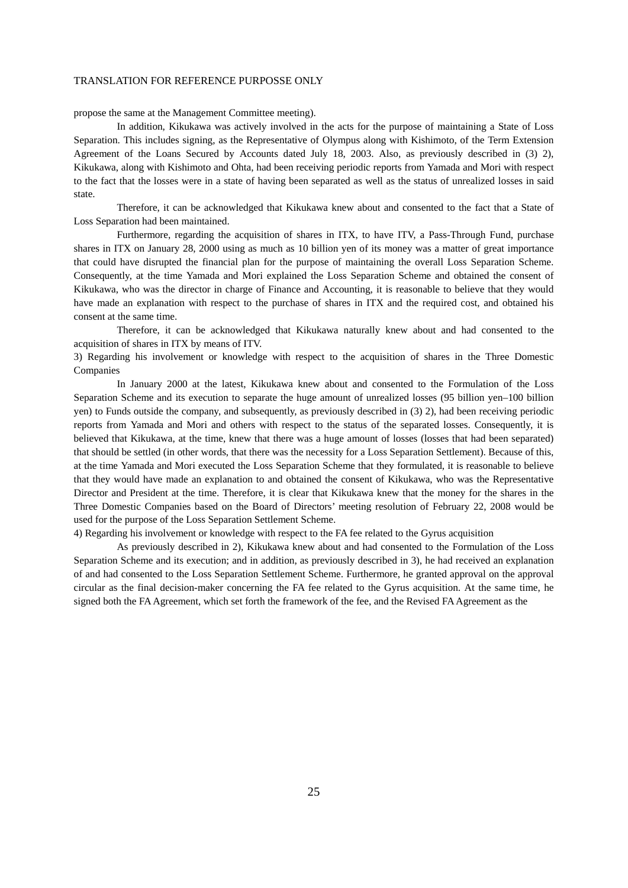propose the same at the Management Committee meeting).

In addition, Kikukawa was actively involved in the acts for the purpose of maintaining a State of Loss Separation. This includes signing, as the Representative of Olympus along with Kishimoto, of the Term Extension Agreement of the Loans Secured by Accounts dated July 18, 2003. Also, as previously described in (3) 2), Kikukawa, along with Kishimoto and Ohta, had been receiving periodic reports from Yamada and Mori with respect to the fact that the losses were in a state of having been separated as well as the status of unrealized losses in said state.

Therefore, it can be acknowledged that Kikukawa knew about and consented to the fact that a State of Loss Separation had been maintained.

Furthermore, regarding the acquisition of shares in ITX, to have ITV, a Pass-Through Fund, purchase shares in ITX on January 28, 2000 using as much as 10 billion yen of its money was a matter of great importance that could have disrupted the financial plan for the purpose of maintaining the overall Loss Separation Scheme. Consequently, at the time Yamada and Mori explained the Loss Separation Scheme and obtained the consent of Kikukawa, who was the director in charge of Finance and Accounting, it is reasonable to believe that they would have made an explanation with respect to the purchase of shares in ITX and the required cost, and obtained his consent at the same time.

Therefore, it can be acknowledged that Kikukawa naturally knew about and had consented to the acquisition of shares in ITX by means of ITV.

3) Regarding his involvement or knowledge with respect to the acquisition of shares in the Three Domestic Companies

In January 2000 at the latest, Kikukawa knew about and consented to the Formulation of the Loss Separation Scheme and its execution to separate the huge amount of unrealized losses (95 billion yen–100 billion yen) to Funds outside the company, and subsequently, as previously described in (3) 2), had been receiving periodic reports from Yamada and Mori and others with respect to the status of the separated losses. Consequently, it is believed that Kikukawa, at the time, knew that there was a huge amount of losses (losses that had been separated) that should be settled (in other words, that there was the necessity for a Loss Separation Settlement). Because of this, at the time Yamada and Mori executed the Loss Separation Scheme that they formulated, it is reasonable to believe that they would have made an explanation to and obtained the consent of Kikukawa, who was the Representative Director and President at the time. Therefore, it is clear that Kikukawa knew that the money for the shares in the Three Domestic Companies based on the Board of Directors' meeting resolution of February 22, 2008 would be used for the purpose of the Loss Separation Settlement Scheme.

4) Regarding his involvement or knowledge with respect to the FA fee related to the Gyrus acquisition

As previously described in 2), Kikukawa knew about and had consented to the Formulation of the Loss Separation Scheme and its execution; and in addition, as previously described in 3), he had received an explanation of and had consented to the Loss Separation Settlement Scheme. Furthermore, he granted approval on the approval circular as the final decision-maker concerning the FA fee related to the Gyrus acquisition. At the same time, he signed both the FA Agreement, which set forth the framework of the fee, and the Revised FA Agreement as the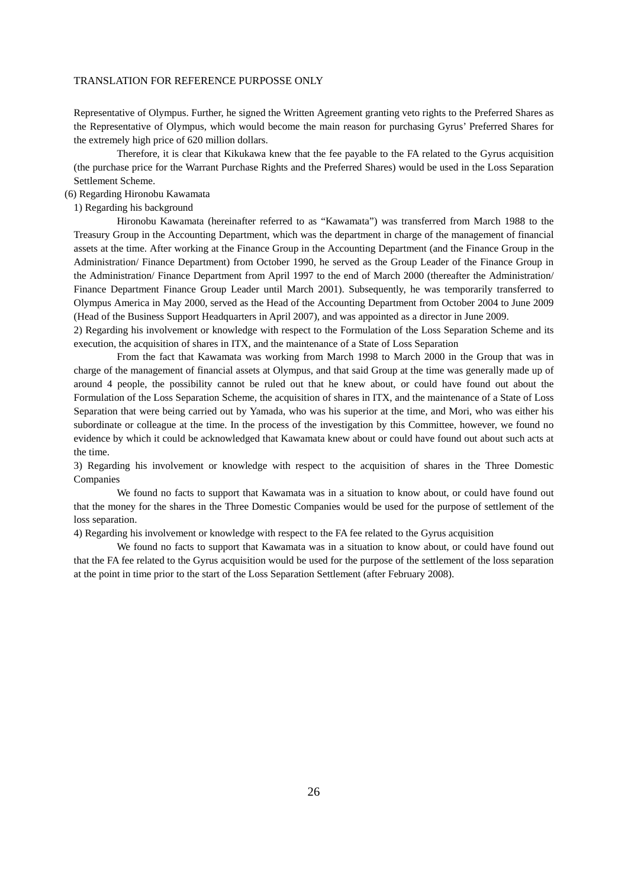Representative of Olympus. Further, he signed the Written Agreement granting veto rights to the Preferred Shares as the Representative of Olympus, which would become the main reason for purchasing Gyrus' Preferred Shares for the extremely high price of 620 million dollars.

Therefore, it is clear that Kikukawa knew that the fee payable to the FA related to the Gyrus acquisition (the purchase price for the Warrant Purchase Rights and the Preferred Shares) would be used in the Loss Separation Settlement Scheme.

## (6) Regarding Hironobu Kawamata

## 1) Regarding his background

Hironobu Kawamata (hereinafter referred to as "Kawamata") was transferred from March 1988 to the Treasury Group in the Accounting Department, which was the department in charge of the management of financial assets at the time. After working at the Finance Group in the Accounting Department (and the Finance Group in the Administration/ Finance Department) from October 1990, he served as the Group Leader of the Finance Group in the Administration/ Finance Department from April 1997 to the end of March 2000 (thereafter the Administration/ Finance Department Finance Group Leader until March 2001). Subsequently, he was temporarily transferred to Olympus America in May 2000, served as the Head of the Accounting Department from October 2004 to June 2009 (Head of the Business Support Headquarters in April 2007), and was appointed as a director in June 2009.

2) Regarding his involvement or knowledge with respect to the Formulation of the Loss Separation Scheme and its execution, the acquisition of shares in ITX, and the maintenance of a State of Loss Separation

From the fact that Kawamata was working from March 1998 to March 2000 in the Group that was in charge of the management of financial assets at Olympus, and that said Group at the time was generally made up of around 4 people, the possibility cannot be ruled out that he knew about, or could have found out about the Formulation of the Loss Separation Scheme, the acquisition of shares in ITX, and the maintenance of a State of Loss Separation that were being carried out by Yamada, who was his superior at the time, and Mori, who was either his subordinate or colleague at the time. In the process of the investigation by this Committee, however, we found no evidence by which it could be acknowledged that Kawamata knew about or could have found out about such acts at the time.

3) Regarding his involvement or knowledge with respect to the acquisition of shares in the Three Domestic Companies

We found no facts to support that Kawamata was in a situation to know about, or could have found out that the money for the shares in the Three Domestic Companies would be used for the purpose of settlement of the loss separation.

4) Regarding his involvement or knowledge with respect to the FA fee related to the Gyrus acquisition

We found no facts to support that Kawamata was in a situation to know about, or could have found out that the FA fee related to the Gyrus acquisition would be used for the purpose of the settlement of the loss separation at the point in time prior to the start of the Loss Separation Settlement (after February 2008).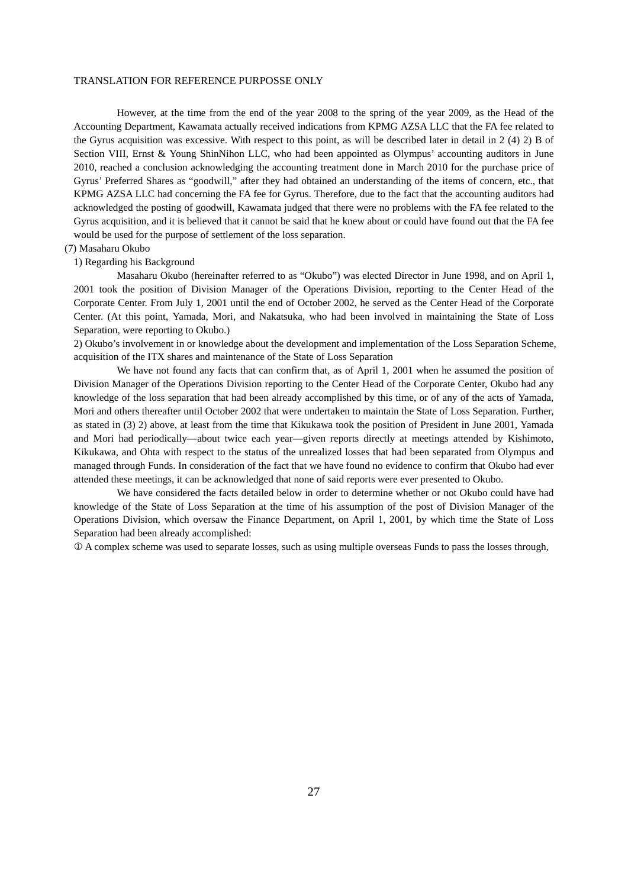However, at the time from the end of the year 2008 to the spring of the year 2009, as the Head of the Accounting Department, Kawamata actually received indications from KPMG AZSA LLC that the FA fee related to the Gyrus acquisition was excessive. With respect to this point, as will be described later in detail in 2 (4) 2) B of Section VIII, Ernst & Young ShinNihon LLC, who had been appointed as Olympus' accounting auditors in June 2010, reached a conclusion acknowledging the accounting treatment done in March 2010 for the purchase price of Gyrus' Preferred Shares as "goodwill," after they had obtained an understanding of the items of concern, etc., that KPMG AZSA LLC had concerning the FA fee for Gyrus. Therefore, due to the fact that the accounting auditors had acknowledged the posting of goodwill, Kawamata judged that there were no problems with the FA fee related to the Gyrus acquisition, and it is believed that it cannot be said that he knew about or could have found out that the FA fee would be used for the purpose of settlement of the loss separation.

### (7) Masaharu Okubo

#### 1) Regarding his Background

Masaharu Okubo (hereinafter referred to as "Okubo") was elected Director in June 1998, and on April 1, 2001 took the position of Division Manager of the Operations Division, reporting to the Center Head of the Corporate Center. From July 1, 2001 until the end of October 2002, he served as the Center Head of the Corporate Center. (At this point, Yamada, Mori, and Nakatsuka, who had been involved in maintaining the State of Loss Separation, were reporting to Okubo.)

2) Okubo's involvement in or knowledge about the development and implementation of the Loss Separation Scheme, acquisition of the ITX shares and maintenance of the State of Loss Separation

We have not found any facts that can confirm that, as of April 1, 2001 when he assumed the position of Division Manager of the Operations Division reporting to the Center Head of the Corporate Center, Okubo had any knowledge of the loss separation that had been already accomplished by this time, or of any of the acts of Yamada, Mori and others thereafter until October 2002 that were undertaken to maintain the State of Loss Separation. Further, as stated in (3) 2) above, at least from the time that Kikukawa took the position of President in June 2001, Yamada and Mori had periodically—about twice each year—given reports directly at meetings attended by Kishimoto, Kikukawa, and Ohta with respect to the status of the unrealized losses that had been separated from Olympus and managed through Funds. In consideration of the fact that we have found no evidence to confirm that Okubo had ever attended these meetings, it can be acknowledged that none of said reports were ever presented to Okubo.

We have considered the facts detailed below in order to determine whether or not Okubo could have had knowledge of the State of Loss Separation at the time of his assumption of the post of Division Manager of the Operations Division, which oversaw the Finance Department, on April 1, 2001, by which time the State of Loss Separation had been already accomplished:

A complex scheme was used to separate losses, such as using multiple overseas Funds to pass the losses through,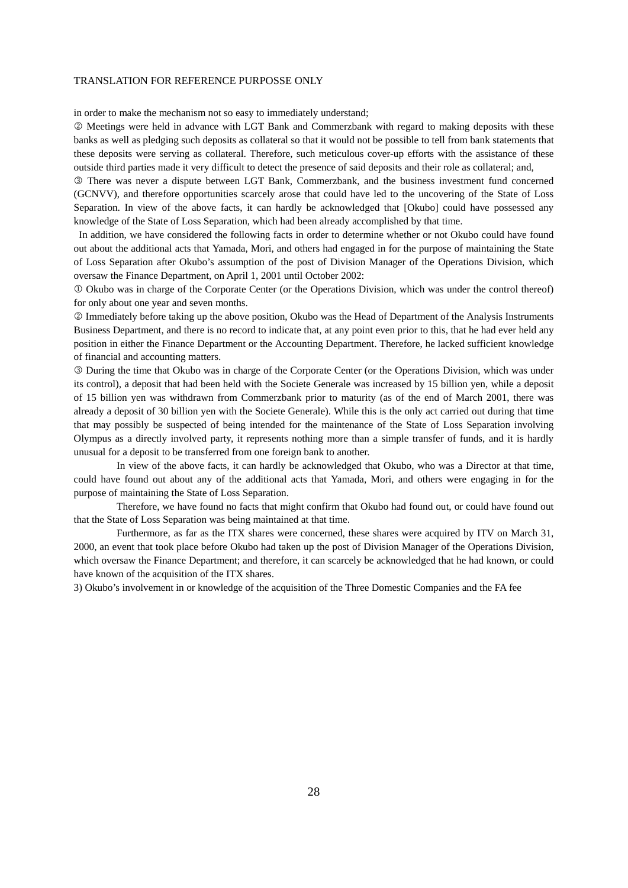in order to make the mechanism not so easy to immediately understand;

 Meetings were held in advance with LGT Bank and Commerzbank with regard to making deposits with these banks as well as pledging such deposits as collateral so that it would not be possible to tell from bank statements that these deposits were serving as collateral. Therefore, such meticulous cover-up efforts with the assistance of these outside third parties made it very difficult to detect the presence of said deposits and their role as collateral; and,

 There was never a dispute between LGT Bank, Commerzbank, and the business investment fund concerned (GCNVV), and therefore opportunities scarcely arose that could have led to the uncovering of the State of Loss Separation. In view of the above facts, it can hardly be acknowledged that [Okubo] could have possessed any knowledge of the State of Loss Separation, which had been already accomplished by that time.

 In addition, we have considered the following facts in order to determine whether or not Okubo could have found out about the additional acts that Yamada, Mori, and others had engaged in for the purpose of maintaining the State of Loss Separation after Okubo's assumption of the post of Division Manager of the Operations Division, which oversaw the Finance Department, on April 1, 2001 until October 2002:

 Okubo was in charge of the Corporate Center (or the Operations Division, which was under the control thereof) for only about one year and seven months.

 Immediately before taking up the above position, Okubo was the Head of Department of the Analysis Instruments Business Department, and there is no record to indicate that, at any point even prior to this, that he had ever held any position in either the Finance Department or the Accounting Department. Therefore, he lacked sufficient knowledge of financial and accounting matters.

 During the time that Okubo was in charge of the Corporate Center (or the Operations Division, which was under its control), a deposit that had been held with the Societe Generale was increased by 15 billion yen, while a deposit of 15 billion yen was withdrawn from Commerzbank prior to maturity (as of the end of March 2001, there was already a deposit of 30 billion yen with the Societe Generale). While this is the only act carried out during that time that may possibly be suspected of being intended for the maintenance of the State of Loss Separation involving Olympus as a directly involved party, it represents nothing more than a simple transfer of funds, and it is hardly unusual for a deposit to be transferred from one foreign bank to another.

In view of the above facts, it can hardly be acknowledged that Okubo, who was a Director at that time, could have found out about any of the additional acts that Yamada, Mori, and others were engaging in for the purpose of maintaining the State of Loss Separation.

Therefore, we have found no facts that might confirm that Okubo had found out, or could have found out that the State of Loss Separation was being maintained at that time.

Furthermore, as far as the ITX shares were concerned, these shares were acquired by ITV on March 31, 2000, an event that took place before Okubo had taken up the post of Division Manager of the Operations Division, which oversaw the Finance Department; and therefore, it can scarcely be acknowledged that he had known, or could have known of the acquisition of the ITX shares.

3) Okubo's involvement in or knowledge of the acquisition of the Three Domestic Companies and the FA fee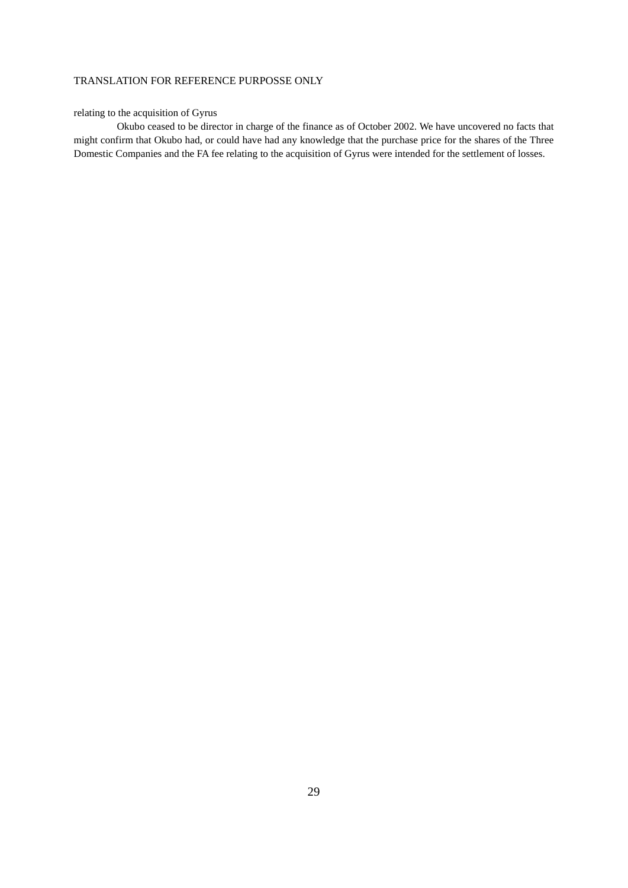# relating to the acquisition of Gyrus

Okubo ceased to be director in charge of the finance as of October 2002. We have uncovered no facts that might confirm that Okubo had, or could have had any knowledge that the purchase price for the shares of the Three Domestic Companies and the FA fee relating to the acquisition of Gyrus were intended for the settlement of losses.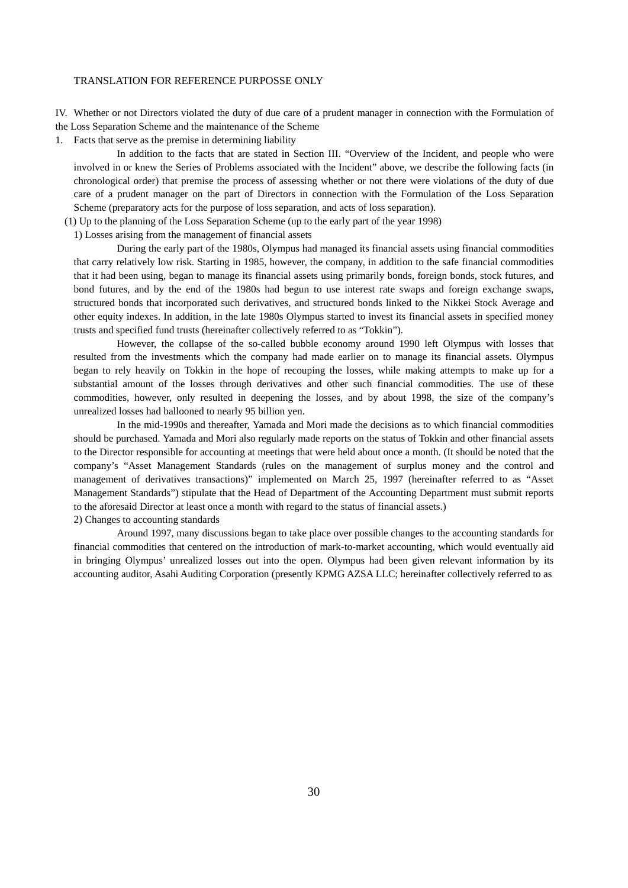IV. Whether or not Directors violated the duty of due care of a prudent manager in connection with the Formulation of the Loss Separation Scheme and the maintenance of the Scheme

1. Facts that serve as the premise in determining liability

In addition to the facts that are stated in Section III. "Overview of the Incident, and people who were involved in or knew the Series of Problems associated with the Incident" above, we describe the following facts (in chronological order) that premise the process of assessing whether or not there were violations of the duty of due care of a prudent manager on the part of Directors in connection with the Formulation of the Loss Separation Scheme (preparatory acts for the purpose of loss separation, and acts of loss separation).

(1) Up to the planning of the Loss Separation Scheme (up to the early part of the year 1998)

1) Losses arising from the management of financial assets

During the early part of the 1980s, Olympus had managed its financial assets using financial commodities that carry relatively low risk. Starting in 1985, however, the company, in addition to the safe financial commodities that it had been using, began to manage its financial assets using primarily bonds, foreign bonds, stock futures, and bond futures, and by the end of the 1980s had begun to use interest rate swaps and foreign exchange swaps, structured bonds that incorporated such derivatives, and structured bonds linked to the Nikkei Stock Average and other equity indexes. In addition, in the late 1980s Olympus started to invest its financial assets in specified money trusts and specified fund trusts (hereinafter collectively referred to as "Tokkin").

However, the collapse of the so-called bubble economy around 1990 left Olympus with losses that resulted from the investments which the company had made earlier on to manage its financial assets. Olympus began to rely heavily on Tokkin in the hope of recouping the losses, while making attempts to make up for a substantial amount of the losses through derivatives and other such financial commodities. The use of these commodities, however, only resulted in deepening the losses, and by about 1998, the size of the company's unrealized losses had ballooned to nearly 95 billion yen.

In the mid-1990s and thereafter, Yamada and Mori made the decisions as to which financial commodities should be purchased. Yamada and Mori also regularly made reports on the status of Tokkin and other financial assets to the Director responsible for accounting at meetings that were held about once a month. (It should be noted that the company's "Asset Management Standards (rules on the management of surplus money and the control and management of derivatives transactions)" implemented on March 25, 1997 (hereinafter referred to as "Asset Management Standards") stipulate that the Head of Department of the Accounting Department must submit reports to the aforesaid Director at least once a month with regard to the status of financial assets.) 2) Changes to accounting standards

Around 1997, many discussions began to take place over possible changes to the accounting standards for financial commodities that centered on the introduction of mark-to-market accounting, which would eventually aid in bringing Olympus' unrealized losses out into the open. Olympus had been given relevant information by its accounting auditor, Asahi Auditing Corporation (presently KPMG AZSA LLC; hereinafter collectively referred to as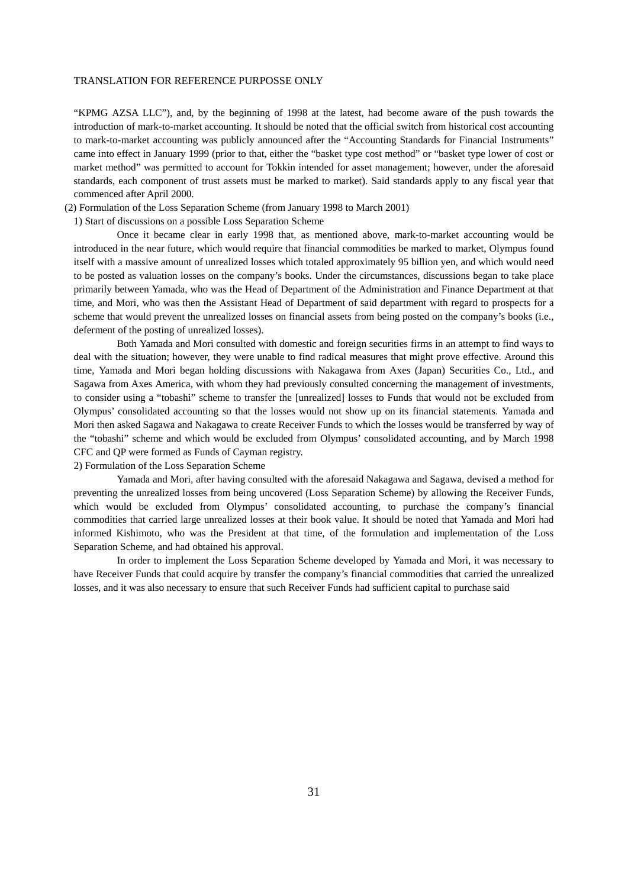"KPMG AZSA LLC"), and, by the beginning of 1998 at the latest, had become aware of the push towards the introduction of mark-to-market accounting. It should be noted that the official switch from historical cost accounting to mark-to-market accounting was publicly announced after the "Accounting Standards for Financial Instruments" came into effect in January 1999 (prior to that, either the "basket type cost method" or "basket type lower of cost or market method" was permitted to account for Tokkin intended for asset management; however, under the aforesaid standards, each component of trust assets must be marked to market). Said standards apply to any fiscal year that commenced after April 2000.

(2) Formulation of the Loss Separation Scheme (from January 1998 to March 2001)

1) Start of discussions on a possible Loss Separation Scheme

Once it became clear in early 1998 that, as mentioned above, mark-to-market accounting would be introduced in the near future, which would require that financial commodities be marked to market, Olympus found itself with a massive amount of unrealized losses which totaled approximately 95 billion yen, and which would need to be posted as valuation losses on the company's books. Under the circumstances, discussions began to take place primarily between Yamada, who was the Head of Department of the Administration and Finance Department at that time, and Mori, who was then the Assistant Head of Department of said department with regard to prospects for a scheme that would prevent the unrealized losses on financial assets from being posted on the company's books (i.e., deferment of the posting of unrealized losses).

Both Yamada and Mori consulted with domestic and foreign securities firms in an attempt to find ways to deal with the situation; however, they were unable to find radical measures that might prove effective. Around this time, Yamada and Mori began holding discussions with Nakagawa from Axes (Japan) Securities Co., Ltd., and Sagawa from Axes America, with whom they had previously consulted concerning the management of investments, to consider using a "tobashi" scheme to transfer the [unrealized] losses to Funds that would not be excluded from Olympus' consolidated accounting so that the losses would not show up on its financial statements. Yamada and Mori then asked Sagawa and Nakagawa to create Receiver Funds to which the losses would be transferred by way of the "tobashi" scheme and which would be excluded from Olympus' consolidated accounting, and by March 1998 CFC and QP were formed as Funds of Cayman registry.

2) Formulation of the Loss Separation Scheme

Yamada and Mori, after having consulted with the aforesaid Nakagawa and Sagawa, devised a method for preventing the unrealized losses from being uncovered (Loss Separation Scheme) by allowing the Receiver Funds, which would be excluded from Olympus' consolidated accounting, to purchase the company's financial commodities that carried large unrealized losses at their book value. It should be noted that Yamada and Mori had informed Kishimoto, who was the President at that time, of the formulation and implementation of the Loss Separation Scheme, and had obtained his approval.

In order to implement the Loss Separation Scheme developed by Yamada and Mori, it was necessary to have Receiver Funds that could acquire by transfer the company's financial commodities that carried the unrealized losses, and it was also necessary to ensure that such Receiver Funds had sufficient capital to purchase said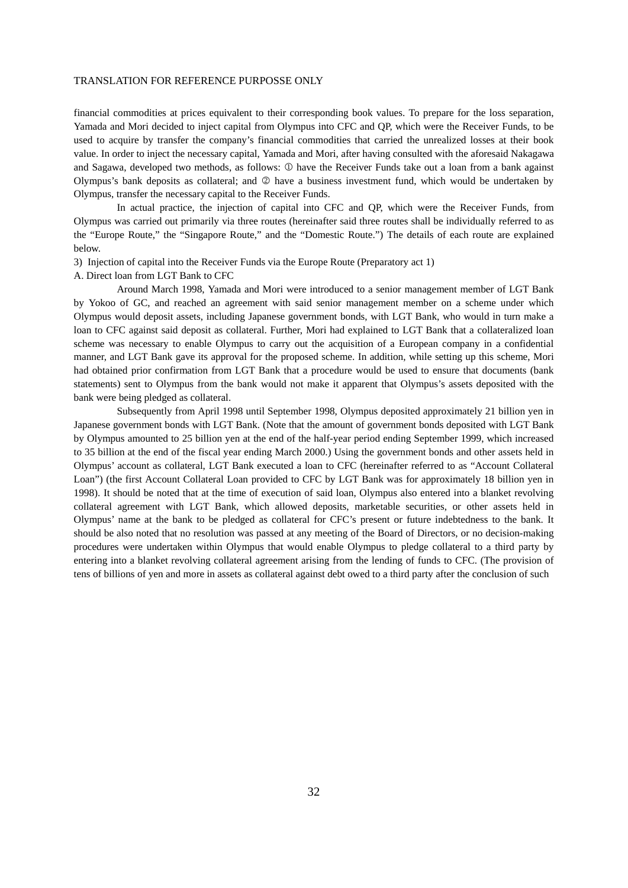financial commodities at prices equivalent to their corresponding book values. To prepare for the loss separation, Yamada and Mori decided to inject capital from Olympus into CFC and QP, which were the Receiver Funds, to be used to acquire by transfer the company's financial commodities that carried the unrealized losses at their book value. In order to inject the necessary capital, Yamada and Mori, after having consulted with the aforesaid Nakagawa and Sagawa, developed two methods, as follows:  $\mathbb D$  have the Receiver Funds take out a loan from a bank against Olympus's bank deposits as collateral; and  $\oslash$  have a business investment fund, which would be undertaken by Olympus, transfer the necessary capital to the Receiver Funds.

In actual practice, the injection of capital into CFC and QP, which were the Receiver Funds, from Olympus was carried out primarily via three routes (hereinafter said three routes shall be individually referred to as the "Europe Route," the "Singapore Route," and the "Domestic Route.") The details of each route are explained below.

3) Injection of capital into the Receiver Funds via the Europe Route (Preparatory act 1)

A. Direct loan from LGT Bank to CFC

Around March 1998, Yamada and Mori were introduced to a senior management member of LGT Bank by Yokoo of GC, and reached an agreement with said senior management member on a scheme under which Olympus would deposit assets, including Japanese government bonds, with LGT Bank, who would in turn make a loan to CFC against said deposit as collateral. Further, Mori had explained to LGT Bank that a collateralized loan scheme was necessary to enable Olympus to carry out the acquisition of a European company in a confidential manner, and LGT Bank gave its approval for the proposed scheme. In addition, while setting up this scheme, Mori had obtained prior confirmation from LGT Bank that a procedure would be used to ensure that documents (bank statements) sent to Olympus from the bank would not make it apparent that Olympus's assets deposited with the bank were being pledged as collateral.

Subsequently from April 1998 until September 1998, Olympus deposited approximately 21 billion yen in Japanese government bonds with LGT Bank. (Note that the amount of government bonds deposited with LGT Bank by Olympus amounted to 25 billion yen at the end of the half-year period ending September 1999, which increased to 35 billion at the end of the fiscal year ending March 2000.) Using the government bonds and other assets held in Olympus' account as collateral, LGT Bank executed a loan to CFC (hereinafter referred to as "Account Collateral Loan") (the first Account Collateral Loan provided to CFC by LGT Bank was for approximately 18 billion yen in 1998). It should be noted that at the time of execution of said loan, Olympus also entered into a blanket revolving collateral agreement with LGT Bank, which allowed deposits, marketable securities, or other assets held in Olympus' name at the bank to be pledged as collateral for CFC's present or future indebtedness to the bank. It should be also noted that no resolution was passed at any meeting of the Board of Directors, or no decision-making procedures were undertaken within Olympus that would enable Olympus to pledge collateral to a third party by entering into a blanket revolving collateral agreement arising from the lending of funds to CFC. (The provision of tens of billions of yen and more in assets as collateral against debt owed to a third party after the conclusion of such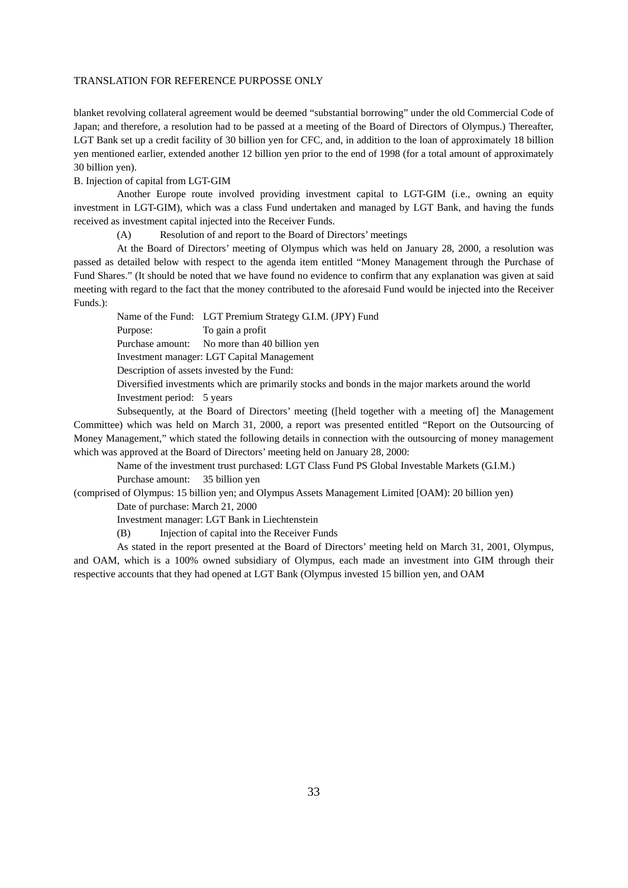blanket revolving collateral agreement would be deemed "substantial borrowing" under the old Commercial Code of Japan; and therefore, a resolution had to be passed at a meeting of the Board of Directors of Olympus.) Thereafter, LGT Bank set up a credit facility of 30 billion yen for CFC, and, in addition to the loan of approximately 18 billion yen mentioned earlier, extended another 12 billion yen prior to the end of 1998 (for a total amount of approximately 30 billion yen).

# B. Injection of capital from LGT-GIM

Another Europe route involved providing investment capital to LGT-GIM (i.e., owning an equity investment in LGT-GIM), which was a class Fund undertaken and managed by LGT Bank, and having the funds received as investment capital injected into the Receiver Funds.

(A) Resolution of and report to the Board of Directors' meetings

At the Board of Directors' meeting of Olympus which was held on January 28, 2000, a resolution was passed as detailed below with respect to the agenda item entitled "Money Management through the Purchase of Fund Shares." (It should be noted that we have found no evidence to confirm that any explanation was given at said meeting with regard to the fact that the money contributed to the aforesaid Fund would be injected into the Receiver Funds.):

Name of the Fund: LGT Premium Strategy G.I.M. (JPY) Fund Purpose: To gain a profit Purchase amount: No more than 40 billion yen Investment manager: LGT Capital Management Description of assets invested by the Fund: Diversified investments which are primarily stocks and bonds in the major markets around the world Investment period: 5 years

Subsequently, at the Board of Directors' meeting ([held together with a meeting of] the Management Committee) which was held on March 31, 2000, a report was presented entitled "Report on the Outsourcing of Money Management," which stated the following details in connection with the outsourcing of money management which was approved at the Board of Directors' meeting held on January 28, 2000:

Name of the investment trust purchased: LGT Class Fund PS Global Investable Markets (G.I.M.) Purchase amount: 35 billion yen

(comprised of Olympus: 15 billion yen; and Olympus Assets Management Limited [OAM): 20 billion yen) Date of purchase: March 21, 2000

Investment manager: LGT Bank in Liechtenstein

(B) Injection of capital into the Receiver Funds

As stated in the report presented at the Board of Directors' meeting held on March 31, 2001, Olympus, and OAM, which is a 100% owned subsidiary of Olympus, each made an investment into GIM through their respective accounts that they had opened at LGT Bank (Olympus invested 15 billion yen, and OAM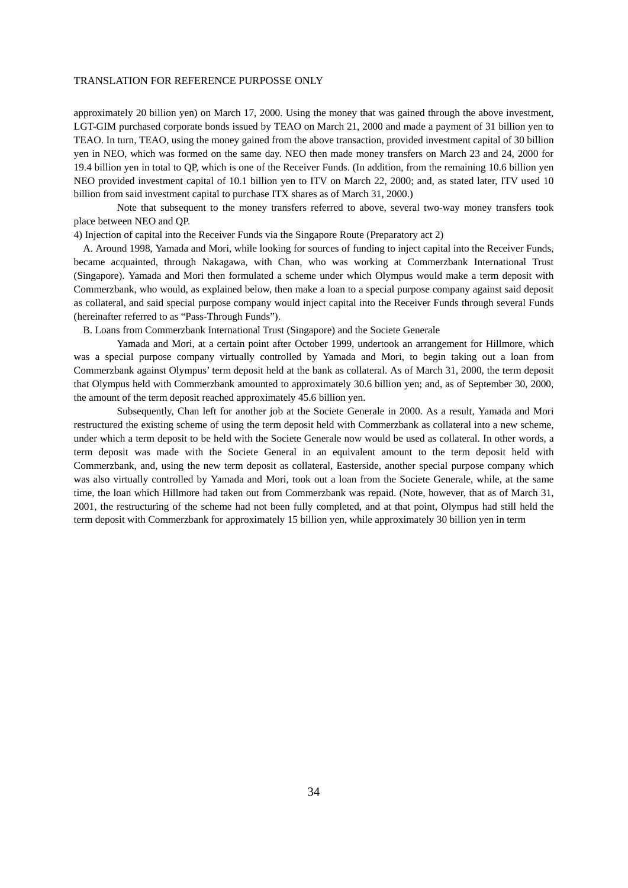approximately 20 billion yen) on March 17, 2000. Using the money that was gained through the above investment, LGT-GIM purchased corporate bonds issued by TEAO on March 21, 2000 and made a payment of 31 billion yen to TEAO. In turn, TEAO, using the money gained from the above transaction, provided investment capital of 30 billion yen in NEO, which was formed on the same day. NEO then made money transfers on March 23 and 24, 2000 for 19.4 billion yen in total to QP, which is one of the Receiver Funds. (In addition, from the remaining 10.6 billion yen NEO provided investment capital of 10.1 billion yen to ITV on March 22, 2000; and, as stated later, ITV used 10 billion from said investment capital to purchase ITX shares as of March 31, 2000.)

Note that subsequent to the money transfers referred to above, several two-way money transfers took place between NEO and QP.

4) Injection of capital into the Receiver Funds via the Singapore Route (Preparatory act 2)

A. Around 1998, Yamada and Mori, while looking for sources of funding to inject capital into the Receiver Funds, became acquainted, through Nakagawa, with Chan, who was working at Commerzbank International Trust (Singapore). Yamada and Mori then formulated a scheme under which Olympus would make a term deposit with Commerzbank, who would, as explained below, then make a loan to a special purpose company against said deposit as collateral, and said special purpose company would inject capital into the Receiver Funds through several Funds (hereinafter referred to as "Pass-Through Funds").

B. Loans from Commerzbank International Trust (Singapore) and the Societe Generale

Yamada and Mori, at a certain point after October 1999, undertook an arrangement for Hillmore, which was a special purpose company virtually controlled by Yamada and Mori, to begin taking out a loan from Commerzbank against Olympus' term deposit held at the bank as collateral. As of March 31, 2000, the term deposit that Olympus held with Commerzbank amounted to approximately 30.6 billion yen; and, as of September 30, 2000, the amount of the term deposit reached approximately 45.6 billion yen.

Subsequently, Chan left for another job at the Societe Generale in 2000. As a result, Yamada and Mori restructured the existing scheme of using the term deposit held with Commerzbank as collateral into a new scheme, under which a term deposit to be held with the Societe Generale now would be used as collateral. In other words, a term deposit was made with the Societe General in an equivalent amount to the term deposit held with Commerzbank, and, using the new term deposit as collateral, Easterside, another special purpose company which was also virtually controlled by Yamada and Mori, took out a loan from the Societe Generale, while, at the same time, the loan which Hillmore had taken out from Commerzbank was repaid. (Note, however, that as of March 31, 2001, the restructuring of the scheme had not been fully completed, and at that point, Olympus had still held the term deposit with Commerzbank for approximately 15 billion yen, while approximately 30 billion yen in term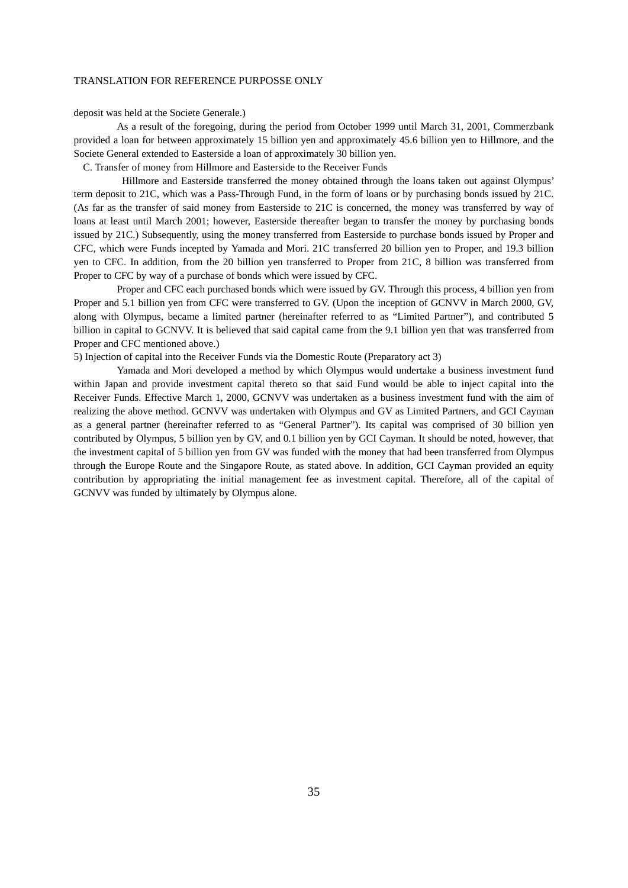deposit was held at the Societe Generale.)

As a result of the foregoing, during the period from October 1999 until March 31, 2001, Commerzbank provided a loan for between approximately 15 billion yen and approximately 45.6 billion yen to Hillmore, and the Societe General extended to Easterside a loan of approximately 30 billion yen.

C. Transfer of money from Hillmore and Easterside to the Receiver Funds

 Hillmore and Easterside transferred the money obtained through the loans taken out against Olympus' term deposit to 21C, which was a Pass-Through Fund, in the form of loans or by purchasing bonds issued by 21C. (As far as the transfer of said money from Easterside to 21C is concerned, the money was transferred by way of loans at least until March 2001; however, Easterside thereafter began to transfer the money by purchasing bonds issued by 21C.) Subsequently, using the money transferred from Easterside to purchase bonds issued by Proper and CFC, which were Funds incepted by Yamada and Mori. 21C transferred 20 billion yen to Proper, and 19.3 billion yen to CFC. In addition, from the 20 billion yen transferred to Proper from 21C, 8 billion was transferred from Proper to CFC by way of a purchase of bonds which were issued by CFC.

Proper and CFC each purchased bonds which were issued by GV. Through this process, 4 billion yen from Proper and 5.1 billion yen from CFC were transferred to GV. (Upon the inception of GCNVV in March 2000, GV, along with Olympus, became a limited partner (hereinafter referred to as "Limited Partner"), and contributed 5 billion in capital to GCNVV. It is believed that said capital came from the 9.1 billion yen that was transferred from Proper and CFC mentioned above.)

# 5) Injection of capital into the Receiver Funds via the Domestic Route (Preparatory act 3)

Yamada and Mori developed a method by which Olympus would undertake a business investment fund within Japan and provide investment capital thereto so that said Fund would be able to inject capital into the Receiver Funds. Effective March 1, 2000, GCNVV was undertaken as a business investment fund with the aim of realizing the above method. GCNVV was undertaken with Olympus and GV as Limited Partners, and GCI Cayman as a general partner (hereinafter referred to as "General Partner"). Its capital was comprised of 30 billion yen contributed by Olympus, 5 billion yen by GV, and 0.1 billion yen by GCI Cayman. It should be noted, however, that the investment capital of 5 billion yen from GV was funded with the money that had been transferred from Olympus through the Europe Route and the Singapore Route, as stated above. In addition, GCI Cayman provided an equity contribution by appropriating the initial management fee as investment capital. Therefore, all of the capital of GCNVV was funded by ultimately by Olympus alone.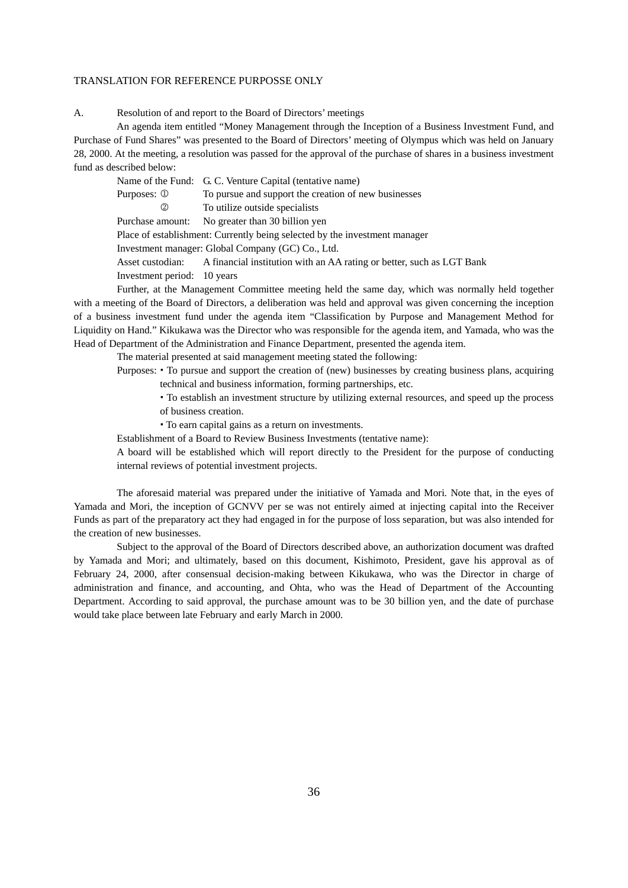A. Resolution of and report to the Board of Directors' meetings

An agenda item entitled "Money Management through the Inception of a Business Investment Fund, and Purchase of Fund Shares" was presented to the Board of Directors' meeting of Olympus which was held on January 28, 2000. At the meeting, a resolution was passed for the approval of the purchase of shares in a business investment fund as described below:

Name of the Fund: G. C. Venture Capital (tentative name)

Purposes:  $\Phi$  To pursue and support the creation of new businesses

To utilize outside specialists

Purchase amount: No greater than 30 billion yen Place of establishment: Currently being selected by the investment manager

Investment manager: Global Company (GC) Co., Ltd.

Asset custodian: A financial institution with an AA rating or better, such as LGT Bank Investment period: 10 years

Further, at the Management Committee meeting held the same day, which was normally held together with a meeting of the Board of Directors, a deliberation was held and approval was given concerning the inception of a business investment fund under the agenda item "Classification by Purpose and Management Method for Liquidity on Hand." Kikukawa was the Director who was responsible for the agenda item, and Yamada, who was the Head of Department of the Administration and Finance Department, presented the agenda item.

The material presented at said management meeting stated the following:

Purposes: To pursue and support the creation of (new) businesses by creating business plans, acquiring

technical and business information, forming partnerships, etc.

 To establish an investment structure by utilizing external resources, and speed up the process of business creation.

To earn capital gains as a return on investments.

Establishment of a Board to Review Business Investments (tentative name):

A board will be established which will report directly to the President for the purpose of conducting internal reviews of potential investment projects.

The aforesaid material was prepared under the initiative of Yamada and Mori. Note that, in the eyes of Yamada and Mori, the inception of GCNVV per se was not entirely aimed at injecting capital into the Receiver Funds as part of the preparatory act they had engaged in for the purpose of loss separation, but was also intended for the creation of new businesses.

Subject to the approval of the Board of Directors described above, an authorization document was drafted by Yamada and Mori; and ultimately, based on this document, Kishimoto, President, gave his approval as of February 24, 2000, after consensual decision-making between Kikukawa, who was the Director in charge of administration and finance, and accounting, and Ohta, who was the Head of Department of the Accounting Department. According to said approval, the purchase amount was to be 30 billion yen, and the date of purchase would take place between late February and early March in 2000.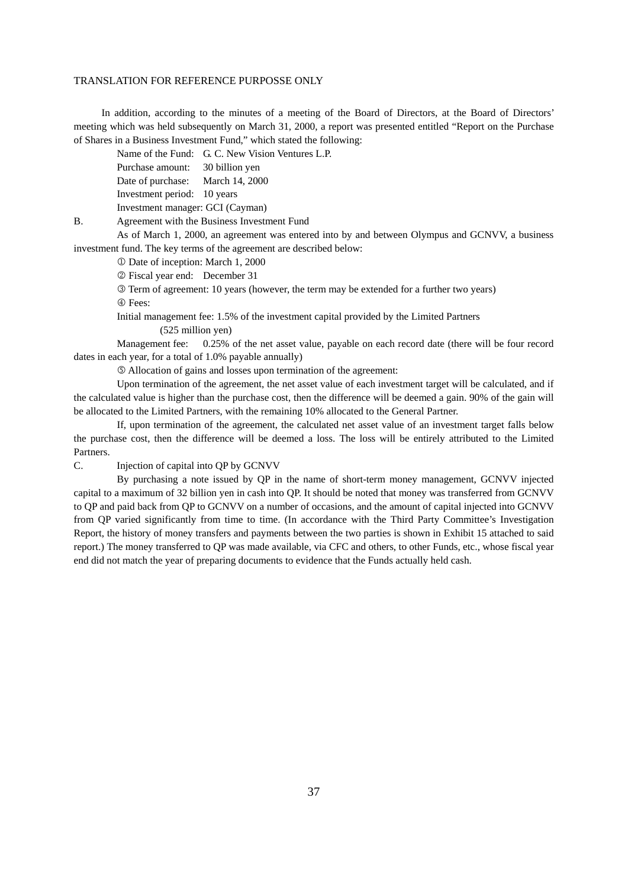In addition, according to the minutes of a meeting of the Board of Directors, at the Board of Directors' meeting which was held subsequently on March 31, 2000, a report was presented entitled "Report on the Purchase of Shares in a Business Investment Fund," which stated the following:

Name of the Fund: G. C. New Vision Ventures L.P.

Purchase amount: 30 billion yen

Date of purchase: March 14, 2000

Investment period: 10 years

Investment manager: GCI (Cayman)

B. Agreement with the Business Investment Fund

As of March 1, 2000, an agreement was entered into by and between Olympus and GCNVV, a business investment fund. The key terms of the agreement are described below:

Date of inception: March 1, 2000

Fiscal year end: December 31

 Term of agreement: 10 years (however, the term may be extended for a further two years) Fees:

Initial management fee: 1.5% of the investment capital provided by the Limited Partners

(525 million yen)

Management fee: 0.25% of the net asset value, payable on each record date (there will be four record dates in each year, for a total of 1.0% payable annually)

Allocation of gains and losses upon termination of the agreement:

Upon termination of the agreement, the net asset value of each investment target will be calculated, and if the calculated value is higher than the purchase cost, then the difference will be deemed a gain. 90% of the gain will be allocated to the Limited Partners, with the remaining 10% allocated to the General Partner.

If, upon termination of the agreement, the calculated net asset value of an investment target falls below the purchase cost, then the difference will be deemed a loss. The loss will be entirely attributed to the Limited Partners.

C. Injection of capital into QP by GCNVV

By purchasing a note issued by QP in the name of short-term money management, GCNVV injected capital to a maximum of 32 billion yen in cash into QP. It should be noted that money was transferred from GCNVV to QP and paid back from QP to GCNVV on a number of occasions, and the amount of capital injected into GCNVV from QP varied significantly from time to time. (In accordance with the Third Party Committee's Investigation Report, the history of money transfers and payments between the two parties is shown in Exhibit 15 attached to said report.) The money transferred to QP was made available, via CFC and others, to other Funds, etc., whose fiscal year end did not match the year of preparing documents to evidence that the Funds actually held cash.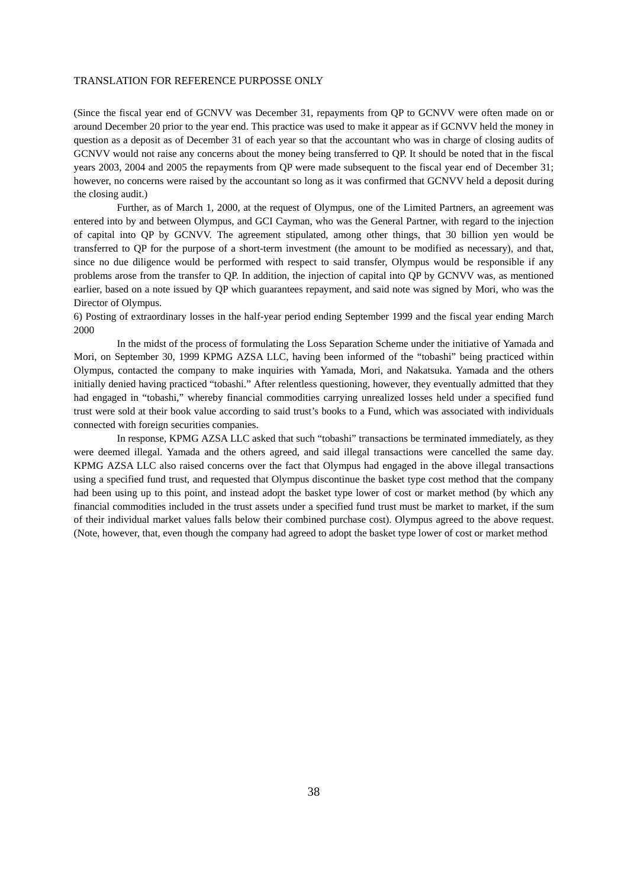(Since the fiscal year end of GCNVV was December 31, repayments from QP to GCNVV were often made on or around December 20 prior to the year end. This practice was used to make it appear as if GCNVV held the money in question as a deposit as of December 31 of each year so that the accountant who was in charge of closing audits of GCNVV would not raise any concerns about the money being transferred to QP. It should be noted that in the fiscal years 2003, 2004 and 2005 the repayments from QP were made subsequent to the fiscal year end of December 31; however, no concerns were raised by the accountant so long as it was confirmed that GCNVV held a deposit during the closing audit.)

Further, as of March 1, 2000, at the request of Olympus, one of the Limited Partners, an agreement was entered into by and between Olympus, and GCI Cayman, who was the General Partner, with regard to the injection of capital into QP by GCNVV. The agreement stipulated, among other things, that 30 billion yen would be transferred to QP for the purpose of a short-term investment (the amount to be modified as necessary), and that, since no due diligence would be performed with respect to said transfer, Olympus would be responsible if any problems arose from the transfer to QP. In addition, the injection of capital into QP by GCNVV was, as mentioned earlier, based on a note issued by QP which guarantees repayment, and said note was signed by Mori, who was the Director of Olympus.

6) Posting of extraordinary losses in the half-year period ending September 1999 and the fiscal year ending March 2000

In the midst of the process of formulating the Loss Separation Scheme under the initiative of Yamada and Mori, on September 30, 1999 KPMG AZSA LLC, having been informed of the "tobashi" being practiced within Olympus, contacted the company to make inquiries with Yamada, Mori, and Nakatsuka. Yamada and the others initially denied having practiced "tobashi." After relentless questioning, however, they eventually admitted that they had engaged in "tobashi," whereby financial commodities carrying unrealized losses held under a specified fund trust were sold at their book value according to said trust's books to a Fund, which was associated with individuals connected with foreign securities companies.

In response, KPMG AZSA LLC asked that such "tobashi" transactions be terminated immediately, as they were deemed illegal. Yamada and the others agreed, and said illegal transactions were cancelled the same day. KPMG AZSA LLC also raised concerns over the fact that Olympus had engaged in the above illegal transactions using a specified fund trust, and requested that Olympus discontinue the basket type cost method that the company had been using up to this point, and instead adopt the basket type lower of cost or market method (by which any financial commodities included in the trust assets under a specified fund trust must be market to market, if the sum of their individual market values falls below their combined purchase cost). Olympus agreed to the above request. (Note, however, that, even though the company had agreed to adopt the basket type lower of cost or market method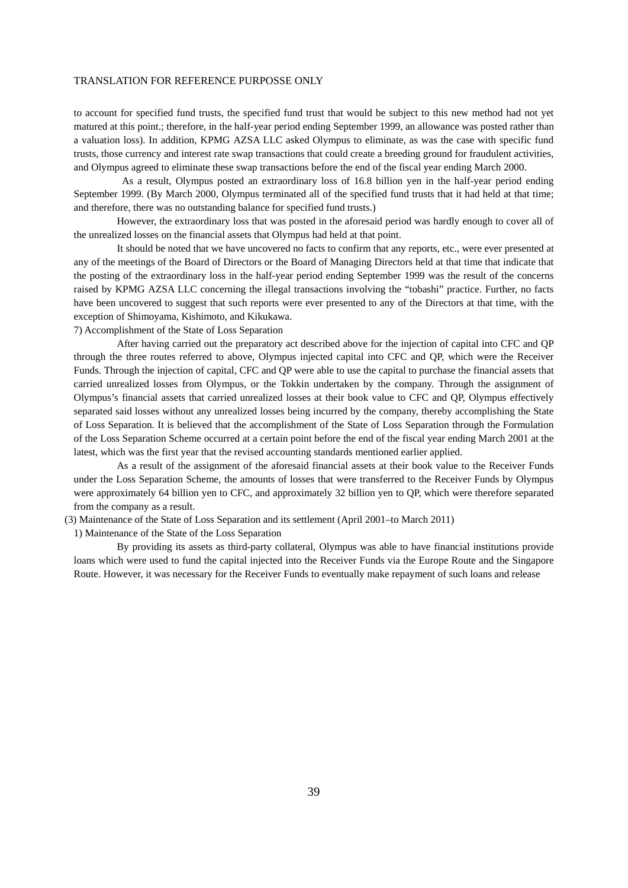to account for specified fund trusts, the specified fund trust that would be subject to this new method had not yet matured at this point.; therefore, in the half-year period ending September 1999, an allowance was posted rather than a valuation loss). In addition, KPMG AZSA LLC asked Olympus to eliminate, as was the case with specific fund trusts, those currency and interest rate swap transactions that could create a breeding ground for fraudulent activities, and Olympus agreed to eliminate these swap transactions before the end of the fiscal year ending March 2000.

 As a result, Olympus posted an extraordinary loss of 16.8 billion yen in the half-year period ending September 1999. (By March 2000, Olympus terminated all of the specified fund trusts that it had held at that time; and therefore, there was no outstanding balance for specified fund trusts.)

However, the extraordinary loss that was posted in the aforesaid period was hardly enough to cover all of the unrealized losses on the financial assets that Olympus had held at that point.

It should be noted that we have uncovered no facts to confirm that any reports, etc., were ever presented at any of the meetings of the Board of Directors or the Board of Managing Directors held at that time that indicate that the posting of the extraordinary loss in the half-year period ending September 1999 was the result of the concerns raised by KPMG AZSA LLC concerning the illegal transactions involving the "tobashi" practice. Further, no facts have been uncovered to suggest that such reports were ever presented to any of the Directors at that time, with the exception of Shimoyama, Kishimoto, and Kikukawa.

7) Accomplishment of the State of Loss Separation

After having carried out the preparatory act described above for the injection of capital into CFC and QP through the three routes referred to above, Olympus injected capital into CFC and QP, which were the Receiver Funds. Through the injection of capital, CFC and QP were able to use the capital to purchase the financial assets that carried unrealized losses from Olympus, or the Tokkin undertaken by the company. Through the assignment of Olympus's financial assets that carried unrealized losses at their book value to CFC and QP, Olympus effectively separated said losses without any unrealized losses being incurred by the company, thereby accomplishing the State of Loss Separation. It is believed that the accomplishment of the State of Loss Separation through the Formulation of the Loss Separation Scheme occurred at a certain point before the end of the fiscal year ending March 2001 at the latest, which was the first year that the revised accounting standards mentioned earlier applied.

As a result of the assignment of the aforesaid financial assets at their book value to the Receiver Funds under the Loss Separation Scheme, the amounts of losses that were transferred to the Receiver Funds by Olympus were approximately 64 billion yen to CFC, and approximately 32 billion yen to QP, which were therefore separated from the company as a result.

(3) Maintenance of the State of Loss Separation and its settlement (April 2001–to March 2011)

1) Maintenance of the State of the Loss Separation

By providing its assets as third-party collateral, Olympus was able to have financial institutions provide loans which were used to fund the capital injected into the Receiver Funds via the Europe Route and the Singapore Route. However, it was necessary for the Receiver Funds to eventually make repayment of such loans and release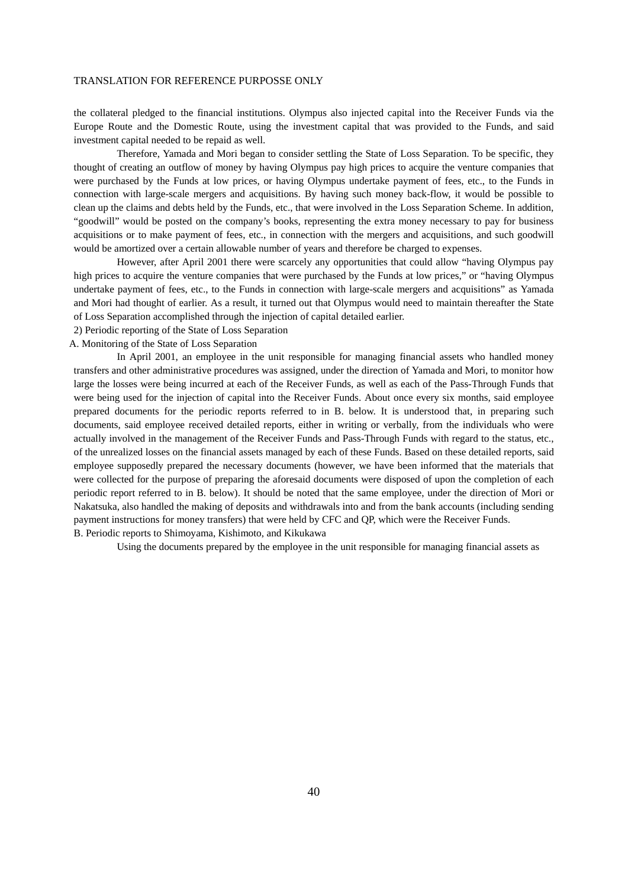the collateral pledged to the financial institutions. Olympus also injected capital into the Receiver Funds via the Europe Route and the Domestic Route, using the investment capital that was provided to the Funds, and said investment capital needed to be repaid as well.

Therefore, Yamada and Mori began to consider settling the State of Loss Separation. To be specific, they thought of creating an outflow of money by having Olympus pay high prices to acquire the venture companies that were purchased by the Funds at low prices, or having Olympus undertake payment of fees, etc., to the Funds in connection with large-scale mergers and acquisitions. By having such money back-flow, it would be possible to clean up the claims and debts held by the Funds, etc., that were involved in the Loss Separation Scheme. In addition, "goodwill" would be posted on the company's books, representing the extra money necessary to pay for business acquisitions or to make payment of fees, etc., in connection with the mergers and acquisitions, and such goodwill would be amortized over a certain allowable number of years and therefore be charged to expenses.

However, after April 2001 there were scarcely any opportunities that could allow "having Olympus pay high prices to acquire the venture companies that were purchased by the Funds at low prices," or "having Olympus undertake payment of fees, etc., to the Funds in connection with large-scale mergers and acquisitions" as Yamada and Mori had thought of earlier. As a result, it turned out that Olympus would need to maintain thereafter the State of Loss Separation accomplished through the injection of capital detailed earlier.

2) Periodic reporting of the State of Loss Separation

A. Monitoring of the State of Loss Separation

In April 2001, an employee in the unit responsible for managing financial assets who handled money transfers and other administrative procedures was assigned, under the direction of Yamada and Mori, to monitor how large the losses were being incurred at each of the Receiver Funds, as well as each of the Pass-Through Funds that were being used for the injection of capital into the Receiver Funds. About once every six months, said employee prepared documents for the periodic reports referred to in B. below. It is understood that, in preparing such documents, said employee received detailed reports, either in writing or verbally, from the individuals who were actually involved in the management of the Receiver Funds and Pass-Through Funds with regard to the status, etc., of the unrealized losses on the financial assets managed by each of these Funds. Based on these detailed reports, said employee supposedly prepared the necessary documents (however, we have been informed that the materials that were collected for the purpose of preparing the aforesaid documents were disposed of upon the completion of each periodic report referred to in B. below). It should be noted that the same employee, under the direction of Mori or Nakatsuka, also handled the making of deposits and withdrawals into and from the bank accounts (including sending payment instructions for money transfers) that were held by CFC and QP, which were the Receiver Funds. B. Periodic reports to Shimoyama, Kishimoto, and Kikukawa

Using the documents prepared by the employee in the unit responsible for managing financial assets as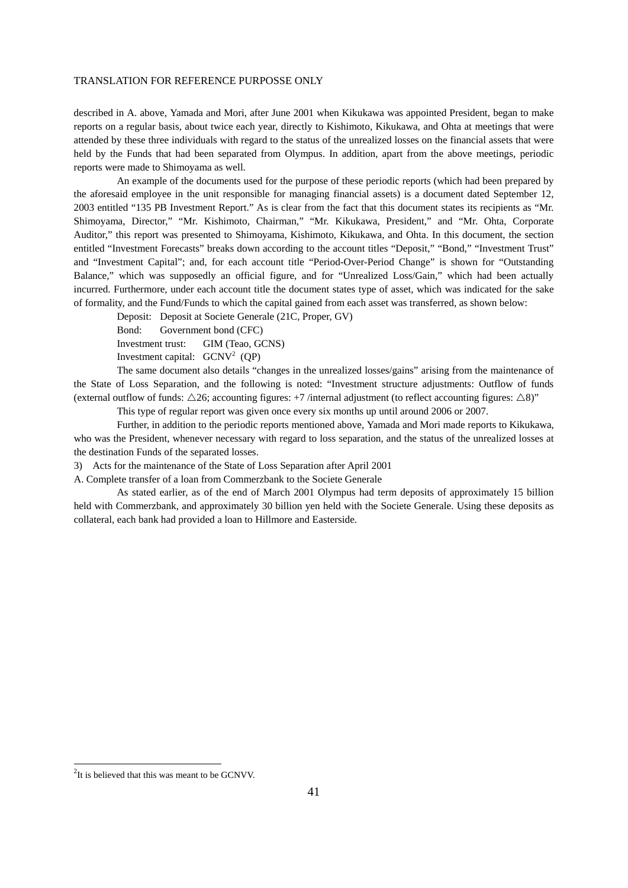described in A. above, Yamada and Mori, after June 2001 when Kikukawa was appointed President, began to make reports on a regular basis, about twice each year, directly to Kishimoto, Kikukawa, and Ohta at meetings that were attended by these three individuals with regard to the status of the unrealized losses on the financial assets that were held by the Funds that had been separated from Olympus. In addition, apart from the above meetings, periodic reports were made to Shimoyama as well.

An example of the documents used for the purpose of these periodic reports (which had been prepared by the aforesaid employee in the unit responsible for managing financial assets) is a document dated September 12, 2003 entitled "135 PB Investment Report." As is clear from the fact that this document states its recipients as "Mr. Shimoyama, Director," "Mr. Kishimoto, Chairman," "Mr. Kikukawa, President," and "Mr. Ohta, Corporate Auditor," this report was presented to Shimoyama, Kishimoto, Kikukawa, and Ohta. In this document, the section entitled "Investment Forecasts" breaks down according to the account titles "Deposit," "Bond," "Investment Trust" and "Investment Capital"; and, for each account title "Period-Over-Period Change" is shown for "Outstanding Balance," which was supposedly an official figure, and for "Unrealized Loss/Gain," which had been actually incurred. Furthermore, under each account title the document states type of asset, which was indicated for the sake of formality, and the Fund/Funds to which the capital gained from each asset was transferred, as shown below:

Deposit: Deposit at Societe Generale (21C, Proper, GV)

Bond: Government bond (CFC)

Investment trust: GIM (Teao, GCNS)

Investment capital:  $GCNV^2$  (QP)

The same document also details "changes in the unrealized losses/gains" arising from the maintenance of the State of Loss Separation, and the following is noted: "Investment structure adjustments: Outflow of funds (external outflow of funds:  $\triangle 26$ ; accounting figures: +7 /internal adjustment (to reflect accounting figures:  $\triangle 8$ )"

This type of regular report was given once every six months up until around 2006 or 2007.

Further, in addition to the periodic reports mentioned above, Yamada and Mori made reports to Kikukawa, who was the President, whenever necessary with regard to loss separation, and the status of the unrealized losses at the destination Funds of the separated losses.

3) Acts for the maintenance of the State of Loss Separation after April 2001

A. Complete transfer of a loan from Commerzbank to the Societe Generale

As stated earlier, as of the end of March 2001 Olympus had term deposits of approximately 15 billion held with Commerzbank, and approximately 30 billion yen held with the Societe Generale. Using these deposits as collateral, each bank had provided a loan to Hillmore and Easterside.

<sup>&</sup>lt;sup>2</sup>It is believed that this was meant to be GCNVV.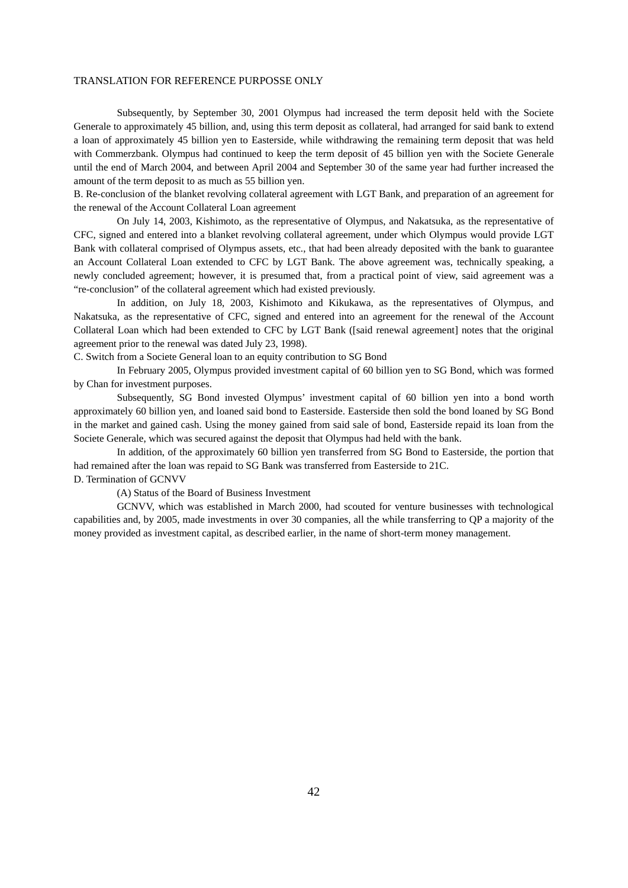Subsequently, by September 30, 2001 Olympus had increased the term deposit held with the Societe Generale to approximately 45 billion, and, using this term deposit as collateral, had arranged for said bank to extend a loan of approximately 45 billion yen to Easterside, while withdrawing the remaining term deposit that was held with Commerzbank. Olympus had continued to keep the term deposit of 45 billion yen with the Societe Generale until the end of March 2004, and between April 2004 and September 30 of the same year had further increased the amount of the term deposit to as much as 55 billion yen.

B. Re-conclusion of the blanket revolving collateral agreement with LGT Bank, and preparation of an agreement for the renewal of the Account Collateral Loan agreement

On July 14, 2003, Kishimoto, as the representative of Olympus, and Nakatsuka, as the representative of CFC, signed and entered into a blanket revolving collateral agreement, under which Olympus would provide LGT Bank with collateral comprised of Olympus assets, etc., that had been already deposited with the bank to guarantee an Account Collateral Loan extended to CFC by LGT Bank. The above agreement was, technically speaking, a newly concluded agreement; however, it is presumed that, from a practical point of view, said agreement was a "re-conclusion" of the collateral agreement which had existed previously.

In addition, on July 18, 2003, Kishimoto and Kikukawa, as the representatives of Olympus, and Nakatsuka, as the representative of CFC, signed and entered into an agreement for the renewal of the Account Collateral Loan which had been extended to CFC by LGT Bank ([said renewal agreement] notes that the original agreement prior to the renewal was dated July 23, 1998).

C. Switch from a Societe General loan to an equity contribution to SG Bond

In February 2005, Olympus provided investment capital of 60 billion yen to SG Bond, which was formed by Chan for investment purposes.

Subsequently, SG Bond invested Olympus' investment capital of 60 billion yen into a bond worth approximately 60 billion yen, and loaned said bond to Easterside. Easterside then sold the bond loaned by SG Bond in the market and gained cash. Using the money gained from said sale of bond, Easterside repaid its loan from the Societe Generale, which was secured against the deposit that Olympus had held with the bank.

In addition, of the approximately 60 billion yen transferred from SG Bond to Easterside, the portion that had remained after the loan was repaid to SG Bank was transferred from Easterside to 21C. D. Termination of GCNVV

(A) Status of the Board of Business Investment

GCNVV, which was established in March 2000, had scouted for venture businesses with technological capabilities and, by 2005, made investments in over 30 companies, all the while transferring to QP a majority of the money provided as investment capital, as described earlier, in the name of short-term money management.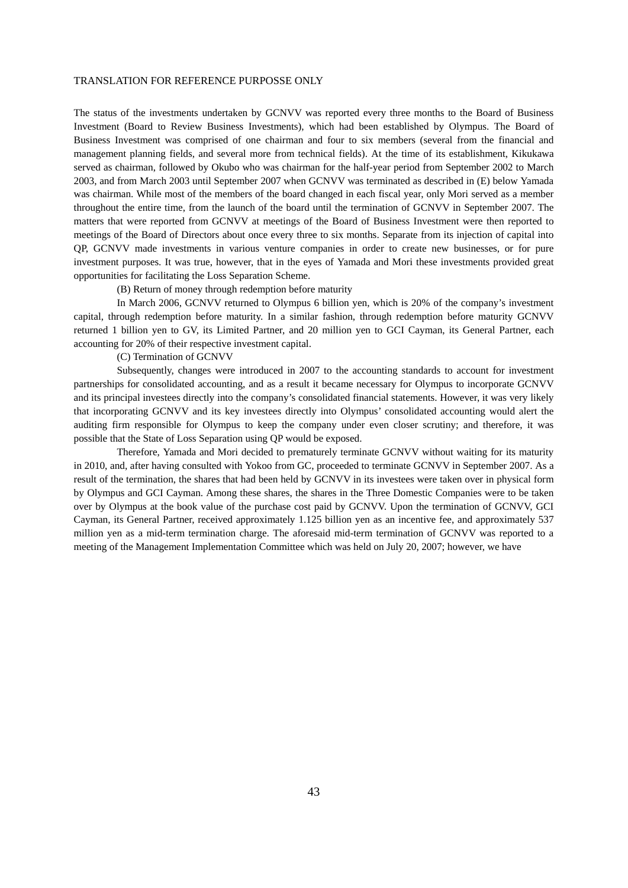The status of the investments undertaken by GCNVV was reported every three months to the Board of Business Investment (Board to Review Business Investments), which had been established by Olympus. The Board of Business Investment was comprised of one chairman and four to six members (several from the financial and management planning fields, and several more from technical fields). At the time of its establishment, Kikukawa served as chairman, followed by Okubo who was chairman for the half-year period from September 2002 to March 2003, and from March 2003 until September 2007 when GCNVV was terminated as described in (E) below Yamada was chairman. While most of the members of the board changed in each fiscal year, only Mori served as a member throughout the entire time, from the launch of the board until the termination of GCNVV in September 2007. The matters that were reported from GCNVV at meetings of the Board of Business Investment were then reported to meetings of the Board of Directors about once every three to six months. Separate from its injection of capital into QP, GCNVV made investments in various venture companies in order to create new businesses, or for pure investment purposes. It was true, however, that in the eyes of Yamada and Mori these investments provided great opportunities for facilitating the Loss Separation Scheme.

#### (B) Return of money through redemption before maturity

In March 2006, GCNVV returned to Olympus 6 billion yen, which is 20% of the company's investment capital, through redemption before maturity. In a similar fashion, through redemption before maturity GCNVV returned 1 billion yen to GV, its Limited Partner, and 20 million yen to GCI Cayman, its General Partner, each accounting for 20% of their respective investment capital.

### (C) Termination of GCNVV

Subsequently, changes were introduced in 2007 to the accounting standards to account for investment partnerships for consolidated accounting, and as a result it became necessary for Olympus to incorporate GCNVV and its principal investees directly into the company's consolidated financial statements. However, it was very likely that incorporating GCNVV and its key investees directly into Olympus' consolidated accounting would alert the auditing firm responsible for Olympus to keep the company under even closer scrutiny; and therefore, it was possible that the State of Loss Separation using QP would be exposed.

Therefore, Yamada and Mori decided to prematurely terminate GCNVV without waiting for its maturity in 2010, and, after having consulted with Yokoo from GC, proceeded to terminate GCNVV in September 2007. As a result of the termination, the shares that had been held by GCNVV in its investees were taken over in physical form by Olympus and GCI Cayman. Among these shares, the shares in the Three Domestic Companies were to be taken over by Olympus at the book value of the purchase cost paid by GCNVV. Upon the termination of GCNVV, GCI Cayman, its General Partner, received approximately 1.125 billion yen as an incentive fee, and approximately 537 million yen as a mid-term termination charge. The aforesaid mid-term termination of GCNVV was reported to a meeting of the Management Implementation Committee which was held on July 20, 2007; however, we have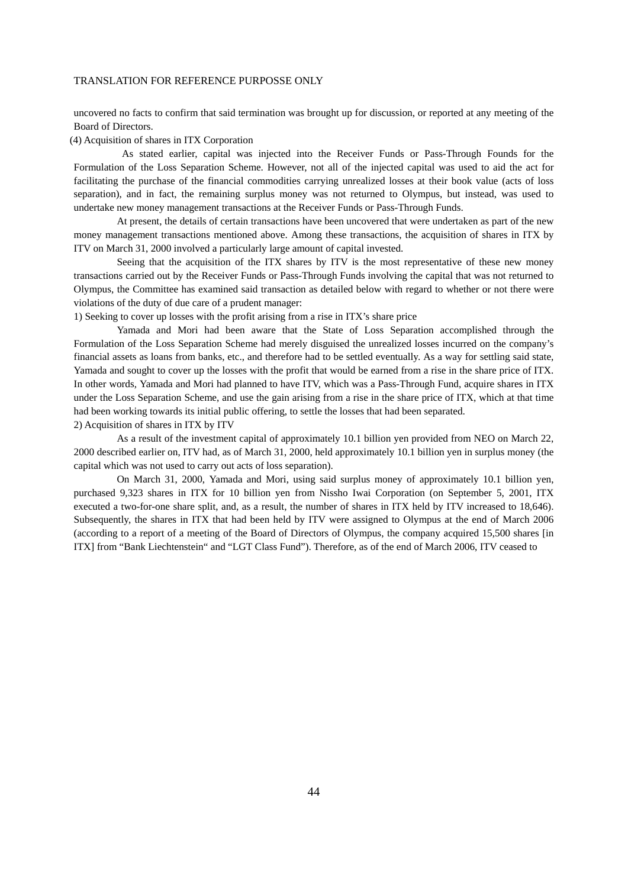uncovered no facts to confirm that said termination was brought up for discussion, or reported at any meeting of the Board of Directors.

#### (4) Acquisition of shares in ITX Corporation

 As stated earlier, capital was injected into the Receiver Funds or Pass-Through Founds for the Formulation of the Loss Separation Scheme. However, not all of the injected capital was used to aid the act for facilitating the purchase of the financial commodities carrying unrealized losses at their book value (acts of loss separation), and in fact, the remaining surplus money was not returned to Olympus, but instead, was used to undertake new money management transactions at the Receiver Funds or Pass-Through Funds.

At present, the details of certain transactions have been uncovered that were undertaken as part of the new money management transactions mentioned above. Among these transactions, the acquisition of shares in ITX by ITV on March 31, 2000 involved a particularly large amount of capital invested.

Seeing that the acquisition of the ITX shares by ITV is the most representative of these new money transactions carried out by the Receiver Funds or Pass-Through Funds involving the capital that was not returned to Olympus, the Committee has examined said transaction as detailed below with regard to whether or not there were violations of the duty of due care of a prudent manager:

1) Seeking to cover up losses with the profit arising from a rise in ITX's share price

Yamada and Mori had been aware that the State of Loss Separation accomplished through the Formulation of the Loss Separation Scheme had merely disguised the unrealized losses incurred on the company's financial assets as loans from banks, etc., and therefore had to be settled eventually. As a way for settling said state, Yamada and sought to cover up the losses with the profit that would be earned from a rise in the share price of ITX. In other words, Yamada and Mori had planned to have ITV, which was a Pass-Through Fund, acquire shares in ITX under the Loss Separation Scheme, and use the gain arising from a rise in the share price of ITX, which at that time had been working towards its initial public offering, to settle the losses that had been separated. 2) Acquisition of shares in ITX by ITV

As a result of the investment capital of approximately 10.1 billion yen provided from NEO on March 22, 2000 described earlier on, ITV had, as of March 31, 2000, held approximately 10.1 billion yen in surplus money (the capital which was not used to carry out acts of loss separation).

On March 31, 2000, Yamada and Mori, using said surplus money of approximately 10.1 billion yen, purchased 9,323 shares in ITX for 10 billion yen from Nissho Iwai Corporation (on September 5, 2001, ITX executed a two-for-one share split, and, as a result, the number of shares in ITX held by ITV increased to 18,646). Subsequently, the shares in ITX that had been held by ITV were assigned to Olympus at the end of March 2006 (according to a report of a meeting of the Board of Directors of Olympus, the company acquired 15,500 shares [in ITX] from "Bank Liechtenstein" and "LGT Class Fund"). Therefore, as of the end of March 2006, ITV ceased to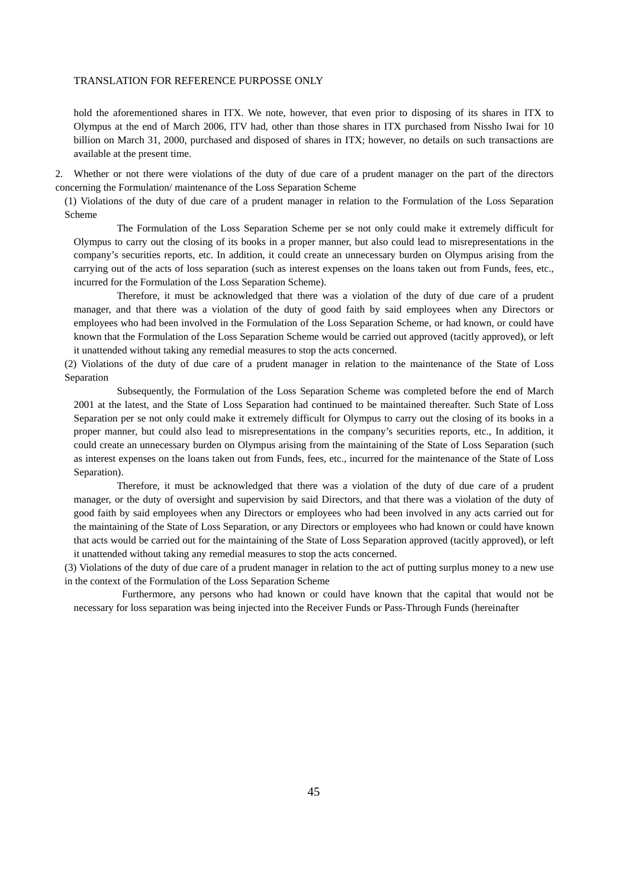hold the aforementioned shares in ITX. We note, however, that even prior to disposing of its shares in ITX to Olympus at the end of March 2006, ITV had, other than those shares in ITX purchased from Nissho Iwai for 10 billion on March 31, 2000, purchased and disposed of shares in ITX; however, no details on such transactions are available at the present time.

2. Whether or not there were violations of the duty of due care of a prudent manager on the part of the directors concerning the Formulation/ maintenance of the Loss Separation Scheme

(1) Violations of the duty of due care of a prudent manager in relation to the Formulation of the Loss Separation Scheme

The Formulation of the Loss Separation Scheme per se not only could make it extremely difficult for Olympus to carry out the closing of its books in a proper manner, but also could lead to misrepresentations in the company's securities reports, etc. In addition, it could create an unnecessary burden on Olympus arising from the carrying out of the acts of loss separation (such as interest expenses on the loans taken out from Funds, fees, etc., incurred for the Formulation of the Loss Separation Scheme).

Therefore, it must be acknowledged that there was a violation of the duty of due care of a prudent manager, and that there was a violation of the duty of good faith by said employees when any Directors or employees who had been involved in the Formulation of the Loss Separation Scheme, or had known, or could have known that the Formulation of the Loss Separation Scheme would be carried out approved (tacitly approved), or left it unattended without taking any remedial measures to stop the acts concerned.

(2) Violations of the duty of due care of a prudent manager in relation to the maintenance of the State of Loss Separation

Subsequently, the Formulation of the Loss Separation Scheme was completed before the end of March 2001 at the latest, and the State of Loss Separation had continued to be maintained thereafter. Such State of Loss Separation per se not only could make it extremely difficult for Olympus to carry out the closing of its books in a proper manner, but could also lead to misrepresentations in the company's securities reports, etc., In addition, it could create an unnecessary burden on Olympus arising from the maintaining of the State of Loss Separation (such as interest expenses on the loans taken out from Funds, fees, etc., incurred for the maintenance of the State of Loss Separation).

Therefore, it must be acknowledged that there was a violation of the duty of due care of a prudent manager, or the duty of oversight and supervision by said Directors, and that there was a violation of the duty of good faith by said employees when any Directors or employees who had been involved in any acts carried out for the maintaining of the State of Loss Separation, or any Directors or employees who had known or could have known that acts would be carried out for the maintaining of the State of Loss Separation approved (tacitly approved), or left it unattended without taking any remedial measures to stop the acts concerned.

(3) Violations of the duty of due care of a prudent manager in relation to the act of putting surplus money to a new use in the context of the Formulation of the Loss Separation Scheme

 Furthermore, any persons who had known or could have known that the capital that would not be necessary for loss separation was being injected into the Receiver Funds or Pass-Through Funds (hereinafter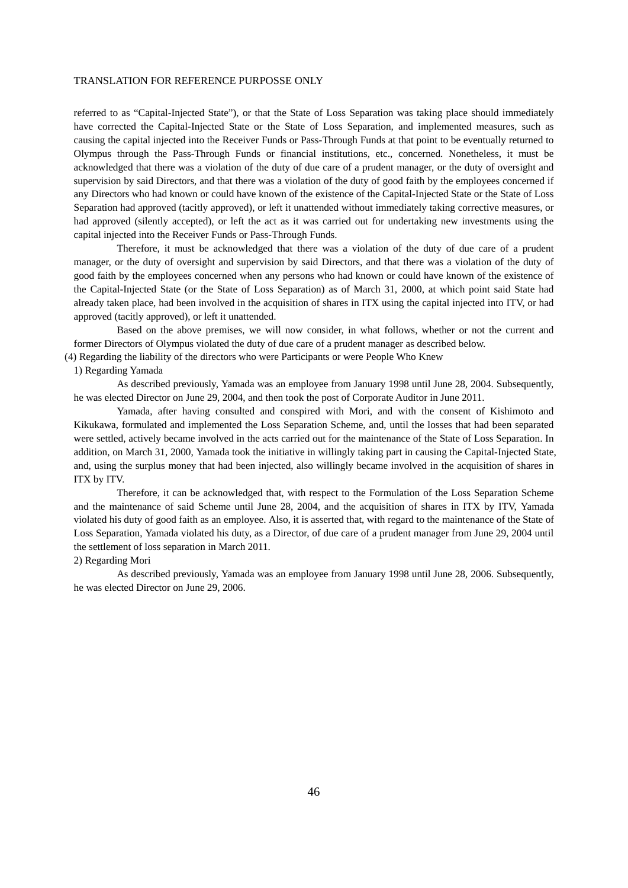referred to as "Capital-Injected State"), or that the State of Loss Separation was taking place should immediately have corrected the Capital-Injected State or the State of Loss Separation, and implemented measures, such as causing the capital injected into the Receiver Funds or Pass-Through Funds at that point to be eventually returned to Olympus through the Pass-Through Funds or financial institutions, etc., concerned. Nonetheless, it must be acknowledged that there was a violation of the duty of due care of a prudent manager, or the duty of oversight and supervision by said Directors, and that there was a violation of the duty of good faith by the employees concerned if any Directors who had known or could have known of the existence of the Capital-Injected State or the State of Loss Separation had approved (tacitly approved), or left it unattended without immediately taking corrective measures, or had approved (silently accepted), or left the act as it was carried out for undertaking new investments using the capital injected into the Receiver Funds or Pass-Through Funds.

Therefore, it must be acknowledged that there was a violation of the duty of due care of a prudent manager, or the duty of oversight and supervision by said Directors, and that there was a violation of the duty of good faith by the employees concerned when any persons who had known or could have known of the existence of the Capital-Injected State (or the State of Loss Separation) as of March 31, 2000, at which point said State had already taken place, had been involved in the acquisition of shares in ITX using the capital injected into ITV, or had approved (tacitly approved), or left it unattended.

Based on the above premises, we will now consider, in what follows, whether or not the current and former Directors of Olympus violated the duty of due care of a prudent manager as described below.

(4) Regarding the liability of the directors who were Participants or were People Who Knew

1) Regarding Yamada

As described previously, Yamada was an employee from January 1998 until June 28, 2004. Subsequently, he was elected Director on June 29, 2004, and then took the post of Corporate Auditor in June 2011.

Yamada, after having consulted and conspired with Mori, and with the consent of Kishimoto and Kikukawa, formulated and implemented the Loss Separation Scheme, and, until the losses that had been separated were settled, actively became involved in the acts carried out for the maintenance of the State of Loss Separation. In addition, on March 31, 2000, Yamada took the initiative in willingly taking part in causing the Capital-Injected State, and, using the surplus money that had been injected, also willingly became involved in the acquisition of shares in ITX by ITV.

Therefore, it can be acknowledged that, with respect to the Formulation of the Loss Separation Scheme and the maintenance of said Scheme until June 28, 2004, and the acquisition of shares in ITX by ITV, Yamada violated his duty of good faith as an employee. Also, it is asserted that, with regard to the maintenance of the State of Loss Separation, Yamada violated his duty, as a Director, of due care of a prudent manager from June 29, 2004 until the settlement of loss separation in March 2011.

### 2) Regarding Mori

As described previously, Yamada was an employee from January 1998 until June 28, 2006. Subsequently, he was elected Director on June 29, 2006.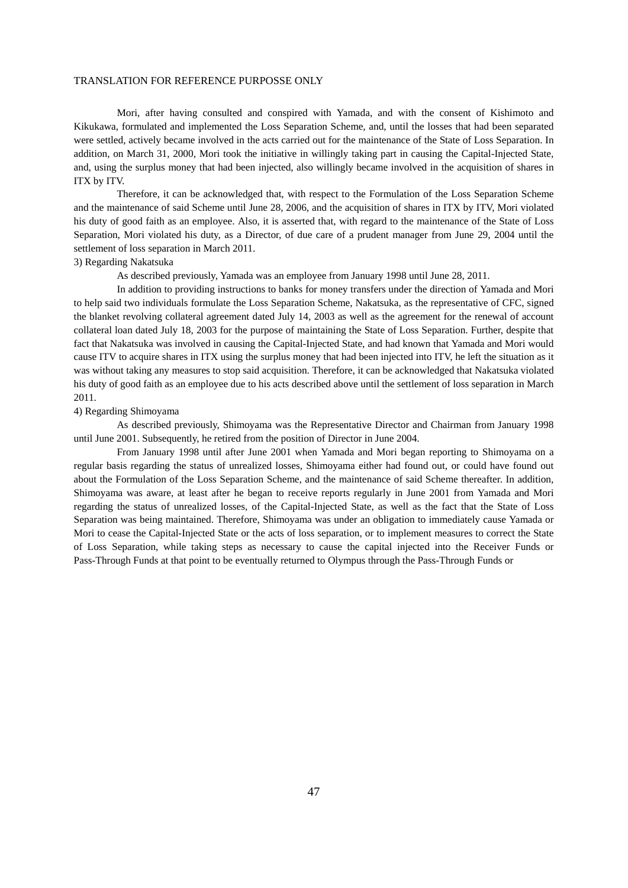Mori, after having consulted and conspired with Yamada, and with the consent of Kishimoto and Kikukawa, formulated and implemented the Loss Separation Scheme, and, until the losses that had been separated were settled, actively became involved in the acts carried out for the maintenance of the State of Loss Separation. In addition, on March 31, 2000, Mori took the initiative in willingly taking part in causing the Capital-Injected State, and, using the surplus money that had been injected, also willingly became involved in the acquisition of shares in ITX by ITV.

Therefore, it can be acknowledged that, with respect to the Formulation of the Loss Separation Scheme and the maintenance of said Scheme until June 28, 2006, and the acquisition of shares in ITX by ITV, Mori violated his duty of good faith as an employee. Also, it is asserted that, with regard to the maintenance of the State of Loss Separation, Mori violated his duty, as a Director, of due care of a prudent manager from June 29, 2004 until the settlement of loss separation in March 2011.

### 3) Regarding Nakatsuka

As described previously, Yamada was an employee from January 1998 until June 28, 2011.

In addition to providing instructions to banks for money transfers under the direction of Yamada and Mori to help said two individuals formulate the Loss Separation Scheme, Nakatsuka, as the representative of CFC, signed the blanket revolving collateral agreement dated July 14, 2003 as well as the agreement for the renewal of account collateral loan dated July 18, 2003 for the purpose of maintaining the State of Loss Separation. Further, despite that fact that Nakatsuka was involved in causing the Capital-Injected State, and had known that Yamada and Mori would cause ITV to acquire shares in ITX using the surplus money that had been injected into ITV, he left the situation as it was without taking any measures to stop said acquisition. Therefore, it can be acknowledged that Nakatsuka violated his duty of good faith as an employee due to his acts described above until the settlement of loss separation in March 2011.

# 4) Regarding Shimoyama

As described previously, Shimoyama was the Representative Director and Chairman from January 1998 until June 2001. Subsequently, he retired from the position of Director in June 2004.

From January 1998 until after June 2001 when Yamada and Mori began reporting to Shimoyama on a regular basis regarding the status of unrealized losses, Shimoyama either had found out, or could have found out about the Formulation of the Loss Separation Scheme, and the maintenance of said Scheme thereafter. In addition, Shimoyama was aware, at least after he began to receive reports regularly in June 2001 from Yamada and Mori regarding the status of unrealized losses, of the Capital-Injected State, as well as the fact that the State of Loss Separation was being maintained. Therefore, Shimoyama was under an obligation to immediately cause Yamada or Mori to cease the Capital-Injected State or the acts of loss separation, or to implement measures to correct the State of Loss Separation, while taking steps as necessary to cause the capital injected into the Receiver Funds or Pass-Through Funds at that point to be eventually returned to Olympus through the Pass-Through Funds or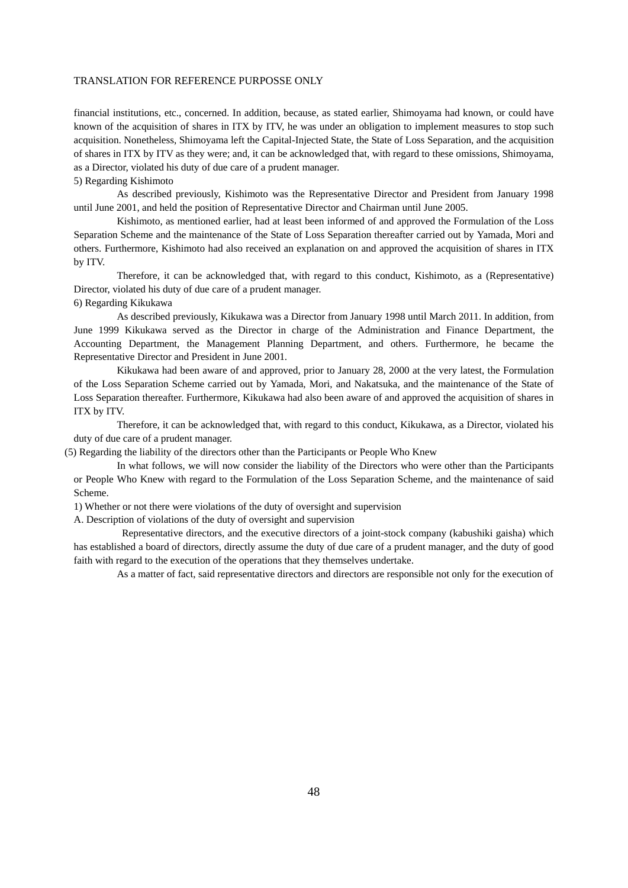financial institutions, etc., concerned. In addition, because, as stated earlier, Shimoyama had known, or could have known of the acquisition of shares in ITX by ITV, he was under an obligation to implement measures to stop such acquisition. Nonetheless, Shimoyama left the Capital-Injected State, the State of Loss Separation, and the acquisition of shares in ITX by ITV as they were; and, it can be acknowledged that, with regard to these omissions, Shimoyama, as a Director, violated his duty of due care of a prudent manager.

5) Regarding Kishimoto

As described previously, Kishimoto was the Representative Director and President from January 1998 until June 2001, and held the position of Representative Director and Chairman until June 2005.

Kishimoto, as mentioned earlier, had at least been informed of and approved the Formulation of the Loss Separation Scheme and the maintenance of the State of Loss Separation thereafter carried out by Yamada, Mori and others. Furthermore, Kishimoto had also received an explanation on and approved the acquisition of shares in ITX by ITV.

Therefore, it can be acknowledged that, with regard to this conduct, Kishimoto, as a (Representative) Director, violated his duty of due care of a prudent manager.

# 6) Regarding Kikukawa

As described previously, Kikukawa was a Director from January 1998 until March 2011. In addition, from June 1999 Kikukawa served as the Director in charge of the Administration and Finance Department, the Accounting Department, the Management Planning Department, and others. Furthermore, he became the Representative Director and President in June 2001.

Kikukawa had been aware of and approved, prior to January 28, 2000 at the very latest, the Formulation of the Loss Separation Scheme carried out by Yamada, Mori, and Nakatsuka, and the maintenance of the State of Loss Separation thereafter. Furthermore, Kikukawa had also been aware of and approved the acquisition of shares in ITX by ITV.

Therefore, it can be acknowledged that, with regard to this conduct, Kikukawa, as a Director, violated his duty of due care of a prudent manager.

(5) Regarding the liability of the directors other than the Participants or People Who Knew

In what follows, we will now consider the liability of the Directors who were other than the Participants or People Who Knew with regard to the Formulation of the Loss Separation Scheme, and the maintenance of said Scheme.

1) Whether or not there were violations of the duty of oversight and supervision

A. Description of violations of the duty of oversight and supervision

 Representative directors, and the executive directors of a joint-stock company (kabushiki gaisha) which has established a board of directors, directly assume the duty of due care of a prudent manager, and the duty of good faith with regard to the execution of the operations that they themselves undertake.

As a matter of fact, said representative directors and directors are responsible not only for the execution of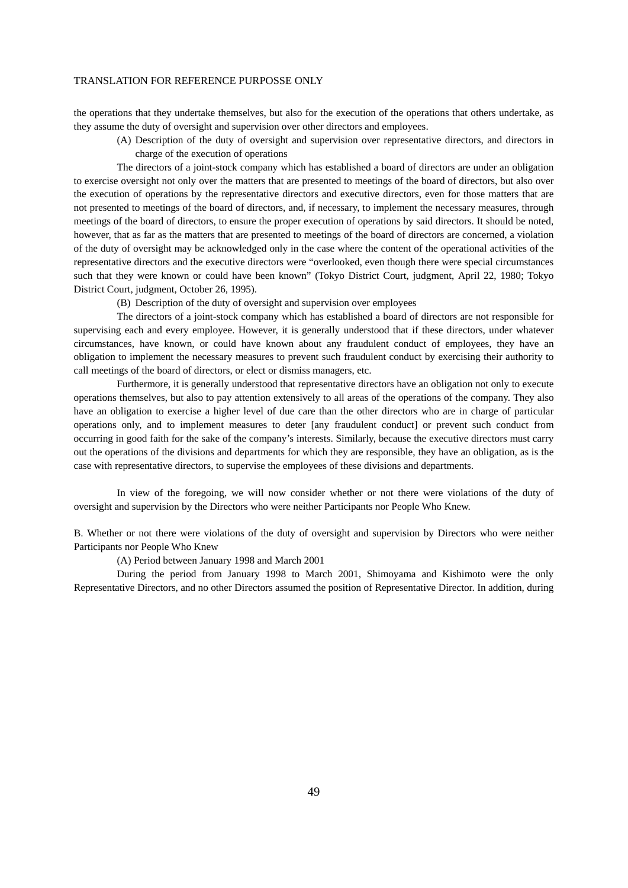the operations that they undertake themselves, but also for the execution of the operations that others undertake, as they assume the duty of oversight and supervision over other directors and employees.

(A) Description of the duty of oversight and supervision over representative directors, and directors in charge of the execution of operations

The directors of a joint-stock company which has established a board of directors are under an obligation to exercise oversight not only over the matters that are presented to meetings of the board of directors, but also over the execution of operations by the representative directors and executive directors, even for those matters that are not presented to meetings of the board of directors, and, if necessary, to implement the necessary measures, through meetings of the board of directors, to ensure the proper execution of operations by said directors. It should be noted, however, that as far as the matters that are presented to meetings of the board of directors are concerned, a violation of the duty of oversight may be acknowledged only in the case where the content of the operational activities of the representative directors and the executive directors were "overlooked, even though there were special circumstances such that they were known or could have been known" (Tokyo District Court, judgment, April 22, 1980; Tokyo District Court, judgment, October 26, 1995).

(B) Description of the duty of oversight and supervision over employees

The directors of a joint-stock company which has established a board of directors are not responsible for supervising each and every employee. However, it is generally understood that if these directors, under whatever circumstances, have known, or could have known about any fraudulent conduct of employees, they have an obligation to implement the necessary measures to prevent such fraudulent conduct by exercising their authority to call meetings of the board of directors, or elect or dismiss managers, etc.

Furthermore, it is generally understood that representative directors have an obligation not only to execute operations themselves, but also to pay attention extensively to all areas of the operations of the company. They also have an obligation to exercise a higher level of due care than the other directors who are in charge of particular operations only, and to implement measures to deter [any fraudulent conduct] or prevent such conduct from occurring in good faith for the sake of the company's interests. Similarly, because the executive directors must carry out the operations of the divisions and departments for which they are responsible, they have an obligation, as is the case with representative directors, to supervise the employees of these divisions and departments.

In view of the foregoing, we will now consider whether or not there were violations of the duty of oversight and supervision by the Directors who were neither Participants nor People Who Knew.

B. Whether or not there were violations of the duty of oversight and supervision by Directors who were neither Participants nor People Who Knew

(A) Period between January 1998 and March 2001

During the period from January 1998 to March 2001, Shimoyama and Kishimoto were the only Representative Directors, and no other Directors assumed the position of Representative Director. In addition, during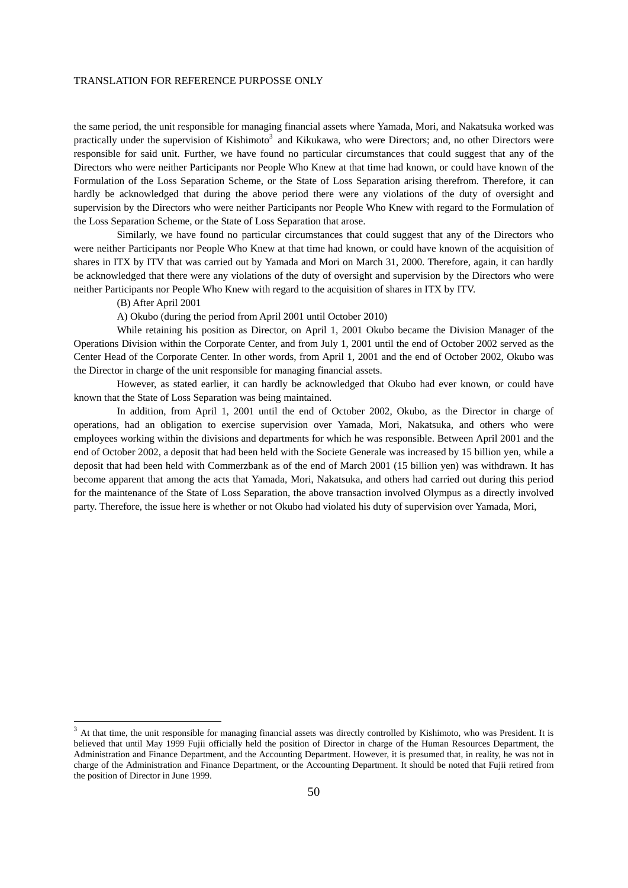the same period, the unit responsible for managing financial assets where Yamada, Mori, and Nakatsuka worked was practically under the supervision of Kishimoto<sup>3</sup> and Kikukawa, who were Directors; and, no other Directors were responsible for said unit. Further, we have found no particular circumstances that could suggest that any of the Directors who were neither Participants nor People Who Knew at that time had known, or could have known of the Formulation of the Loss Separation Scheme, or the State of Loss Separation arising therefrom. Therefore, it can hardly be acknowledged that during the above period there were any violations of the duty of oversight and supervision by the Directors who were neither Participants nor People Who Knew with regard to the Formulation of the Loss Separation Scheme, or the State of Loss Separation that arose.

Similarly, we have found no particular circumstances that could suggest that any of the Directors who were neither Participants nor People Who Knew at that time had known, or could have known of the acquisition of shares in ITX by ITV that was carried out by Yamada and Mori on March 31, 2000. Therefore, again, it can hardly be acknowledged that there were any violations of the duty of oversight and supervision by the Directors who were neither Participants nor People Who Knew with regard to the acquisition of shares in ITX by ITV.

# (B) After April 2001

-

A) Okubo (during the period from April 2001 until October 2010)

While retaining his position as Director, on April 1, 2001 Okubo became the Division Manager of the Operations Division within the Corporate Center, and from July 1, 2001 until the end of October 2002 served as the Center Head of the Corporate Center. In other words, from April 1, 2001 and the end of October 2002, Okubo was the Director in charge of the unit responsible for managing financial assets.

However, as stated earlier, it can hardly be acknowledged that Okubo had ever known, or could have known that the State of Loss Separation was being maintained.

In addition, from April 1, 2001 until the end of October 2002, Okubo, as the Director in charge of operations, had an obligation to exercise supervision over Yamada, Mori, Nakatsuka, and others who were employees working within the divisions and departments for which he was responsible. Between April 2001 and the end of October 2002, a deposit that had been held with the Societe Generale was increased by 15 billion yen, while a deposit that had been held with Commerzbank as of the end of March 2001 (15 billion yen) was withdrawn. It has become apparent that among the acts that Yamada, Mori, Nakatsuka, and others had carried out during this period for the maintenance of the State of Loss Separation, the above transaction involved Olympus as a directly involved party. Therefore, the issue here is whether or not Okubo had violated his duty of supervision over Yamada, Mori,

<sup>&</sup>lt;sup>3</sup> At that time, the unit responsible for managing financial assets was directly controlled by Kishimoto, who was President. It is believed that until May 1999 Fujii officially held the position of Director in charge of the Human Resources Department, the Administration and Finance Department, and the Accounting Department. However, it is presumed that, in reality, he was not in charge of the Administration and Finance Department, or the Accounting Department. It should be noted that Fujii retired from the position of Director in June 1999.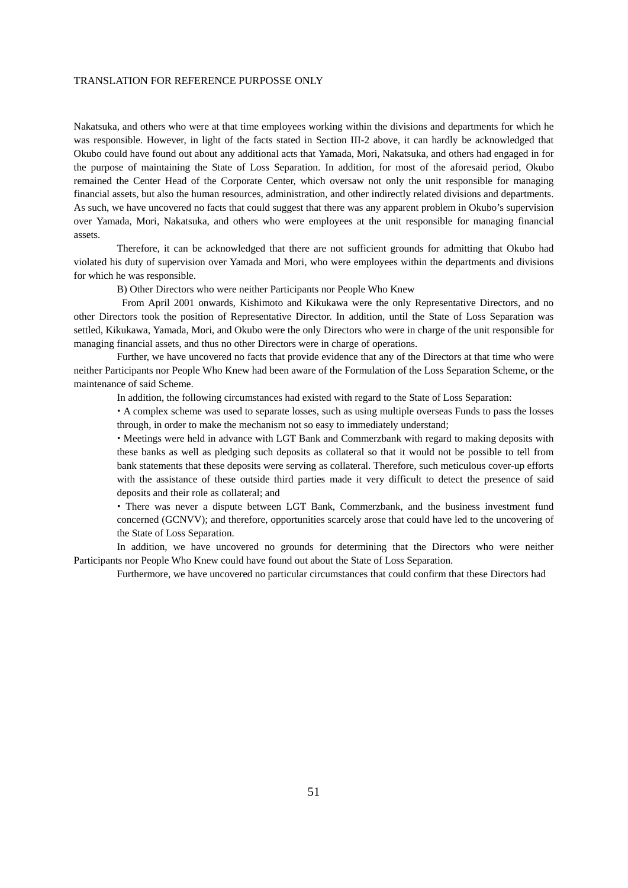Nakatsuka, and others who were at that time employees working within the divisions and departments for which he was responsible. However, in light of the facts stated in Section III-2 above, it can hardly be acknowledged that Okubo could have found out about any additional acts that Yamada, Mori, Nakatsuka, and others had engaged in for the purpose of maintaining the State of Loss Separation. In addition, for most of the aforesaid period, Okubo remained the Center Head of the Corporate Center, which oversaw not only the unit responsible for managing financial assets, but also the human resources, administration, and other indirectly related divisions and departments. As such, we have uncovered no facts that could suggest that there was any apparent problem in Okubo's supervision over Yamada, Mori, Nakatsuka, and others who were employees at the unit responsible for managing financial assets.

Therefore, it can be acknowledged that there are not sufficient grounds for admitting that Okubo had violated his duty of supervision over Yamada and Mori, who were employees within the departments and divisions for which he was responsible.

B) Other Directors who were neither Participants nor People Who Knew

 From April 2001 onwards, Kishimoto and Kikukawa were the only Representative Directors, and no other Directors took the position of Representative Director. In addition, until the State of Loss Separation was settled, Kikukawa, Yamada, Mori, and Okubo were the only Directors who were in charge of the unit responsible for managing financial assets, and thus no other Directors were in charge of operations.

Further, we have uncovered no facts that provide evidence that any of the Directors at that time who were neither Participants nor People Who Knew had been aware of the Formulation of the Loss Separation Scheme, or the maintenance of said Scheme.

In addition, the following circumstances had existed with regard to the State of Loss Separation:

 A complex scheme was used to separate losses, such as using multiple overseas Funds to pass the losses through, in order to make the mechanism not so easy to immediately understand;

 Meetings were held in advance with LGT Bank and Commerzbank with regard to making deposits with these banks as well as pledging such deposits as collateral so that it would not be possible to tell from bank statements that these deposits were serving as collateral. Therefore, such meticulous cover-up efforts with the assistance of these outside third parties made it very difficult to detect the presence of said deposits and their role as collateral; and

 There was never a dispute between LGT Bank, Commerzbank, and the business investment fund concerned (GCNVV); and therefore, opportunities scarcely arose that could have led to the uncovering of the State of Loss Separation.

In addition, we have uncovered no grounds for determining that the Directors who were neither Participants nor People Who Knew could have found out about the State of Loss Separation.

Furthermore, we have uncovered no particular circumstances that could confirm that these Directors had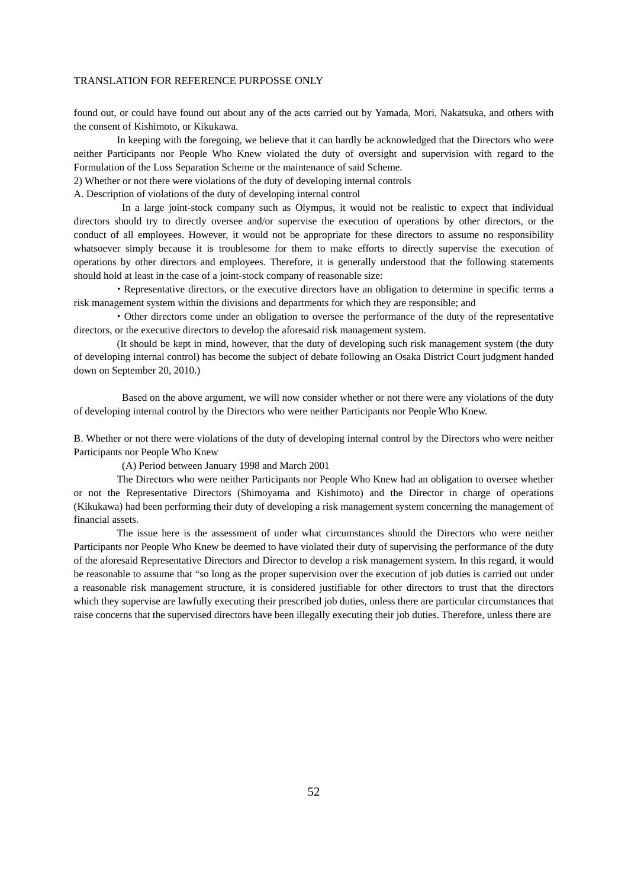found out, or could have found out about any of the acts carried out by Yamada, Mori, Nakatsuka, and others with the consent of Kishimoto, or Kikukawa.

In keeping with the foregoing, we believe that it can hardly be acknowledged that the Directors who were neither Participants nor People Who Knew violated the duty of oversight and supervision with regard to the Formulation of the Loss Separation Scheme or the maintenance of said Scheme.

2) Whether or not there were violations of the duty of developing internal controls

A. Description of violations of the duty of developing internal control

 In a large joint-stock company such as Olympus, it would not be realistic to expect that individual directors should try to directly oversee and/or supervise the execution of operations by other directors, or the conduct of all employees. However, it would not be appropriate for these directors to assume no responsibility whatsoever simply because it is troublesome for them to make efforts to directly supervise the execution of operations by other directors and employees. Therefore, it is generally understood that the following statements should hold at least in the case of a joint-stock company of reasonable size:

 Representative directors, or the executive directors have an obligation to determine in specific terms a risk management system within the divisions and departments for which they are responsible; and

 Other directors come under an obligation to oversee the performance of the duty of the representative directors, or the executive directors to develop the aforesaid risk management system.

(It should be kept in mind, however, that the duty of developing such risk management system (the duty of developing internal control) has become the subject of debate following an Osaka District Court judgment handed down on September 20, 2010.)

 Based on the above argument, we will now consider whether or not there were any violations of the duty of developing internal control by the Directors who were neither Participants nor People Who Knew.

B. Whether or not there were violations of the duty of developing internal control by the Directors who were neither Participants nor People Who Knew

(A) Period between January 1998 and March 2001

The Directors who were neither Participants nor People Who Knew had an obligation to oversee whether or not the Representative Directors (Shimoyama and Kishimoto) and the Director in charge of operations (Kikukawa) had been performing their duty of developing a risk management system concerning the management of financial assets.

The issue here is the assessment of under what circumstances should the Directors who were neither Participants nor People Who Knew be deemed to have violated their duty of supervising the performance of the duty of the aforesaid Representative Directors and Director to develop a risk management system. In this regard, it would be reasonable to assume that "so long as the proper supervision over the execution of job duties is carried out under a reasonable risk management structure, it is considered justifiable for other directors to trust that the directors which they supervise are lawfully executing their prescribed job duties, unless there are particular circumstances that raise concerns that the supervised directors have been illegally executing their job duties. Therefore, unless there are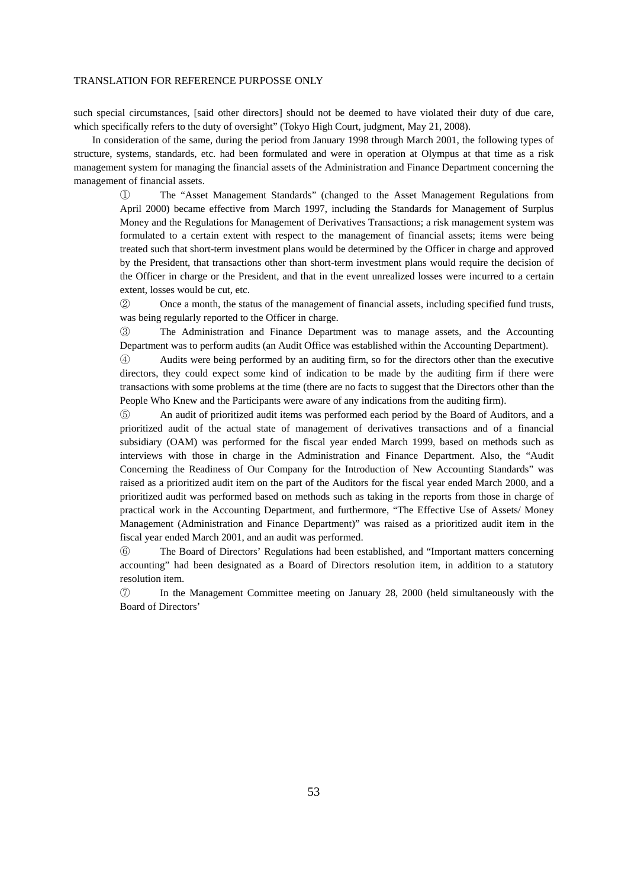such special circumstances, [said other directors] should not be deemed to have violated their duty of due care, which specifically refers to the duty of oversight" (Tokyo High Court, judgment, May 21, 2008).

In consideration of the same, during the period from January 1998 through March 2001, the following types of structure, systems, standards, etc. had been formulated and were in operation at Olympus at that time as a risk management system for managing the financial assets of the Administration and Finance Department concerning the management of financial assets.

① The "Asset Management Standards" (changed to the Asset Management Regulations from April 2000) became effective from March 1997, including the Standards for Management of Surplus Money and the Regulations for Management of Derivatives Transactions; a risk management system was formulated to a certain extent with respect to the management of financial assets; items were being treated such that short-term investment plans would be determined by the Officer in charge and approved by the President, that transactions other than short-term investment plans would require the decision of the Officer in charge or the President, and that in the event unrealized losses were incurred to a certain extent, losses would be cut, etc.

② Once a month, the status of the management of financial assets, including specified fund trusts, was being regularly reported to the Officer in charge.

③ The Administration and Finance Department was to manage assets, and the Accounting Department was to perform audits (an Audit Office was established within the Accounting Department).

④ Audits were being performed by an auditing firm, so for the directors other than the executive directors, they could expect some kind of indication to be made by the auditing firm if there were transactions with some problems at the time (there are no facts to suggest that the Directors other than the People Who Knew and the Participants were aware of any indications from the auditing firm).

⑤ An audit of prioritized audit items was performed each period by the Board of Auditors, and a prioritized audit of the actual state of management of derivatives transactions and of a financial subsidiary (OAM) was performed for the fiscal year ended March 1999, based on methods such as interviews with those in charge in the Administration and Finance Department. Also, the "Audit Concerning the Readiness of Our Company for the Introduction of New Accounting Standards" was raised as a prioritized audit item on the part of the Auditors for the fiscal year ended March 2000, and a prioritized audit was performed based on methods such as taking in the reports from those in charge of practical work in the Accounting Department, and furthermore, "The Effective Use of Assets/ Money Management (Administration and Finance Department)" was raised as a prioritized audit item in the fiscal year ended March 2001, and an audit was performed.

⑥ The Board of Directors' Regulations had been established, and "Important matters concerning accounting" had been designated as a Board of Directors resolution item, in addition to a statutory resolution item.

⑦ In the Management Committee meeting on January 28, 2000 (held simultaneously with the Board of Directors'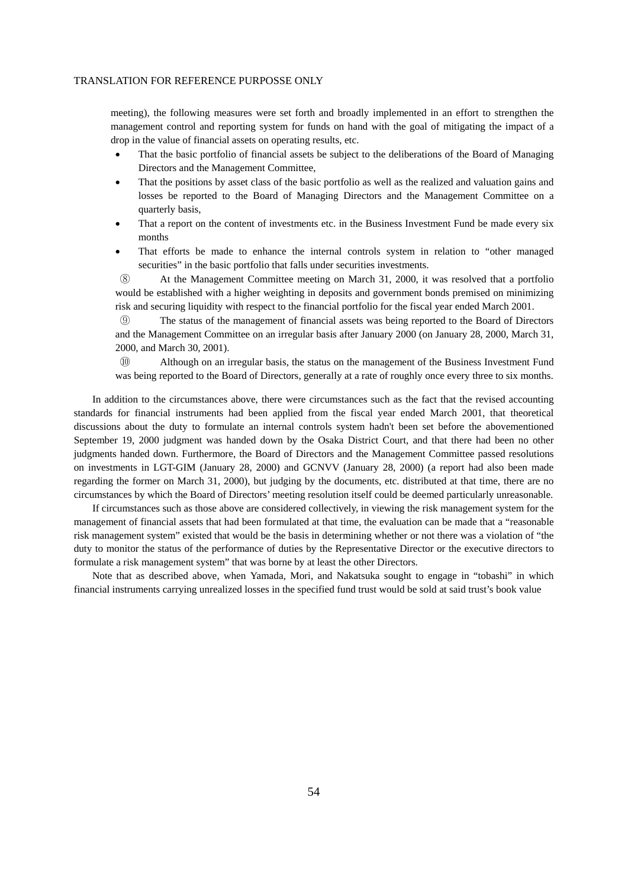meeting), the following measures were set forth and broadly implemented in an effort to strengthen the management control and reporting system for funds on hand with the goal of mitigating the impact of a drop in the value of financial assets on operating results, etc.

- That the basic portfolio of financial assets be subject to the deliberations of the Board of Managing Directors and the Management Committee,
- That the positions by asset class of the basic portfolio as well as the realized and valuation gains and losses be reported to the Board of Managing Directors and the Management Committee on a quarterly basis,
- That a report on the content of investments etc. in the Business Investment Fund be made every six months
- That efforts be made to enhance the internal controls system in relation to "other managed securities" in the basic portfolio that falls under securities investments.

⑧ At the Management Committee meeting on March 31, 2000, it was resolved that a portfolio would be established with a higher weighting in deposits and government bonds premised on minimizing risk and securing liquidity with respect to the financial portfolio for the fiscal year ended March 2001.

⑨ The status of the management of financial assets was being reported to the Board of Directors and the Management Committee on an irregular basis after January 2000 (on January 28, 2000, March 31, 2000, and March 30, 2001).

⑩ Although on an irregular basis, the status on the management of the Business Investment Fund was being reported to the Board of Directors, generally at a rate of roughly once every three to six months.

In addition to the circumstances above, there were circumstances such as the fact that the revised accounting standards for financial instruments had been applied from the fiscal year ended March 2001, that theoretical discussions about the duty to formulate an internal controls system hadn't been set before the abovementioned September 19, 2000 judgment was handed down by the Osaka District Court, and that there had been no other judgments handed down. Furthermore, the Board of Directors and the Management Committee passed resolutions on investments in LGT-GIM (January 28, 2000) and GCNVV (January 28, 2000) (a report had also been made regarding the former on March 31, 2000), but judging by the documents, etc. distributed at that time, there are no circumstances by which the Board of Directors' meeting resolution itself could be deemed particularly unreasonable.

If circumstances such as those above are considered collectively, in viewing the risk management system for the management of financial assets that had been formulated at that time, the evaluation can be made that a "reasonable risk management system" existed that would be the basis in determining whether or not there was a violation of "the duty to monitor the status of the performance of duties by the Representative Director or the executive directors to formulate a risk management system" that was borne by at least the other Directors.

Note that as described above, when Yamada, Mori, and Nakatsuka sought to engage in "tobashi" in which financial instruments carrying unrealized losses in the specified fund trust would be sold at said trust's book value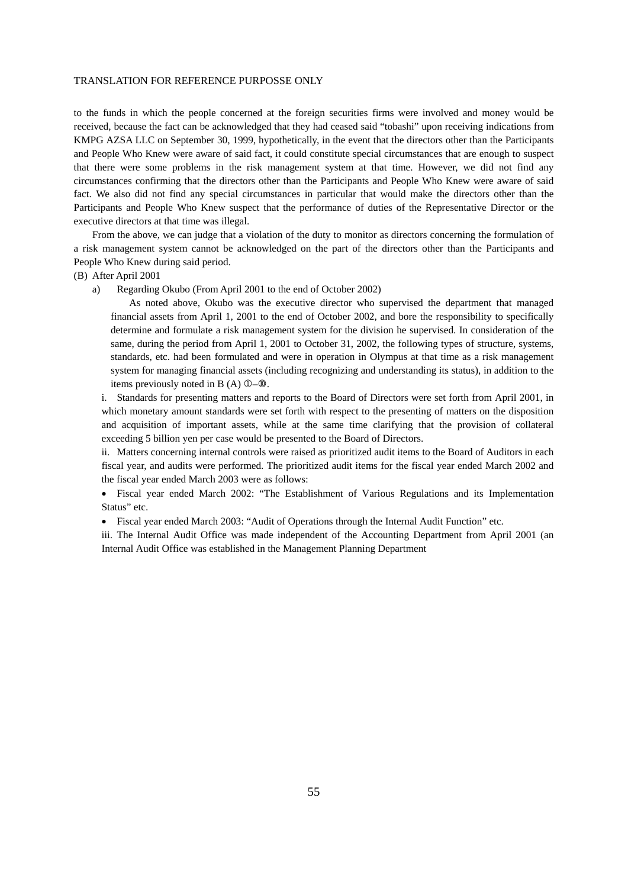to the funds in which the people concerned at the foreign securities firms were involved and money would be received, because the fact can be acknowledged that they had ceased said "tobashi" upon receiving indications from KMPG AZSA LLC on September 30, 1999, hypothetically, in the event that the directors other than the Participants and People Who Knew were aware of said fact, it could constitute special circumstances that are enough to suspect that there were some problems in the risk management system at that time. However, we did not find any circumstances confirming that the directors other than the Participants and People Who Knew were aware of said fact. We also did not find any special circumstances in particular that would make the directors other than the Participants and People Who Knew suspect that the performance of duties of the Representative Director or the executive directors at that time was illegal.

From the above, we can judge that a violation of the duty to monitor as directors concerning the formulation of a risk management system cannot be acknowledged on the part of the directors other than the Participants and People Who Knew during said period.

### (B) After April 2001

a) Regarding Okubo (From April 2001 to the end of October 2002)

As noted above, Okubo was the executive director who supervised the department that managed financial assets from April 1, 2001 to the end of October 2002, and bore the responsibility to specifically determine and formulate a risk management system for the division he supervised. In consideration of the same, during the period from April 1, 2001 to October 31, 2002, the following types of structure, systems, standards, etc. had been formulated and were in operation in Olympus at that time as a risk management system for managing financial assets (including recognizing and understanding its status), in addition to the items previously noted in B  $(A)$   $\mathbb{O}$ - $\mathbb{O}$ .

i. Standards for presenting matters and reports to the Board of Directors were set forth from April 2001, in which monetary amount standards were set forth with respect to the presenting of matters on the disposition and acquisition of important assets, while at the same time clarifying that the provision of collateral exceeding 5 billion yen per case would be presented to the Board of Directors.

ii. Matters concerning internal controls were raised as prioritized audit items to the Board of Auditors in each fiscal year, and audits were performed. The prioritized audit items for the fiscal year ended March 2002 and the fiscal year ended March 2003 were as follows:

• Fiscal year ended March 2002: "The Establishment of Various Regulations and its Implementation Status" etc.

Fiscal year ended March 2003: "Audit of Operations through the Internal Audit Function" etc.

iii. The Internal Audit Office was made independent of the Accounting Department from April 2001 (an Internal Audit Office was established in the Management Planning Department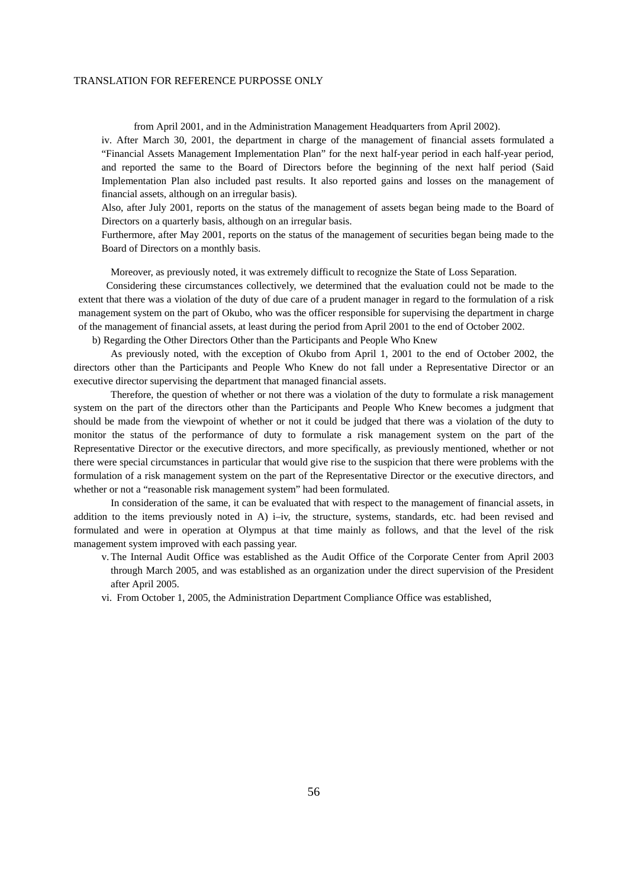from April 2001, and in the Administration Management Headquarters from April 2002).

iv. After March 30, 2001, the department in charge of the management of financial assets formulated a "Financial Assets Management Implementation Plan" for the next half-year period in each half-year period, and reported the same to the Board of Directors before the beginning of the next half period (Said Implementation Plan also included past results. It also reported gains and losses on the management of financial assets, although on an irregular basis).

Also, after July 2001, reports on the status of the management of assets began being made to the Board of Directors on a quarterly basis, although on an irregular basis.

Furthermore, after May 2001, reports on the status of the management of securities began being made to the Board of Directors on a monthly basis.

Moreover, as previously noted, it was extremely difficult to recognize the State of Loss Separation.

Considering these circumstances collectively, we determined that the evaluation could not be made to the extent that there was a violation of the duty of due care of a prudent manager in regard to the formulation of a risk management system on the part of Okubo, who was the officer responsible for supervising the department in charge of the management of financial assets, at least during the period from April 2001 to the end of October 2002.

b) Regarding the Other Directors Other than the Participants and People Who Knew

As previously noted, with the exception of Okubo from April 1, 2001 to the end of October 2002, the directors other than the Participants and People Who Knew do not fall under a Representative Director or an executive director supervising the department that managed financial assets.

Therefore, the question of whether or not there was a violation of the duty to formulate a risk management system on the part of the directors other than the Participants and People Who Knew becomes a judgment that should be made from the viewpoint of whether or not it could be judged that there was a violation of the duty to monitor the status of the performance of duty to formulate a risk management system on the part of the Representative Director or the executive directors, and more specifically, as previously mentioned, whether or not there were special circumstances in particular that would give rise to the suspicion that there were problems with the formulation of a risk management system on the part of the Representative Director or the executive directors, and whether or not a "reasonable risk management system" had been formulated.

In consideration of the same, it can be evaluated that with respect to the management of financial assets, in addition to the items previously noted in A) i–iv, the structure, systems, standards, etc. had been revised and formulated and were in operation at Olympus at that time mainly as follows, and that the level of the risk management system improved with each passing year.

v. The Internal Audit Office was established as the Audit Office of the Corporate Center from April 2003 through March 2005, and was established as an organization under the direct supervision of the President after April 2005.

vi. From October 1, 2005, the Administration Department Compliance Office was established,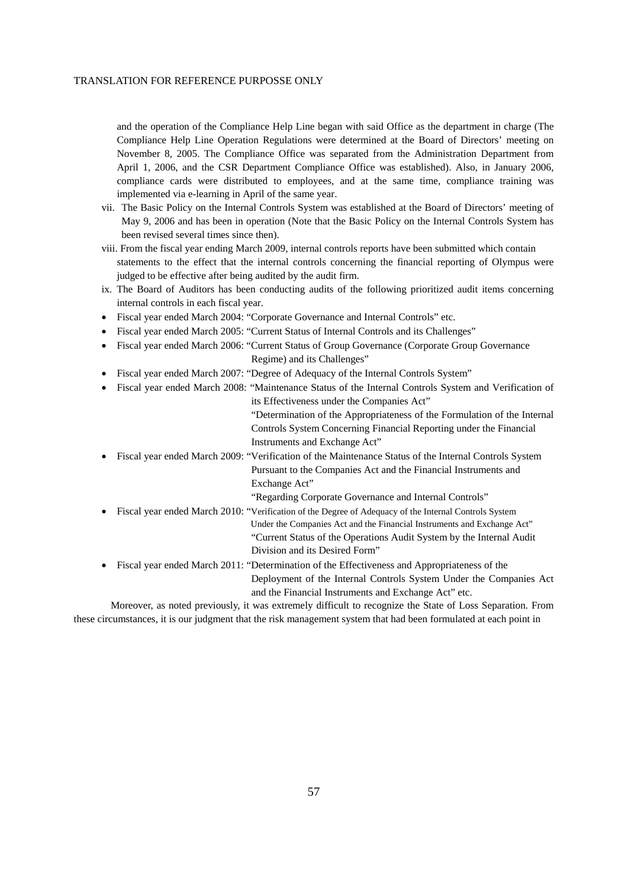and the operation of the Compliance Help Line began with said Office as the department in charge (The Compliance Help Line Operation Regulations were determined at the Board of Directors' meeting on November 8, 2005. The Compliance Office was separated from the Administration Department from April 1, 2006, and the CSR Department Compliance Office was established). Also, in January 2006, compliance cards were distributed to employees, and at the same time, compliance training was implemented via e-learning in April of the same year.

- vii. The Basic Policy on the Internal Controls System was established at the Board of Directors' meeting of May 9, 2006 and has been in operation (Note that the Basic Policy on the Internal Controls System has been revised several times since then).
- viii. From the fiscal year ending March 2009, internal controls reports have been submitted which contain statements to the effect that the internal controls concerning the financial reporting of Olympus were judged to be effective after being audited by the audit firm.
- ix. The Board of Auditors has been conducting audits of the following prioritized audit items concerning internal controls in each fiscal year.
- Fiscal year ended March 2004: "Corporate Governance and Internal Controls" etc.
- Fiscal year ended March 2005: "Current Status of Internal Controls and its Challenges"
- Fiscal year ended March 2006: "Current Status of Group Governance (Corporate Group Governance Regime) and its Challenges"
- Fiscal year ended March 2007: "Degree of Adequacy of the Internal Controls System"
- Fiscal year ended March 2008: "Maintenance Status of the Internal Controls System and Verification of its Effectiveness under the Companies Act" "Determination of the Appropriateness of the Formulation of the Internal Controls System Concerning Financial Reporting under the Financial Instruments and Exchange Act" Fiscal year ended March 2009: "Verification of the Maintenance Status of the Internal Controls System Pursuant to the Companies Act and the Financial Instruments and

Exchange Act"

"Regarding Corporate Governance and Internal Controls"

- Fiscal year ended March 2010: "Verification of the Degree of Adequacy of the Internal Controls System Under the Companies Act and the Financial Instruments and Exchange Act" "Current Status of the Operations Audit System by the Internal Audit Division and its Desired Form"
- Fiscal year ended March 2011: "Determination of the Effectiveness and Appropriateness of the Deployment of the Internal Controls System Under the Companies Act and the Financial Instruments and Exchange Act" etc.

Moreover, as noted previously, it was extremely difficult to recognize the State of Loss Separation. From these circumstances, it is our judgment that the risk management system that had been formulated at each point in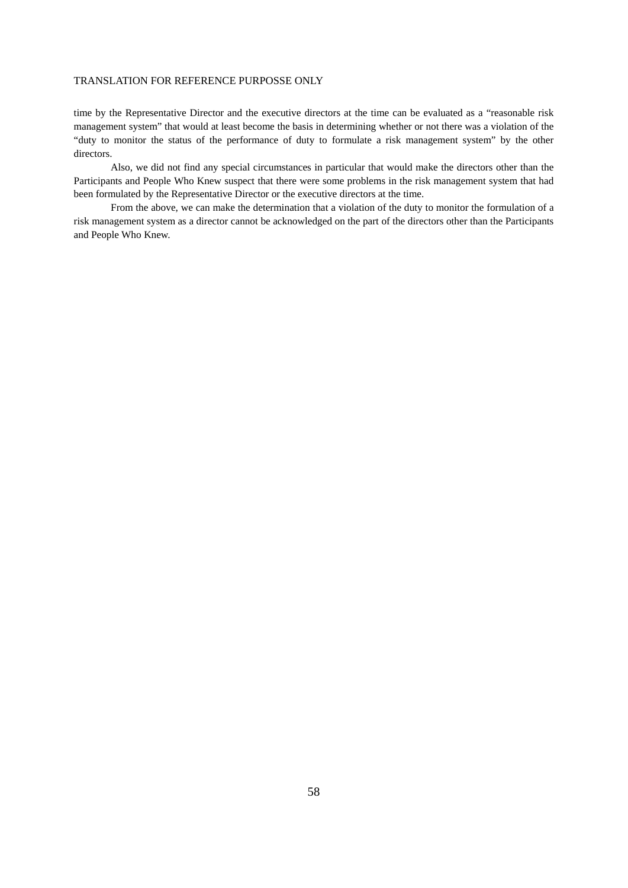time by the Representative Director and the executive directors at the time can be evaluated as a "reasonable risk management system" that would at least become the basis in determining whether or not there was a violation of the "duty to monitor the status of the performance of duty to formulate a risk management system" by the other directors.

Also, we did not find any special circumstances in particular that would make the directors other than the Participants and People Who Knew suspect that there were some problems in the risk management system that had been formulated by the Representative Director or the executive directors at the time.

From the above, we can make the determination that a violation of the duty to monitor the formulation of a risk management system as a director cannot be acknowledged on the part of the directors other than the Participants and People Who Knew.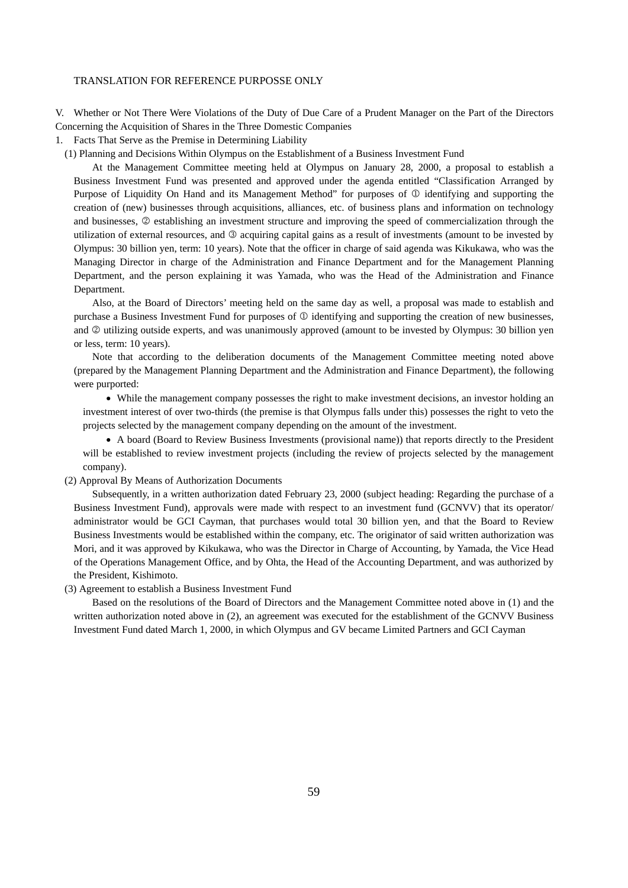V. Whether or Not There Were Violations of the Duty of Due Care of a Prudent Manager on the Part of the Directors Concerning the Acquisition of Shares in the Three Domestic Companies

- 1. Facts That Serve as the Premise in Determining Liability
	- (1) Planning and Decisions Within Olympus on the Establishment of a Business Investment Fund

At the Management Committee meeting held at Olympus on January 28, 2000, a proposal to establish a Business Investment Fund was presented and approved under the agenda entitled "Classification Arranged by Purpose of Liquidity On Hand and its Management Method" for purposes of  $\mathbb O$  identifying and supporting the creation of (new) businesses through acquisitions, alliances, etc. of business plans and information on technology and businesses,  $\oslash$  establishing an investment structure and improving the speed of commercialization through the utilization of external resources, and  $\circled{a}$  acquiring capital gains as a result of investments (amount to be invested by Olympus: 30 billion yen, term: 10 years). Note that the officer in charge of said agenda was Kikukawa, who was the Managing Director in charge of the Administration and Finance Department and for the Management Planning Department, and the person explaining it was Yamada, who was the Head of the Administration and Finance Department.

Also, at the Board of Directors' meeting held on the same day as well, a proposal was made to establish and purchase a Business Investment Fund for purposes of  $\Phi$  identifying and supporting the creation of new businesses, and  $\oslash$  utilizing outside experts, and was unanimously approved (amount to be invested by Olympus: 30 billion yen or less, term: 10 years).

Note that according to the deliberation documents of the Management Committee meeting noted above (prepared by the Management Planning Department and the Administration and Finance Department), the following were purported:

 While the management company possesses the right to make investment decisions, an investor holding an investment interest of over two-thirds (the premise is that Olympus falls under this) possesses the right to veto the projects selected by the management company depending on the amount of the investment.

 A board (Board to Review Business Investments (provisional name)) that reports directly to the President will be established to review investment projects (including the review of projects selected by the management company).

# (2) Approval By Means of Authorization Documents

Subsequently, in a written authorization dated February 23, 2000 (subject heading: Regarding the purchase of a Business Investment Fund), approvals were made with respect to an investment fund (GCNVV) that its operator/ administrator would be GCI Cayman, that purchases would total 30 billion yen, and that the Board to Review Business Investments would be established within the company, etc. The originator of said written authorization was Mori, and it was approved by Kikukawa, who was the Director in Charge of Accounting, by Yamada, the Vice Head of the Operations Management Office, and by Ohta, the Head of the Accounting Department, and was authorized by the President, Kishimoto.

#### (3) Agreement to establish a Business Investment Fund

Based on the resolutions of the Board of Directors and the Management Committee noted above in (1) and the written authorization noted above in (2), an agreement was executed for the establishment of the GCNVV Business Investment Fund dated March 1, 2000, in which Olympus and GV became Limited Partners and GCI Cayman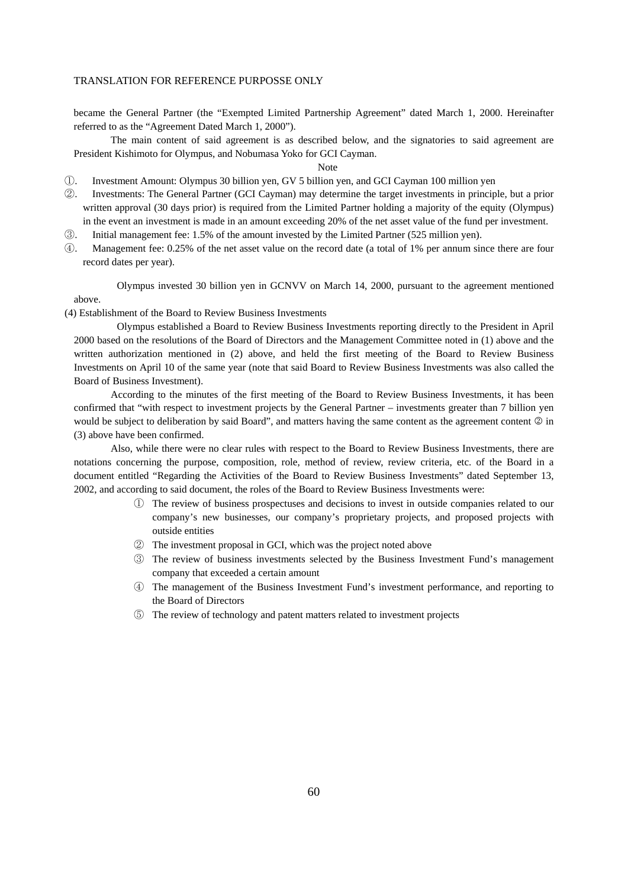became the General Partner (the "Exempted Limited Partnership Agreement" dated March 1, 2000. Hereinafter referred to as the "Agreement Dated March 1, 2000").

The main content of said agreement is as described below, and the signatories to said agreement are President Kishimoto for Olympus, and Nobumasa Yoko for GCI Cayman.

# Note

- ①. Investment Amount: Olympus 30 billion yen, GV 5 billion yen, and GCI Cayman 100 million yen
- ②. Investments: The General Partner (GCI Cayman) may determine the target investments in principle, but a prior written approval (30 days prior) is required from the Limited Partner holding a majority of the equity (Olympus) in the event an investment is made in an amount exceeding 20% of the net asset value of the fund per investment.
- ③. Initial management fee: 1.5% of the amount invested by the Limited Partner (525 million yen).
- ④. Management fee: 0.25% of the net asset value on the record date (a total of 1% per annum since there are four record dates per year).

 Olympus invested 30 billion yen in GCNVV on March 14, 2000, pursuant to the agreement mentioned above.

(4) Establishment of the Board to Review Business Investments

 Olympus established a Board to Review Business Investments reporting directly to the President in April 2000 based on the resolutions of the Board of Directors and the Management Committee noted in (1) above and the written authorization mentioned in (2) above, and held the first meeting of the Board to Review Business Investments on April 10 of the same year (note that said Board to Review Business Investments was also called the Board of Business Investment).

According to the minutes of the first meeting of the Board to Review Business Investments, it has been confirmed that "with respect to investment projects by the General Partner – investments greater than 7 billion yen would be subject to deliberation by said Board", and matters having the same content as the agreement content  $\circledcirc$  in (3) above have been confirmed.

Also, while there were no clear rules with respect to the Board to Review Business Investments, there are notations concerning the purpose, composition, role, method of review, review criteria, etc. of the Board in a document entitled "Regarding the Activities of the Board to Review Business Investments" dated September 13, 2002, and according to said document, the roles of the Board to Review Business Investments were:

- ① The review of business prospectuses and decisions to invest in outside companies related to our company's new businesses, our company's proprietary projects, and proposed projects with outside entities
- ② The investment proposal in GCI, which was the project noted above
- ③ The review of business investments selected by the Business Investment Fund's management company that exceeded a certain amount
- ④ The management of the Business Investment Fund's investment performance, and reporting to the Board of Directors
- ⑤ The review of technology and patent matters related to investment projects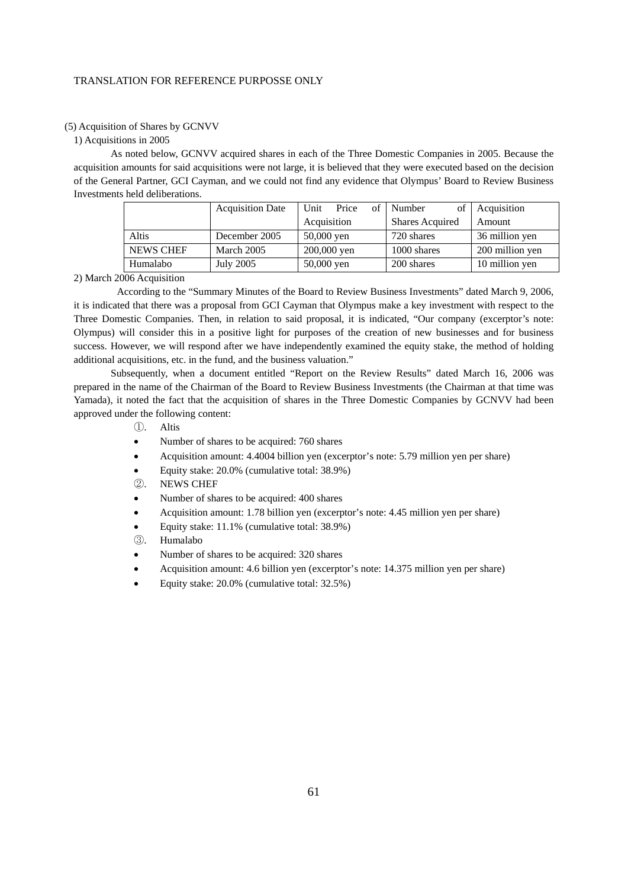# (5) Acquisition of Shares by GCNVV

# 1) Acquisitions in 2005

As noted below, GCNVV acquired shares in each of the Three Domestic Companies in 2005. Because the acquisition amounts for said acquisitions were not large, it is believed that they were executed based on the decision of the General Partner, GCI Cayman, and we could not find any evidence that Olympus' Board to Review Business Investments held deliberations.

|                  | <b>Acquisition Date</b> | Price<br>of<br>Unit | of<br>Number           | Acquisition     |
|------------------|-------------------------|---------------------|------------------------|-----------------|
|                  |                         | Acquisition         | <b>Shares Acquired</b> | Amount          |
| Altis            | December 2005           | $50,000$ yen        | 720 shares             | 36 million yen  |
| <b>NEWS CHEF</b> | March 2005              | 200,000 yen         | 1000 shares            | 200 million yen |
| Humalabo         | July 2005               | $50,000$ yen        | 200 shares             | 10 million yen  |

#### 2) March 2006 Acquisition

 According to the "Summary Minutes of the Board to Review Business Investments" dated March 9, 2006, it is indicated that there was a proposal from GCI Cayman that Olympus make a key investment with respect to the Three Domestic Companies. Then, in relation to said proposal, it is indicated, "Our company (excerptor's note: Olympus) will consider this in a positive light for purposes of the creation of new businesses and for business success. However, we will respond after we have independently examined the equity stake, the method of holding additional acquisitions, etc. in the fund, and the business valuation."

Subsequently, when a document entitled "Report on the Review Results" dated March 16, 2006 was prepared in the name of the Chairman of the Board to Review Business Investments (the Chairman at that time was Yamada), it noted the fact that the acquisition of shares in the Three Domestic Companies by GCNVV had been approved under the following content:

- ①. Altis
- Number of shares to be acquired: 760 shares
- Acquisition amount: 4.4004 billion yen (excerptor's note: 5.79 million yen per share)
- Equity stake: 20.0% (cumulative total: 38.9%)
- ②. NEWS CHEF
- Number of shares to be acquired: 400 shares
- Acquisition amount: 1.78 billion yen (excerptor's note: 4.45 million yen per share)
- Equity stake: 11.1% (cumulative total: 38.9%)
- ③. Humalabo
- Number of shares to be acquired: 320 shares
- Acquisition amount: 4.6 billion yen (excerptor's note: 14.375 million yen per share)
- Equity stake: 20.0% (cumulative total: 32.5%)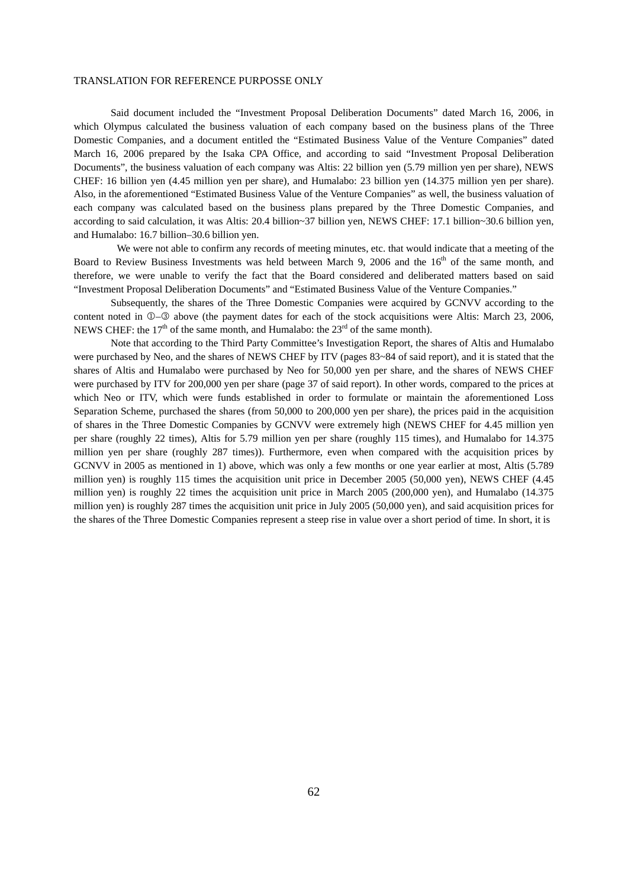Said document included the "Investment Proposal Deliberation Documents" dated March 16, 2006, in which Olympus calculated the business valuation of each company based on the business plans of the Three Domestic Companies, and a document entitled the "Estimated Business Value of the Venture Companies" dated March 16, 2006 prepared by the Isaka CPA Office, and according to said "Investment Proposal Deliberation Documents", the business valuation of each company was Altis: 22 billion yen (5.79 million yen per share), NEWS CHEF: 16 billion yen (4.45 million yen per share), and Humalabo: 23 billion yen (14.375 million yen per share). Also, in the aforementioned "Estimated Business Value of the Venture Companies" as well, the business valuation of each company was calculated based on the business plans prepared by the Three Domestic Companies, and according to said calculation, it was Altis: 20.4 billion~37 billion yen, NEWS CHEF: 17.1 billion~30.6 billion yen, and Humalabo: 16.7 billion–30.6 billion yen.

We were not able to confirm any records of meeting minutes, etc. that would indicate that a meeting of the Board to Review Business Investments was held between March 9, 2006 and the 16<sup>th</sup> of the same month, and therefore, we were unable to verify the fact that the Board considered and deliberated matters based on said "Investment Proposal Deliberation Documents" and "Estimated Business Value of the Venture Companies."

Subsequently, the shares of the Three Domestic Companies were acquired by GCNVV according to the content noted in  $\mathbb{O}-\mathbb{O}$  above (the payment dates for each of the stock acquisitions were Altis: March 23, 2006, NEWS CHEF: the  $17<sup>th</sup>$  of the same month, and Humalabo: the  $23<sup>rd</sup>$  of the same month).

Note that according to the Third Party Committee's Investigation Report, the shares of Altis and Humalabo were purchased by Neo, and the shares of NEWS CHEF by ITV (pages  $83-84$  of said report), and it is stated that the shares of Altis and Humalabo were purchased by Neo for 50,000 yen per share, and the shares of NEWS CHEF were purchased by ITV for 200,000 yen per share (page 37 of said report). In other words, compared to the prices at which Neo or ITV, which were funds established in order to formulate or maintain the aforementioned Loss Separation Scheme, purchased the shares (from 50,000 to 200,000 yen per share), the prices paid in the acquisition of shares in the Three Domestic Companies by GCNVV were extremely high (NEWS CHEF for 4.45 million yen per share (roughly 22 times), Altis for 5.79 million yen per share (roughly 115 times), and Humalabo for 14.375 million yen per share (roughly 287 times)). Furthermore, even when compared with the acquisition prices by GCNVV in 2005 as mentioned in 1) above, which was only a few months or one year earlier at most, Altis (5.789 million yen) is roughly 115 times the acquisition unit price in December 2005 (50,000 yen), NEWS CHEF (4.45 million yen) is roughly 22 times the acquisition unit price in March 2005 (200,000 yen), and Humalabo (14.375 million yen) is roughly 287 times the acquisition unit price in July 2005 (50,000 yen), and said acquisition prices for the shares of the Three Domestic Companies represent a steep rise in value over a short period of time. In short, it is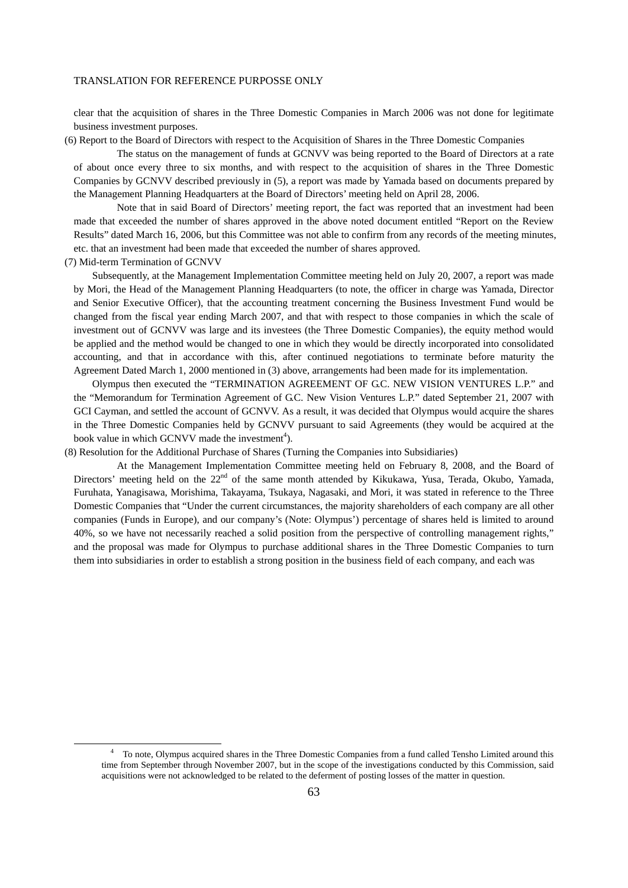clear that the acquisition of shares in the Three Domestic Companies in March 2006 was not done for legitimate business investment purposes.

(6) Report to the Board of Directors with respect to the Acquisition of Shares in the Three Domestic Companies

 The status on the management of funds at GCNVV was being reported to the Board of Directors at a rate of about once every three to six months, and with respect to the acquisition of shares in the Three Domestic Companies by GCNVV described previously in (5), a report was made by Yamada based on documents prepared by the Management Planning Headquarters at the Board of Directors' meeting held on April 28, 2006.

 Note that in said Board of Directors' meeting report, the fact was reported that an investment had been made that exceeded the number of shares approved in the above noted document entitled "Report on the Review Results" dated March 16, 2006, but this Committee was not able to confirm from any records of the meeting minutes, etc. that an investment had been made that exceeded the number of shares approved.

(7) Mid-term Termination of GCNVV

Subsequently, at the Management Implementation Committee meeting held on July 20, 2007, a report was made by Mori, the Head of the Management Planning Headquarters (to note, the officer in charge was Yamada, Director and Senior Executive Officer), that the accounting treatment concerning the Business Investment Fund would be changed from the fiscal year ending March 2007, and that with respect to those companies in which the scale of investment out of GCNVV was large and its investees (the Three Domestic Companies), the equity method would be applied and the method would be changed to one in which they would be directly incorporated into consolidated accounting, and that in accordance with this, after continued negotiations to terminate before maturity the Agreement Dated March 1, 2000 mentioned in (3) above, arrangements had been made for its implementation.

Olympus then executed the "TERMINATION AGREEMENT OF G.C. NEW VISION VENTURES L.P." and the "Memorandum for Termination Agreement of G.C. New Vision Ventures L.P." dated September 21, 2007 with GCI Cayman, and settled the account of GCNVV. As a result, it was decided that Olympus would acquire the shares in the Three Domestic Companies held by GCNVV pursuant to said Agreements (they would be acquired at the book value in which GCNVV made the investment<sup>4</sup>).

(8) Resolution for the Additional Purchase of Shares (Turning the Companies into Subsidiaries)

 At the Management Implementation Committee meeting held on February 8, 2008, and the Board of Directors' meeting held on the 22<sup>nd</sup> of the same month attended by Kikukawa, Yusa, Terada, Okubo, Yamada, Furuhata, Yanagisawa, Morishima, Takayama, Tsukaya, Nagasaki, and Mori, it was stated in reference to the Three Domestic Companies that "Under the current circumstances, the majority shareholders of each company are all other companies (Funds in Europe), and our company's (Note: Olympus') percentage of shares held is limited to around 40%, so we have not necessarily reached a solid position from the perspective of controlling management rights," and the proposal was made for Olympus to purchase additional shares in the Three Domestic Companies to turn them into subsidiaries in order to establish a strong position in the business field of each company, and each was

 <sup>4</sup> To note, Olympus acquired shares in the Three Domestic Companies from a fund called Tensho Limited around this time from September through November 2007, but in the scope of the investigations conducted by this Commission, said acquisitions were not acknowledged to be related to the deferment of posting losses of the matter in question.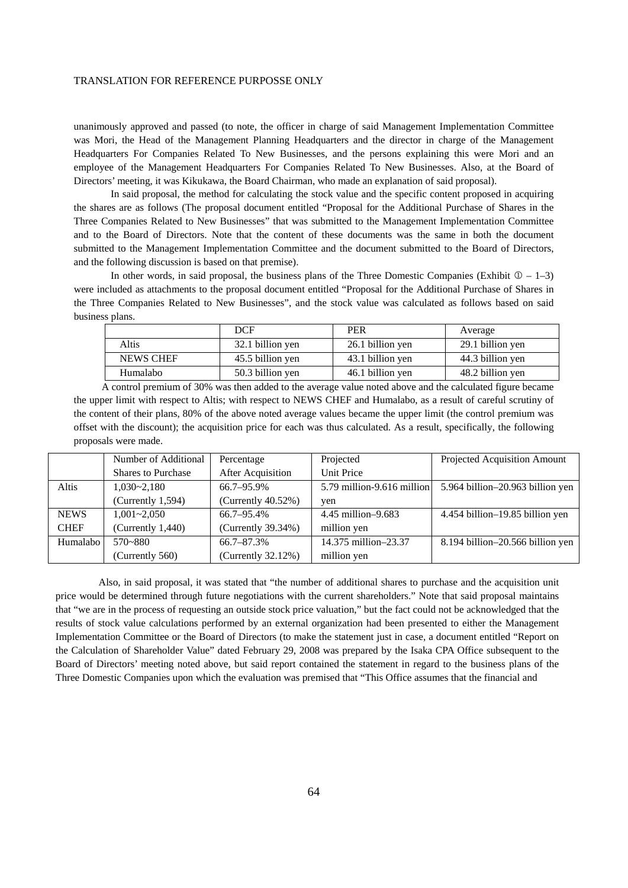unanimously approved and passed (to note, the officer in charge of said Management Implementation Committee was Mori, the Head of the Management Planning Headquarters and the director in charge of the Management Headquarters For Companies Related To New Businesses, and the persons explaining this were Mori and an employee of the Management Headquarters For Companies Related To New Businesses. Also, at the Board of Directors' meeting, it was Kikukawa, the Board Chairman, who made an explanation of said proposal).

In said proposal, the method for calculating the stock value and the specific content proposed in acquiring the shares are as follows (The proposal document entitled "Proposal for the Additional Purchase of Shares in the Three Companies Related to New Businesses" that was submitted to the Management Implementation Committee and to the Board of Directors. Note that the content of these documents was the same in both the document submitted to the Management Implementation Committee and the document submitted to the Board of Directors, and the following discussion is based on that premise).

In other words, in said proposal, the business plans of the Three Domestic Companies (Exhibit  $\mathbb{D} - 1-3$ ) were included as attachments to the proposal document entitled "Proposal for the Additional Purchase of Shares in the Three Companies Related to New Businesses", and the stock value was calculated as follows based on said business plans.

|                  | DCF              | PER              | Average          |
|------------------|------------------|------------------|------------------|
| Altis            | 32.1 billion yen | 26.1 billion yen | 29.1 billion yen |
| <b>NEWS CHEF</b> | 45.5 billion yen | 43.1 billion yen | 44.3 billion yen |
| Humalabo         | 50.3 billion yen | 46.1 billion yen | 48.2 billion yen |

A control premium of 30% was then added to the average value noted above and the calculated figure became the upper limit with respect to Altis; with respect to NEWS CHEF and Humalabo, as a result of careful scrutiny of the content of their plans, 80% of the above noted average values became the upper limit (the control premium was offset with the discount); the acquisition price for each was thus calculated. As a result, specifically, the following proposals were made.

|             | Number of Additional      | Percentage               | Projected                  | Projected Acquisition Amount     |
|-------------|---------------------------|--------------------------|----------------------------|----------------------------------|
|             | <b>Shares to Purchase</b> | <b>After Acquisition</b> | Unit Price                 |                                  |
| Altis       | $1,030 - 2,180$           | 66.7-95.9%               | 5.79 million-9.616 million | 5.964 billion-20.963 billion yen |
|             | (Currently 1,594)         | (Currently $40.52\%$ )   | ven                        |                                  |
| <b>NEWS</b> | $1,001 - 2,050$           | 66.7-95.4%               | 4.45 million-9.683         | 4.454 billion-19.85 billion yen  |
| <b>CHEF</b> | (Currently 1,440)         | (Currently 39.34%)       | million yen                |                                  |
| Humalabo    | $570 - 880$               | 66.7–87.3%               | 14.375 million-23.37       | 8.194 billion-20.566 billion yen |
|             | (Currently 560)           | (Currently $32.12\%$ )   | million yen                |                                  |

Also, in said proposal, it was stated that "the number of additional shares to purchase and the acquisition unit price would be determined through future negotiations with the current shareholders." Note that said proposal maintains that "we are in the process of requesting an outside stock price valuation," but the fact could not be acknowledged that the results of stock value calculations performed by an external organization had been presented to either the Management Implementation Committee or the Board of Directors (to make the statement just in case, a document entitled "Report on the Calculation of Shareholder Value" dated February 29, 2008 was prepared by the Isaka CPA Office subsequent to the Board of Directors' meeting noted above, but said report contained the statement in regard to the business plans of the Three Domestic Companies upon which the evaluation was premised that "This Office assumes that the financial and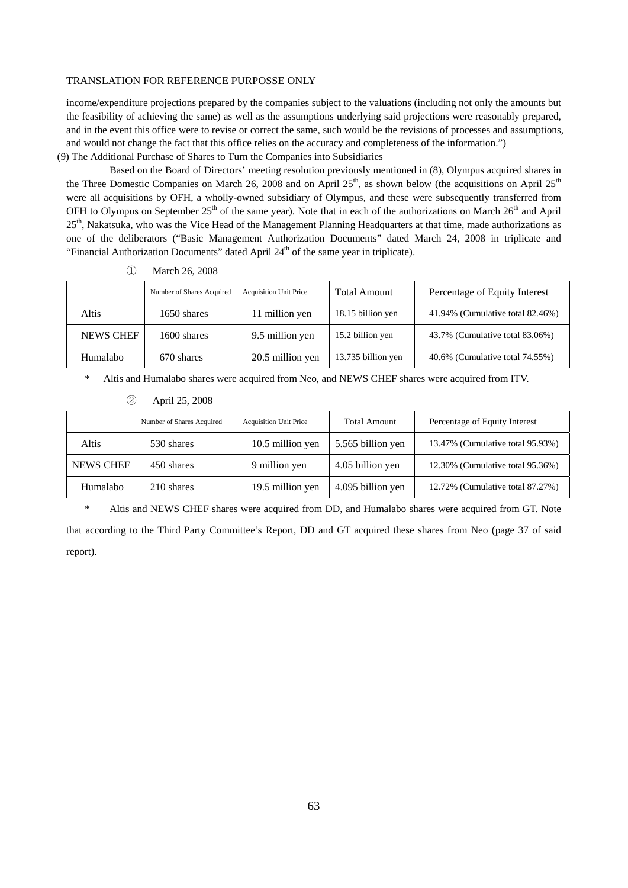income/expenditure projections prepared by the companies subject to the valuations (including not only the amounts but the feasibility of achieving the same) as well as the assumptions underlying said projections were reasonably prepared, and in the event this office were to revise or correct the same, such would be the revisions of processes and assumptions, and would not change the fact that this office relies on the accuracy and completeness of the information.")

(9) The Additional Purchase of Shares to Turn the Companies into Subsidiaries

Based on the Board of Directors' meeting resolution previously mentioned in (8), Olympus acquired shares in the Three Domestic Companies on March 26, 2008 and on April 25<sup>th</sup>, as shown below (the acquisitions on April 25<sup>th</sup>) were all acquisitions by OFH, a wholly-owned subsidiary of Olympus, and these were subsequently transferred from OFH to Olympus on September  $25<sup>th</sup>$  of the same year). Note that in each of the authorizations on March  $26<sup>th</sup>$  and April 25<sup>th</sup>, Nakatsuka, who was the Vice Head of the Management Planning Headquarters at that time, made authorizations as one of the deliberators ("Basic Management Authorization Documents" dated March 24, 2008 in triplicate and "Financial Authorization Documents" dated April 24<sup>th</sup> of the same year in triplicate).

|                  | Number of Shares Acquired | <b>Acquisition Unit Price</b> | <b>Total Amount</b> | Percentage of Equity Interest    |
|------------------|---------------------------|-------------------------------|---------------------|----------------------------------|
| Altis            | 1650 shares               | 11 million yen                | 18.15 billion yen   | 41.94% (Cumulative total 82.46%) |
| <b>NEWS CHEF</b> | 1600 shares               | 9.5 million yen               | 15.2 billion yen    | 43.7% (Cumulative total 83.06%)  |
| Humalabo         | 670 shares                | 20.5 million yen              | 13.735 billion yen  | 40.6% (Cumulative total 74.55%)  |

① March 26, 2008

\* Altis and Humalabo shares were acquired from Neo, and NEWS CHEF shares were acquired from ITV.

| (2)<br>April 25, 2008 |  |
|-----------------------|--|
|-----------------------|--|

|           | Number of Shares Acquired | <b>Acquisition Unit Price</b> | <b>Total Amount</b> | Percentage of Equity Interest    |
|-----------|---------------------------|-------------------------------|---------------------|----------------------------------|
| Altis     | 530 shares                | 10.5 million yen              | 5.565 billion yen   | 13.47% (Cumulative total 95.93%) |
| NEWS CHEF | 450 shares                | 9 million yen                 | 4.05 billion yen    | 12.30% (Cumulative total 95.36%) |
| Humalabo  | 210 shares                | 19.5 million yen              | 4.095 billion yen   | 12.72% (Cumulative total 87.27%) |

\* Altis and NEWS CHEF shares were acquired from DD, and Humalabo shares were acquired from GT. Note

that according to the Third Party Committee's Report, DD and GT acquired these shares from Neo (page 37 of said report).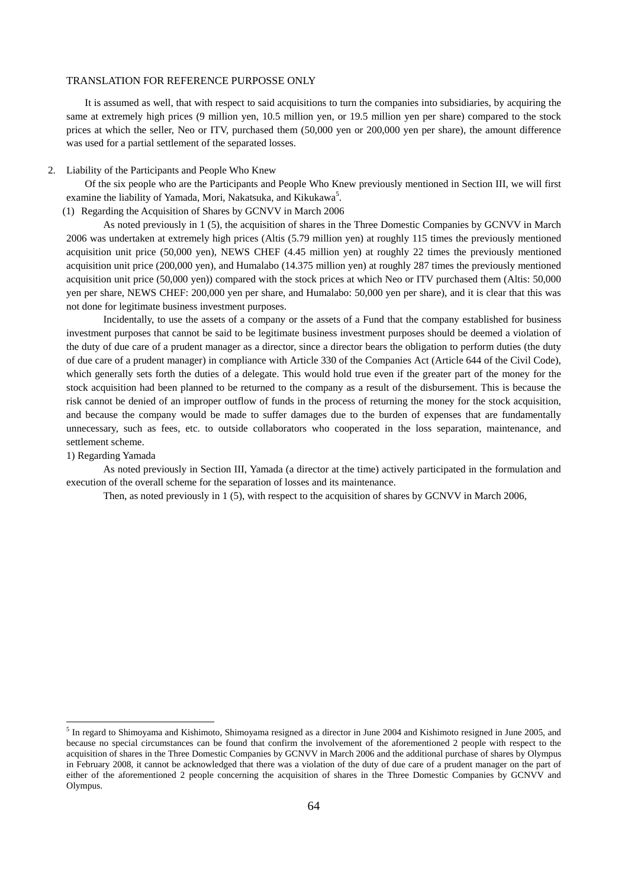It is assumed as well, that with respect to said acquisitions to turn the companies into subsidiaries, by acquiring the same at extremely high prices (9 million yen, 10.5 million yen, or 19.5 million yen per share) compared to the stock prices at which the seller, Neo or ITV, purchased them (50,000 yen or 200,000 yen per share), the amount difference was used for a partial settlement of the separated losses.

### 2. Liability of the Participants and People Who Knew

Of the six people who are the Participants and People Who Knew previously mentioned in Section III, we will first examine the liability of Yamada, Mori, Nakatsuka, and Kikukawa<sup>5</sup>.

(1) Regarding the Acquisition of Shares by GCNVV in March 2006

As noted previously in 1 (5), the acquisition of shares in the Three Domestic Companies by GCNVV in March 2006 was undertaken at extremely high prices (Altis (5.79 million yen) at roughly 115 times the previously mentioned acquisition unit price (50,000 yen), NEWS CHEF (4.45 million yen) at roughly 22 times the previously mentioned acquisition unit price (200,000 yen), and Humalabo (14.375 million yen) at roughly 287 times the previously mentioned acquisition unit price (50,000 yen)) compared with the stock prices at which Neo or ITV purchased them (Altis: 50,000 yen per share, NEWS CHEF: 200,000 yen per share, and Humalabo: 50,000 yen per share), and it is clear that this was not done for legitimate business investment purposes.

Incidentally, to use the assets of a company or the assets of a Fund that the company established for business investment purposes that cannot be said to be legitimate business investment purposes should be deemed a violation of the duty of due care of a prudent manager as a director, since a director bears the obligation to perform duties (the duty of due care of a prudent manager) in compliance with Article 330 of the Companies Act (Article 644 of the Civil Code), which generally sets forth the duties of a delegate. This would hold true even if the greater part of the money for the stock acquisition had been planned to be returned to the company as a result of the disbursement. This is because the risk cannot be denied of an improper outflow of funds in the process of returning the money for the stock acquisition, and because the company would be made to suffer damages due to the burden of expenses that are fundamentally unnecessary, such as fees, etc. to outside collaborators who cooperated in the loss separation, maintenance, and settlement scheme.

### 1) Regarding Yamada

-

As noted previously in Section III, Yamada (a director at the time) actively participated in the formulation and execution of the overall scheme for the separation of losses and its maintenance.

Then, as noted previously in 1 (5), with respect to the acquisition of shares by GCNVV in March 2006,

<sup>&</sup>lt;sup>5</sup> In regard to Shimoyama and Kishimoto, Shimoyama resigned as a director in June 2004 and Kishimoto resigned in June 2005, and because no special circumstances can be found that confirm the involvement of the aforementioned 2 people with respect to the acquisition of shares in the Three Domestic Companies by GCNVV in March 2006 and the additional purchase of shares by Olympus in February 2008, it cannot be acknowledged that there was a violation of the duty of due care of a prudent manager on the part of either of the aforementioned 2 people concerning the acquisition of shares in the Three Domestic Companies by GCNVV and Olympus.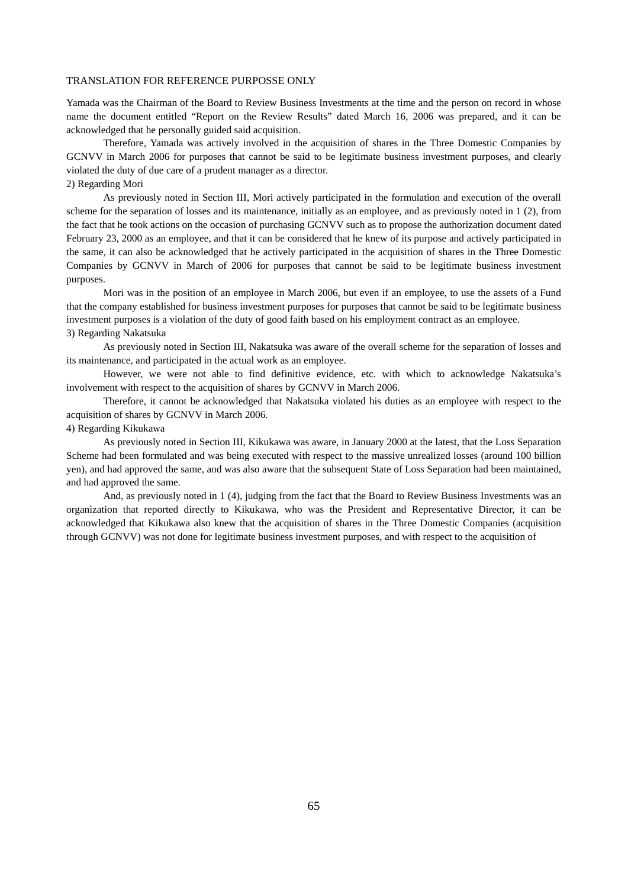Yamada was the Chairman of the Board to Review Business Investments at the time and the person on record in whose name the document entitled "Report on the Review Results" dated March 16, 2006 was prepared, and it can be acknowledged that he personally guided said acquisition.

Therefore, Yamada was actively involved in the acquisition of shares in the Three Domestic Companies by GCNVV in March 2006 for purposes that cannot be said to be legitimate business investment purposes, and clearly violated the duty of due care of a prudent manager as a director.

# 2) Regarding Mori

As previously noted in Section III, Mori actively participated in the formulation and execution of the overall scheme for the separation of losses and its maintenance, initially as an employee, and as previously noted in 1 (2), from the fact that he took actions on the occasion of purchasing GCNVV such as to propose the authorization document dated February 23, 2000 as an employee, and that it can be considered that he knew of its purpose and actively participated in the same, it can also be acknowledged that he actively participated in the acquisition of shares in the Three Domestic Companies by GCNVV in March of 2006 for purposes that cannot be said to be legitimate business investment purposes.

Mori was in the position of an employee in March 2006, but even if an employee, to use the assets of a Fund that the company established for business investment purposes for purposes that cannot be said to be legitimate business investment purposes is a violation of the duty of good faith based on his employment contract as an employee. 3) Regarding Nakatsuka

As previously noted in Section III, Nakatsuka was aware of the overall scheme for the separation of losses and its maintenance, and participated in the actual work as an employee.

However, we were not able to find definitive evidence, etc. with which to acknowledge Nakatsuka's involvement with respect to the acquisition of shares by GCNVV in March 2006.

Therefore, it cannot be acknowledged that Nakatsuka violated his duties as an employee with respect to the acquisition of shares by GCNVV in March 2006.

### 4) Regarding Kikukawa

As previously noted in Section III, Kikukawa was aware, in January 2000 at the latest, that the Loss Separation Scheme had been formulated and was being executed with respect to the massive unrealized losses (around 100 billion yen), and had approved the same, and was also aware that the subsequent State of Loss Separation had been maintained, and had approved the same.

And, as previously noted in 1 (4), judging from the fact that the Board to Review Business Investments was an organization that reported directly to Kikukawa, who was the President and Representative Director, it can be acknowledged that Kikukawa also knew that the acquisition of shares in the Three Domestic Companies (acquisition through GCNVV) was not done for legitimate business investment purposes, and with respect to the acquisition of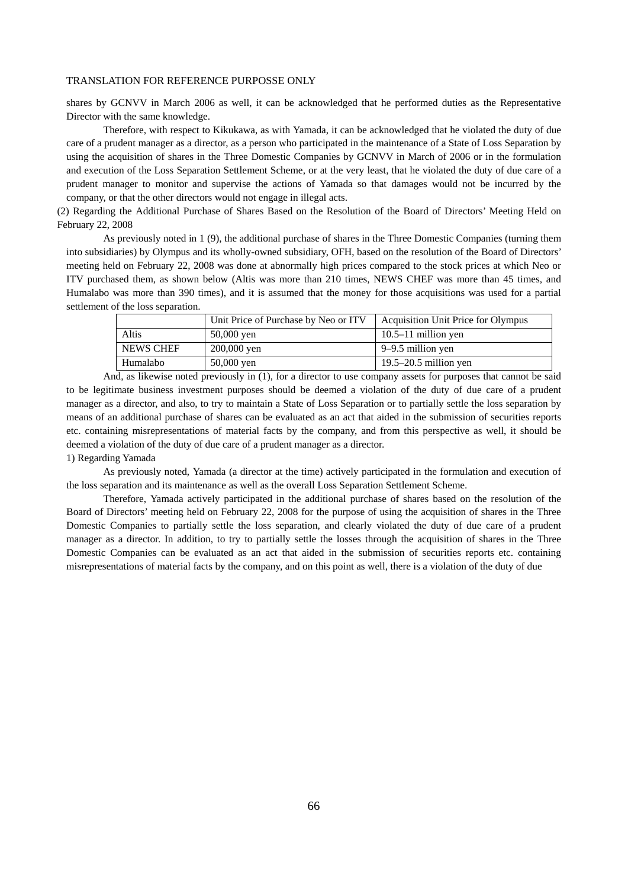shares by GCNVV in March 2006 as well, it can be acknowledged that he performed duties as the Representative Director with the same knowledge.

Therefore, with respect to Kikukawa, as with Yamada, it can be acknowledged that he violated the duty of due care of a prudent manager as a director, as a person who participated in the maintenance of a State of Loss Separation by using the acquisition of shares in the Three Domestic Companies by GCNVV in March of 2006 or in the formulation and execution of the Loss Separation Settlement Scheme, or at the very least, that he violated the duty of due care of a prudent manager to monitor and supervise the actions of Yamada so that damages would not be incurred by the company, or that the other directors would not engage in illegal acts.

(2) Regarding the Additional Purchase of Shares Based on the Resolution of the Board of Directors' Meeting Held on February 22, 2008

As previously noted in 1 (9), the additional purchase of shares in the Three Domestic Companies (turning them into subsidiaries) by Olympus and its wholly-owned subsidiary, OFH, based on the resolution of the Board of Directors' meeting held on February 22, 2008 was done at abnormally high prices compared to the stock prices at which Neo or ITV purchased them, as shown below (Altis was more than 210 times, NEWS CHEF was more than 45 times, and Humalabo was more than 390 times), and it is assumed that the money for those acquisitions was used for a partial settlement of the loss separation.

|                  | Unit Price of Purchase by Neo or ITV | Acquisition Unit Price for Olympus |
|------------------|--------------------------------------|------------------------------------|
| Altis            | $50,000$ yen                         | $10.5-11$ million yen              |
| <b>NEWS CHEF</b> | $200,000$ yen                        | 9–9.5 million yen                  |
| Humalabo         | 50,000 yen                           | $19.5 - 20.5$ million yen          |

And, as likewise noted previously in (1), for a director to use company assets for purposes that cannot be said to be legitimate business investment purposes should be deemed a violation of the duty of due care of a prudent manager as a director, and also, to try to maintain a State of Loss Separation or to partially settle the loss separation by means of an additional purchase of shares can be evaluated as an act that aided in the submission of securities reports etc. containing misrepresentations of material facts by the company, and from this perspective as well, it should be deemed a violation of the duty of due care of a prudent manager as a director.

#### 1) Regarding Yamada

As previously noted, Yamada (a director at the time) actively participated in the formulation and execution of the loss separation and its maintenance as well as the overall Loss Separation Settlement Scheme.

Therefore, Yamada actively participated in the additional purchase of shares based on the resolution of the Board of Directors' meeting held on February 22, 2008 for the purpose of using the acquisition of shares in the Three Domestic Companies to partially settle the loss separation, and clearly violated the duty of due care of a prudent manager as a director. In addition, to try to partially settle the losses through the acquisition of shares in the Three Domestic Companies can be evaluated as an act that aided in the submission of securities reports etc. containing misrepresentations of material facts by the company, and on this point as well, there is a violation of the duty of due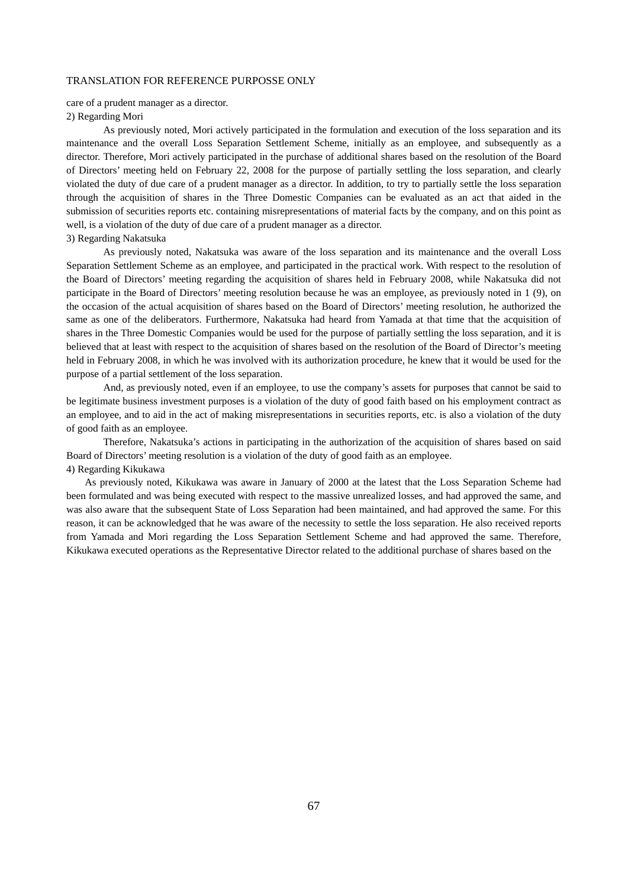care of a prudent manager as a director. 2) Regarding Mori

As previously noted, Mori actively participated in the formulation and execution of the loss separation and its maintenance and the overall Loss Separation Settlement Scheme, initially as an employee, and subsequently as a director. Therefore, Mori actively participated in the purchase of additional shares based on the resolution of the Board of Directors' meeting held on February 22, 2008 for the purpose of partially settling the loss separation, and clearly violated the duty of due care of a prudent manager as a director. In addition, to try to partially settle the loss separation through the acquisition of shares in the Three Domestic Companies can be evaluated as an act that aided in the submission of securities reports etc. containing misrepresentations of material facts by the company, and on this point as well, is a violation of the duty of due care of a prudent manager as a director. 3) Regarding Nakatsuka

As previously noted, Nakatsuka was aware of the loss separation and its maintenance and the overall Loss Separation Settlement Scheme as an employee, and participated in the practical work. With respect to the resolution of the Board of Directors' meeting regarding the acquisition of shares held in February 2008, while Nakatsuka did not participate in the Board of Directors' meeting resolution because he was an employee, as previously noted in 1 (9), on the occasion of the actual acquisition of shares based on the Board of Directors' meeting resolution, he authorized the same as one of the deliberators. Furthermore, Nakatsuka had heard from Yamada at that time that the acquisition of shares in the Three Domestic Companies would be used for the purpose of partially settling the loss separation, and it is believed that at least with respect to the acquisition of shares based on the resolution of the Board of Director's meeting held in February 2008, in which he was involved with its authorization procedure, he knew that it would be used for the purpose of a partial settlement of the loss separation.

And, as previously noted, even if an employee, to use the company's assets for purposes that cannot be said to be legitimate business investment purposes is a violation of the duty of good faith based on his employment contract as an employee, and to aid in the act of making misrepresentations in securities reports, etc. is also a violation of the duty of good faith as an employee.

Therefore, Nakatsuka's actions in participating in the authorization of the acquisition of shares based on said Board of Directors' meeting resolution is a violation of the duty of good faith as an employee. 4) Regarding Kikukawa

As previously noted, Kikukawa was aware in January of 2000 at the latest that the Loss Separation Scheme had been formulated and was being executed with respect to the massive unrealized losses, and had approved the same, and was also aware that the subsequent State of Loss Separation had been maintained, and had approved the same. For this reason, it can be acknowledged that he was aware of the necessity to settle the loss separation. He also received reports from Yamada and Mori regarding the Loss Separation Settlement Scheme and had approved the same. Therefore, Kikukawa executed operations as the Representative Director related to the additional purchase of shares based on the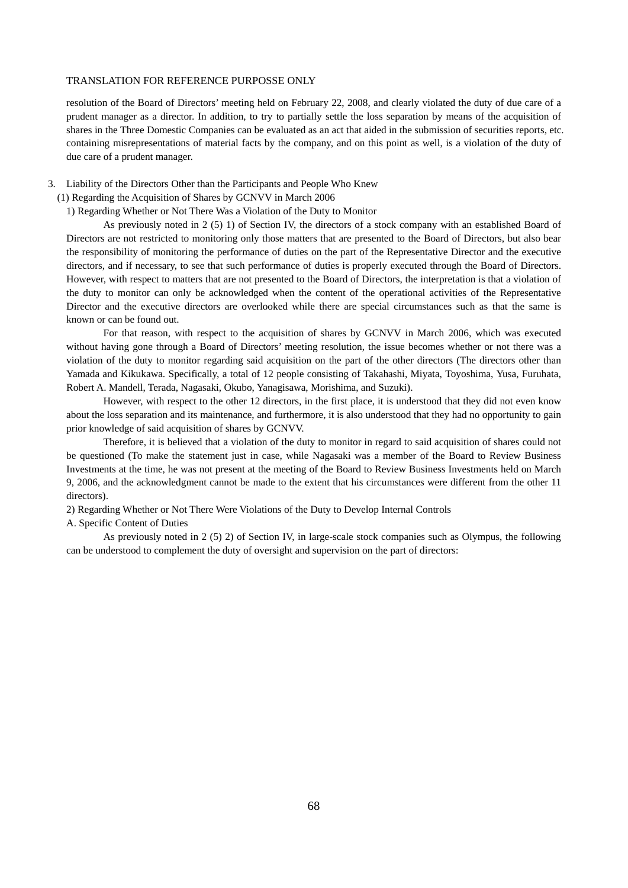resolution of the Board of Directors' meeting held on February 22, 2008, and clearly violated the duty of due care of a prudent manager as a director. In addition, to try to partially settle the loss separation by means of the acquisition of shares in the Three Domestic Companies can be evaluated as an act that aided in the submission of securities reports, etc. containing misrepresentations of material facts by the company, and on this point as well, is a violation of the duty of due care of a prudent manager.

3. Liability of the Directors Other than the Participants and People Who Knew

(1) Regarding the Acquisition of Shares by GCNVV in March 2006

1) Regarding Whether or Not There Was a Violation of the Duty to Monitor

As previously noted in 2 (5) 1) of Section IV, the directors of a stock company with an established Board of Directors are not restricted to monitoring only those matters that are presented to the Board of Directors, but also bear the responsibility of monitoring the performance of duties on the part of the Representative Director and the executive directors, and if necessary, to see that such performance of duties is properly executed through the Board of Directors. However, with respect to matters that are not presented to the Board of Directors, the interpretation is that a violation of the duty to monitor can only be acknowledged when the content of the operational activities of the Representative Director and the executive directors are overlooked while there are special circumstances such as that the same is known or can be found out.

For that reason, with respect to the acquisition of shares by GCNVV in March 2006, which was executed without having gone through a Board of Directors' meeting resolution, the issue becomes whether or not there was a violation of the duty to monitor regarding said acquisition on the part of the other directors (The directors other than Yamada and Kikukawa. Specifically, a total of 12 people consisting of Takahashi, Miyata, Toyoshima, Yusa, Furuhata, Robert A. Mandell, Terada, Nagasaki, Okubo, Yanagisawa, Morishima, and Suzuki).

However, with respect to the other 12 directors, in the first place, it is understood that they did not even know about the loss separation and its maintenance, and furthermore, it is also understood that they had no opportunity to gain prior knowledge of said acquisition of shares by GCNVV.

Therefore, it is believed that a violation of the duty to monitor in regard to said acquisition of shares could not be questioned (To make the statement just in case, while Nagasaki was a member of the Board to Review Business Investments at the time, he was not present at the meeting of the Board to Review Business Investments held on March 9, 2006, and the acknowledgment cannot be made to the extent that his circumstances were different from the other 11 directors).

2) Regarding Whether or Not There Were Violations of the Duty to Develop Internal Controls

A. Specific Content of Duties

As previously noted in 2 (5) 2) of Section IV, in large-scale stock companies such as Olympus, the following can be understood to complement the duty of oversight and supervision on the part of directors: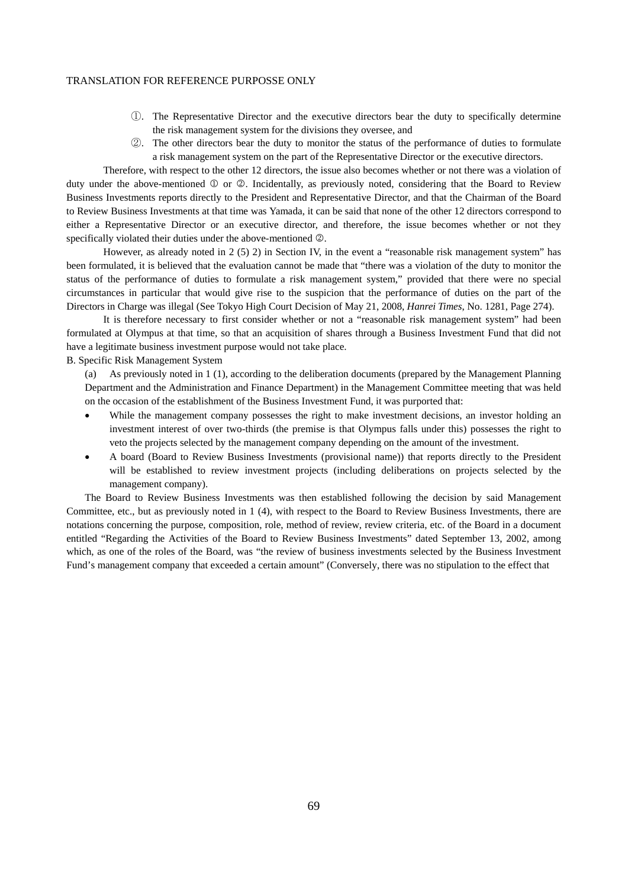- ①. The Representative Director and the executive directors bear the duty to specifically determine the risk management system for the divisions they oversee, and
- ②. The other directors bear the duty to monitor the status of the performance of duties to formulate a risk management system on the part of the Representative Director or the executive directors.

Therefore, with respect to the other 12 directors, the issue also becomes whether or not there was a violation of duty under the above-mentioned  $\mathbb O$  or  $\mathbb O$ . Incidentally, as previously noted, considering that the Board to Review Business Investments reports directly to the President and Representative Director, and that the Chairman of the Board to Review Business Investments at that time was Yamada, it can be said that none of the other 12 directors correspond to either a Representative Director or an executive director, and therefore, the issue becomes whether or not they specifically violated their duties under the above-mentioned  $\circledA$ .

However, as already noted in 2 (5) 2) in Section IV, in the event a "reasonable risk management system" has been formulated, it is believed that the evaluation cannot be made that "there was a violation of the duty to monitor the status of the performance of duties to formulate a risk management system," provided that there were no special circumstances in particular that would give rise to the suspicion that the performance of duties on the part of the Directors in Charge was illegal (See Tokyo High Court Decision of May 21, 2008, *Hanrei Times*, No. 1281, Page 274).

It is therefore necessary to first consider whether or not a "reasonable risk management system" had been formulated at Olympus at that time, so that an acquisition of shares through a Business Investment Fund that did not have a legitimate business investment purpose would not take place.

B. Specific Risk Management System

(a) As previously noted in 1 (1), according to the deliberation documents (prepared by the Management Planning Department and the Administration and Finance Department) in the Management Committee meeting that was held on the occasion of the establishment of the Business Investment Fund, it was purported that:

- While the management company possesses the right to make investment decisions, an investor holding an investment interest of over two-thirds (the premise is that Olympus falls under this) possesses the right to veto the projects selected by the management company depending on the amount of the investment.
- A board (Board to Review Business Investments (provisional name)) that reports directly to the President will be established to review investment projects (including deliberations on projects selected by the management company).

The Board to Review Business Investments was then established following the decision by said Management Committee, etc., but as previously noted in 1 (4), with respect to the Board to Review Business Investments, there are notations concerning the purpose, composition, role, method of review, review criteria, etc. of the Board in a document entitled "Regarding the Activities of the Board to Review Business Investments" dated September 13, 2002, among which, as one of the roles of the Board, was "the review of business investments selected by the Business Investment Fund's management company that exceeded a certain amount" (Conversely, there was no stipulation to the effect that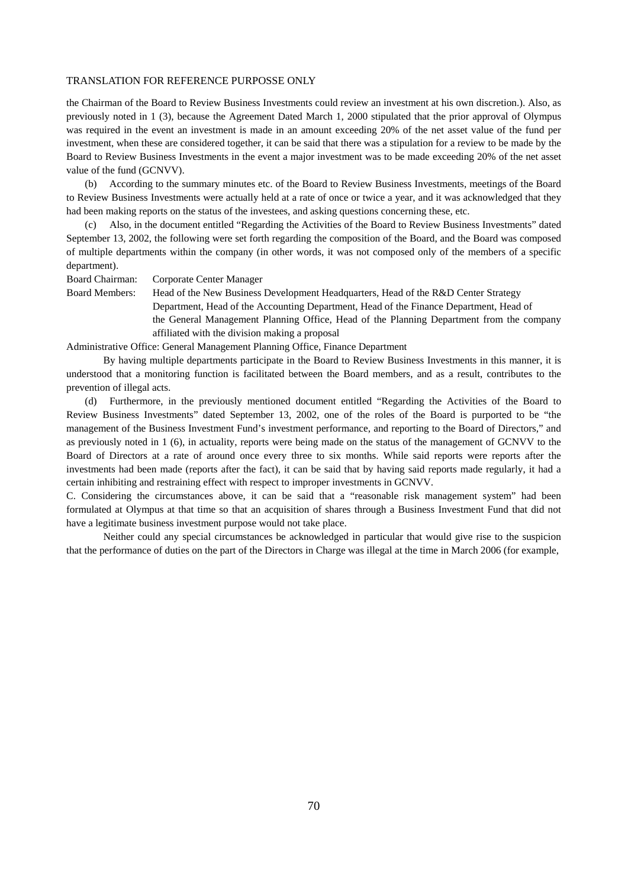the Chairman of the Board to Review Business Investments could review an investment at his own discretion.). Also, as previously noted in 1 (3), because the Agreement Dated March 1, 2000 stipulated that the prior approval of Olympus was required in the event an investment is made in an amount exceeding 20% of the net asset value of the fund per investment, when these are considered together, it can be said that there was a stipulation for a review to be made by the Board to Review Business Investments in the event a major investment was to be made exceeding 20% of the net asset value of the fund (GCNVV).

(b) According to the summary minutes etc. of the Board to Review Business Investments, meetings of the Board to Review Business Investments were actually held at a rate of once or twice a year, and it was acknowledged that they had been making reports on the status of the investees, and asking questions concerning these, etc.

(c) Also, in the document entitled "Regarding the Activities of the Board to Review Business Investments" dated September 13, 2002, the following were set forth regarding the composition of the Board, and the Board was composed of multiple departments within the company (in other words, it was not composed only of the members of a specific department).

Board Chairman: Corporate Center Manager

Board Members: Head of the New Business Development Headquarters, Head of the R&D Center Strategy Department, Head of the Accounting Department, Head of the Finance Department, Head of the General Management Planning Office, Head of the Planning Department from the company

affiliated with the division making a proposal

Administrative Office: General Management Planning Office, Finance Department

By having multiple departments participate in the Board to Review Business Investments in this manner, it is understood that a monitoring function is facilitated between the Board members, and as a result, contributes to the prevention of illegal acts.

(d) Furthermore, in the previously mentioned document entitled "Regarding the Activities of the Board to Review Business Investments" dated September 13, 2002, one of the roles of the Board is purported to be "the management of the Business Investment Fund's investment performance, and reporting to the Board of Directors," and as previously noted in 1 (6), in actuality, reports were being made on the status of the management of GCNVV to the Board of Directors at a rate of around once every three to six months. While said reports were reports after the investments had been made (reports after the fact), it can be said that by having said reports made regularly, it had a certain inhibiting and restraining effect with respect to improper investments in GCNVV.

C. Considering the circumstances above, it can be said that a "reasonable risk management system" had been formulated at Olympus at that time so that an acquisition of shares through a Business Investment Fund that did not have a legitimate business investment purpose would not take place.

Neither could any special circumstances be acknowledged in particular that would give rise to the suspicion that the performance of duties on the part of the Directors in Charge was illegal at the time in March 2006 (for example,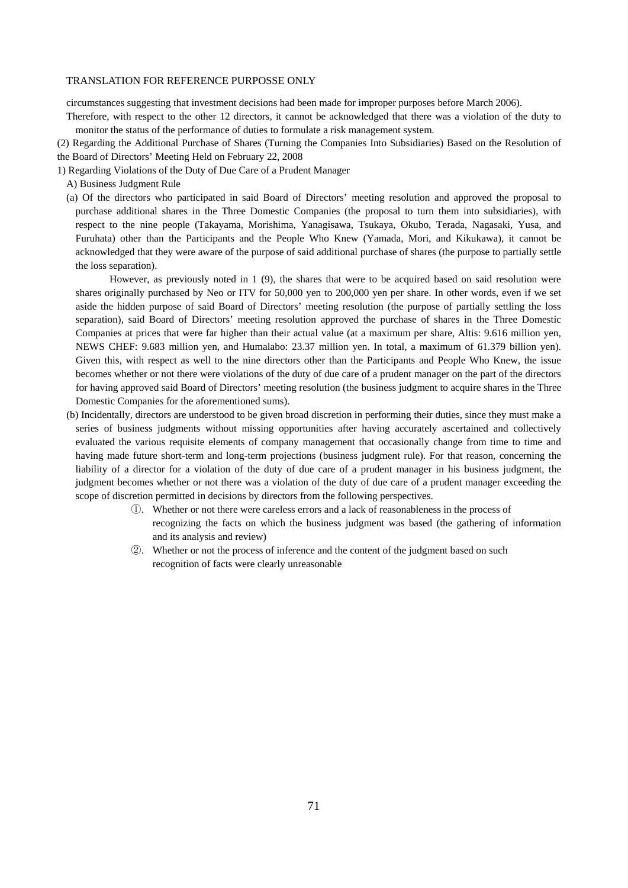circumstances suggesting that investment decisions had been made for improper purposes before March 2006).

Therefore, with respect to the other 12 directors, it cannot be acknowledged that there was a violation of the duty to monitor the status of the performance of duties to formulate a risk management system.

(2) Regarding the Additional Purchase of Shares (Turning the Companies Into Subsidiaries) Based on the Resolution of the Board of Directors' Meeting Held on February 22, 2008

- 1) Regarding Violations of the Duty of Due Care of a Prudent Manager
	- A) Business Judgment Rule
	- (a) Of the directors who participated in said Board of Directors' meeting resolution and approved the proposal to purchase additional shares in the Three Domestic Companies (the proposal to turn them into subsidiaries), with respect to the nine people (Takayama, Morishima, Yanagisawa, Tsukaya, Okubo, Terada, Nagasaki, Yusa, and Furuhata) other than the Participants and the People Who Knew (Yamada, Mori, and Kikukawa), it cannot be acknowledged that they were aware of the purpose of said additional purchase of shares (the purpose to partially settle the loss separation).

However, as previously noted in 1 (9), the shares that were to be acquired based on said resolution were shares originally purchased by Neo or ITV for 50,000 yen to 200,000 yen per share. In other words, even if we set aside the hidden purpose of said Board of Directors' meeting resolution (the purpose of partially settling the loss separation), said Board of Directors' meeting resolution approved the purchase of shares in the Three Domestic Companies at prices that were far higher than their actual value (at a maximum per share, Altis: 9.616 million yen, NEWS CHEF: 9.683 million yen, and Humalabo: 23.37 million yen. In total, a maximum of 61.379 billion yen). Given this, with respect as well to the nine directors other than the Participants and People Who Knew, the issue becomes whether or not there were violations of the duty of due care of a prudent manager on the part of the directors for having approved said Board of Directors' meeting resolution (the business judgment to acquire shares in the Three Domestic Companies for the aforementioned sums).

- (b) Incidentally, directors are understood to be given broad discretion in performing their duties, since they must make a series of business judgments without missing opportunities after having accurately ascertained and collectively evaluated the various requisite elements of company management that occasionally change from time to time and having made future short-term and long-term projections (business judgment rule). For that reason, concerning the liability of a director for a violation of the duty of due care of a prudent manager in his business judgment, the judgment becomes whether or not there was a violation of the duty of due care of a prudent manager exceeding the scope of discretion permitted in decisions by directors from the following perspectives.
	- ①. Whether or not there were careless errors and a lack of reasonableness in the process of recognizing the facts on which the business judgment was based (the gathering of information and its analysis and review)
	- ②. Whether or not the process of inference and the content of the judgment based on such recognition of facts were clearly unreasonable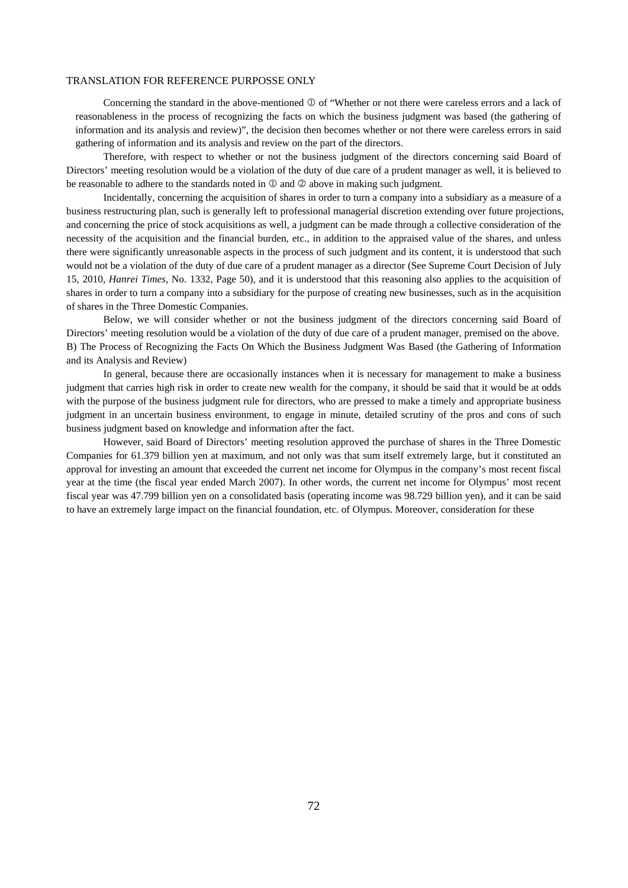Concerning the standard in the above-mentioned  $\mathbb O$  of "Whether or not there were careless errors and a lack of reasonableness in the process of recognizing the facts on which the business judgment was based (the gathering of information and its analysis and review)", the decision then becomes whether or not there were careless errors in said gathering of information and its analysis and review on the part of the directors.

Therefore, with respect to whether or not the business judgment of the directors concerning said Board of Directors' meeting resolution would be a violation of the duty of due care of a prudent manager as well, it is believed to be reasonable to adhere to the standards noted in  $\mathbb D$  and  $\mathbb Q$  above in making such judgment.

Incidentally, concerning the acquisition of shares in order to turn a company into a subsidiary as a measure of a business restructuring plan, such is generally left to professional managerial discretion extending over future projections, and concerning the price of stock acquisitions as well, a judgment can be made through a collective consideration of the necessity of the acquisition and the financial burden, etc., in addition to the appraised value of the shares, and unless there were significantly unreasonable aspects in the process of such judgment and its content, it is understood that such would not be a violation of the duty of due care of a prudent manager as a director (See Supreme Court Decision of July 15, 2010, *Hanrei Times*, No. 1332, Page 50), and it is understood that this reasoning also applies to the acquisition of shares in order to turn a company into a subsidiary for the purpose of creating new businesses, such as in the acquisition of shares in the Three Domestic Companies.

Below, we will consider whether or not the business judgment of the directors concerning said Board of Directors' meeting resolution would be a violation of the duty of due care of a prudent manager, premised on the above. B) The Process of Recognizing the Facts On Which the Business Judgment Was Based (the Gathering of Information and its Analysis and Review)

In general, because there are occasionally instances when it is necessary for management to make a business judgment that carries high risk in order to create new wealth for the company, it should be said that it would be at odds with the purpose of the business judgment rule for directors, who are pressed to make a timely and appropriate business judgment in an uncertain business environment, to engage in minute, detailed scrutiny of the pros and cons of such business judgment based on knowledge and information after the fact.

However, said Board of Directors' meeting resolution approved the purchase of shares in the Three Domestic Companies for 61.379 billion yen at maximum, and not only was that sum itself extremely large, but it constituted an approval for investing an amount that exceeded the current net income for Olympus in the company's most recent fiscal year at the time (the fiscal year ended March 2007). In other words, the current net income for Olympus' most recent fiscal year was 47.799 billion yen on a consolidated basis (operating income was 98.729 billion yen), and it can be said to have an extremely large impact on the financial foundation, etc. of Olympus. Moreover, consideration for these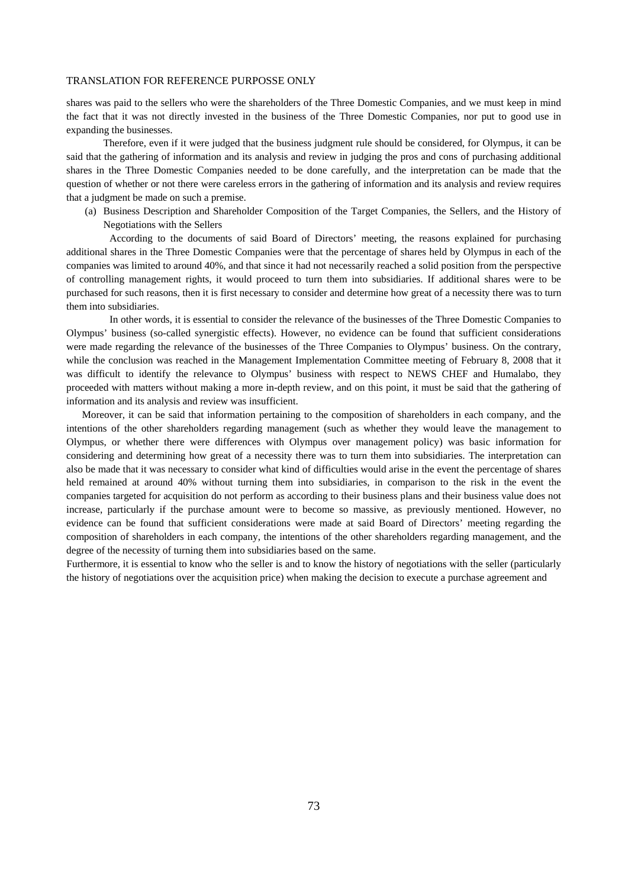shares was paid to the sellers who were the shareholders of the Three Domestic Companies, and we must keep in mind the fact that it was not directly invested in the business of the Three Domestic Companies, nor put to good use in expanding the businesses.

Therefore, even if it were judged that the business judgment rule should be considered, for Olympus, it can be said that the gathering of information and its analysis and review in judging the pros and cons of purchasing additional shares in the Three Domestic Companies needed to be done carefully, and the interpretation can be made that the question of whether or not there were careless errors in the gathering of information and its analysis and review requires that a judgment be made on such a premise.

(a) Business Description and Shareholder Composition of the Target Companies, the Sellers, and the History of Negotiations with the Sellers

 According to the documents of said Board of Directors' meeting, the reasons explained for purchasing additional shares in the Three Domestic Companies were that the percentage of shares held by Olympus in each of the companies was limited to around 40%, and that since it had not necessarily reached a solid position from the perspective of controlling management rights, it would proceed to turn them into subsidiaries. If additional shares were to be purchased for such reasons, then it is first necessary to consider and determine how great of a necessity there was to turn them into subsidiaries.

 In other words, it is essential to consider the relevance of the businesses of the Three Domestic Companies to Olympus' business (so-called synergistic effects). However, no evidence can be found that sufficient considerations were made regarding the relevance of the businesses of the Three Companies to Olympus' business. On the contrary, while the conclusion was reached in the Management Implementation Committee meeting of February 8, 2008 that it was difficult to identify the relevance to Olympus' business with respect to NEWS CHEF and Humalabo, they proceeded with matters without making a more in-depth review, and on this point, it must be said that the gathering of information and its analysis and review was insufficient.

 Moreover, it can be said that information pertaining to the composition of shareholders in each company, and the intentions of the other shareholders regarding management (such as whether they would leave the management to Olympus, or whether there were differences with Olympus over management policy) was basic information for considering and determining how great of a necessity there was to turn them into subsidiaries. The interpretation can also be made that it was necessary to consider what kind of difficulties would arise in the event the percentage of shares held remained at around 40% without turning them into subsidiaries, in comparison to the risk in the event the companies targeted for acquisition do not perform as according to their business plans and their business value does not increase, particularly if the purchase amount were to become so massive, as previously mentioned. However, no evidence can be found that sufficient considerations were made at said Board of Directors' meeting regarding the composition of shareholders in each company, the intentions of the other shareholders regarding management, and the degree of the necessity of turning them into subsidiaries based on the same.

Furthermore, it is essential to know who the seller is and to know the history of negotiations with the seller (particularly the history of negotiations over the acquisition price) when making the decision to execute a purchase agreement and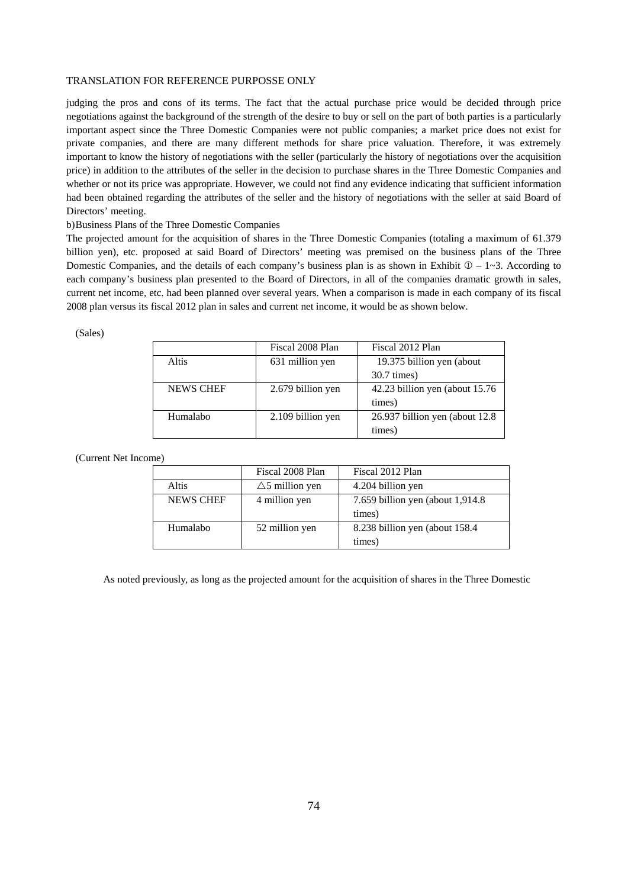judging the pros and cons of its terms. The fact that the actual purchase price would be decided through price negotiations against the background of the strength of the desire to buy or sell on the part of both parties is a particularly important aspect since the Three Domestic Companies were not public companies; a market price does not exist for private companies, and there are many different methods for share price valuation. Therefore, it was extremely important to know the history of negotiations with the seller (particularly the history of negotiations over the acquisition price) in addition to the attributes of the seller in the decision to purchase shares in the Three Domestic Companies and whether or not its price was appropriate. However, we could not find any evidence indicating that sufficient information had been obtained regarding the attributes of the seller and the history of negotiations with the seller at said Board of Directors' meeting.

b) Business Plans of the Three Domestic Companies

The projected amount for the acquisition of shares in the Three Domestic Companies (totaling a maximum of 61.379 billion yen), etc. proposed at said Board of Directors' meeting was premised on the business plans of the Three Domestic Companies, and the details of each company's business plan is as shown in Exhibit  $\mathbb{O} - 1 \sim 3$ . According to each company's business plan presented to the Board of Directors, in all of the companies dramatic growth in sales, current net income, etc. had been planned over several years. When a comparison is made in each company of its fiscal 2008 plan versus its fiscal 2012 plan in sales and current net income, it would be as shown below.

(Sales)

|                  | Fiscal 2008 Plan  | Fiscal 2012 Plan                |
|------------------|-------------------|---------------------------------|
| Altis            | 631 million yen   | 19.375 billion yen (about       |
|                  |                   | $30.7 \text{ times}$            |
| <b>NEWS CHEF</b> | 2.679 billion yen | 42.23 billion yen (about 15.76) |
|                  |                   | times)                          |
| Humalabo         | 2.109 billion yen | 26.937 billion yen (about 12.8) |
|                  |                   | times)                          |

(Current Net Income)

|                  | Fiscal 2008 Plan          | Fiscal 2012 Plan                  |
|------------------|---------------------------|-----------------------------------|
| Altis            | $\triangle$ 5 million yen | 4.204 billion yen                 |
| <b>NEWS CHEF</b> | 4 million yen             | 7.659 billion yen (about 1,914.8) |
|                  |                           | times)                            |
| Humalabo         | 52 million yen            | 8.238 billion yen (about 158.4)   |
|                  |                           | times)                            |

As noted previously, as long as the projected amount for the acquisition of shares in the Three Domestic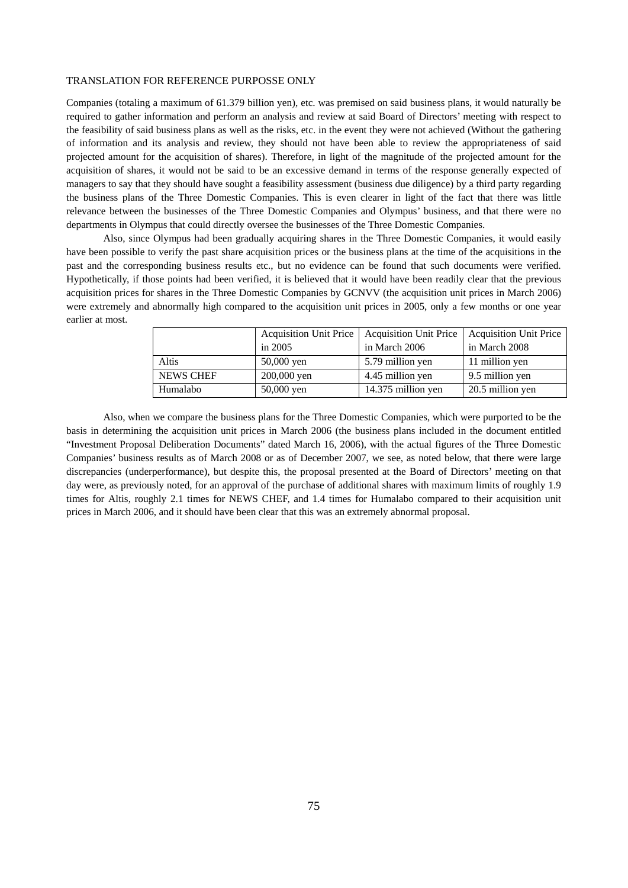Companies (totaling a maximum of 61.379 billion yen), etc. was premised on said business plans, it would naturally be required to gather information and perform an analysis and review at said Board of Directors' meeting with respect to the feasibility of said business plans as well as the risks, etc. in the event they were not achieved (Without the gathering of information and its analysis and review, they should not have been able to review the appropriateness of said projected amount for the acquisition of shares). Therefore, in light of the magnitude of the projected amount for the acquisition of shares, it would not be said to be an excessive demand in terms of the response generally expected of managers to say that they should have sought a feasibility assessment (business due diligence) by a third party regarding the business plans of the Three Domestic Companies. This is even clearer in light of the fact that there was little relevance between the businesses of the Three Domestic Companies and Olympus' business, and that there were no departments in Olympus that could directly oversee the businesses of the Three Domestic Companies.

Also, since Olympus had been gradually acquiring shares in the Three Domestic Companies, it would easily have been possible to verify the past share acquisition prices or the business plans at the time of the acquisitions in the past and the corresponding business results etc., but no evidence can be found that such documents were verified. Hypothetically, if those points had been verified, it is believed that it would have been readily clear that the previous acquisition prices for shares in the Three Domestic Companies by GCNVV (the acquisition unit prices in March 2006) were extremely and abnormally high compared to the acquisition unit prices in 2005, only a few months or one year earlier at most.

|                  | <b>Acquisition Unit Price</b> |                    | Acquisition Unit Price   Acquisition Unit Price |
|------------------|-------------------------------|--------------------|-------------------------------------------------|
|                  | in 2005                       | in March 2006      | in March 2008                                   |
| Altis            | $50,000$ yen                  | 5.79 million yen   | 11 million yen                                  |
| <b>NEWS CHEF</b> | 200,000 yen                   | 4.45 million yen   | 9.5 million yen                                 |
| Humalabo         | $50,000$ yen                  | 14.375 million yen | 20.5 million yen                                |

Also, when we compare the business plans for the Three Domestic Companies, which were purported to be the basis in determining the acquisition unit prices in March 2006 (the business plans included in the document entitled "Investment Proposal Deliberation Documents" dated March 16, 2006), with the actual figures of the Three Domestic Companies' business results as of March 2008 or as of December 2007, we see, as noted below, that there were large discrepancies (underperformance), but despite this, the proposal presented at the Board of Directors' meeting on that day were, as previously noted, for an approval of the purchase of additional shares with maximum limits of roughly 1.9 times for Altis, roughly 2.1 times for NEWS CHEF, and 1.4 times for Humalabo compared to their acquisition unit prices in March 2006, and it should have been clear that this was an extremely abnormal proposal.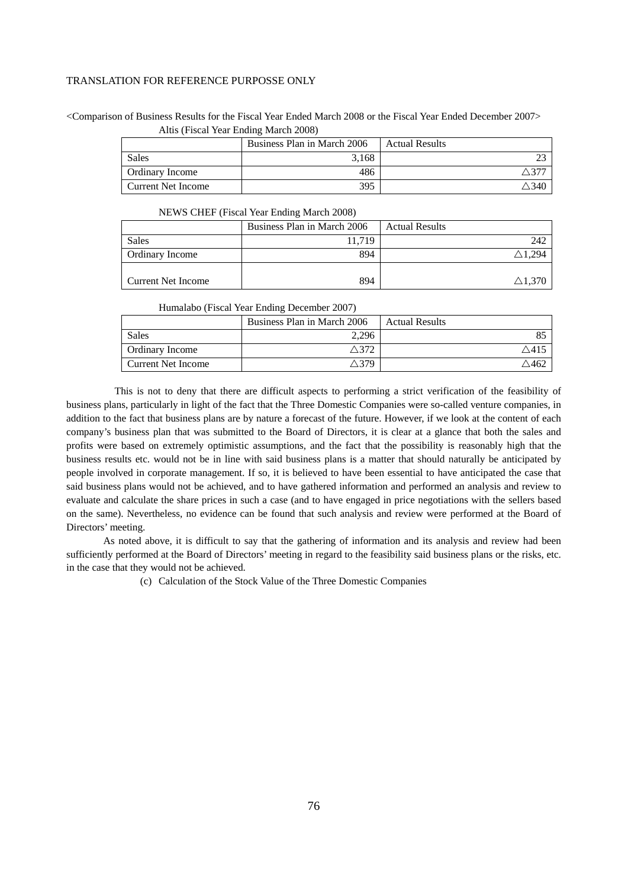<Comparison of Business Results for the Fiscal Year Ended March 2008 or the Fiscal Year Ended December 2007> Altis (Fiscal Year Ending March 2008)

|                        | Business Plan in March 2006 | <b>Actual Results</b> |
|------------------------|-----------------------------|-----------------------|
| Sales                  | 3.168                       |                       |
| <b>Ordinary Income</b> | 486                         |                       |
| Current Net Income     | 395                         | .340                  |

NEWS CHEF (Fiscal Year Ending March 2008)

|                    | Business Plan in March 2006 | <b>Actual Results</b> |
|--------------------|-----------------------------|-----------------------|
| Sales              | 11.719                      | 242                   |
| Ordinary Income    | 894                         | $\triangle 1.294$     |
|                    |                             |                       |
| Current Net Income | 894                         | $\triangle 1.370$     |

### Humalabo (Fiscal Year Ending December 2007)

|                        | Business Plan in March 2006 | <b>Actual Results</b> |
|------------------------|-----------------------------|-----------------------|
| <b>Sales</b>           | 2.296                       |                       |
| <b>Ordinary Income</b> | 27                          | ″∕ 4                  |
| Current Net Income     | $^{\wedge}$ 379             |                       |

This is not to deny that there are difficult aspects to performing a strict verification of the feasibility of business plans, particularly in light of the fact that the Three Domestic Companies were so-called venture companies, in addition to the fact that business plans are by nature a forecast of the future. However, if we look at the content of each company's business plan that was submitted to the Board of Directors, it is clear at a glance that both the sales and profits were based on extremely optimistic assumptions, and the fact that the possibility is reasonably high that the business results etc. would not be in line with said business plans is a matter that should naturally be anticipated by people involved in corporate management. If so, it is believed to have been essential to have anticipated the case that said business plans would not be achieved, and to have gathered information and performed an analysis and review to evaluate and calculate the share prices in such a case (and to have engaged in price negotiations with the sellers based on the same). Nevertheless, no evidence can be found that such analysis and review were performed at the Board of Directors' meeting.

As noted above, it is difficult to say that the gathering of information and its analysis and review had been sufficiently performed at the Board of Directors' meeting in regard to the feasibility said business plans or the risks, etc. in the case that they would not be achieved.

(c) Calculation of the Stock Value of the Three Domestic Companies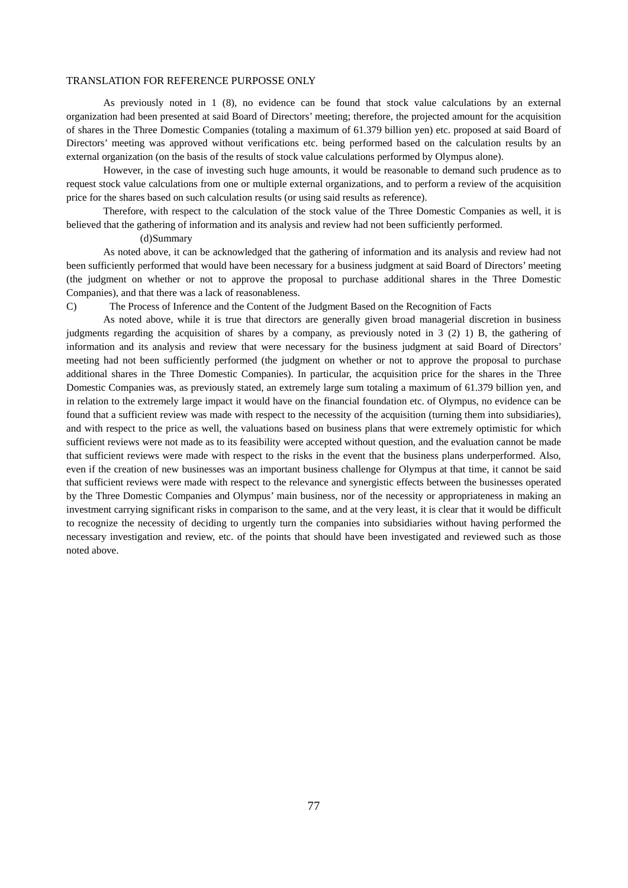As previously noted in 1 (8), no evidence can be found that stock value calculations by an external organization had been presented at said Board of Directors' meeting; therefore, the projected amount for the acquisition of shares in the Three Domestic Companies (totaling a maximum of 61.379 billion yen) etc. proposed at said Board of Directors' meeting was approved without verifications etc. being performed based on the calculation results by an external organization (on the basis of the results of stock value calculations performed by Olympus alone).

However, in the case of investing such huge amounts, it would be reasonable to demand such prudence as to request stock value calculations from one or multiple external organizations, and to perform a review of the acquisition price for the shares based on such calculation results (or using said results as reference).

Therefore, with respect to the calculation of the stock value of the Three Domestic Companies as well, it is believed that the gathering of information and its analysis and review had not been sufficiently performed.

(d) Summary

As noted above, it can be acknowledged that the gathering of information and its analysis and review had not been sufficiently performed that would have been necessary for a business judgment at said Board of Directors' meeting (the judgment on whether or not to approve the proposal to purchase additional shares in the Three Domestic Companies), and that there was a lack of reasonableness.

C) The Process of Inference and the Content of the Judgment Based on the Recognition of Facts

As noted above, while it is true that directors are generally given broad managerial discretion in business judgments regarding the acquisition of shares by a company, as previously noted in 3 (2) 1) B, the gathering of information and its analysis and review that were necessary for the business judgment at said Board of Directors' meeting had not been sufficiently performed (the judgment on whether or not to approve the proposal to purchase additional shares in the Three Domestic Companies). In particular, the acquisition price for the shares in the Three Domestic Companies was, as previously stated, an extremely large sum totaling a maximum of 61.379 billion yen, and in relation to the extremely large impact it would have on the financial foundation etc. of Olympus, no evidence can be found that a sufficient review was made with respect to the necessity of the acquisition (turning them into subsidiaries), and with respect to the price as well, the valuations based on business plans that were extremely optimistic for which sufficient reviews were not made as to its feasibility were accepted without question, and the evaluation cannot be made that sufficient reviews were made with respect to the risks in the event that the business plans underperformed. Also, even if the creation of new businesses was an important business challenge for Olympus at that time, it cannot be said that sufficient reviews were made with respect to the relevance and synergistic effects between the businesses operated by the Three Domestic Companies and Olympus' main business, nor of the necessity or appropriateness in making an investment carrying significant risks in comparison to the same, and at the very least, it is clear that it would be difficult to recognize the necessity of deciding to urgently turn the companies into subsidiaries without having performed the necessary investigation and review, etc. of the points that should have been investigated and reviewed such as those noted above.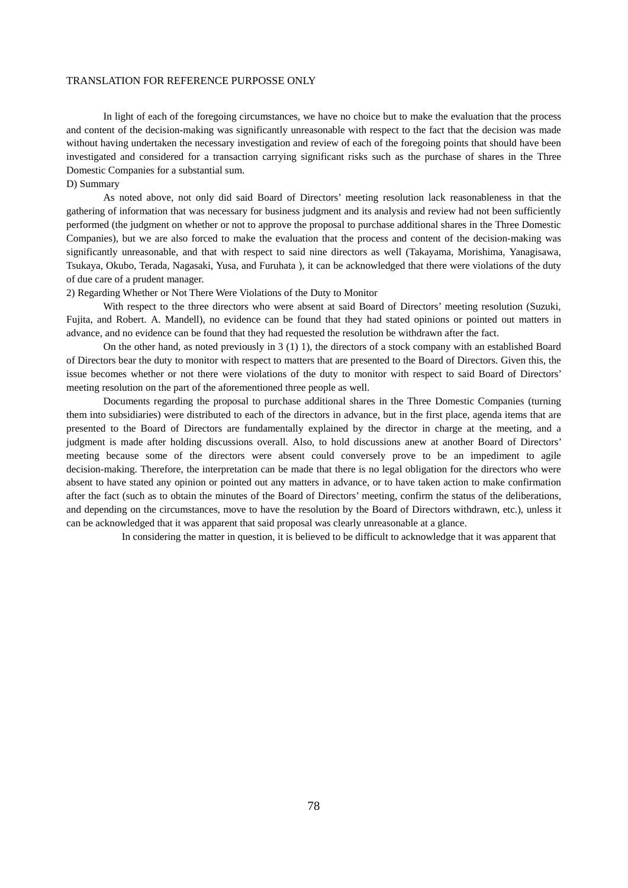In light of each of the foregoing circumstances, we have no choice but to make the evaluation that the process and content of the decision-making was significantly unreasonable with respect to the fact that the decision was made without having undertaken the necessary investigation and review of each of the foregoing points that should have been investigated and considered for a transaction carrying significant risks such as the purchase of shares in the Three Domestic Companies for a substantial sum.

### D) Summary

As noted above, not only did said Board of Directors' meeting resolution lack reasonableness in that the gathering of information that was necessary for business judgment and its analysis and review had not been sufficiently performed (the judgment on whether or not to approve the proposal to purchase additional shares in the Three Domestic Companies), but we are also forced to make the evaluation that the process and content of the decision-making was significantly unreasonable, and that with respect to said nine directors as well (Takayama, Morishima, Yanagisawa, Tsukaya, Okubo, Terada, Nagasaki, Yusa, and Furuhata ), it can be acknowledged that there were violations of the duty of due care of a prudent manager.

2) Regarding Whether or Not There Were Violations of the Duty to Monitor

With respect to the three directors who were absent at said Board of Directors' meeting resolution (Suzuki, Fujita, and Robert. A. Mandell), no evidence can be found that they had stated opinions or pointed out matters in advance, and no evidence can be found that they had requested the resolution be withdrawn after the fact.

On the other hand, as noted previously in 3 (1) 1), the directors of a stock company with an established Board of Directors bear the duty to monitor with respect to matters that are presented to the Board of Directors. Given this, the issue becomes whether or not there were violations of the duty to monitor with respect to said Board of Directors' meeting resolution on the part of the aforementioned three people as well.

Documents regarding the proposal to purchase additional shares in the Three Domestic Companies (turning them into subsidiaries) were distributed to each of the directors in advance, but in the first place, agenda items that are presented to the Board of Directors are fundamentally explained by the director in charge at the meeting, and a judgment is made after holding discussions overall. Also, to hold discussions anew at another Board of Directors' meeting because some of the directors were absent could conversely prove to be an impediment to agile decision-making. Therefore, the interpretation can be made that there is no legal obligation for the directors who were absent to have stated any opinion or pointed out any matters in advance, or to have taken action to make confirmation after the fact (such as to obtain the minutes of the Board of Directors' meeting, confirm the status of the deliberations, and depending on the circumstances, move to have the resolution by the Board of Directors withdrawn, etc.), unless it can be acknowledged that it was apparent that said proposal was clearly unreasonable at a glance.

In considering the matter in question, it is believed to be difficult to acknowledge that it was apparent that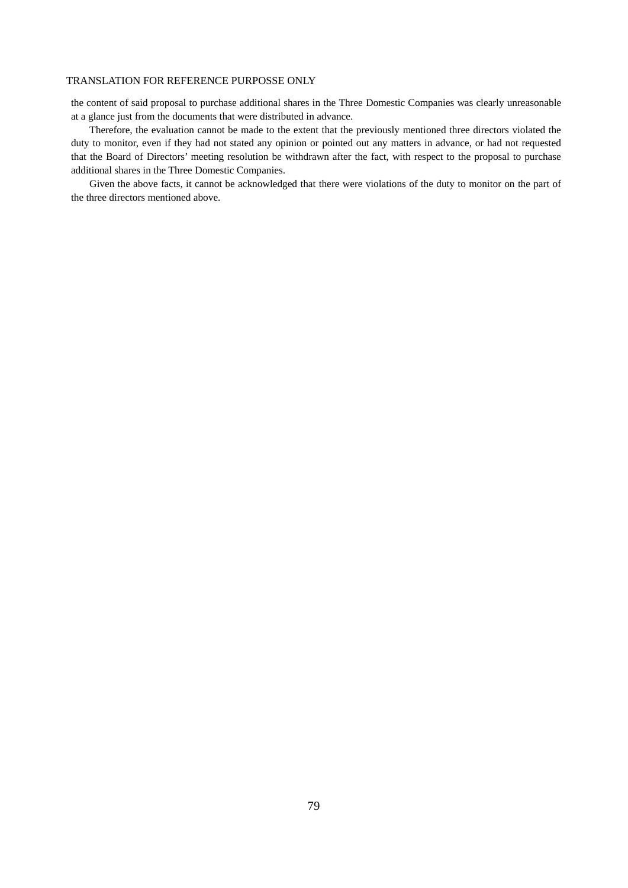the content of said proposal to purchase additional shares in the Three Domestic Companies was clearly unreasonable at a glance just from the documents that were distributed in advance.

Therefore, the evaluation cannot be made to the extent that the previously mentioned three directors violated the duty to monitor, even if they had not stated any opinion or pointed out any matters in advance, or had not requested that the Board of Directors' meeting resolution be withdrawn after the fact, with respect to the proposal to purchase additional shares in the Three Domestic Companies.

Given the above facts, it cannot be acknowledged that there were violations of the duty to monitor on the part of the three directors mentioned above.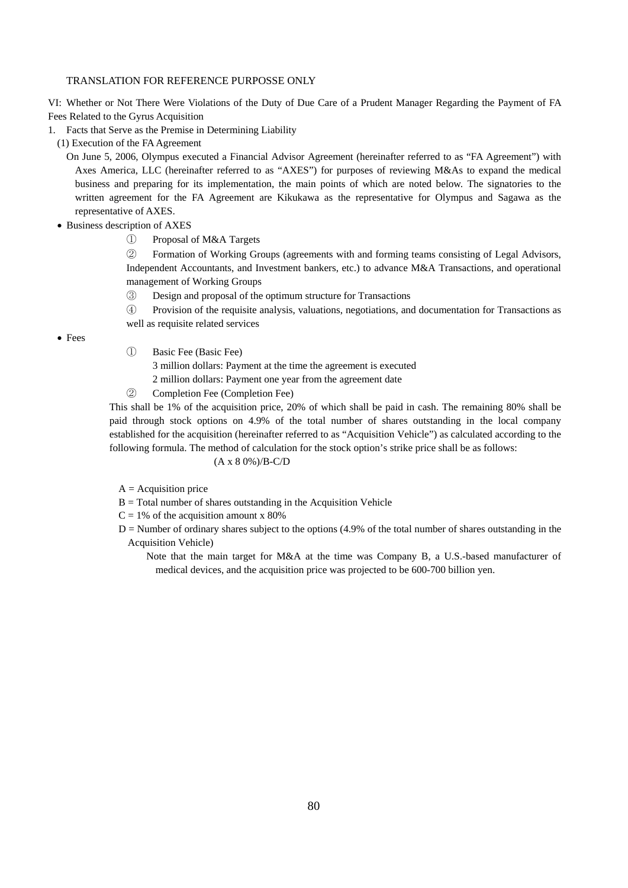VI: Whether or Not There Were Violations of the Duty of Due Care of a Prudent Manager Regarding the Payment of FA Fees Related to the Gyrus Acquisition

1. Facts that Serve as the Premise in Determining Liability

(1) Execution of the FA Agreement

On June 5, 2006, Olympus executed a Financial Advisor Agreement (hereinafter referred to as "FA Agreement") with Axes America, LLC (hereinafter referred to as "AXES") for purposes of reviewing M&As to expand the medical business and preparing for its implementation, the main points of which are noted below. The signatories to the written agreement for the FA Agreement are Kikukawa as the representative for Olympus and Sagawa as the representative of AXES.

• Business description of AXES

① Proposal of M&A Targets

② Formation of Working Groups (agreements with and forming teams consisting of Legal Advisors, Independent Accountants, and Investment bankers, etc.) to advance M&A Transactions, and operational management of Working Groups

③ Design and proposal of the optimum structure for Transactions

④ Provision of the requisite analysis, valuations, negotiations, and documentation for Transactions as well as requisite related services

Fees

① Basic Fee (Basic Fee)

3 million dollars: Payment at the time the agreement is executed

- 2 million dollars: Payment one year from the agreement date
- ② Completion Fee (Completion Fee)

This shall be 1% of the acquisition price, 20% of which shall be paid in cash. The remaining 80% shall be paid through stock options on 4.9% of the total number of shares outstanding in the local company established for the acquisition (hereinafter referred to as "Acquisition Vehicle") as calculated according to the following formula. The method of calculation for the stock option's strike price shall be as follows:

# (A x 8 0%)/B-C/D

 $A =$  Acquisition price

- $B = Total number of shares outstanding in the Acquisition Vehicle$
- $C = 1\%$  of the acquisition amount x 80%
- $D =$  Number of ordinary shares subject to the options  $(4.9%$  of the total number of shares outstanding in the Acquisition Vehicle)
	- Note that the main target for M&A at the time was Company B, a U.S.-based manufacturer of medical devices, and the acquisition price was projected to be 600-700 billion yen.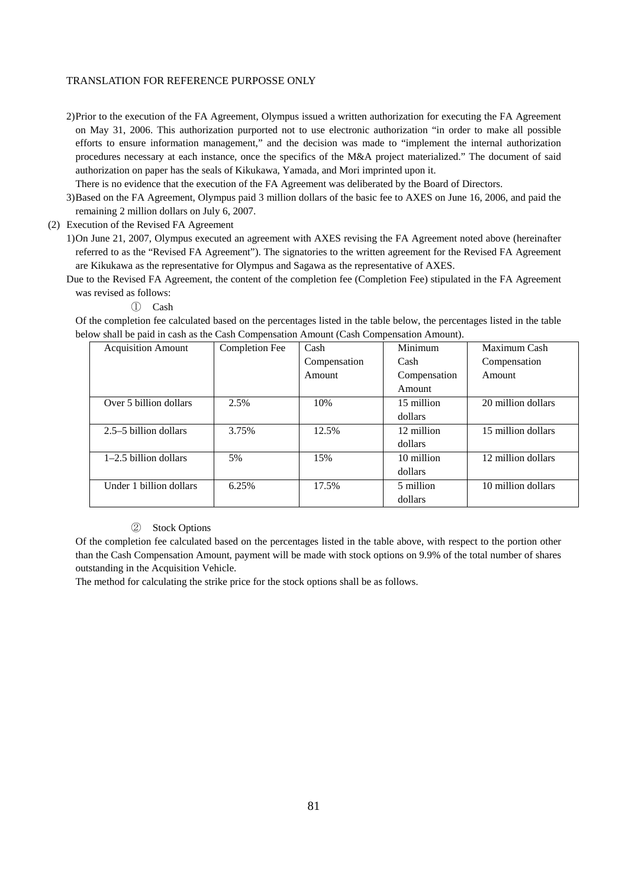2) Prior to the execution of the FA Agreement, Olympus issued a written authorization for executing the FA Agreement on May 31, 2006. This authorization purported not to use electronic authorization "in order to make all possible efforts to ensure information management," and the decision was made to "implement the internal authorization procedures necessary at each instance, once the specifics of the M&A project materialized." The document of said authorization on paper has the seals of Kikukawa, Yamada, and Mori imprinted upon it.

There is no evidence that the execution of the FA Agreement was deliberated by the Board of Directors.

3) Based on the FA Agreement, Olympus paid 3 million dollars of the basic fee to AXES on June 16, 2006, and paid the remaining 2 million dollars on July 6, 2007.

(2) Execution of the Revised FA Agreement

- 1) On June 21, 2007, Olympus executed an agreement with AXES revising the FA Agreement noted above (hereinafter referred to as the "Revised FA Agreement"). The signatories to the written agreement for the Revised FA Agreement are Kikukawa as the representative for Olympus and Sagawa as the representative of AXES.
- Due to the Revised FA Agreement, the content of the completion fee (Completion Fee) stipulated in the FA Agreement was revised as follows:
	- ① Cash

Of the completion fee calculated based on the percentages listed in the table below, the percentages listed in the table below shall be paid in cash as the Cash Compensation Amount (Cash Compensation Amount).

| <b>Acquisition Amount</b> | Completion Fee | Cash         | Minimum      | Maximum Cash       |
|---------------------------|----------------|--------------|--------------|--------------------|
|                           |                | Compensation | Cash         | Compensation       |
|                           |                | Amount       | Compensation | Amount             |
|                           |                |              | Amount       |                    |
| Over 5 billion dollars    | 2.5%           | 10%          | 15 million   | 20 million dollars |
|                           |                |              | dollars      |                    |
| 2.5–5 billion dollars     | 3.75%          | 12.5%        | 12 million   | 15 million dollars |
|                           |                |              | dollars      |                    |
| $1-2.5$ billion dollars   | 5%             | 15%          | 10 million   | 12 million dollars |
|                           |                |              | dollars      |                    |
| Under 1 billion dollars   | 6.25%          | 17.5%        | 5 million    | 10 million dollars |
|                           |                |              | dollars      |                    |

# ② Stock Options

Of the completion fee calculated based on the percentages listed in the table above, with respect to the portion other than the Cash Compensation Amount, payment will be made with stock options on 9.9% of the total number of shares outstanding in the Acquisition Vehicle.

The method for calculating the strike price for the stock options shall be as follows.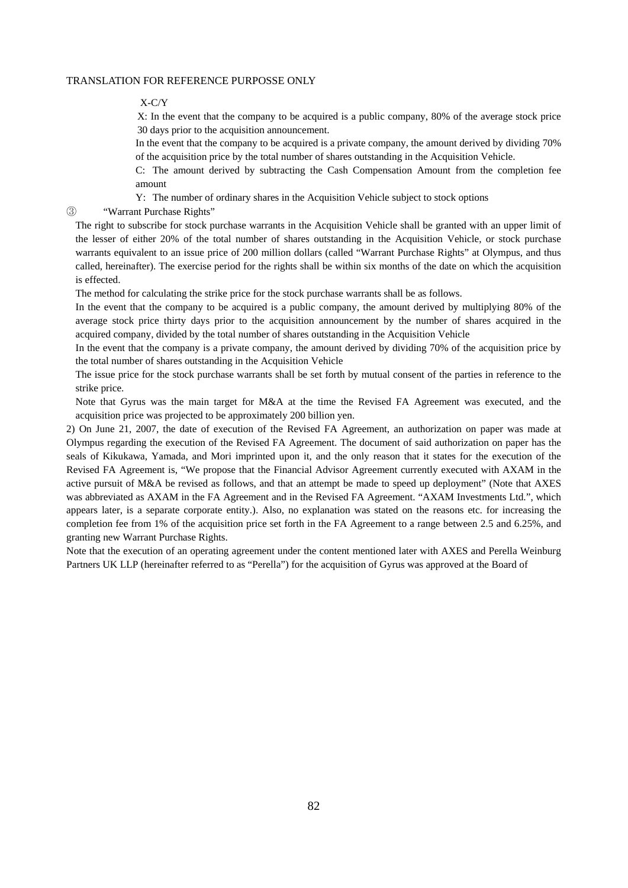X-C/Y

X: In the event that the company to be acquired is a public company, 80% of the average stock price 30 days prior to the acquisition announcement.

In the event that the company to be acquired is a private company, the amount derived by dividing 70% of the acquisition price by the total number of shares outstanding in the Acquisition Vehicle.

C: The amount derived by subtracting the Cash Compensation Amount from the completion fee amount

Y: The number of ordinary shares in the Acquisition Vehicle subject to stock options

③ "Warrant Purchase Rights"

The right to subscribe for stock purchase warrants in the Acquisition Vehicle shall be granted with an upper limit of the lesser of either 20% of the total number of shares outstanding in the Acquisition Vehicle, or stock purchase warrants equivalent to an issue price of 200 million dollars (called "Warrant Purchase Rights" at Olympus, and thus called, hereinafter). The exercise period for the rights shall be within six months of the date on which the acquisition is effected.

The method for calculating the strike price for the stock purchase warrants shall be as follows.

In the event that the company to be acquired is a public company, the amount derived by multiplying 80% of the average stock price thirty days prior to the acquisition announcement by the number of shares acquired in the acquired company, divided by the total number of shares outstanding in the Acquisition Vehicle

In the event that the company is a private company, the amount derived by dividing 70% of the acquisition price by the total number of shares outstanding in the Acquisition Vehicle

The issue price for the stock purchase warrants shall be set forth by mutual consent of the parties in reference to the strike price.

Note that Gyrus was the main target for M&A at the time the Revised FA Agreement was executed, and the acquisition price was projected to be approximately 200 billion yen.

2) On June 21, 2007, the date of execution of the Revised FA Agreement, an authorization on paper was made at Olympus regarding the execution of the Revised FA Agreement. The document of said authorization on paper has the seals of Kikukawa, Yamada, and Mori imprinted upon it, and the only reason that it states for the execution of the Revised FA Agreement is, "We propose that the Financial Advisor Agreement currently executed with AXAM in the active pursuit of M&A be revised as follows, and that an attempt be made to speed up deployment" (Note that AXES was abbreviated as AXAM in the FA Agreement and in the Revised FA Agreement. "AXAM Investments Ltd.", which appears later, is a separate corporate entity.). Also, no explanation was stated on the reasons etc. for increasing the completion fee from 1% of the acquisition price set forth in the FA Agreement to a range between 2.5 and 6.25%, and granting new Warrant Purchase Rights.

Note that the execution of an operating agreement under the content mentioned later with AXES and Perella Weinburg Partners UK LLP (hereinafter referred to as "Perella") for the acquisition of Gyrus was approved at the Board of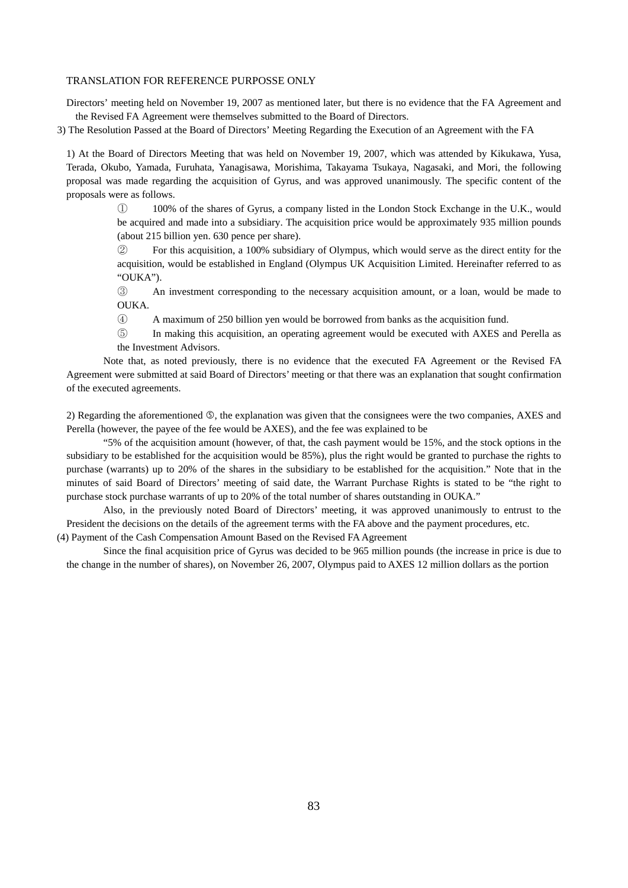Directors' meeting held on November 19, 2007 as mentioned later, but there is no evidence that the FA Agreement and the Revised FA Agreement were themselves submitted to the Board of Directors.

3) The Resolution Passed at the Board of Directors' Meeting Regarding the Execution of an Agreement with the FA

1) At the Board of Directors Meeting that was held on November 19, 2007, which was attended by Kikukawa, Yusa, Terada, Okubo, Yamada, Furuhata, Yanagisawa, Morishima, Takayama Tsukaya, Nagasaki, and Mori, the following proposal was made regarding the acquisition of Gyrus, and was approved unanimously. The specific content of the proposals were as follows.

> ① 100% of the shares of Gyrus, a company listed in the London Stock Exchange in the U.K., would be acquired and made into a subsidiary. The acquisition price would be approximately 935 million pounds (about 215 billion yen. 630 pence per share).

> ② For this acquisition, a 100% subsidiary of Olympus, which would serve as the direct entity for the acquisition, would be established in England (Olympus UK Acquisition Limited. Hereinafter referred to as "OUKA").

> ③ An investment corresponding to the necessary acquisition amount, or a loan, would be made to OUKA.

④ A maximum of 250 billion yen would be borrowed from banks as the acquisition fund.

⑤ In making this acquisition, an operating agreement would be executed with AXES and Perella as the Investment Advisors.

Note that, as noted previously, there is no evidence that the executed FA Agreement or the Revised FA Agreement were submitted at said Board of Directors' meeting or that there was an explanation that sought confirmation of the executed agreements.

2) Regarding the aforementioned  $\circled{S}$ , the explanation was given that the consignees were the two companies, AXES and Perella (however, the payee of the fee would be AXES), and the fee was explained to be

"5% of the acquisition amount (however, of that, the cash payment would be 15%, and the stock options in the subsidiary to be established for the acquisition would be 85%), plus the right would be granted to purchase the rights to purchase (warrants) up to 20% of the shares in the subsidiary to be established for the acquisition." Note that in the minutes of said Board of Directors' meeting of said date, the Warrant Purchase Rights is stated to be "the right to purchase stock purchase warrants of up to 20% of the total number of shares outstanding in OUKA."

Also, in the previously noted Board of Directors' meeting, it was approved unanimously to entrust to the President the decisions on the details of the agreement terms with the FA above and the payment procedures, etc.

(4) Payment of the Cash Compensation Amount Based on the Revised FA Agreement

Since the final acquisition price of Gyrus was decided to be 965 million pounds (the increase in price is due to the change in the number of shares), on November 26, 2007, Olympus paid to AXES 12 million dollars as the portion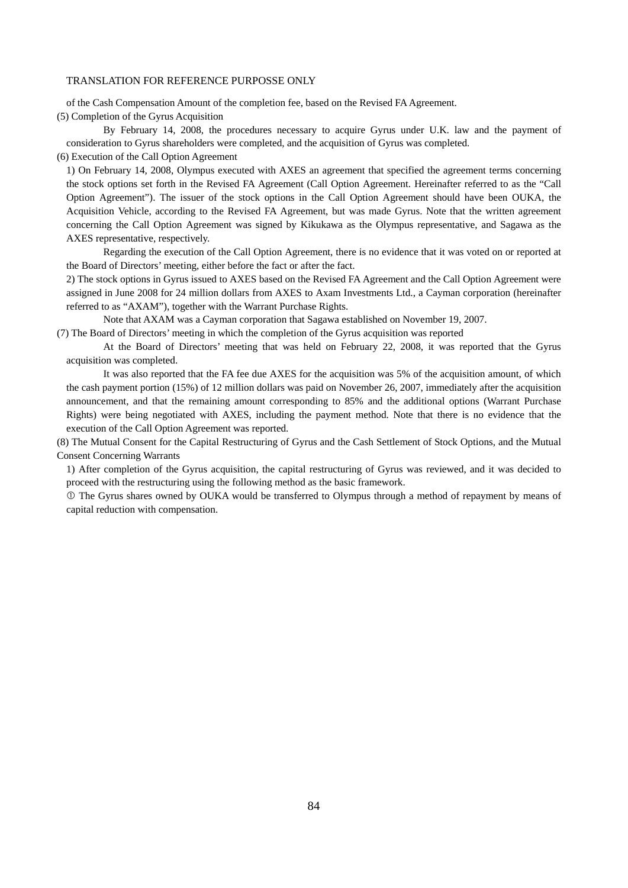of the Cash Compensation Amount of the completion fee, based on the Revised FA Agreement.

(5) Completion of the Gyrus Acquisition

By February 14, 2008, the procedures necessary to acquire Gyrus under U.K. law and the payment of consideration to Gyrus shareholders were completed, and the acquisition of Gyrus was completed.

(6) Execution of the Call Option Agreement

1) On February 14, 2008, Olympus executed with AXES an agreement that specified the agreement terms concerning the stock options set forth in the Revised FA Agreement (Call Option Agreement. Hereinafter referred to as the "Call Option Agreement"). The issuer of the stock options in the Call Option Agreement should have been OUKA, the Acquisition Vehicle, according to the Revised FA Agreement, but was made Gyrus. Note that the written agreement concerning the Call Option Agreement was signed by Kikukawa as the Olympus representative, and Sagawa as the AXES representative, respectively.

Regarding the execution of the Call Option Agreement, there is no evidence that it was voted on or reported at the Board of Directors' meeting, either before the fact or after the fact.

2) The stock options in Gyrus issued to AXES based on the Revised FA Agreement and the Call Option Agreement were assigned in June 2008 for 24 million dollars from AXES to Axam Investments Ltd., a Cayman corporation (hereinafter referred to as "AXAM"), together with the Warrant Purchase Rights.

Note that AXAM was a Cayman corporation that Sagawa established on November 19, 2007.

(7) The Board of Directors' meeting in which the completion of the Gyrus acquisition was reported

At the Board of Directors' meeting that was held on February 22, 2008, it was reported that the Gyrus acquisition was completed.

It was also reported that the FA fee due AXES for the acquisition was 5% of the acquisition amount, of which the cash payment portion (15%) of 12 million dollars was paid on November 26, 2007, immediately after the acquisition announcement, and that the remaining amount corresponding to 85% and the additional options (Warrant Purchase Rights) were being negotiated with AXES, including the payment method. Note that there is no evidence that the execution of the Call Option Agreement was reported.

(8) The Mutual Consent for the Capital Restructuring of Gyrus and the Cash Settlement of Stock Options, and the Mutual Consent Concerning Warrants

1) After completion of the Gyrus acquisition, the capital restructuring of Gyrus was reviewed, and it was decided to proceed with the restructuring using the following method as the basic framework.

 The Gyrus shares owned by OUKA would be transferred to Olympus through a method of repayment by means of capital reduction with compensation.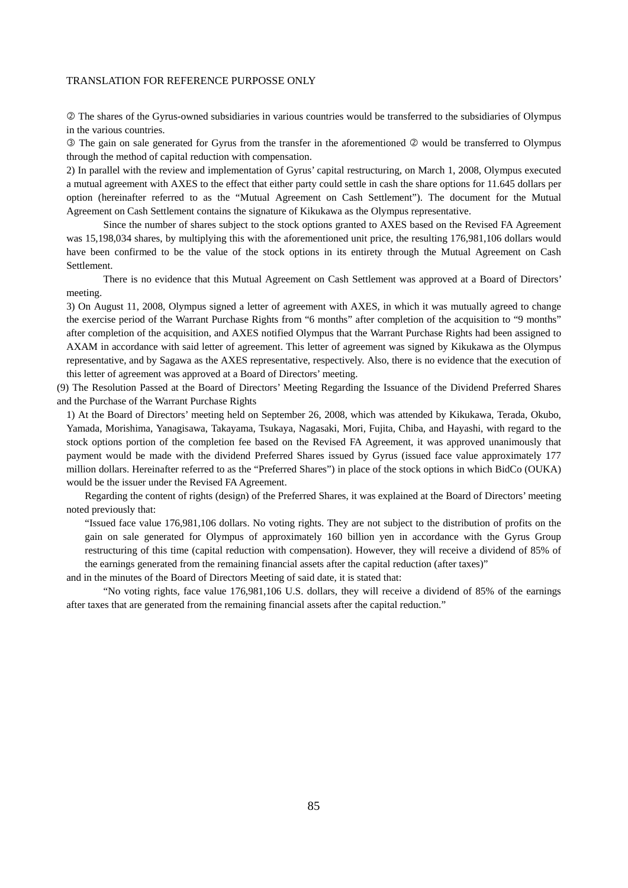The shares of the Gyrus-owned subsidiaries in various countries would be transferred to the subsidiaries of Olympus in the various countries.

 The gain on sale generated for Gyrus from the transfer in the aforementioned would be transferred to Olympus through the method of capital reduction with compensation.

2) In parallel with the review and implementation of Gyrus' capital restructuring, on March 1, 2008, Olympus executed a mutual agreement with AXES to the effect that either party could settle in cash the share options for 11.645 dollars per option (hereinafter referred to as the "Mutual Agreement on Cash Settlement"). The document for the Mutual Agreement on Cash Settlement contains the signature of Kikukawa as the Olympus representative.

Since the number of shares subject to the stock options granted to AXES based on the Revised FA Agreement was 15,198,034 shares, by multiplying this with the aforementioned unit price, the resulting 176,981,106 dollars would have been confirmed to be the value of the stock options in its entirety through the Mutual Agreement on Cash Settlement.

There is no evidence that this Mutual Agreement on Cash Settlement was approved at a Board of Directors' meeting.

3) On August 11, 2008, Olympus signed a letter of agreement with AXES, in which it was mutually agreed to change the exercise period of the Warrant Purchase Rights from "6 months" after completion of the acquisition to "9 months" after completion of the acquisition, and AXES notified Olympus that the Warrant Purchase Rights had been assigned to AXAM in accordance with said letter of agreement. This letter of agreement was signed by Kikukawa as the Olympus representative, and by Sagawa as the AXES representative, respectively. Also, there is no evidence that the execution of this letter of agreement was approved at a Board of Directors' meeting.

(9) The Resolution Passed at the Board of Directors' Meeting Regarding the Issuance of the Dividend Preferred Shares and the Purchase of the Warrant Purchase Rights

1) At the Board of Directors' meeting held on September 26, 2008, which was attended by Kikukawa, Terada, Okubo, Yamada, Morishima, Yanagisawa, Takayama, Tsukaya, Nagasaki, Mori, Fujita, Chiba, and Hayashi, with regard to the stock options portion of the completion fee based on the Revised FA Agreement, it was approved unanimously that payment would be made with the dividend Preferred Shares issued by Gyrus (issued face value approximately 177 million dollars. Hereinafter referred to as the "Preferred Shares") in place of the stock options in which BidCo (OUKA) would be the issuer under the Revised FA Agreement.

Regarding the content of rights (design) of the Preferred Shares, it was explained at the Board of Directors' meeting noted previously that:

"Issued face value 176,981,106 dollars. No voting rights. They are not subject to the distribution of profits on the gain on sale generated for Olympus of approximately 160 billion yen in accordance with the Gyrus Group restructuring of this time (capital reduction with compensation). However, they will receive a dividend of 85% of the earnings generated from the remaining financial assets after the capital reduction (after taxes)"

and in the minutes of the Board of Directors Meeting of said date, it is stated that:

"No voting rights, face value 176,981,106 U.S. dollars, they will receive a dividend of 85% of the earnings after taxes that are generated from the remaining financial assets after the capital reduction."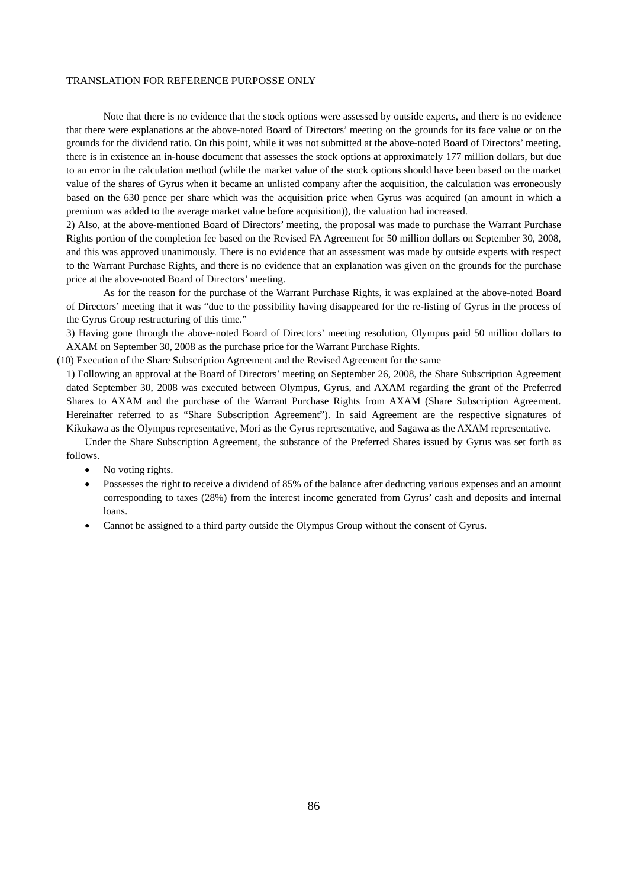Note that there is no evidence that the stock options were assessed by outside experts, and there is no evidence that there were explanations at the above-noted Board of Directors' meeting on the grounds for its face value or on the grounds for the dividend ratio. On this point, while it was not submitted at the above-noted Board of Directors' meeting, there is in existence an in-house document that assesses the stock options at approximately 177 million dollars, but due to an error in the calculation method (while the market value of the stock options should have been based on the market value of the shares of Gyrus when it became an unlisted company after the acquisition, the calculation was erroneously based on the 630 pence per share which was the acquisition price when Gyrus was acquired (an amount in which a premium was added to the average market value before acquisition)), the valuation had increased.

2) Also, at the above-mentioned Board of Directors' meeting, the proposal was made to purchase the Warrant Purchase Rights portion of the completion fee based on the Revised FA Agreement for 50 million dollars on September 30, 2008, and this was approved unanimously. There is no evidence that an assessment was made by outside experts with respect to the Warrant Purchase Rights, and there is no evidence that an explanation was given on the grounds for the purchase price at the above-noted Board of Directors' meeting.

As for the reason for the purchase of the Warrant Purchase Rights, it was explained at the above-noted Board of Directors' meeting that it was "due to the possibility having disappeared for the re-listing of Gyrus in the process of the Gyrus Group restructuring of this time."

3) Having gone through the above-noted Board of Directors' meeting resolution, Olympus paid 50 million dollars to AXAM on September 30, 2008 as the purchase price for the Warrant Purchase Rights.

(10) Execution of the Share Subscription Agreement and the Revised Agreement for the same

1) Following an approval at the Board of Directors' meeting on September 26, 2008, the Share Subscription Agreement dated September 30, 2008 was executed between Olympus, Gyrus, and AXAM regarding the grant of the Preferred Shares to AXAM and the purchase of the Warrant Purchase Rights from AXAM (Share Subscription Agreement. Hereinafter referred to as "Share Subscription Agreement"). In said Agreement are the respective signatures of Kikukawa as the Olympus representative, Mori as the Gyrus representative, and Sagawa as the AXAM representative.

Under the Share Subscription Agreement, the substance of the Preferred Shares issued by Gyrus was set forth as follows.

- No voting rights.
- Possesses the right to receive a dividend of 85% of the balance after deducting various expenses and an amount corresponding to taxes (28%) from the interest income generated from Gyrus' cash and deposits and internal loans.
- Cannot be assigned to a third party outside the Olympus Group without the consent of Gyrus.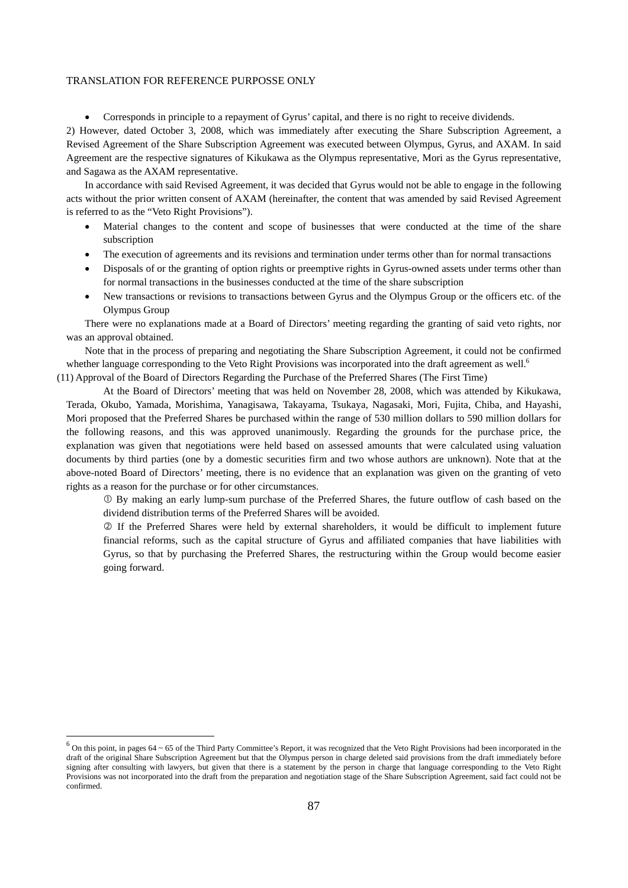Corresponds in principle to a repayment of Gyrus' capital, and there is no right to receive dividends.

2) However, dated October 3, 2008, which was immediately after executing the Share Subscription Agreement, a Revised Agreement of the Share Subscription Agreement was executed between Olympus, Gyrus, and AXAM. In said Agreement are the respective signatures of Kikukawa as the Olympus representative, Mori as the Gyrus representative, and Sagawa as the AXAM representative.

In accordance with said Revised Agreement, it was decided that Gyrus would not be able to engage in the following acts without the prior written consent of AXAM (hereinafter, the content that was amended by said Revised Agreement is referred to as the "Veto Right Provisions").

- Material changes to the content and scope of businesses that were conducted at the time of the share subscription
- The execution of agreements and its revisions and termination under terms other than for normal transactions
- Disposals of or the granting of option rights or preemptive rights in Gyrus-owned assets under terms other than for normal transactions in the businesses conducted at the time of the share subscription
- New transactions or revisions to transactions between Gyrus and the Olympus Group or the officers etc. of the Olympus Group

There were no explanations made at a Board of Directors' meeting regarding the granting of said veto rights, nor was an approval obtained.

Note that in the process of preparing and negotiating the Share Subscription Agreement, it could not be confirmed whether language corresponding to the Veto Right Provisions was incorporated into the draft agreement as well.<sup>6</sup>

(11) Approval of the Board of Directors Regarding the Purchase of the Preferred Shares (The First Time)

At the Board of Directors' meeting that was held on November 28, 2008, which was attended by Kikukawa, Terada, Okubo, Yamada, Morishima, Yanagisawa, Takayama, Tsukaya, Nagasaki, Mori, Fujita, Chiba, and Hayashi, Mori proposed that the Preferred Shares be purchased within the range of 530 million dollars to 590 million dollars for the following reasons, and this was approved unanimously. Regarding the grounds for the purchase price, the explanation was given that negotiations were held based on assessed amounts that were calculated using valuation documents by third parties (one by a domestic securities firm and two whose authors are unknown). Note that at the above-noted Board of Directors' meeting, there is no evidence that an explanation was given on the granting of veto rights as a reason for the purchase or for other circumstances.

 By making an early lump-sum purchase of the Preferred Shares, the future outflow of cash based on the dividend distribution terms of the Preferred Shares will be avoided.

 If the Preferred Shares were held by external shareholders, it would be difficult to implement future financial reforms, such as the capital structure of Gyrus and affiliated companies that have liabilities with Gyrus, so that by purchasing the Preferred Shares, the restructuring within the Group would become easier going forward.

<u>.</u>

 $6$  On this point, in pages 64 ~ 65 of the Third Party Committee's Report, it was recognized that the Veto Right Provisions had been incorporated in the draft of the original Share Subscription Agreement but that the Olympus person in charge deleted said provisions from the draft immediately before signing after consulting with lawyers, but given that there is a statement by the person in charge that language corresponding to the Veto Right Provisions was not incorporated into the draft from the preparation and negotiation stage of the Share Subscription Agreement, said fact could not be confirmed.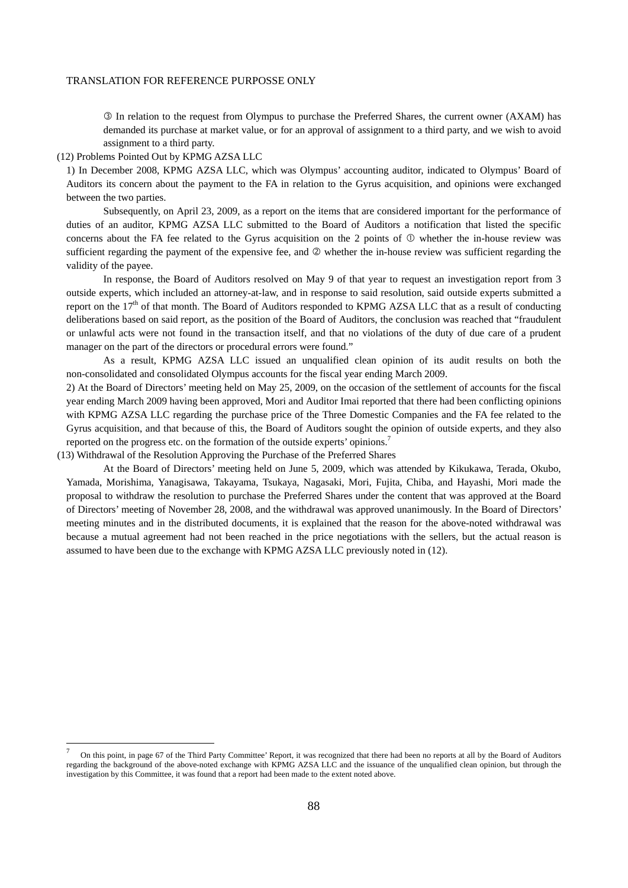In relation to the request from Olympus to purchase the Preferred Shares, the current owner (AXAM) has demanded its purchase at market value, or for an approval of assignment to a third party, and we wish to avoid assignment to a third party.

(12) Problems Pointed Out by KPMG AZSA LLC

-

1) In December 2008, KPMG AZSA LLC, which was Olympus' accounting auditor, indicated to Olympus' Board of Auditors its concern about the payment to the FA in relation to the Gyrus acquisition, and opinions were exchanged between the two parties.

Subsequently, on April 23, 2009, as a report on the items that are considered important for the performance of duties of an auditor, KPMG AZSA LLC submitted to the Board of Auditors a notification that listed the specific concerns about the FA fee related to the Gyrus acquisition on the 2 points of  $\mathbb O$  whether the in-house review was sufficient regarding the payment of the expensive fee, and  $\oslash$  whether the in-house review was sufficient regarding the validity of the payee.

In response, the Board of Auditors resolved on May 9 of that year to request an investigation report from 3 outside experts, which included an attorney-at-law, and in response to said resolution, said outside experts submitted a report on the 17<sup>th</sup> of that month. The Board of Auditors responded to KPMG AZSA LLC that as a result of conducting deliberations based on said report, as the position of the Board of Auditors, the conclusion was reached that "fraudulent or unlawful acts were not found in the transaction itself, and that no violations of the duty of due care of a prudent manager on the part of the directors or procedural errors were found."

As a result, KPMG AZSA LLC issued an unqualified clean opinion of its audit results on both the non-consolidated and consolidated Olympus accounts for the fiscal year ending March 2009.

2) At the Board of Directors' meeting held on May 25, 2009, on the occasion of the settlement of accounts for the fiscal year ending March 2009 having been approved, Mori and Auditor Imai reported that there had been conflicting opinions with KPMG AZSA LLC regarding the purchase price of the Three Domestic Companies and the FA fee related to the Gyrus acquisition, and that because of this, the Board of Auditors sought the opinion of outside experts, and they also reported on the progress etc. on the formation of the outside experts' opinions.<sup>7</sup>

(13) Withdrawal of the Resolution Approving the Purchase of the Preferred Shares

At the Board of Directors' meeting held on June 5, 2009, which was attended by Kikukawa, Terada, Okubo, Yamada, Morishima, Yanagisawa, Takayama, Tsukaya, Nagasaki, Mori, Fujita, Chiba, and Hayashi, Mori made the proposal to withdraw the resolution to purchase the Preferred Shares under the content that was approved at the Board of Directors' meeting of November 28, 2008, and the withdrawal was approved unanimously. In the Board of Directors' meeting minutes and in the distributed documents, it is explained that the reason for the above-noted withdrawal was because a mutual agreement had not been reached in the price negotiations with the sellers, but the actual reason is assumed to have been due to the exchange with KPMG AZSA LLC previously noted in (12).

<sup>7</sup> On this point, in page 67 of the Third Party Committee' Report, it was recognized that there had been no reports at all by the Board of Auditors regarding the background of the above-noted exchange with KPMG AZSA LLC and the issuance of the unqualified clean opinion, but through the investigation by this Committee, it was found that a report had been made to the extent noted above.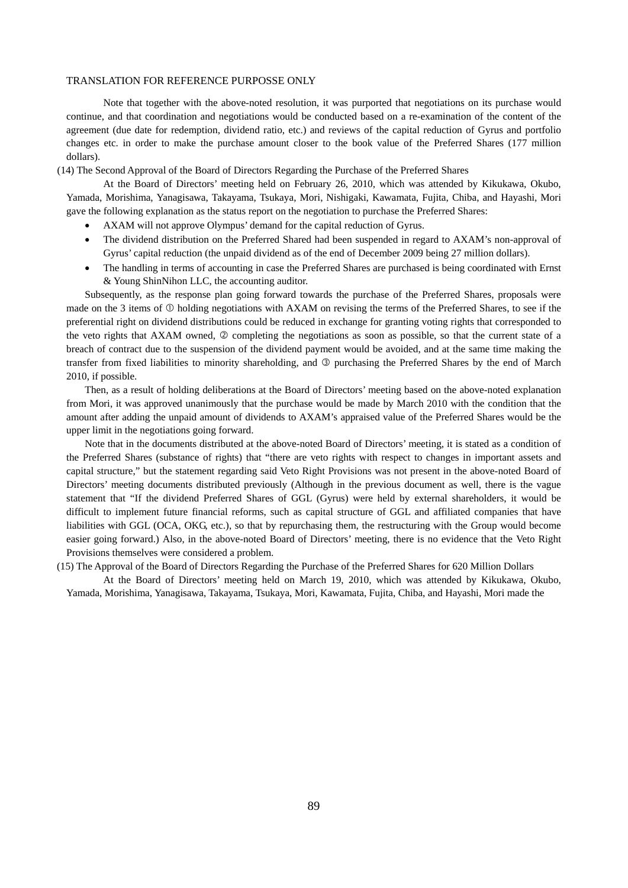Note that together with the above-noted resolution, it was purported that negotiations on its purchase would continue, and that coordination and negotiations would be conducted based on a re-examination of the content of the agreement (due date for redemption, dividend ratio, etc.) and reviews of the capital reduction of Gyrus and portfolio changes etc. in order to make the purchase amount closer to the book value of the Preferred Shares (177 million dollars).

(14) The Second Approval of the Board of Directors Regarding the Purchase of the Preferred Shares

At the Board of Directors' meeting held on February 26, 2010, which was attended by Kikukawa, Okubo, Yamada, Morishima, Yanagisawa, Takayama, Tsukaya, Mori, Nishigaki, Kawamata, Fujita, Chiba, and Hayashi, Mori gave the following explanation as the status report on the negotiation to purchase the Preferred Shares:

- AXAM will not approve Olympus' demand for the capital reduction of Gyrus.
- The dividend distribution on the Preferred Shared had been suspended in regard to AXAM's non-approval of Gyrus' capital reduction (the unpaid dividend as of the end of December 2009 being 27 million dollars).
- The handling in terms of accounting in case the Preferred Shares are purchased is being coordinated with Ernst & Young ShinNihon LLC, the accounting auditor.

Subsequently, as the response plan going forward towards the purchase of the Preferred Shares, proposals were made on the 3 items of  $\Phi$  holding negotiations with AXAM on revising the terms of the Preferred Shares, to see if the preferential right on dividend distributions could be reduced in exchange for granting voting rights that corresponded to the veto rights that AXAM owned,  $\oslash$  completing the negotiations as soon as possible, so that the current state of a breach of contract due to the suspension of the dividend payment would be avoided, and at the same time making the transfer from fixed liabilities to minority shareholding, and <sup>3</sup> purchasing the Preferred Shares by the end of March 2010, if possible.

Then, as a result of holding deliberations at the Board of Directors' meeting based on the above-noted explanation from Mori, it was approved unanimously that the purchase would be made by March 2010 with the condition that the amount after adding the unpaid amount of dividends to AXAM's appraised value of the Preferred Shares would be the upper limit in the negotiations going forward.

Note that in the documents distributed at the above-noted Board of Directors' meeting, it is stated as a condition of the Preferred Shares (substance of rights) that "there are veto rights with respect to changes in important assets and capital structure," but the statement regarding said Veto Right Provisions was not present in the above-noted Board of Directors' meeting documents distributed previously (Although in the previous document as well, there is the vague statement that "If the dividend Preferred Shares of GGL (Gyrus) were held by external shareholders, it would be difficult to implement future financial reforms, such as capital structure of GGL and affiliated companies that have liabilities with GGL (OCA, OKG, etc.), so that by repurchasing them, the restructuring with the Group would become easier going forward.) Also, in the above-noted Board of Directors' meeting, there is no evidence that the Veto Right Provisions themselves were considered a problem.

(15) The Approval of the Board of Directors Regarding the Purchase of the Preferred Shares for 620 Million Dollars

At the Board of Directors' meeting held on March 19, 2010, which was attended by Kikukawa, Okubo, Yamada, Morishima, Yanagisawa, Takayama, Tsukaya, Mori, Kawamata, Fujita, Chiba, and Hayashi, Mori made the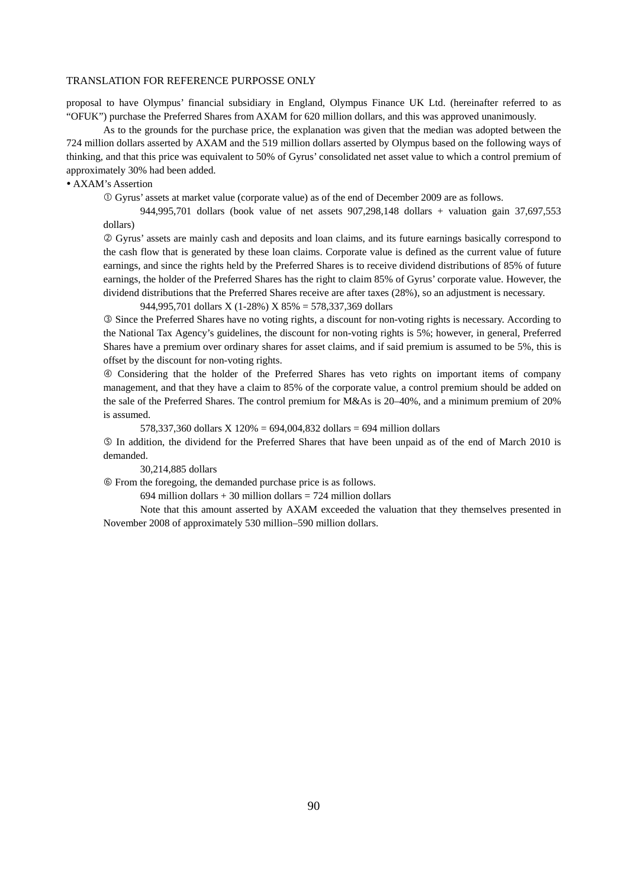proposal to have Olympus' financial subsidiary in England, Olympus Finance UK Ltd. (hereinafter referred to as "OFUK") purchase the Preferred Shares from AXAM for 620 million dollars, and this was approved unanimously.

As to the grounds for the purchase price, the explanation was given that the median was adopted between the 724 million dollars asserted by AXAM and the 519 million dollars asserted by Olympus based on the following ways of thinking, and that this price was equivalent to 50% of Gyrus' consolidated net asset value to which a control premium of approximately 30% had been added.

# AXAM's Assertion

Gyrus' assets at market value (corporate value) as of the end of December 2009 are as follows.

944,995,701 dollars (book value of net assets 907,298,148 dollars + valuation gain 37,697,553 dollars)

 Gyrus' assets are mainly cash and deposits and loan claims, and its future earnings basically correspond to the cash flow that is generated by these loan claims. Corporate value is defined as the current value of future earnings, and since the rights held by the Preferred Shares is to receive dividend distributions of 85% of future earnings, the holder of the Preferred Shares has the right to claim 85% of Gyrus' corporate value. However, the dividend distributions that the Preferred Shares receive are after taxes (28%), so an adjustment is necessary.

944,995,701 dollars X (1-28%) X 85% = 578,337,369 dollars

 Since the Preferred Shares have no voting rights, a discount for non-voting rights is necessary. According to the National Tax Agency's guidelines, the discount for non-voting rights is 5%; however, in general, Preferred Shares have a premium over ordinary shares for asset claims, and if said premium is assumed to be 5%, this is offset by the discount for non-voting rights.

 Considering that the holder of the Preferred Shares has veto rights on important items of company management, and that they have a claim to 85% of the corporate value, a control premium should be added on the sale of the Preferred Shares. The control premium for M&As is 20–40%, and a minimum premium of 20% is assumed.

578,337,360 dollars X 120% = 694,004,832 dollars = 694 million dollars

 In addition, the dividend for the Preferred Shares that have been unpaid as of the end of March 2010 is demanded.

30,214,885 dollars

From the foregoing, the demanded purchase price is as follows.

694 million dollars  $+ 30$  million dollars  $= 724$  million dollars

Note that this amount asserted by AXAM exceeded the valuation that they themselves presented in November 2008 of approximately 530 million–590 million dollars.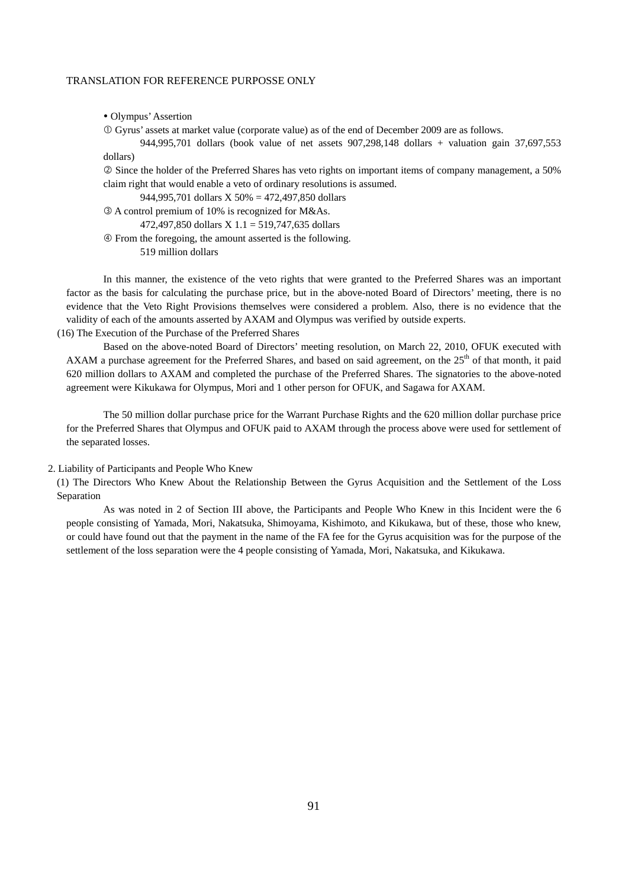Olympus' Assertion

Gyrus' assets at market value (corporate value) as of the end of December 2009 are as follows.

944,995,701 dollars (book value of net assets 907,298,148 dollars + valuation gain 37,697,553 dollars)

 Since the holder of the Preferred Shares has veto rights on important items of company management, a 50% claim right that would enable a veto of ordinary resolutions is assumed.

944,995,701 dollars X 50% = 472,497,850 dollars

A control premium of 10% is recognized for M&As.

472,497,850 dollars X 1.1 = 519,747,635 dollars

 From the foregoing, the amount asserted is the following. 519 million dollars

In this manner, the existence of the veto rights that were granted to the Preferred Shares was an important factor as the basis for calculating the purchase price, but in the above-noted Board of Directors' meeting, there is no evidence that the Veto Right Provisions themselves were considered a problem. Also, there is no evidence that the validity of each of the amounts asserted by AXAM and Olympus was verified by outside experts.

(16) The Execution of the Purchase of the Preferred Shares

Based on the above-noted Board of Directors' meeting resolution, on March 22, 2010, OFUK executed with AXAM a purchase agreement for the Preferred Shares, and based on said agreement, on the 25<sup>th</sup> of that month, it paid 620 million dollars to AXAM and completed the purchase of the Preferred Shares. The signatories to the above-noted agreement were Kikukawa for Olympus, Mori and 1 other person for OFUK, and Sagawa for AXAM.

The 50 million dollar purchase price for the Warrant Purchase Rights and the 620 million dollar purchase price for the Preferred Shares that Olympus and OFUK paid to AXAM through the process above were used for settlement of the separated losses.

## 2. Liability of Participants and People Who Knew

(1) The Directors Who Knew About the Relationship Between the Gyrus Acquisition and the Settlement of the Loss Separation

As was noted in 2 of Section III above, the Participants and People Who Knew in this Incident were the 6 people consisting of Yamada, Mori, Nakatsuka, Shimoyama, Kishimoto, and Kikukawa, but of these, those who knew, or could have found out that the payment in the name of the FA fee for the Gyrus acquisition was for the purpose of the settlement of the loss separation were the 4 people consisting of Yamada, Mori, Nakatsuka, and Kikukawa.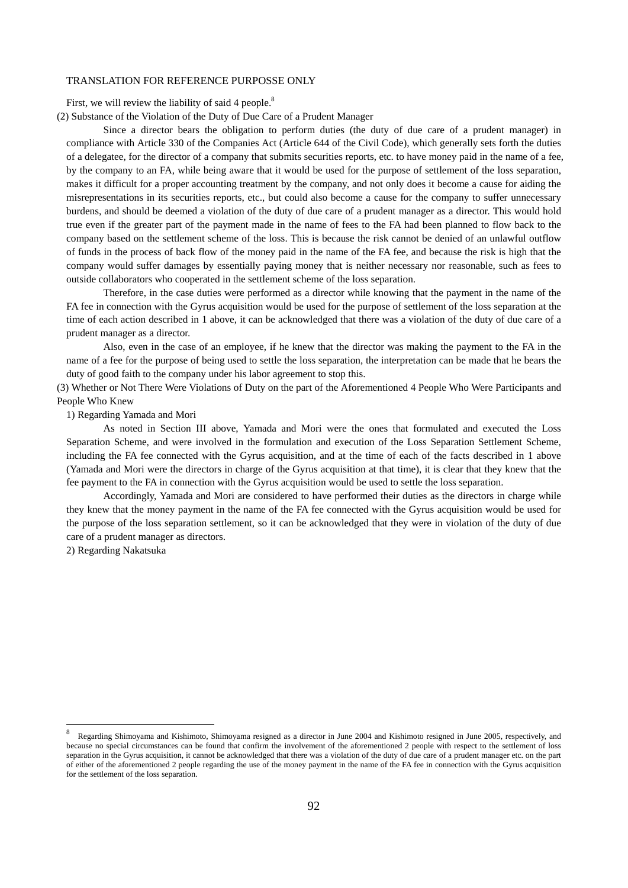First, we will review the liability of said 4 people.<sup>8</sup>

(2) Substance of the Violation of the Duty of Due Care of a Prudent Manager

Since a director bears the obligation to perform duties (the duty of due care of a prudent manager) in compliance with Article 330 of the Companies Act (Article 644 of the Civil Code), which generally sets forth the duties of a delegatee, for the director of a company that submits securities reports, etc. to have money paid in the name of a fee, by the company to an FA, while being aware that it would be used for the purpose of settlement of the loss separation, makes it difficult for a proper accounting treatment by the company, and not only does it become a cause for aiding the misrepresentations in its securities reports, etc., but could also become a cause for the company to suffer unnecessary burdens, and should be deemed a violation of the duty of due care of a prudent manager as a director. This would hold true even if the greater part of the payment made in the name of fees to the FA had been planned to flow back to the company based on the settlement scheme of the loss. This is because the risk cannot be denied of an unlawful outflow of funds in the process of back flow of the money paid in the name of the FA fee, and because the risk is high that the company would suffer damages by essentially paying money that is neither necessary nor reasonable, such as fees to outside collaborators who cooperated in the settlement scheme of the loss separation.

Therefore, in the case duties were performed as a director while knowing that the payment in the name of the FA fee in connection with the Gyrus acquisition would be used for the purpose of settlement of the loss separation at the time of each action described in 1 above, it can be acknowledged that there was a violation of the duty of due care of a prudent manager as a director.

Also, even in the case of an employee, if he knew that the director was making the payment to the FA in the name of a fee for the purpose of being used to settle the loss separation, the interpretation can be made that he bears the duty of good faith to the company under his labor agreement to stop this.

(3) Whether or Not There Were Violations of Duty on the part of the Aforementioned 4 People Who Were Participants and People Who Knew

1) Regarding Yamada and Mori

As noted in Section III above, Yamada and Mori were the ones that formulated and executed the Loss Separation Scheme, and were involved in the formulation and execution of the Loss Separation Settlement Scheme, including the FA fee connected with the Gyrus acquisition, and at the time of each of the facts described in 1 above (Yamada and Mori were the directors in charge of the Gyrus acquisition at that time), it is clear that they knew that the fee payment to the FA in connection with the Gyrus acquisition would be used to settle the loss separation.

Accordingly, Yamada and Mori are considered to have performed their duties as the directors in charge while they knew that the money payment in the name of the FA fee connected with the Gyrus acquisition would be used for the purpose of the loss separation settlement, so it can be acknowledged that they were in violation of the duty of due care of a prudent manager as directors.

2) Regarding Nakatsuka

-

<sup>8</sup> Regarding Shimoyama and Kishimoto, Shimoyama resigned as a director in June 2004 and Kishimoto resigned in June 2005, respectively, and because no special circumstances can be found that confirm the involvement of the aforementioned 2 people with respect to the settlement of loss separation in the Gyrus acquisition, it cannot be acknowledged that there was a violation of the duty of due care of a prudent manager etc. on the part of either of the aforementioned 2 people regarding the use of the money payment in the name of the FA fee in connection with the Gyrus acquisition for the settlement of the loss separation.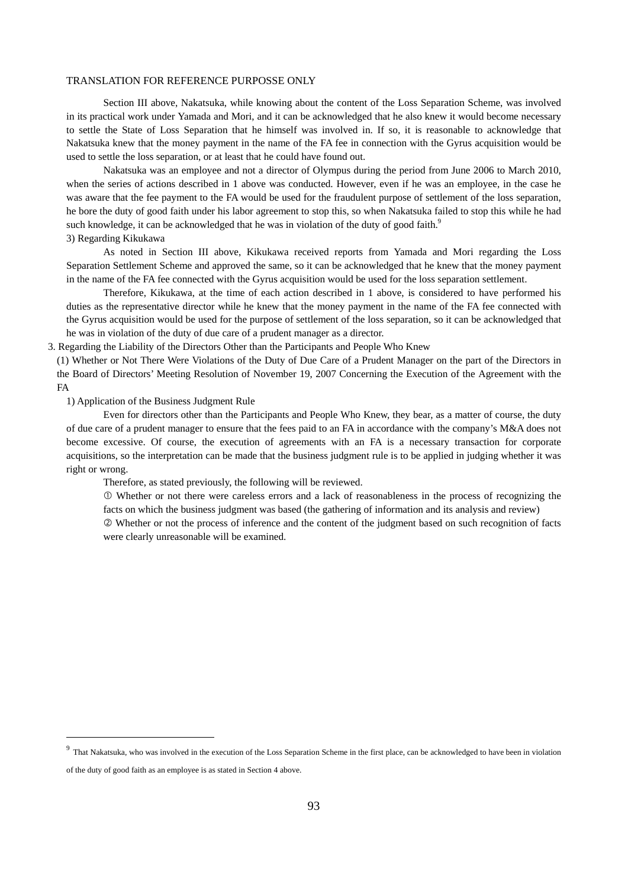Section III above, Nakatsuka, while knowing about the content of the Loss Separation Scheme, was involved in its practical work under Yamada and Mori, and it can be acknowledged that he also knew it would become necessary to settle the State of Loss Separation that he himself was involved in. If so, it is reasonable to acknowledge that Nakatsuka knew that the money payment in the name of the FA fee in connection with the Gyrus acquisition would be used to settle the loss separation, or at least that he could have found out.

Nakatsuka was an employee and not a director of Olympus during the period from June 2006 to March 2010, when the series of actions described in 1 above was conducted. However, even if he was an employee, in the case he was aware that the fee payment to the FA would be used for the fraudulent purpose of settlement of the loss separation, he bore the duty of good faith under his labor agreement to stop this, so when Nakatsuka failed to stop this while he had such knowledge, it can be acknowledged that he was in violation of the duty of good faith.<sup>9</sup> 3) Regarding Kikukawa

As noted in Section III above, Kikukawa received reports from Yamada and Mori regarding the Loss Separation Settlement Scheme and approved the same, so it can be acknowledged that he knew that the money payment in the name of the FA fee connected with the Gyrus acquisition would be used for the loss separation settlement.

Therefore, Kikukawa, at the time of each action described in 1 above, is considered to have performed his duties as the representative director while he knew that the money payment in the name of the FA fee connected with the Gyrus acquisition would be used for the purpose of settlement of the loss separation, so it can be acknowledged that he was in violation of the duty of due care of a prudent manager as a director.

3. Regarding the Liability of the Directors Other than the Participants and People Who Knew

(1) Whether or Not There Were Violations of the Duty of Due Care of a Prudent Manager on the part of the Directors in the Board of Directors' Meeting Resolution of November 19, 2007 Concerning the Execution of the Agreement with the FA

1) Application of the Business Judgment Rule

<u>.</u>

Even for directors other than the Participants and People Who Knew, they bear, as a matter of course, the duty of due care of a prudent manager to ensure that the fees paid to an FA in accordance with the company's M&A does not become excessive. Of course, the execution of agreements with an FA is a necessary transaction for corporate acquisitions, so the interpretation can be made that the business judgment rule is to be applied in judging whether it was right or wrong.

Therefore, as stated previously, the following will be reviewed.

 Whether or not there were careless errors and a lack of reasonableness in the process of recognizing the facts on which the business judgment was based (the gathering of information and its analysis and review)

 Whether or not the process of inference and the content of the judgment based on such recognition of facts were clearly unreasonable will be examined.

<sup>&</sup>lt;sup>9</sup> That Nakatsuka, who was involved in the execution of the Loss Separation Scheme in the first place, can be acknowledged to have been in violation of the duty of good faith as an employee is as stated in Section 4 above.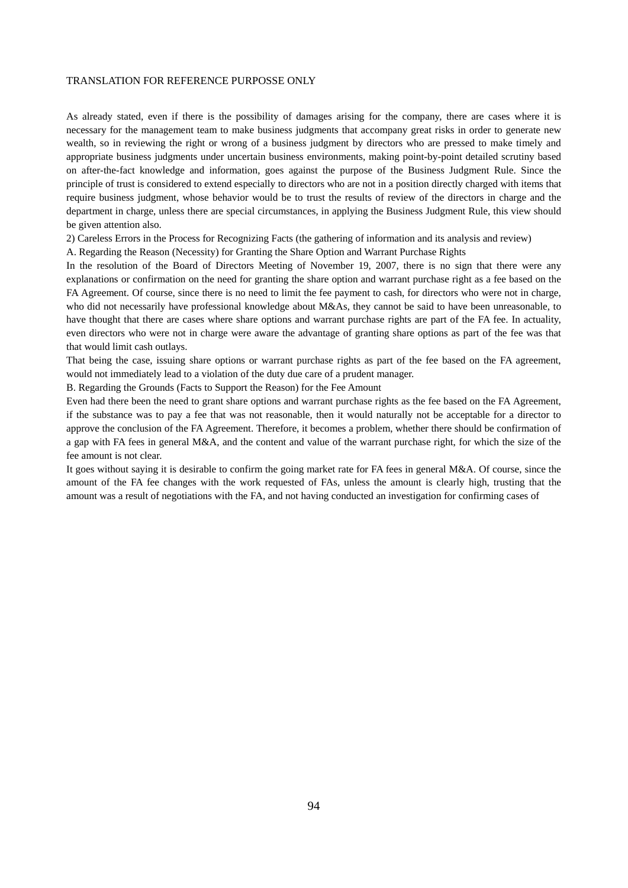As already stated, even if there is the possibility of damages arising for the company, there are cases where it is necessary for the management team to make business judgments that accompany great risks in order to generate new wealth, so in reviewing the right or wrong of a business judgment by directors who are pressed to make timely and appropriate business judgments under uncertain business environments, making point-by-point detailed scrutiny based on after-the-fact knowledge and information, goes against the purpose of the Business Judgment Rule. Since the principle of trust is considered to extend especially to directors who are not in a position directly charged with items that require business judgment, whose behavior would be to trust the results of review of the directors in charge and the department in charge, unless there are special circumstances, in applying the Business Judgment Rule, this view should be given attention also.

2) Careless Errors in the Process for Recognizing Facts (the gathering of information and its analysis and review)

A. Regarding the Reason (Necessity) for Granting the Share Option and Warrant Purchase Rights

In the resolution of the Board of Directors Meeting of November 19, 2007, there is no sign that there were any explanations or confirmation on the need for granting the share option and warrant purchase right as a fee based on the FA Agreement. Of course, since there is no need to limit the fee payment to cash, for directors who were not in charge, who did not necessarily have professional knowledge about M&As, they cannot be said to have been unreasonable, to have thought that there are cases where share options and warrant purchase rights are part of the FA fee. In actuality, even directors who were not in charge were aware the advantage of granting share options as part of the fee was that that would limit cash outlays.

That being the case, issuing share options or warrant purchase rights as part of the fee based on the FA agreement, would not immediately lead to a violation of the duty due care of a prudent manager.

B. Regarding the Grounds (Facts to Support the Reason) for the Fee Amount

Even had there been the need to grant share options and warrant purchase rights as the fee based on the FA Agreement, if the substance was to pay a fee that was not reasonable, then it would naturally not be acceptable for a director to approve the conclusion of the FA Agreement. Therefore, it becomes a problem, whether there should be confirmation of a gap with FA fees in general M&A, and the content and value of the warrant purchase right, for which the size of the fee amount is not clear.

It goes without saying it is desirable to confirm the going market rate for FA fees in general M&A. Of course, since the amount of the FA fee changes with the work requested of FAs, unless the amount is clearly high, trusting that the amount was a result of negotiations with the FA, and not having conducted an investigation for confirming cases of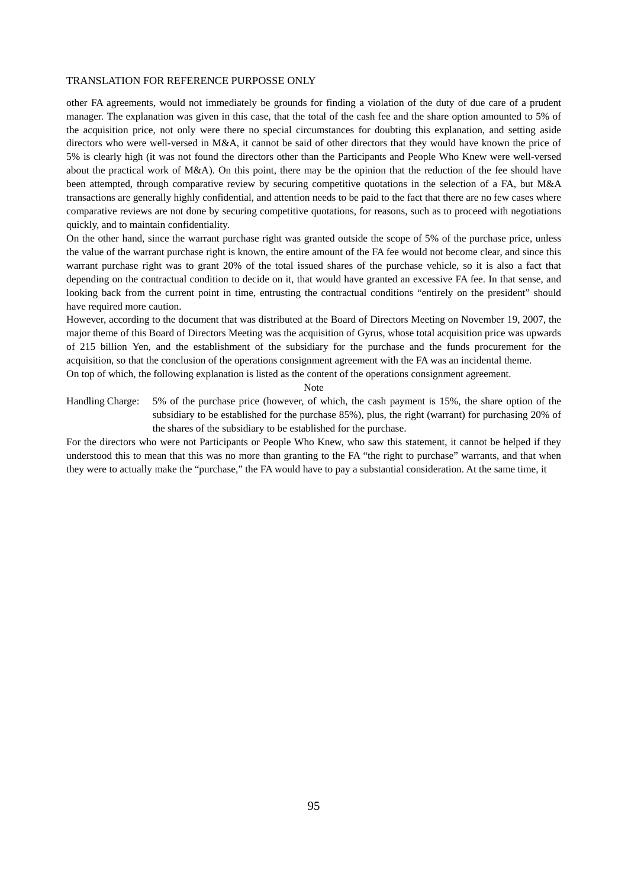other FA agreements, would not immediately be grounds for finding a violation of the duty of due care of a prudent manager. The explanation was given in this case, that the total of the cash fee and the share option amounted to 5% of the acquisition price, not only were there no special circumstances for doubting this explanation, and setting aside directors who were well-versed in M&A, it cannot be said of other directors that they would have known the price of 5% is clearly high (it was not found the directors other than the Participants and People Who Knew were well-versed about the practical work of M&A). On this point, there may be the opinion that the reduction of the fee should have been attempted, through comparative review by securing competitive quotations in the selection of a FA, but M&A transactions are generally highly confidential, and attention needs to be paid to the fact that there are no few cases where comparative reviews are not done by securing competitive quotations, for reasons, such as to proceed with negotiations quickly, and to maintain confidentiality.

On the other hand, since the warrant purchase right was granted outside the scope of 5% of the purchase price, unless the value of the warrant purchase right is known, the entire amount of the FA fee would not become clear, and since this warrant purchase right was to grant 20% of the total issued shares of the purchase vehicle, so it is also a fact that depending on the contractual condition to decide on it, that would have granted an excessive FA fee. In that sense, and looking back from the current point in time, entrusting the contractual conditions "entirely on the president" should have required more caution.

However, according to the document that was distributed at the Board of Directors Meeting on November 19, 2007, the major theme of this Board of Directors Meeting was the acquisition of Gyrus, whose total acquisition price was upwards of 215 billion Yen, and the establishment of the subsidiary for the purchase and the funds procurement for the acquisition, so that the conclusion of the operations consignment agreement with the FA was an incidental theme. On top of which, the following explanation is listed as the content of the operations consignment agreement.

Note

Handling Charge: 5% of the purchase price (however, of which, the cash payment is 15%, the share option of the subsidiary to be established for the purchase 85%), plus, the right (warrant) for purchasing 20% of the shares of the subsidiary to be established for the purchase.

For the directors who were not Participants or People Who Knew, who saw this statement, it cannot be helped if they understood this to mean that this was no more than granting to the FA "the right to purchase" warrants, and that when they were to actually make the "purchase," the FA would have to pay a substantial consideration. At the same time, it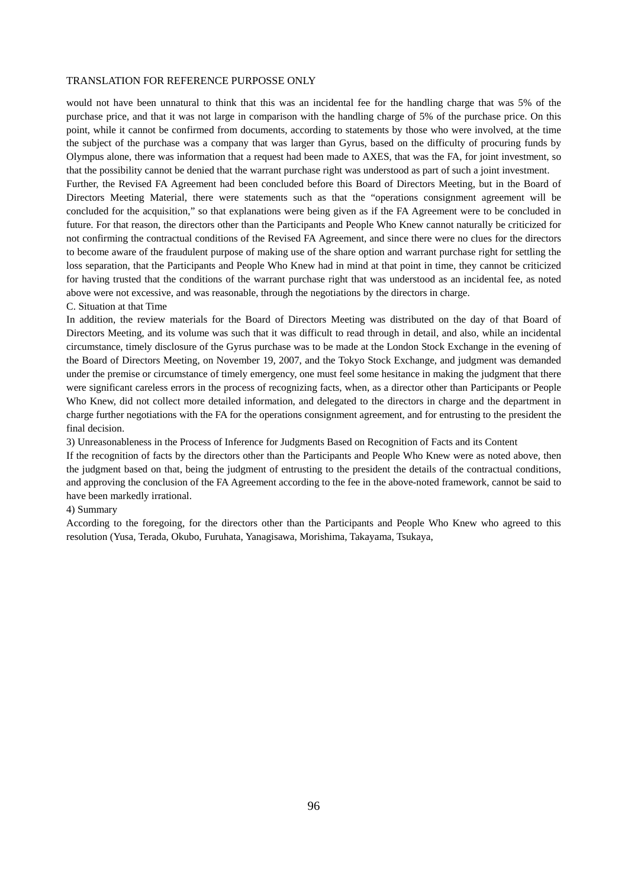would not have been unnatural to think that this was an incidental fee for the handling charge that was 5% of the purchase price, and that it was not large in comparison with the handling charge of 5% of the purchase price. On this point, while it cannot be confirmed from documents, according to statements by those who were involved, at the time the subject of the purchase was a company that was larger than Gyrus, based on the difficulty of procuring funds by Olympus alone, there was information that a request had been made to AXES, that was the FA, for joint investment, so that the possibility cannot be denied that the warrant purchase right was understood as part of such a joint investment.

Further, the Revised FA Agreement had been concluded before this Board of Directors Meeting, but in the Board of Directors Meeting Material, there were statements such as that the "operations consignment agreement will be concluded for the acquisition," so that explanations were being given as if the FA Agreement were to be concluded in future. For that reason, the directors other than the Participants and People Who Knew cannot naturally be criticized for not confirming the contractual conditions of the Revised FA Agreement, and since there were no clues for the directors to become aware of the fraudulent purpose of making use of the share option and warrant purchase right for settling the loss separation, that the Participants and People Who Knew had in mind at that point in time, they cannot be criticized for having trusted that the conditions of the warrant purchase right that was understood as an incidental fee, as noted above were not excessive, and was reasonable, through the negotiations by the directors in charge.

#### C. Situation at that Time

In addition, the review materials for the Board of Directors Meeting was distributed on the day of that Board of Directors Meeting, and its volume was such that it was difficult to read through in detail, and also, while an incidental circumstance, timely disclosure of the Gyrus purchase was to be made at the London Stock Exchange in the evening of the Board of Directors Meeting, on November 19, 2007, and the Tokyo Stock Exchange, and judgment was demanded under the premise or circumstance of timely emergency, one must feel some hesitance in making the judgment that there were significant careless errors in the process of recognizing facts, when, as a director other than Participants or People Who Knew, did not collect more detailed information, and delegated to the directors in charge and the department in charge further negotiations with the FA for the operations consignment agreement, and for entrusting to the president the final decision.

3) Unreasonableness in the Process of Inference for Judgments Based on Recognition of Facts and its Content

If the recognition of facts by the directors other than the Participants and People Who Knew were as noted above, then the judgment based on that, being the judgment of entrusting to the president the details of the contractual conditions, and approving the conclusion of the FA Agreement according to the fee in the above-noted framework, cannot be said to have been markedly irrational.

#### 4) Summary

According to the foregoing, for the directors other than the Participants and People Who Knew who agreed to this resolution (Yusa, Terada, Okubo, Furuhata, Yanagisawa, Morishima, Takayama, Tsukaya,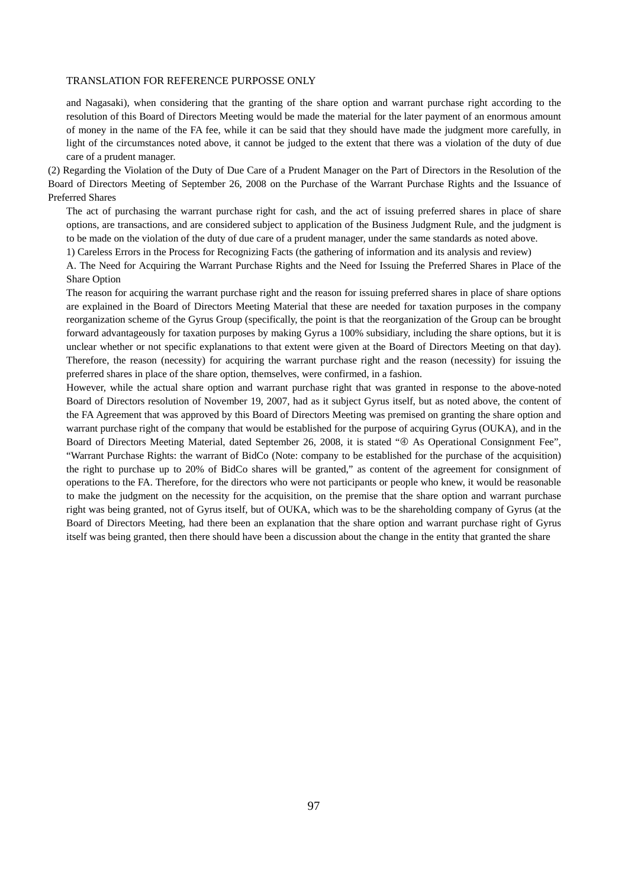and Nagasaki), when considering that the granting of the share option and warrant purchase right according to the resolution of this Board of Directors Meeting would be made the material for the later payment of an enormous amount of money in the name of the FA fee, while it can be said that they should have made the judgment more carefully, in light of the circumstances noted above, it cannot be judged to the extent that there was a violation of the duty of due care of a prudent manager.

(2) Regarding the Violation of the Duty of Due Care of a Prudent Manager on the Part of Directors in the Resolution of the Board of Directors Meeting of September 26, 2008 on the Purchase of the Warrant Purchase Rights and the Issuance of Preferred Shares

The act of purchasing the warrant purchase right for cash, and the act of issuing preferred shares in place of share options, are transactions, and are considered subject to application of the Business Judgment Rule, and the judgment is to be made on the violation of the duty of due care of a prudent manager, under the same standards as noted above.

1) Careless Errors in the Process for Recognizing Facts (the gathering of information and its analysis and review)

A. The Need for Acquiring the Warrant Purchase Rights and the Need for Issuing the Preferred Shares in Place of the Share Option

The reason for acquiring the warrant purchase right and the reason for issuing preferred shares in place of share options are explained in the Board of Directors Meeting Material that these are needed for taxation purposes in the company reorganization scheme of the Gyrus Group (specifically, the point is that the reorganization of the Group can be brought forward advantageously for taxation purposes by making Gyrus a 100% subsidiary, including the share options, but it is unclear whether or not specific explanations to that extent were given at the Board of Directors Meeting on that day). Therefore, the reason (necessity) for acquiring the warrant purchase right and the reason (necessity) for issuing the preferred shares in place of the share option, themselves, were confirmed, in a fashion.

However, while the actual share option and warrant purchase right that was granted in response to the above-noted Board of Directors resolution of November 19, 2007, had as it subject Gyrus itself, but as noted above, the content of the FA Agreement that was approved by this Board of Directors Meeting was premised on granting the share option and warrant purchase right of the company that would be established for the purpose of acquiring Gyrus (OUKA), and in the Board of Directors Meeting Material, dated September 26, 2008, it is stated " $\oplus$  As Operational Consignment Fee", "Warrant Purchase Rights: the warrant of BidCo (Note: company to be established for the purchase of the acquisition) the right to purchase up to 20% of BidCo shares will be granted," as content of the agreement for consignment of operations to the FA. Therefore, for the directors who were not participants or people who knew, it would be reasonable to make the judgment on the necessity for the acquisition, on the premise that the share option and warrant purchase right was being granted, not of Gyrus itself, but of OUKA, which was to be the shareholding company of Gyrus (at the Board of Directors Meeting, had there been an explanation that the share option and warrant purchase right of Gyrus itself was being granted, then there should have been a discussion about the change in the entity that granted the share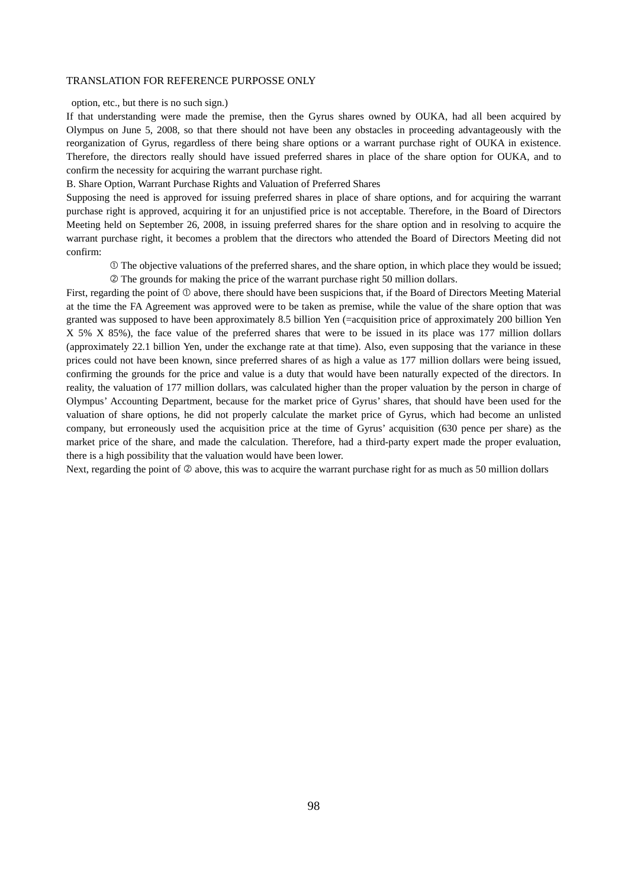option, etc., but there is no such sign.)

If that understanding were made the premise, then the Gyrus shares owned by OUKA, had all been acquired by Olympus on June 5, 2008, so that there should not have been any obstacles in proceeding advantageously with the reorganization of Gyrus, regardless of there being share options or a warrant purchase right of OUKA in existence. Therefore, the directors really should have issued preferred shares in place of the share option for OUKA, and to confirm the necessity for acquiring the warrant purchase right.

B. Share Option, Warrant Purchase Rights and Valuation of Preferred Shares

Supposing the need is approved for issuing preferred shares in place of share options, and for acquiring the warrant purchase right is approved, acquiring it for an unjustified price is not acceptable. Therefore, in the Board of Directors Meeting held on September 26, 2008, in issuing preferred shares for the share option and in resolving to acquire the warrant purchase right, it becomes a problem that the directors who attended the Board of Directors Meeting did not confirm:

 The objective valuations of the preferred shares, and the share option, in which place they would be issued; The grounds for making the price of the warrant purchase right 50 million dollars.

First, regarding the point of  $\mathbb O$  above, there should have been suspicions that, if the Board of Directors Meeting Material at the time the FA Agreement was approved were to be taken as premise, while the value of the share option that was granted was supposed to have been approximately 8.5 billion Yen (=acquisition price of approximately 200 billion Yen X 5% X 85%), the face value of the preferred shares that were to be issued in its place was 177 million dollars (approximately 22.1 billion Yen, under the exchange rate at that time). Also, even supposing that the variance in these prices could not have been known, since preferred shares of as high a value as 177 million dollars were being issued, confirming the grounds for the price and value is a duty that would have been naturally expected of the directors. In reality, the valuation of 177 million dollars, was calculated higher than the proper valuation by the person in charge of Olympus' Accounting Department, because for the market price of Gyrus' shares, that should have been used for the valuation of share options, he did not properly calculate the market price of Gyrus, which had become an unlisted company, but erroneously used the acquisition price at the time of Gyrus' acquisition (630 pence per share) as the market price of the share, and made the calculation. Therefore, had a third-party expert made the proper evaluation, there is a high possibility that the valuation would have been lower.

Next, regarding the point of  $\oslash$  above, this was to acquire the warrant purchase right for as much as 50 million dollars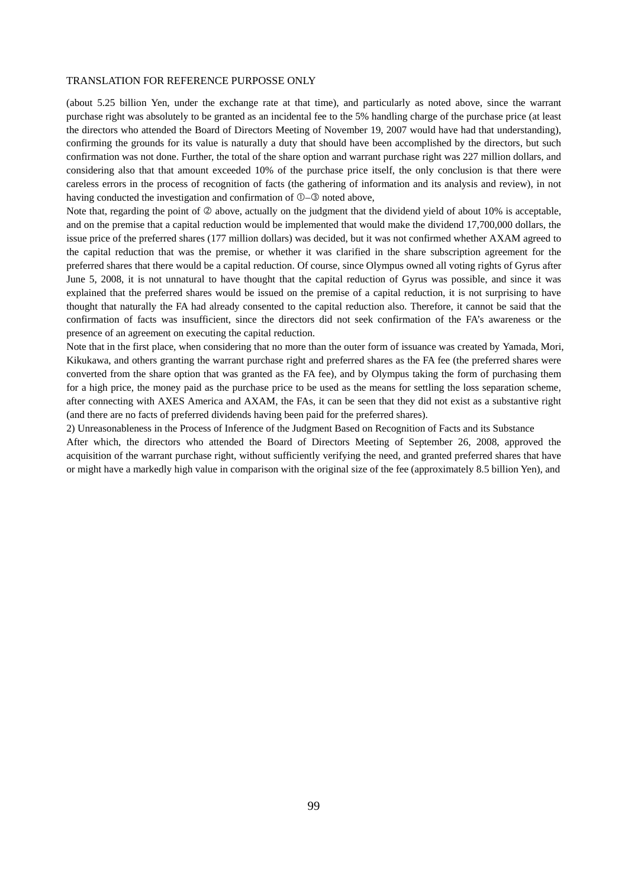(about 5.25 billion Yen, under the exchange rate at that time), and particularly as noted above, since the warrant purchase right was absolutely to be granted as an incidental fee to the 5% handling charge of the purchase price (at least the directors who attended the Board of Directors Meeting of November 19, 2007 would have had that understanding), confirming the grounds for its value is naturally a duty that should have been accomplished by the directors, but such confirmation was not done. Further, the total of the share option and warrant purchase right was 227 million dollars, and considering also that that amount exceeded 10% of the purchase price itself, the only conclusion is that there were careless errors in the process of recognition of facts (the gathering of information and its analysis and review), in not having conducted the investigation and confirmation of  $\mathbb{O}$ - $\mathbb{O}$  noted above,

Note that, regarding the point of  $\oslash$  above, actually on the judgment that the dividend yield of about 10% is acceptable, and on the premise that a capital reduction would be implemented that would make the dividend 17,700,000 dollars, the issue price of the preferred shares (177 million dollars) was decided, but it was not confirmed whether AXAM agreed to the capital reduction that was the premise, or whether it was clarified in the share subscription agreement for the preferred shares that there would be a capital reduction. Of course, since Olympus owned all voting rights of Gyrus after June 5, 2008, it is not unnatural to have thought that the capital reduction of Gyrus was possible, and since it was explained that the preferred shares would be issued on the premise of a capital reduction, it is not surprising to have thought that naturally the FA had already consented to the capital reduction also. Therefore, it cannot be said that the confirmation of facts was insufficient, since the directors did not seek confirmation of the FA's awareness or the presence of an agreement on executing the capital reduction.

Note that in the first place, when considering that no more than the outer form of issuance was created by Yamada, Mori, Kikukawa, and others granting the warrant purchase right and preferred shares as the FA fee (the preferred shares were converted from the share option that was granted as the FA fee), and by Olympus taking the form of purchasing them for a high price, the money paid as the purchase price to be used as the means for settling the loss separation scheme, after connecting with AXES America and AXAM, the FAs, it can be seen that they did not exist as a substantive right (and there are no facts of preferred dividends having been paid for the preferred shares).

2) Unreasonableness in the Process of Inference of the Judgment Based on Recognition of Facts and its Substance After which, the directors who attended the Board of Directors Meeting of September 26, 2008, approved the acquisition of the warrant purchase right, without sufficiently verifying the need, and granted preferred shares that have or might have a markedly high value in comparison with the original size of the fee (approximately 8.5 billion Yen), and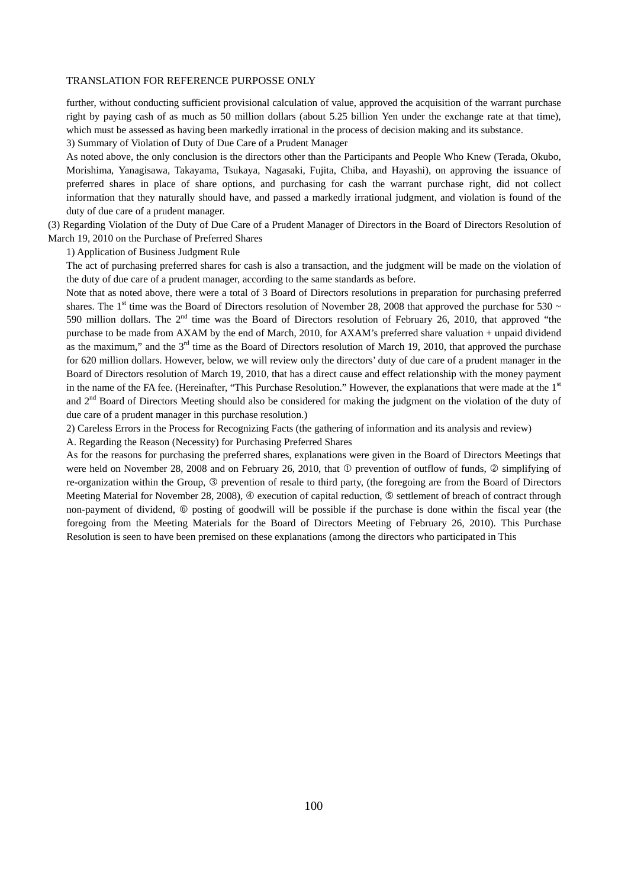further, without conducting sufficient provisional calculation of value, approved the acquisition of the warrant purchase right by paying cash of as much as 50 million dollars (about 5.25 billion Yen under the exchange rate at that time), which must be assessed as having been markedly irrational in the process of decision making and its substance.

3) Summary of Violation of Duty of Due Care of a Prudent Manager

As noted above, the only conclusion is the directors other than the Participants and People Who Knew (Terada, Okubo, Morishima, Yanagisawa, Takayama, Tsukaya, Nagasaki, Fujita, Chiba, and Hayashi), on approving the issuance of preferred shares in place of share options, and purchasing for cash the warrant purchase right, did not collect information that they naturally should have, and passed a markedly irrational judgment, and violation is found of the duty of due care of a prudent manager.

(3) Regarding Violation of the Duty of Due Care of a Prudent Manager of Directors in the Board of Directors Resolution of March 19, 2010 on the Purchase of Preferred Shares

1) Application of Business Judgment Rule

The act of purchasing preferred shares for cash is also a transaction, and the judgment will be made on the violation of the duty of due care of a prudent manager, according to the same standards as before.

Note that as noted above, there were a total of 3 Board of Directors resolutions in preparation for purchasing preferred shares. The 1<sup>st</sup> time was the Board of Directors resolution of November 28, 2008 that approved the purchase for 530  $\sim$ 590 million dollars. The  $2<sup>nd</sup>$  time was the Board of Directors resolution of February 26, 2010, that approved "the purchase to be made from AXAM by the end of March, 2010, for AXAM's preferred share valuation + unpaid dividend as the maximum," and the  $3<sup>rd</sup>$  time as the Board of Directors resolution of March 19, 2010, that approved the purchase for 620 million dollars. However, below, we will review only the directors' duty of due care of a prudent manager in the Board of Directors resolution of March 19, 2010, that has a direct cause and effect relationship with the money payment in the name of the FA fee. (Hereinafter, "This Purchase Resolution." However, the explanations that were made at the  $1<sup>st</sup>$ and 2<sup>nd</sup> Board of Directors Meeting should also be considered for making the judgment on the violation of the duty of due care of a prudent manager in this purchase resolution.)

2) Careless Errors in the Process for Recognizing Facts (the gathering of information and its analysis and review)

A. Regarding the Reason (Necessity) for Purchasing Preferred Shares

As for the reasons for purchasing the preferred shares, explanations were given in the Board of Directors Meetings that were held on November 28, 2008 and on February 26, 2010, that  $\mathbb D$  prevention of outflow of funds,  $\mathbb Q$  simplifying of re-organization within the Group,  $\circled{$  prevention of resale to third party, (the foregoing are from the Board of Directors Meeting Material for November 28, 2008),  $\Phi$  execution of capital reduction,  $\Phi$  settlement of breach of contract through non-payment of dividend,  $\circledcirc$  posting of goodwill will be possible if the purchase is done within the fiscal year (the foregoing from the Meeting Materials for the Board of Directors Meeting of February 26, 2010). This Purchase Resolution is seen to have been premised on these explanations (among the directors who participated in This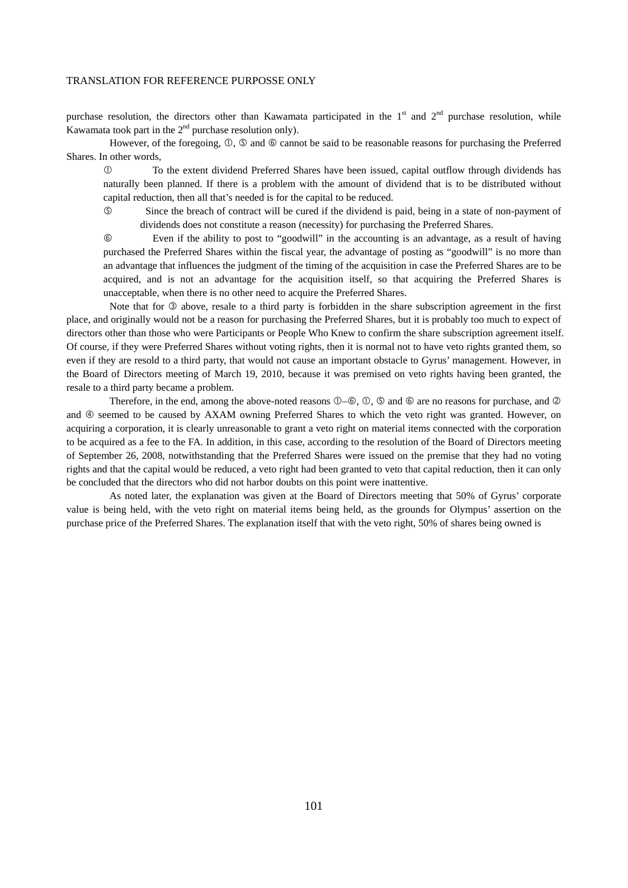purchase resolution, the directors other than Kawamata participated in the  $1<sup>st</sup>$  and  $2<sup>nd</sup>$  purchase resolution, while Kawamata took part in the  $2<sup>nd</sup>$  purchase resolution only).

However, of the foregoing,  $\mathcal{D}, \mathcal{D}$  and  $\mathcal{D}$  cannot be said to be reasonable reasons for purchasing the Preferred Shares. In other words,

 To the extent dividend Preferred Shares have been issued, capital outflow through dividends has naturally been planned. If there is a problem with the amount of dividend that is to be distributed without capital reduction, then all that's needed is for the capital to be reduced.

 Since the breach of contract will be cured if the dividend is paid, being in a state of non-payment of dividends does not constitute a reason (necessity) for purchasing the Preferred Shares.

 Even if the ability to post to "goodwill" in the accounting is an advantage, as a result of having purchased the Preferred Shares within the fiscal year, the advantage of posting as "goodwill" is no more than an advantage that influences the judgment of the timing of the acquisition in case the Preferred Shares are to be acquired, and is not an advantage for the acquisition itself, so that acquiring the Preferred Shares is unacceptable, when there is no other need to acquire the Preferred Shares.

Note that for  $\circledcirc$  above, resale to a third party is forbidden in the share subscription agreement in the first place, and originally would not be a reason for purchasing the Preferred Shares, but it is probably too much to expect of directors other than those who were Participants or People Who Knew to confirm the share subscription agreement itself. Of course, if they were Preferred Shares without voting rights, then it is normal not to have veto rights granted them, so even if they are resold to a third party, that would not cause an important obstacle to Gyrus' management. However, in the Board of Directors meeting of March 19, 2010, because it was premised on veto rights having been granted, the resale to a third party became a problem.

Therefore, in the end, among the above-noted reasons  $\mathbb{O}$ - $\mathbb{O}$ ,  $\mathbb{O}$ ,  $\mathbb{O}$  and  $\mathbb{O}$  are no reasons for purchase, and  $\mathbb{O}$ and  $\Phi$  seemed to be caused by AXAM owning Preferred Shares to which the veto right was granted. However, on acquiring a corporation, it is clearly unreasonable to grant a veto right on material items connected with the corporation to be acquired as a fee to the FA. In addition, in this case, according to the resolution of the Board of Directors meeting of September 26, 2008, notwithstanding that the Preferred Shares were issued on the premise that they had no voting rights and that the capital would be reduced, a veto right had been granted to veto that capital reduction, then it can only be concluded that the directors who did not harbor doubts on this point were inattentive.

 As noted later, the explanation was given at the Board of Directors meeting that 50% of Gyrus' corporate value is being held, with the veto right on material items being held, as the grounds for Olympus' assertion on the purchase price of the Preferred Shares. The explanation itself that with the veto right, 50% of shares being owned is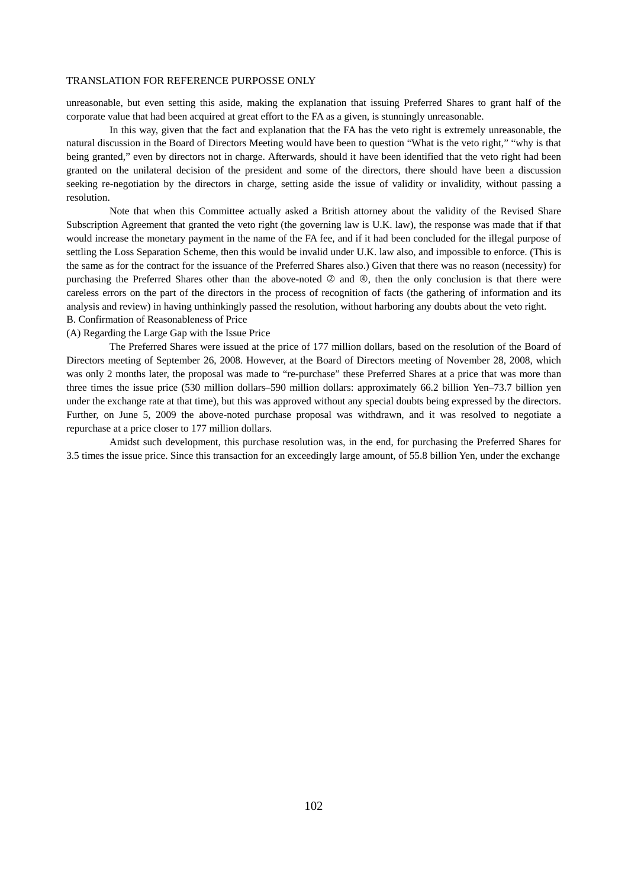unreasonable, but even setting this aside, making the explanation that issuing Preferred Shares to grant half of the corporate value that had been acquired at great effort to the FA as a given, is stunningly unreasonable.

 In this way, given that the fact and explanation that the FA has the veto right is extremely unreasonable, the natural discussion in the Board of Directors Meeting would have been to question "What is the veto right," "why is that being granted," even by directors not in charge. Afterwards, should it have been identified that the veto right had been granted on the unilateral decision of the president and some of the directors, there should have been a discussion seeking re-negotiation by the directors in charge, setting aside the issue of validity or invalidity, without passing a resolution.

 Note that when this Committee actually asked a British attorney about the validity of the Revised Share Subscription Agreement that granted the veto right (the governing law is U.K. law), the response was made that if that would increase the monetary payment in the name of the FA fee, and if it had been concluded for the illegal purpose of settling the Loss Separation Scheme, then this would be invalid under U.K. law also, and impossible to enforce. (This is the same as for the contract for the issuance of the Preferred Shares also.) Given that there was no reason (necessity) for purchasing the Preferred Shares other than the above-noted  $\oslash$  and  $\oslash$ , then the only conclusion is that there were careless errors on the part of the directors in the process of recognition of facts (the gathering of information and its analysis and review) in having unthinkingly passed the resolution, without harboring any doubts about the veto right.

B. Confirmation of Reasonableness of Price

(A) Regarding the Large Gap with the Issue Price

 The Preferred Shares were issued at the price of 177 million dollars, based on the resolution of the Board of Directors meeting of September 26, 2008. However, at the Board of Directors meeting of November 28, 2008, which was only 2 months later, the proposal was made to "re-purchase" these Preferred Shares at a price that was more than three times the issue price (530 million dollars–590 million dollars: approximately 66.2 billion Yen–73.7 billion yen under the exchange rate at that time), but this was approved without any special doubts being expressed by the directors. Further, on June 5, 2009 the above-noted purchase proposal was withdrawn, and it was resolved to negotiate a repurchase at a price closer to 177 million dollars.

 Amidst such development, this purchase resolution was, in the end, for purchasing the Preferred Shares for 3.5 times the issue price. Since this transaction for an exceedingly large amount, of 55.8 billion Yen, under the exchange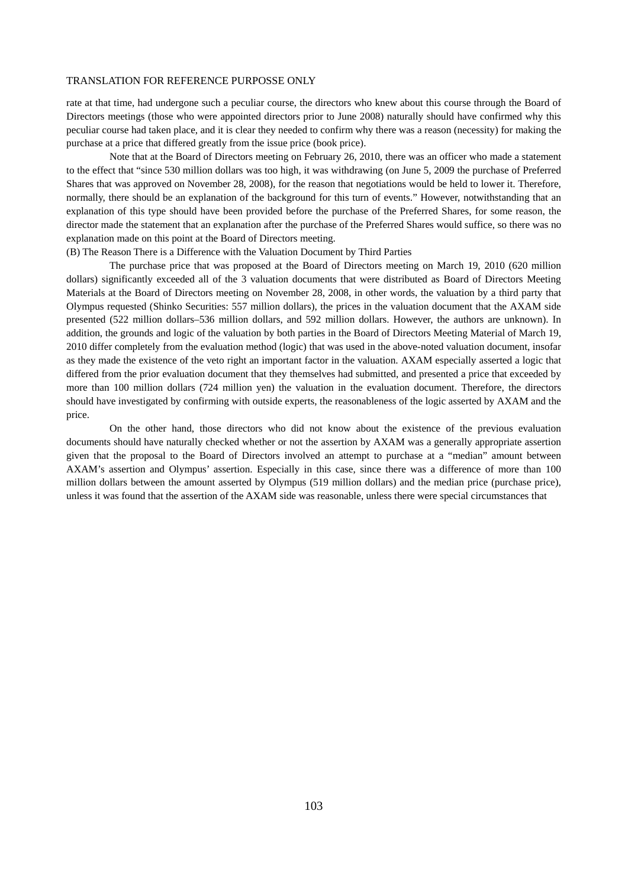rate at that time, had undergone such a peculiar course, the directors who knew about this course through the Board of Directors meetings (those who were appointed directors prior to June 2008) naturally should have confirmed why this peculiar course had taken place, and it is clear they needed to confirm why there was a reason (necessity) for making the purchase at a price that differed greatly from the issue price (book price).

 Note that at the Board of Directors meeting on February 26, 2010, there was an officer who made a statement to the effect that "since 530 million dollars was too high, it was withdrawing (on June 5, 2009 the purchase of Preferred Shares that was approved on November 28, 2008), for the reason that negotiations would be held to lower it. Therefore, normally, there should be an explanation of the background for this turn of events." However, notwithstanding that an explanation of this type should have been provided before the purchase of the Preferred Shares, for some reason, the director made the statement that an explanation after the purchase of the Preferred Shares would suffice, so there was no explanation made on this point at the Board of Directors meeting.

## (B) The Reason There is a Difference with the Valuation Document by Third Parties

 The purchase price that was proposed at the Board of Directors meeting on March 19, 2010 (620 million dollars) significantly exceeded all of the 3 valuation documents that were distributed as Board of Directors Meeting Materials at the Board of Directors meeting on November 28, 2008, in other words, the valuation by a third party that Olympus requested (Shinko Securities: 557 million dollars), the prices in the valuation document that the AXAM side presented (522 million dollars–536 million dollars, and 592 million dollars. However, the authors are unknown). In addition, the grounds and logic of the valuation by both parties in the Board of Directors Meeting Material of March 19, 2010 differ completely from the evaluation method (logic) that was used in the above-noted valuation document, insofar as they made the existence of the veto right an important factor in the valuation. AXAM especially asserted a logic that differed from the prior evaluation document that they themselves had submitted, and presented a price that exceeded by more than 100 million dollars (724 million yen) the valuation in the evaluation document. Therefore, the directors should have investigated by confirming with outside experts, the reasonableness of the logic asserted by AXAM and the price.

 On the other hand, those directors who did not know about the existence of the previous evaluation documents should have naturally checked whether or not the assertion by AXAM was a generally appropriate assertion given that the proposal to the Board of Directors involved an attempt to purchase at a "median" amount between AXAM's assertion and Olympus' assertion. Especially in this case, since there was a difference of more than 100 million dollars between the amount asserted by Olympus (519 million dollars) and the median price (purchase price), unless it was found that the assertion of the AXAM side was reasonable, unless there were special circumstances that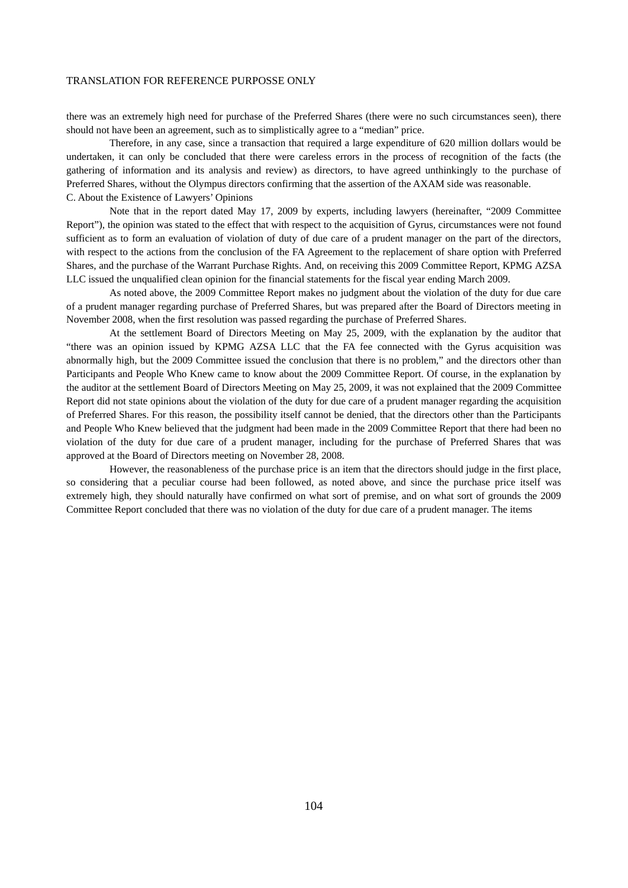there was an extremely high need for purchase of the Preferred Shares (there were no such circumstances seen), there should not have been an agreement, such as to simplistically agree to a "median" price.

 Therefore, in any case, since a transaction that required a large expenditure of 620 million dollars would be undertaken, it can only be concluded that there were careless errors in the process of recognition of the facts (the gathering of information and its analysis and review) as directors, to have agreed unthinkingly to the purchase of Preferred Shares, without the Olympus directors confirming that the assertion of the AXAM side was reasonable. C. About the Existence of Lawyers' Opinions

 Note that in the report dated May 17, 2009 by experts, including lawyers (hereinafter, "2009 Committee Report"), the opinion was stated to the effect that with respect to the acquisition of Gyrus, circumstances were not found sufficient as to form an evaluation of violation of duty of due care of a prudent manager on the part of the directors, with respect to the actions from the conclusion of the FA Agreement to the replacement of share option with Preferred Shares, and the purchase of the Warrant Purchase Rights. And, on receiving this 2009 Committee Report, KPMG AZSA LLC issued the unqualified clean opinion for the financial statements for the fiscal year ending March 2009.

 As noted above, the 2009 Committee Report makes no judgment about the violation of the duty for due care of a prudent manager regarding purchase of Preferred Shares, but was prepared after the Board of Directors meeting in November 2008, when the first resolution was passed regarding the purchase of Preferred Shares.

 At the settlement Board of Directors Meeting on May 25, 2009, with the explanation by the auditor that "there was an opinion issued by KPMG AZSA LLC that the FA fee connected with the Gyrus acquisition was abnormally high, but the 2009 Committee issued the conclusion that there is no problem," and the directors other than Participants and People Who Knew came to know about the 2009 Committee Report. Of course, in the explanation by the auditor at the settlement Board of Directors Meeting on May 25, 2009, it was not explained that the 2009 Committee Report did not state opinions about the violation of the duty for due care of a prudent manager regarding the acquisition of Preferred Shares. For this reason, the possibility itself cannot be denied, that the directors other than the Participants and People Who Knew believed that the judgment had been made in the 2009 Committee Report that there had been no violation of the duty for due care of a prudent manager, including for the purchase of Preferred Shares that was approved at the Board of Directors meeting on November 28, 2008.

 However, the reasonableness of the purchase price is an item that the directors should judge in the first place, so considering that a peculiar course had been followed, as noted above, and since the purchase price itself was extremely high, they should naturally have confirmed on what sort of premise, and on what sort of grounds the 2009 Committee Report concluded that there was no violation of the duty for due care of a prudent manager. The items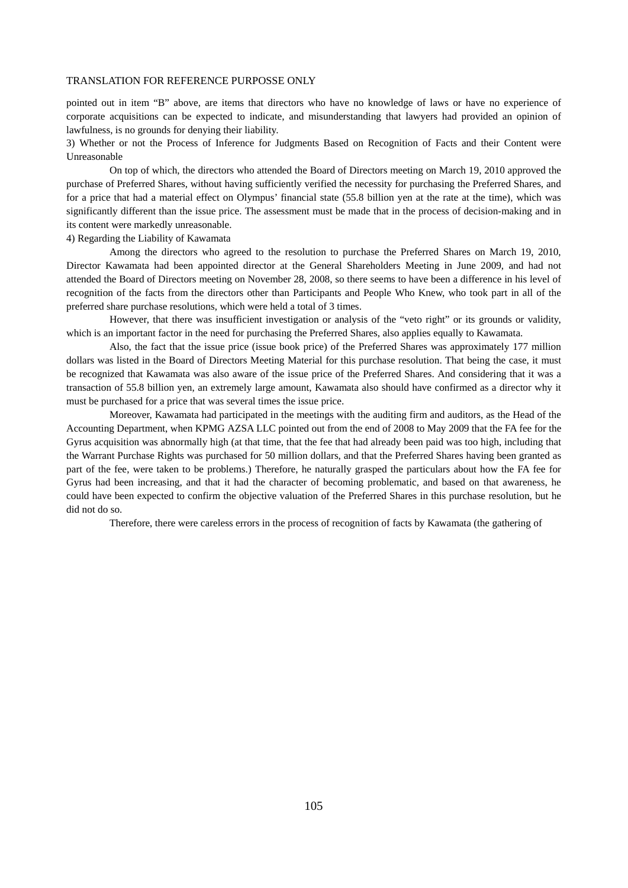pointed out in item "B" above, are items that directors who have no knowledge of laws or have no experience of corporate acquisitions can be expected to indicate, and misunderstanding that lawyers had provided an opinion of lawfulness, is no grounds for denying their liability.

3) Whether or not the Process of Inference for Judgments Based on Recognition of Facts and their Content were Unreasonable

 On top of which, the directors who attended the Board of Directors meeting on March 19, 2010 approved the purchase of Preferred Shares, without having sufficiently verified the necessity for purchasing the Preferred Shares, and for a price that had a material effect on Olympus' financial state (55.8 billion yen at the rate at the time), which was significantly different than the issue price. The assessment must be made that in the process of decision-making and in its content were markedly unreasonable.

4) Regarding the Liability of Kawamata

 Among the directors who agreed to the resolution to purchase the Preferred Shares on March 19, 2010, Director Kawamata had been appointed director at the General Shareholders Meeting in June 2009, and had not attended the Board of Directors meeting on November 28, 2008, so there seems to have been a difference in his level of recognition of the facts from the directors other than Participants and People Who Knew, who took part in all of the preferred share purchase resolutions, which were held a total of 3 times.

 However, that there was insufficient investigation or analysis of the "veto right" or its grounds or validity, which is an important factor in the need for purchasing the Preferred Shares, also applies equally to Kawamata.

 Also, the fact that the issue price (issue book price) of the Preferred Shares was approximately 177 million dollars was listed in the Board of Directors Meeting Material for this purchase resolution. That being the case, it must be recognized that Kawamata was also aware of the issue price of the Preferred Shares. And considering that it was a transaction of 55.8 billion yen, an extremely large amount, Kawamata also should have confirmed as a director why it must be purchased for a price that was several times the issue price.

 Moreover, Kawamata had participated in the meetings with the auditing firm and auditors, as the Head of the Accounting Department, when KPMG AZSA LLC pointed out from the end of 2008 to May 2009 that the FA fee for the Gyrus acquisition was abnormally high (at that time, that the fee that had already been paid was too high, including that the Warrant Purchase Rights was purchased for 50 million dollars, and that the Preferred Shares having been granted as part of the fee, were taken to be problems.) Therefore, he naturally grasped the particulars about how the FA fee for Gyrus had been increasing, and that it had the character of becoming problematic, and based on that awareness, he could have been expected to confirm the objective valuation of the Preferred Shares in this purchase resolution, but he did not do so.

Therefore, there were careless errors in the process of recognition of facts by Kawamata (the gathering of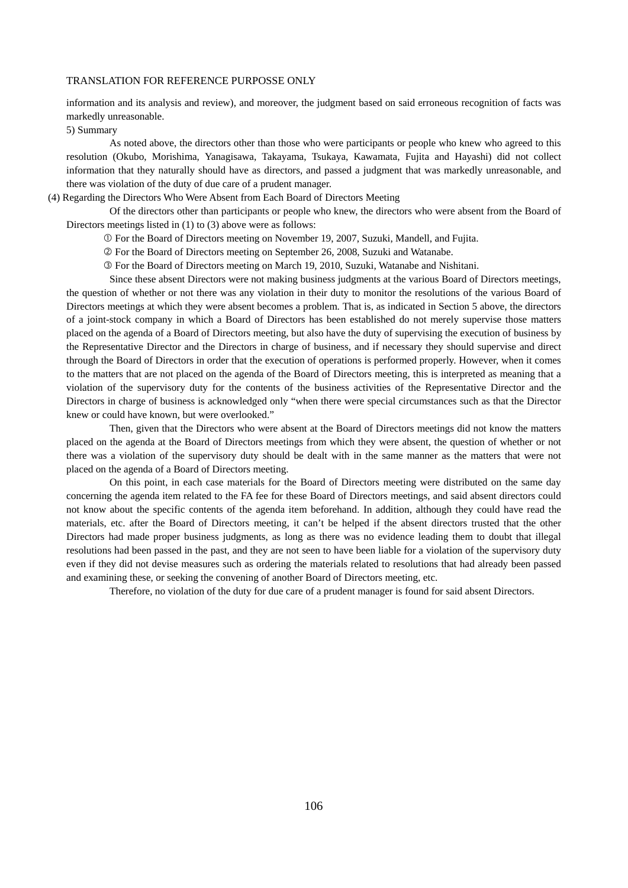information and its analysis and review), and moreover, the judgment based on said erroneous recognition of facts was markedly unreasonable.

5) Summary

 As noted above, the directors other than those who were participants or people who knew who agreed to this resolution (Okubo, Morishima, Yanagisawa, Takayama, Tsukaya, Kawamata, Fujita and Hayashi) did not collect information that they naturally should have as directors, and passed a judgment that was markedly unreasonable, and there was violation of the duty of due care of a prudent manager.

#### (4) Regarding the Directors Who Were Absent from Each Board of Directors Meeting

 Of the directors other than participants or people who knew, the directors who were absent from the Board of Directors meetings listed in (1) to (3) above were as follows:

For the Board of Directors meeting on November 19, 2007, Suzuki, Mandell, and Fujita.

For the Board of Directors meeting on September 26, 2008, Suzuki and Watanabe.

For the Board of Directors meeting on March 19, 2010, Suzuki, Watanabe and Nishitani.

 Since these absent Directors were not making business judgments at the various Board of Directors meetings, the question of whether or not there was any violation in their duty to monitor the resolutions of the various Board of Directors meetings at which they were absent becomes a problem. That is, as indicated in Section 5 above, the directors of a joint-stock company in which a Board of Directors has been established do not merely supervise those matters placed on the agenda of a Board of Directors meeting, but also have the duty of supervising the execution of business by the Representative Director and the Directors in charge of business, and if necessary they should supervise and direct through the Board of Directors in order that the execution of operations is performed properly. However, when it comes to the matters that are not placed on the agenda of the Board of Directors meeting, this is interpreted as meaning that a violation of the supervisory duty for the contents of the business activities of the Representative Director and the Directors in charge of business is acknowledged only "when there were special circumstances such as that the Director knew or could have known, but were overlooked."

 Then, given that the Directors who were absent at the Board of Directors meetings did not know the matters placed on the agenda at the Board of Directors meetings from which they were absent, the question of whether or not there was a violation of the supervisory duty should be dealt with in the same manner as the matters that were not placed on the agenda of a Board of Directors meeting.

 On this point, in each case materials for the Board of Directors meeting were distributed on the same day concerning the agenda item related to the FA fee for these Board of Directors meetings, and said absent directors could not know about the specific contents of the agenda item beforehand. In addition, although they could have read the materials, etc. after the Board of Directors meeting, it can't be helped if the absent directors trusted that the other Directors had made proper business judgments, as long as there was no evidence leading them to doubt that illegal resolutions had been passed in the past, and they are not seen to have been liable for a violation of the supervisory duty even if they did not devise measures such as ordering the materials related to resolutions that had already been passed and examining these, or seeking the convening of another Board of Directors meeting, etc.

Therefore, no violation of the duty for due care of a prudent manager is found for said absent Directors.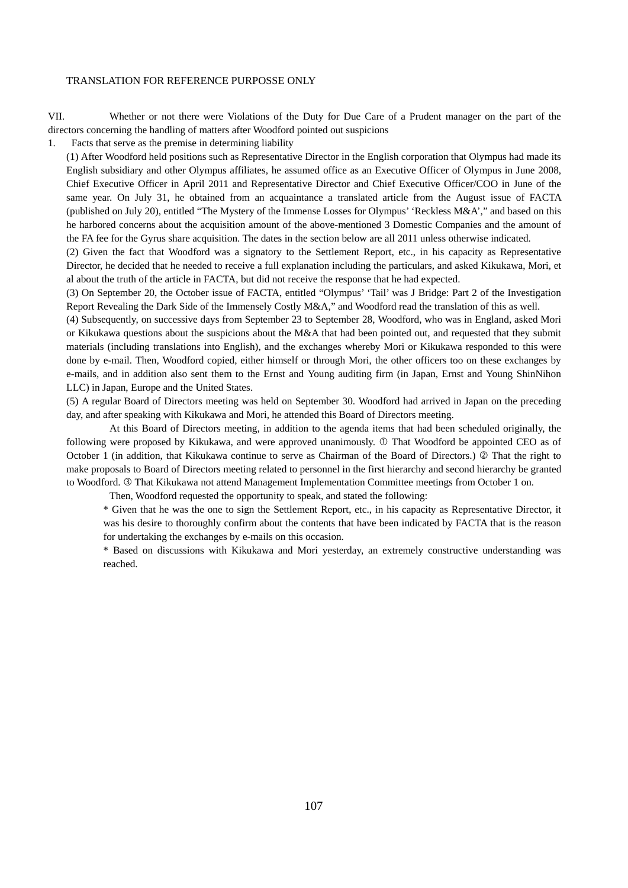VII. Whether or not there were Violations of the Duty for Due Care of a Prudent manager on the part of the directors concerning the handling of matters after Woodford pointed out suspicions

1. Facts that serve as the premise in determining liability

(1) After Woodford held positions such as Representative Director in the English corporation that Olympus had made its English subsidiary and other Olympus affiliates, he assumed office as an Executive Officer of Olympus in June 2008, Chief Executive Officer in April 2011 and Representative Director and Chief Executive Officer/COO in June of the same year. On July 31, he obtained from an acquaintance a translated article from the August issue of FACTA (published on July 20), entitled "The Mystery of the Immense Losses for Olympus' 'Reckless M&A'," and based on this he harbored concerns about the acquisition amount of the above-mentioned 3 Domestic Companies and the amount of the FA fee for the Gyrus share acquisition. The dates in the section below are all 2011 unless otherwise indicated.

(2) Given the fact that Woodford was a signatory to the Settlement Report, etc., in his capacity as Representative Director, he decided that he needed to receive a full explanation including the particulars, and asked Kikukawa, Mori, et al about the truth of the article in FACTA, but did not receive the response that he had expected.

(3) On September 20, the October issue of FACTA, entitled "Olympus' 'Tail' was J Bridge: Part 2 of the Investigation Report Revealing the Dark Side of the Immensely Costly M&A," and Woodford read the translation of this as well.

(4) Subsequently, on successive days from September 23 to September 28, Woodford, who was in England, asked Mori or Kikukawa questions about the suspicions about the M&A that had been pointed out, and requested that they submit materials (including translations into English), and the exchanges whereby Mori or Kikukawa responded to this were done by e-mail. Then, Woodford copied, either himself or through Mori, the other officers too on these exchanges by e-mails, and in addition also sent them to the Ernst and Young auditing firm (in Japan, Ernst and Young ShinNihon LLC) in Japan, Europe and the United States.

(5) A regular Board of Directors meeting was held on September 30. Woodford had arrived in Japan on the preceding day, and after speaking with Kikukawa and Mori, he attended this Board of Directors meeting.

 At this Board of Directors meeting, in addition to the agenda items that had been scheduled originally, the following were proposed by Kikukawa, and were approved unanimously. ① That Woodford be appointed CEO as of October 1 (in addition, that Kikukawa continue to serve as Chairman of the Board of Directors.)  $\oslash$  That the right to make proposals to Board of Directors meeting related to personnel in the first hierarchy and second hierarchy be granted to Woodford. <sup>®</sup> That Kikukawa not attend Management Implementation Committee meetings from October 1 on.

Then, Woodford requested the opportunity to speak, and stated the following:

\* Given that he was the one to sign the Settlement Report, etc., in his capacity as Representative Director, it was his desire to thoroughly confirm about the contents that have been indicated by FACTA that is the reason for undertaking the exchanges by e-mails on this occasion.

\* Based on discussions with Kikukawa and Mori yesterday, an extremely constructive understanding was reached.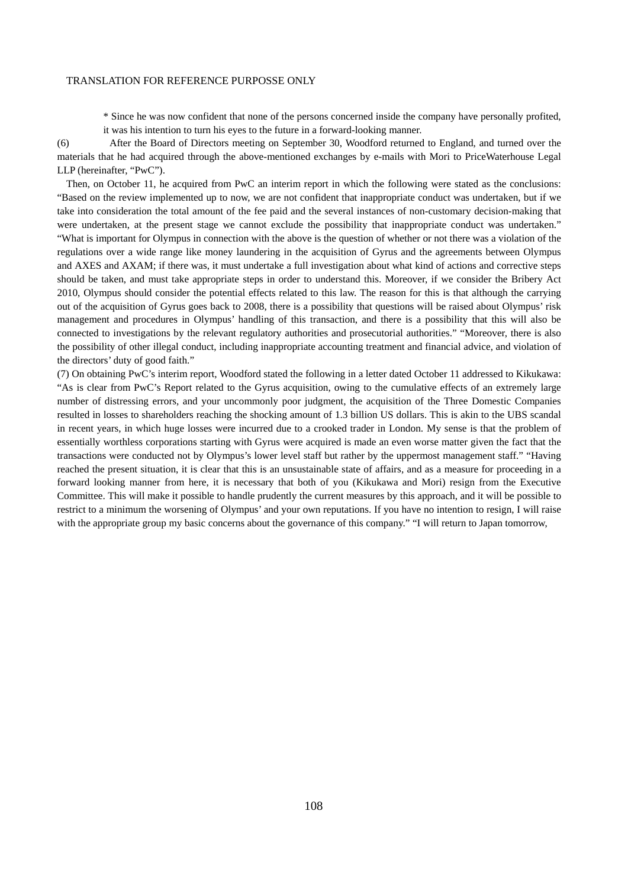\* Since he was now confident that none of the persons concerned inside the company have personally profited, it was his intention to turn his eyes to the future in a forward-looking manner.

(6) After the Board of Directors meeting on September 30, Woodford returned to England, and turned over the materials that he had acquired through the above-mentioned exchanges by e-mails with Mori to PriceWaterhouse Legal LLP (hereinafter, "PwC").

 Then, on October 11, he acquired from PwC an interim report in which the following were stated as the conclusions: "Based on the review implemented up to now, we are not confident that inappropriate conduct was undertaken, but if we take into consideration the total amount of the fee paid and the several instances of non-customary decision-making that were undertaken, at the present stage we cannot exclude the possibility that inappropriate conduct was undertaken." "What is important for Olympus in connection with the above is the question of whether or not there was a violation of the regulations over a wide range like money laundering in the acquisition of Gyrus and the agreements between Olympus and AXES and AXAM; if there was, it must undertake a full investigation about what kind of actions and corrective steps should be taken, and must take appropriate steps in order to understand this. Moreover, if we consider the Bribery Act 2010, Olympus should consider the potential effects related to this law. The reason for this is that although the carrying out of the acquisition of Gyrus goes back to 2008, there is a possibility that questions will be raised about Olympus' risk management and procedures in Olympus' handling of this transaction, and there is a possibility that this will also be connected to investigations by the relevant regulatory authorities and prosecutorial authorities." "Moreover, there is also the possibility of other illegal conduct, including inappropriate accounting treatment and financial advice, and violation of the directors' duty of good faith."

(7) On obtaining PwC's interim report, Woodford stated the following in a letter dated October 11 addressed to Kikukawa: "As is clear from PwC's Report related to the Gyrus acquisition, owing to the cumulative effects of an extremely large number of distressing errors, and your uncommonly poor judgment, the acquisition of the Three Domestic Companies resulted in losses to shareholders reaching the shocking amount of 1.3 billion US dollars. This is akin to the UBS scandal in recent years, in which huge losses were incurred due to a crooked trader in London. My sense is that the problem of essentially worthless corporations starting with Gyrus were acquired is made an even worse matter given the fact that the transactions were conducted not by Olympus's lower level staff but rather by the uppermost management staff." "Having reached the present situation, it is clear that this is an unsustainable state of affairs, and as a measure for proceeding in a forward looking manner from here, it is necessary that both of you (Kikukawa and Mori) resign from the Executive Committee. This will make it possible to handle prudently the current measures by this approach, and it will be possible to restrict to a minimum the worsening of Olympus' and your own reputations. If you have no intention to resign, I will raise with the appropriate group my basic concerns about the governance of this company." "I will return to Japan tomorrow,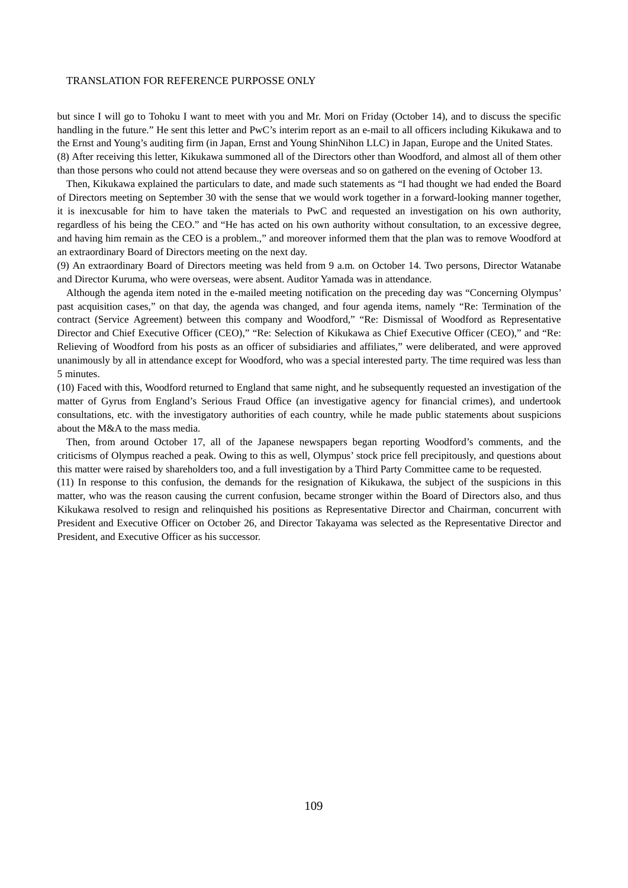but since I will go to Tohoku I want to meet with you and Mr. Mori on Friday (October 14), and to discuss the specific handling in the future." He sent this letter and PwC's interim report as an e-mail to all officers including Kikukawa and to the Ernst and Young's auditing firm (in Japan, Ernst and Young ShinNihon LLC) in Japan, Europe and the United States. (8) After receiving this letter, Kikukawa summoned all of the Directors other than Woodford, and almost all of them other than those persons who could not attend because they were overseas and so on gathered on the evening of October 13.

 Then, Kikukawa explained the particulars to date, and made such statements as "I had thought we had ended the Board of Directors meeting on September 30 with the sense that we would work together in a forward-looking manner together, it is inexcusable for him to have taken the materials to PwC and requested an investigation on his own authority, regardless of his being the CEO." and "He has acted on his own authority without consultation, to an excessive degree, and having him remain as the CEO is a problem.," and moreover informed them that the plan was to remove Woodford at an extraordinary Board of Directors meeting on the next day.

(9) An extraordinary Board of Directors meeting was held from 9 a.m. on October 14. Two persons, Director Watanabe and Director Kuruma, who were overseas, were absent. Auditor Yamada was in attendance.

 Although the agenda item noted in the e-mailed meeting notification on the preceding day was "Concerning Olympus' past acquisition cases," on that day, the agenda was changed, and four agenda items, namely "Re: Termination of the contract (Service Agreement) between this company and Woodford," "Re: Dismissal of Woodford as Representative Director and Chief Executive Officer (CEO)," "Re: Selection of Kikukawa as Chief Executive Officer (CEO)," and "Re: Relieving of Woodford from his posts as an officer of subsidiaries and affiliates," were deliberated, and were approved unanimously by all in attendance except for Woodford, who was a special interested party. The time required was less than 5 minutes.

(10) Faced with this, Woodford returned to England that same night, and he subsequently requested an investigation of the matter of Gyrus from England's Serious Fraud Office (an investigative agency for financial crimes), and undertook consultations, etc. with the investigatory authorities of each country, while he made public statements about suspicions about the M&A to the mass media.

 Then, from around October 17, all of the Japanese newspapers began reporting Woodford's comments, and the criticisms of Olympus reached a peak. Owing to this as well, Olympus' stock price fell precipitously, and questions about this matter were raised by shareholders too, and a full investigation by a Third Party Committee came to be requested.

(11) In response to this confusion, the demands for the resignation of Kikukawa, the subject of the suspicions in this matter, who was the reason causing the current confusion, became stronger within the Board of Directors also, and thus Kikukawa resolved to resign and relinquished his positions as Representative Director and Chairman, concurrent with President and Executive Officer on October 26, and Director Takayama was selected as the Representative Director and President, and Executive Officer as his successor.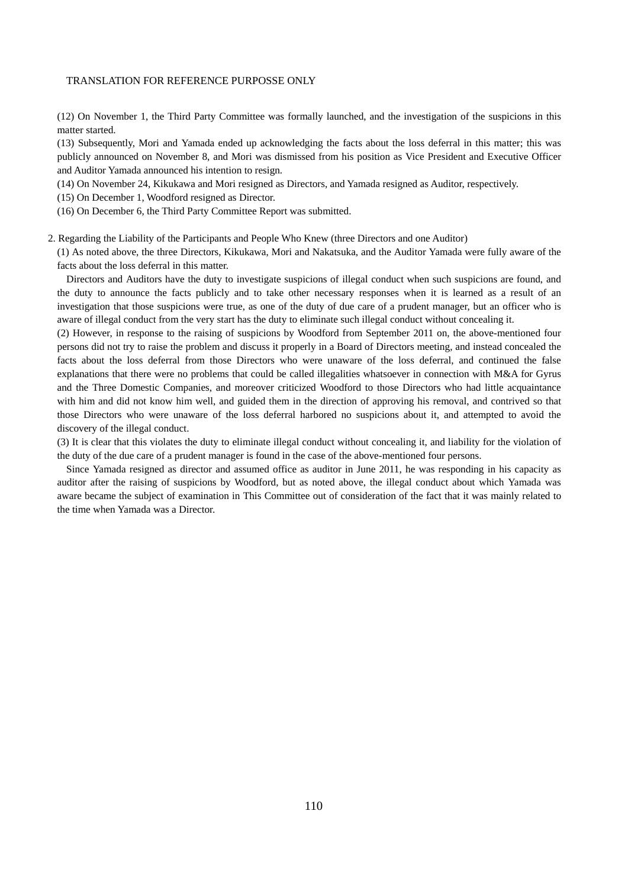(12) On November 1, the Third Party Committee was formally launched, and the investigation of the suspicions in this matter started.

(13) Subsequently, Mori and Yamada ended up acknowledging the facts about the loss deferral in this matter; this was publicly announced on November 8, and Mori was dismissed from his position as Vice President and Executive Officer and Auditor Yamada announced his intention to resign.

(14) On November 24, Kikukawa and Mori resigned as Directors, and Yamada resigned as Auditor, respectively.

(15) On December 1, Woodford resigned as Director.

(16) On December 6, the Third Party Committee Report was submitted.

2. Regarding the Liability of the Participants and People Who Knew (three Directors and one Auditor)

(1) As noted above, the three Directors, Kikukawa, Mori and Nakatsuka, and the Auditor Yamada were fully aware of the facts about the loss deferral in this matter.

 Directors and Auditors have the duty to investigate suspicions of illegal conduct when such suspicions are found, and the duty to announce the facts publicly and to take other necessary responses when it is learned as a result of an investigation that those suspicions were true, as one of the duty of due care of a prudent manager, but an officer who is aware of illegal conduct from the very start has the duty to eliminate such illegal conduct without concealing it.

(2) However, in response to the raising of suspicions by Woodford from September 2011 on, the above-mentioned four persons did not try to raise the problem and discuss it properly in a Board of Directors meeting, and instead concealed the facts about the loss deferral from those Directors who were unaware of the loss deferral, and continued the false explanations that there were no problems that could be called illegalities whatsoever in connection with M&A for Gyrus and the Three Domestic Companies, and moreover criticized Woodford to those Directors who had little acquaintance with him and did not know him well, and guided them in the direction of approving his removal, and contrived so that those Directors who were unaware of the loss deferral harbored no suspicions about it, and attempted to avoid the discovery of the illegal conduct.

(3) It is clear that this violates the duty to eliminate illegal conduct without concealing it, and liability for the violation of the duty of the due care of a prudent manager is found in the case of the above-mentioned four persons.

 Since Yamada resigned as director and assumed office as auditor in June 2011, he was responding in his capacity as auditor after the raising of suspicions by Woodford, but as noted above, the illegal conduct about which Yamada was aware became the subject of examination in This Committee out of consideration of the fact that it was mainly related to the time when Yamada was a Director.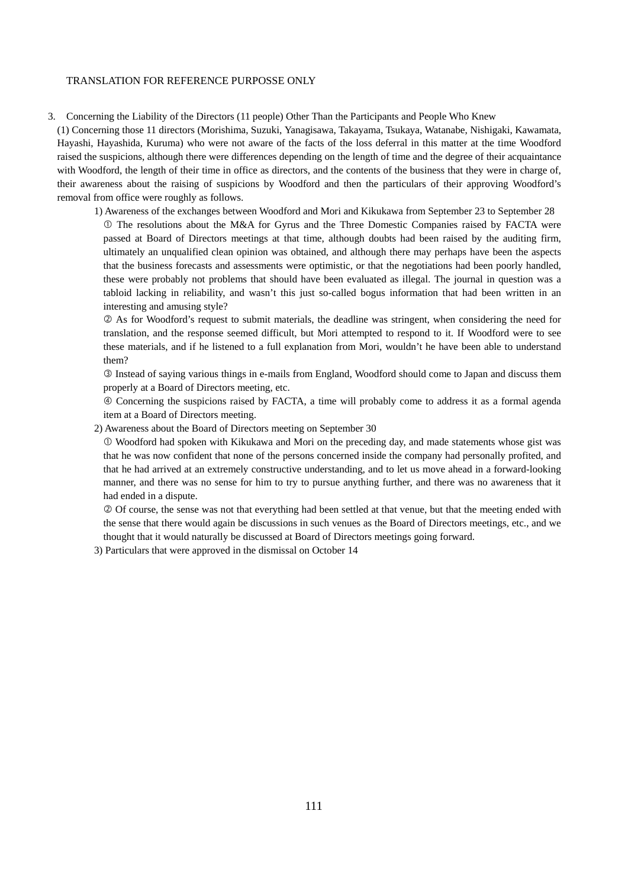3. Concerning the Liability of the Directors (11 people) Other Than the Participants and People Who Knew

(1) Concerning those 11 directors (Morishima, Suzuki, Yanagisawa, Takayama, Tsukaya, Watanabe, Nishigaki, Kawamata, Hayashi, Hayashida, Kuruma) who were not aware of the facts of the loss deferral in this matter at the time Woodford raised the suspicions, although there were differences depending on the length of time and the degree of their acquaintance with Woodford, the length of their time in office as directors, and the contents of the business that they were in charge of, their awareness about the raising of suspicions by Woodford and then the particulars of their approving Woodford's removal from office were roughly as follows.

1) Awareness of the exchanges between Woodford and Mori and Kikukawa from September 23 to September 28

 The resolutions about the M&A for Gyrus and the Three Domestic Companies raised by FACTA were passed at Board of Directors meetings at that time, although doubts had been raised by the auditing firm, ultimately an unqualified clean opinion was obtained, and although there may perhaps have been the aspects that the business forecasts and assessments were optimistic, or that the negotiations had been poorly handled, these were probably not problems that should have been evaluated as illegal. The journal in question was a tabloid lacking in reliability, and wasn't this just so-called bogus information that had been written in an interesting and amusing style?

 As for Woodford's request to submit materials, the deadline was stringent, when considering the need for translation, and the response seemed difficult, but Mori attempted to respond to it. If Woodford were to see these materials, and if he listened to a full explanation from Mori, wouldn't he have been able to understand them?

 Instead of saying various things in e-mails from England, Woodford should come to Japan and discuss them properly at a Board of Directors meeting, etc.

 Concerning the suspicions raised by FACTA, a time will probably come to address it as a formal agenda item at a Board of Directors meeting.

2) Awareness about the Board of Directors meeting on September 30

 Woodford had spoken with Kikukawa and Mori on the preceding day, and made statements whose gist was that he was now confident that none of the persons concerned inside the company had personally profited, and that he had arrived at an extremely constructive understanding, and to let us move ahead in a forward-looking manner, and there was no sense for him to try to pursue anything further, and there was no awareness that it had ended in a dispute.

 Of course, the sense was not that everything had been settled at that venue, but that the meeting ended with the sense that there would again be discussions in such venues as the Board of Directors meetings, etc., and we thought that it would naturally be discussed at Board of Directors meetings going forward.

3) Particulars that were approved in the dismissal on October 14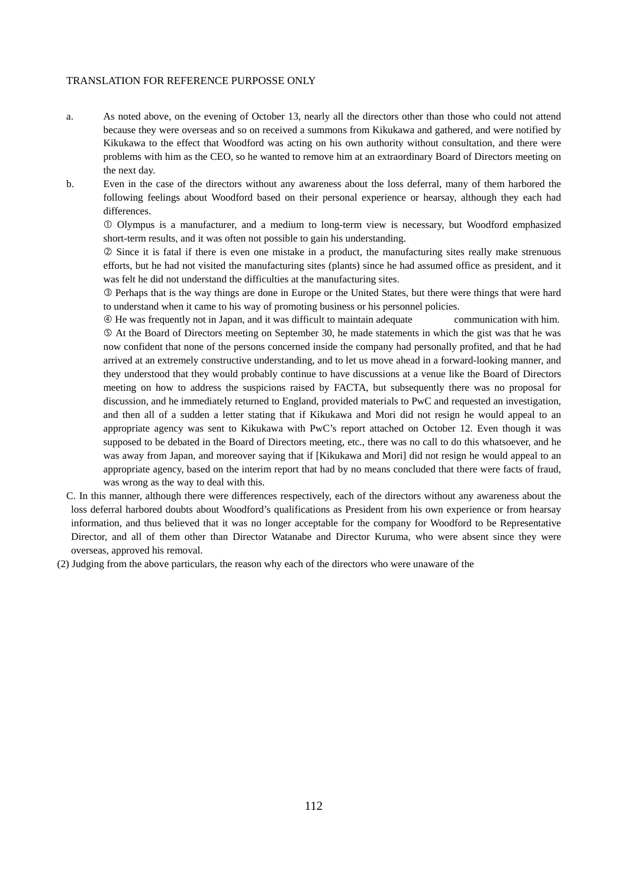- a. As noted above, on the evening of October 13, nearly all the directors other than those who could not attend because they were overseas and so on received a summons from Kikukawa and gathered, and were notified by Kikukawa to the effect that Woodford was acting on his own authority without consultation, and there were problems with him as the CEO, so he wanted to remove him at an extraordinary Board of Directors meeting on the next day.
- b. Even in the case of the directors without any awareness about the loss deferral, many of them harbored the following feelings about Woodford based on their personal experience or hearsay, although they each had differences.

 Olympus is a manufacturer, and a medium to long-term view is necessary, but Woodford emphasized short-term results, and it was often not possible to gain his understanding.

 Since it is fatal if there is even one mistake in a product, the manufacturing sites really make strenuous efforts, but he had not visited the manufacturing sites (plants) since he had assumed office as president, and it was felt he did not understand the difficulties at the manufacturing sites.

 Perhaps that is the way things are done in Europe or the United States, but there were things that were hard to understand when it came to his way of promoting business or his personnel policies.

 He was frequently not in Japan, and it was difficult to maintain adequate communication with him. At the Board of Directors meeting on September 30, he made statements in which the gist was that he was now confident that none of the persons concerned inside the company had personally profited, and that he had arrived at an extremely constructive understanding, and to let us move ahead in a forward-looking manner, and they understood that they would probably continue to have discussions at a venue like the Board of Directors meeting on how to address the suspicions raised by FACTA, but subsequently there was no proposal for discussion, and he immediately returned to England, provided materials to PwC and requested an investigation, and then all of a sudden a letter stating that if Kikukawa and Mori did not resign he would appeal to an appropriate agency was sent to Kikukawa with PwC's report attached on October 12. Even though it was supposed to be debated in the Board of Directors meeting, etc., there was no call to do this whatsoever, and he was away from Japan, and moreover saying that if [Kikukawa and Mori] did not resign he would appeal to an appropriate agency, based on the interim report that had by no means concluded that there were facts of fraud, was wrong as the way to deal with this.

- C. In this manner, although there were differences respectively, each of the directors without any awareness about the loss deferral harbored doubts about Woodford's qualifications as President from his own experience or from hearsay information, and thus believed that it was no longer acceptable for the company for Woodford to be Representative Director, and all of them other than Director Watanabe and Director Kuruma, who were absent since they were overseas, approved his removal.
- (2) Judging from the above particulars, the reason why each of the directors who were unaware of the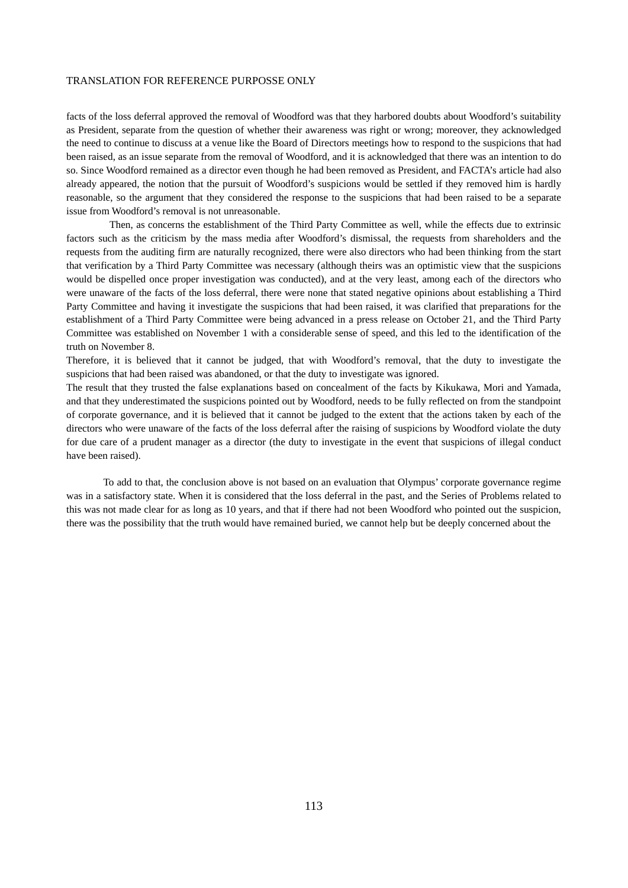facts of the loss deferral approved the removal of Woodford was that they harbored doubts about Woodford's suitability as President, separate from the question of whether their awareness was right or wrong; moreover, they acknowledged the need to continue to discuss at a venue like the Board of Directors meetings how to respond to the suspicions that had been raised, as an issue separate from the removal of Woodford, and it is acknowledged that there was an intention to do so. Since Woodford remained as a director even though he had been removed as President, and FACTA's article had also already appeared, the notion that the pursuit of Woodford's suspicions would be settled if they removed him is hardly reasonable, so the argument that they considered the response to the suspicions that had been raised to be a separate issue from Woodford's removal is not unreasonable.

 Then, as concerns the establishment of the Third Party Committee as well, while the effects due to extrinsic factors such as the criticism by the mass media after Woodford's dismissal, the requests from shareholders and the requests from the auditing firm are naturally recognized, there were also directors who had been thinking from the start that verification by a Third Party Committee was necessary (although theirs was an optimistic view that the suspicions would be dispelled once proper investigation was conducted), and at the very least, among each of the directors who were unaware of the facts of the loss deferral, there were none that stated negative opinions about establishing a Third Party Committee and having it investigate the suspicions that had been raised, it was clarified that preparations for the establishment of a Third Party Committee were being advanced in a press release on October 21, and the Third Party Committee was established on November 1 with a considerable sense of speed, and this led to the identification of the truth on November 8.

Therefore, it is believed that it cannot be judged, that with Woodford's removal, that the duty to investigate the suspicions that had been raised was abandoned, or that the duty to investigate was ignored.

The result that they trusted the false explanations based on concealment of the facts by Kikukawa, Mori and Yamada, and that they underestimated the suspicions pointed out by Woodford, needs to be fully reflected on from the standpoint of corporate governance, and it is believed that it cannot be judged to the extent that the actions taken by each of the directors who were unaware of the facts of the loss deferral after the raising of suspicions by Woodford violate the duty for due care of a prudent manager as a director (the duty to investigate in the event that suspicions of illegal conduct have been raised).

To add to that, the conclusion above is not based on an evaluation that Olympus' corporate governance regime was in a satisfactory state. When it is considered that the loss deferral in the past, and the Series of Problems related to this was not made clear for as long as 10 years, and that if there had not been Woodford who pointed out the suspicion, there was the possibility that the truth would have remained buried, we cannot help but be deeply concerned about the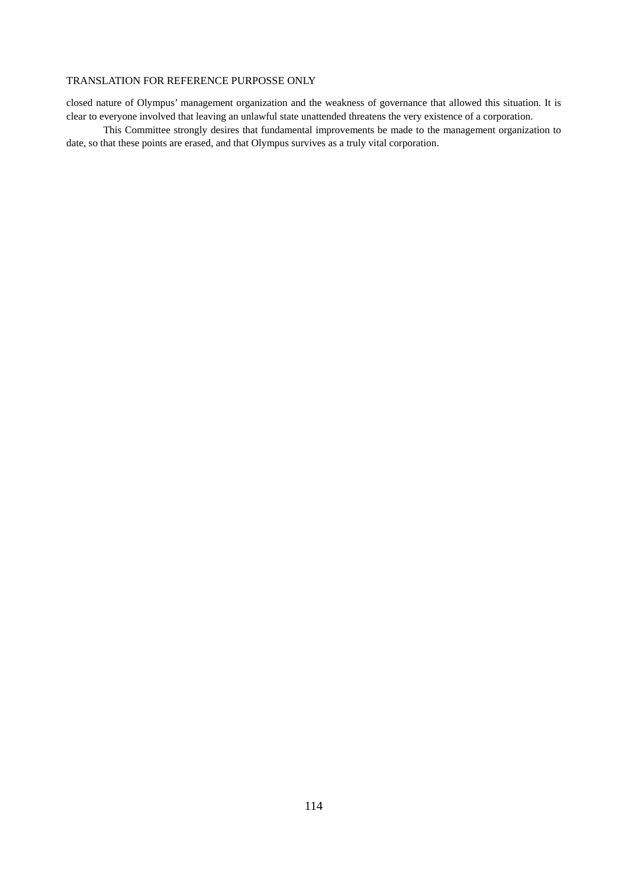closed nature of Olympus' management organization and the weakness of governance that allowed this situation. It is clear to everyone involved that leaving an unlawful state unattended threatens the very existence of a corporation.

This Committee strongly desires that fundamental improvements be made to the management organization to date, so that these points are erased, and that Olympus survives as a truly vital corporation.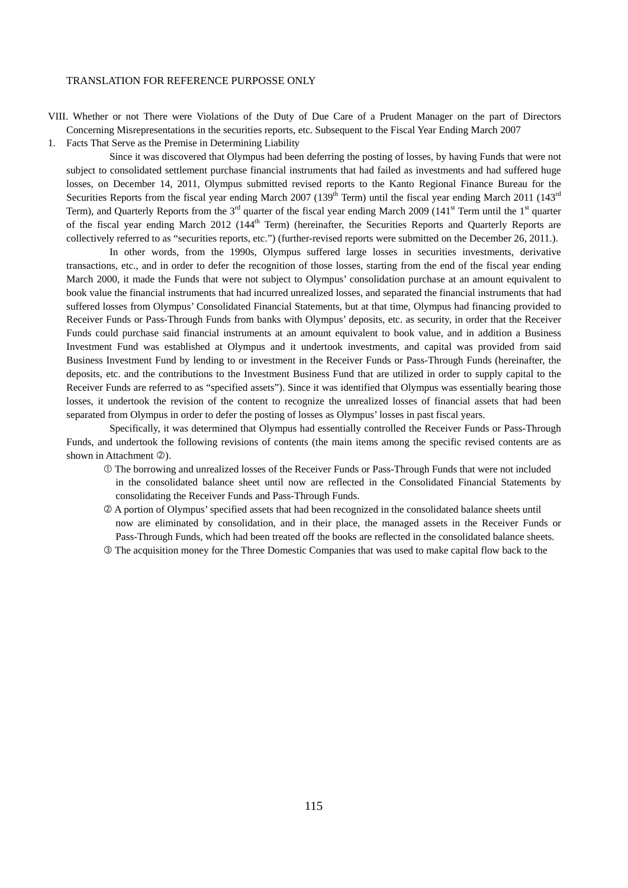VIII. Whether or not There were Violations of the Duty of Due Care of a Prudent Manager on the part of Directors Concerning Misrepresentations in the securities reports, etc. Subsequent to the Fiscal Year Ending March 2007

1. Facts That Serve as the Premise in Determining Liability

 Since it was discovered that Olympus had been deferring the posting of losses, by having Funds that were not subject to consolidated settlement purchase financial instruments that had failed as investments and had suffered huge losses, on December 14, 2011, Olympus submitted revised reports to the Kanto Regional Finance Bureau for the Securities Reports from the fiscal year ending March 2007 (139<sup>th</sup> Term) until the fiscal year ending March 2011 (143<sup>rd</sup>) Term), and Quarterly Reports from the 3<sup>rd</sup> quarter of the fiscal year ending March 2009 (141<sup>st</sup> Term until the 1<sup>st</sup> quarter of the fiscal year ending March 2012 (144<sup>th</sup> Term) (hereinafter, the Securities Reports and Quarterly Reports are collectively referred to as "securities reports, etc.") (further-revised reports were submitted on the December 26, 2011.).

 In other words, from the 1990s, Olympus suffered large losses in securities investments, derivative transactions, etc., and in order to defer the recognition of those losses, starting from the end of the fiscal year ending March 2000, it made the Funds that were not subject to Olympus' consolidation purchase at an amount equivalent to book value the financial instruments that had incurred unrealized losses, and separated the financial instruments that had suffered losses from Olympus' Consolidated Financial Statements, but at that time, Olympus had financing provided to Receiver Funds or Pass-Through Funds from banks with Olympus' deposits, etc. as security, in order that the Receiver Funds could purchase said financial instruments at an amount equivalent to book value, and in addition a Business Investment Fund was established at Olympus and it undertook investments, and capital was provided from said Business Investment Fund by lending to or investment in the Receiver Funds or Pass-Through Funds (hereinafter, the deposits, etc. and the contributions to the Investment Business Fund that are utilized in order to supply capital to the Receiver Funds are referred to as "specified assets"). Since it was identified that Olympus was essentially bearing those losses, it undertook the revision of the content to recognize the unrealized losses of financial assets that had been separated from Olympus in order to defer the posting of losses as Olympus' losses in past fiscal years.

 Specifically, it was determined that Olympus had essentially controlled the Receiver Funds or Pass-Through Funds, and undertook the following revisions of contents (the main items among the specific revised contents are as shown in Attachment 2).

- The borrowing and unrealized losses of the Receiver Funds or Pass-Through Funds that were not included in the consolidated balance sheet until now are reflected in the Consolidated Financial Statements by consolidating the Receiver Funds and Pass-Through Funds.
- A portion of Olympus' specified assets that had been recognized in the consolidated balance sheets until now are eliminated by consolidation, and in their place, the managed assets in the Receiver Funds or Pass-Through Funds, which had been treated off the books are reflected in the consolidated balance sheets.
- The acquisition money for the Three Domestic Companies that was used to make capital flow back to the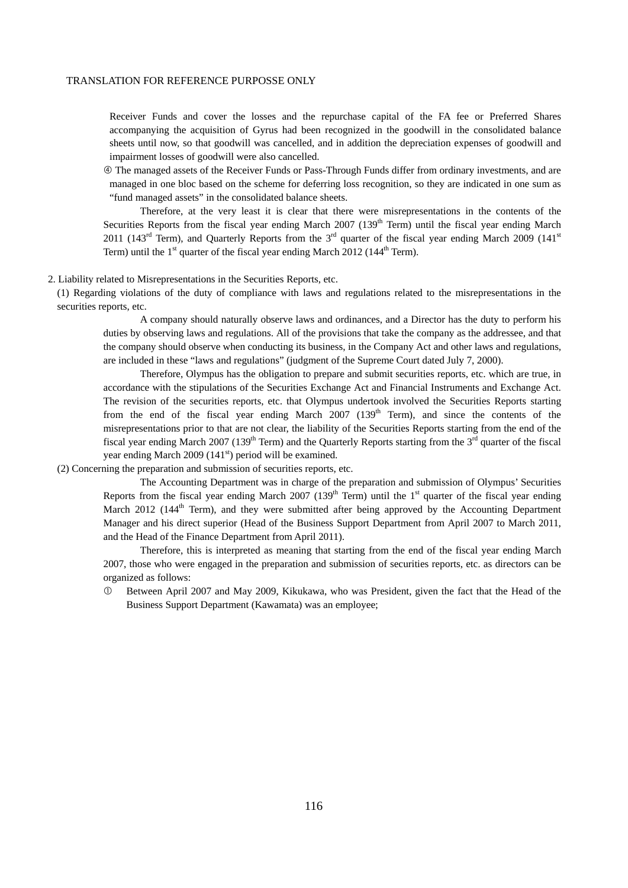Receiver Funds and cover the losses and the repurchase capital of the FA fee or Preferred Shares accompanying the acquisition of Gyrus had been recognized in the goodwill in the consolidated balance sheets until now, so that goodwill was cancelled, and in addition the depreciation expenses of goodwill and impairment losses of goodwill were also cancelled.

 The managed assets of the Receiver Funds or Pass-Through Funds differ from ordinary investments, and are managed in one bloc based on the scheme for deferring loss recognition, so they are indicated in one sum as "fund managed assets" in the consolidated balance sheets.

Therefore, at the very least it is clear that there were misrepresentations in the contents of the Securities Reports from the fiscal year ending March 2007 (139<sup>th</sup> Term) until the fiscal year ending March 2011 (143<sup>rd</sup> Term), and Quarterly Reports from the 3<sup>rd</sup> quarter of the fiscal year ending March 2009 (141<sup>st</sup>) Term) until the  $1<sup>st</sup>$  quarter of the fiscal year ending March 2012 (144<sup>th</sup> Term).

#### 2. Liability related to Misrepresentations in the Securities Reports, etc.

(1) Regarding violations of the duty of compliance with laws and regulations related to the misrepresentations in the securities reports, etc.

A company should naturally observe laws and ordinances, and a Director has the duty to perform his duties by observing laws and regulations. All of the provisions that take the company as the addressee, and that the company should observe when conducting its business, in the Company Act and other laws and regulations, are included in these "laws and regulations" (judgment of the Supreme Court dated July 7, 2000).

Therefore, Olympus has the obligation to prepare and submit securities reports, etc. which are true, in accordance with the stipulations of the Securities Exchange Act and Financial Instruments and Exchange Act. The revision of the securities reports, etc. that Olympus undertook involved the Securities Reports starting from the end of the fiscal year ending March 2007 (139<sup>th</sup> Term), and since the contents of the misrepresentations prior to that are not clear, the liability of the Securities Reports starting from the end of the fiscal year ending March 2007 (139<sup>th</sup> Term) and the Quarterly Reports starting from the  $3<sup>rd</sup>$  quarter of the fiscal year ending March 2009 ( $141<sup>st</sup>$ ) period will be examined.

(2) Concerning the preparation and submission of securities reports, etc.

The Accounting Department was in charge of the preparation and submission of Olympus' Securities Reports from the fiscal year ending March 2007 (139<sup>th</sup> Term) until the 1<sup>st</sup> quarter of the fiscal year ending March 2012 (144<sup>th</sup> Term), and they were submitted after being approved by the Accounting Department Manager and his direct superior (Head of the Business Support Department from April 2007 to March 2011, and the Head of the Finance Department from April 2011).

Therefore, this is interpreted as meaning that starting from the end of the fiscal year ending March 2007, those who were engaged in the preparation and submission of securities reports, etc. as directors can be organized as follows:

 Between April 2007 and May 2009, Kikukawa, who was President, given the fact that the Head of the Business Support Department (Kawamata) was an employee;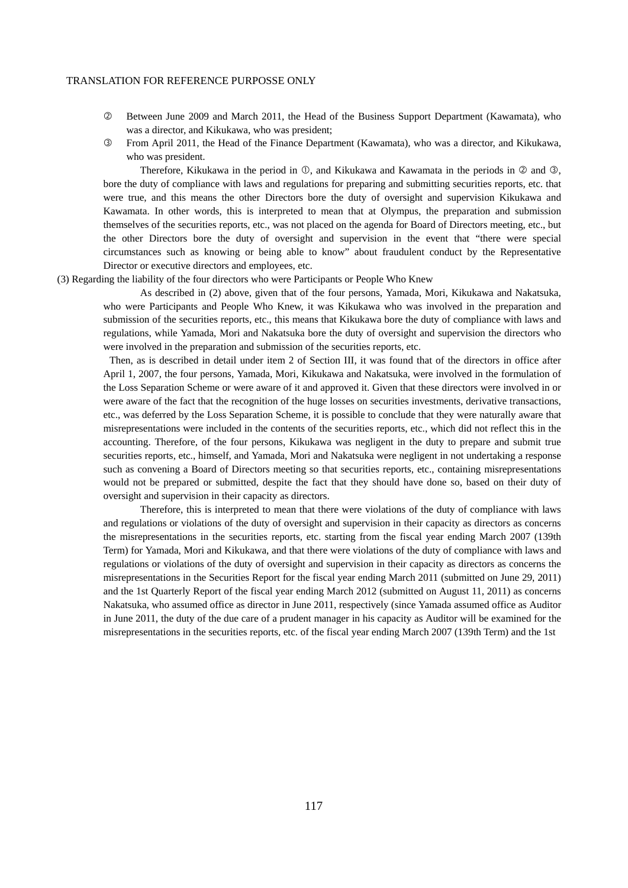- Between June 2009 and March 2011, the Head of the Business Support Department (Kawamata), who was a director, and Kikukawa, who was president;
- From April 2011, the Head of the Finance Department (Kawamata), who was a director, and Kikukawa, who was president.

Therefore, Kikukawa in the period in  $\mathbb{O}$ , and Kikukawa and Kawamata in the periods in  $\mathbb{O}$  and  $\mathbb{O}$ , bore the duty of compliance with laws and regulations for preparing and submitting securities reports, etc. that were true, and this means the other Directors bore the duty of oversight and supervision Kikukawa and Kawamata. In other words, this is interpreted to mean that at Olympus, the preparation and submission themselves of the securities reports, etc., was not placed on the agenda for Board of Directors meeting, etc., but the other Directors bore the duty of oversight and supervision in the event that "there were special circumstances such as knowing or being able to know" about fraudulent conduct by the Representative Director or executive directors and employees, etc.

(3) Regarding the liability of the four directors who were Participants or People Who Knew

As described in (2) above, given that of the four persons, Yamada, Mori, Kikukawa and Nakatsuka, who were Participants and People Who Knew, it was Kikukawa who was involved in the preparation and submission of the securities reports, etc., this means that Kikukawa bore the duty of compliance with laws and regulations, while Yamada, Mori and Nakatsuka bore the duty of oversight and supervision the directors who were involved in the preparation and submission of the securities reports, etc.

 Then, as is described in detail under item 2 of Section III, it was found that of the directors in office after April 1, 2007, the four persons, Yamada, Mori, Kikukawa and Nakatsuka, were involved in the formulation of the Loss Separation Scheme or were aware of it and approved it. Given that these directors were involved in or were aware of the fact that the recognition of the huge losses on securities investments, derivative transactions, etc., was deferred by the Loss Separation Scheme, it is possible to conclude that they were naturally aware that misrepresentations were included in the contents of the securities reports, etc., which did not reflect this in the accounting. Therefore, of the four persons, Kikukawa was negligent in the duty to prepare and submit true securities reports, etc., himself, and Yamada, Mori and Nakatsuka were negligent in not undertaking a response such as convening a Board of Directors meeting so that securities reports, etc., containing misrepresentations would not be prepared or submitted, despite the fact that they should have done so, based on their duty of oversight and supervision in their capacity as directors.

Therefore, this is interpreted to mean that there were violations of the duty of compliance with laws and regulations or violations of the duty of oversight and supervision in their capacity as directors as concerns the misrepresentations in the securities reports, etc. starting from the fiscal year ending March 2007 (139th Term) for Yamada, Mori and Kikukawa, and that there were violations of the duty of compliance with laws and regulations or violations of the duty of oversight and supervision in their capacity as directors as concerns the misrepresentations in the Securities Report for the fiscal year ending March 2011 (submitted on June 29, 2011) and the 1st Quarterly Report of the fiscal year ending March 2012 (submitted on August 11, 2011) as concerns Nakatsuka, who assumed office as director in June 2011, respectively (since Yamada assumed office as Auditor in June 2011, the duty of the due care of a prudent manager in his capacity as Auditor will be examined for the misrepresentations in the securities reports, etc. of the fiscal year ending March 2007 (139th Term) and the 1st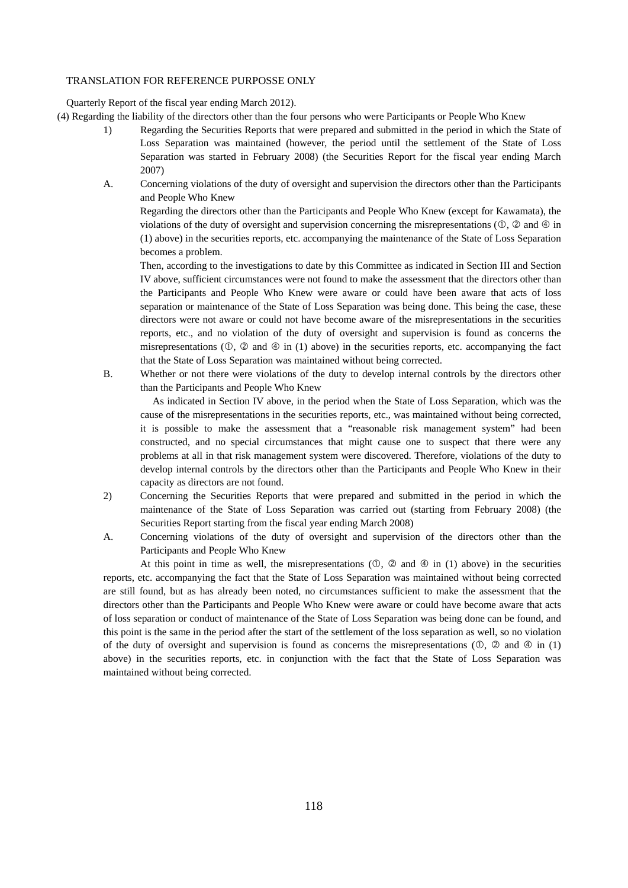Quarterly Report of the fiscal year ending March 2012).

- (4) Regarding the liability of the directors other than the four persons who were Participants or People Who Knew
	- 1) Regarding the Securities Reports that were prepared and submitted in the period in which the State of Loss Separation was maintained (however, the period until the settlement of the State of Loss Separation was started in February 2008) (the Securities Report for the fiscal year ending March 2007)
	- A. Concerning violations of the duty of oversight and supervision the directors other than the Participants and People Who Knew

Regarding the directors other than the Participants and People Who Knew (except for Kawamata), the violations of the duty of oversight and supervision concerning the misrepresentations  $(\mathbb{O}, \mathbb{Q})$  and  $\mathbb{O}$  in (1) above) in the securities reports, etc. accompanying the maintenance of the State of Loss Separation becomes a problem.

Then, according to the investigations to date by this Committee as indicated in Section III and Section IV above, sufficient circumstances were not found to make the assessment that the directors other than the Participants and People Who Knew were aware or could have been aware that acts of loss separation or maintenance of the State of Loss Separation was being done. This being the case, these directors were not aware or could not have become aware of the misrepresentations in the securities reports, etc., and no violation of the duty of oversight and supervision is found as concerns the misrepresentations  $(0, \mathcal{Q})$  and  $(4)$  in (1) above) in the securities reports, etc. accompanying the fact that the State of Loss Separation was maintained without being corrected.

B. Whether or not there were violations of the duty to develop internal controls by the directors other than the Participants and People Who Knew

 As indicated in Section IV above, in the period when the State of Loss Separation, which was the cause of the misrepresentations in the securities reports, etc., was maintained without being corrected, it is possible to make the assessment that a "reasonable risk management system" had been constructed, and no special circumstances that might cause one to suspect that there were any problems at all in that risk management system were discovered. Therefore, violations of the duty to develop internal controls by the directors other than the Participants and People Who Knew in their capacity as directors are not found.

- 2) Concerning the Securities Reports that were prepared and submitted in the period in which the maintenance of the State of Loss Separation was carried out (starting from February 2008) (the Securities Report starting from the fiscal year ending March 2008)
- A. Concerning violations of the duty of oversight and supervision of the directors other than the Participants and People Who Knew

At this point in time as well, the misrepresentations  $(0, 2)$  and  $(4)$  in (1) above) in the securities reports, etc. accompanying the fact that the State of Loss Separation was maintained without being corrected are still found, but as has already been noted, no circumstances sufficient to make the assessment that the directors other than the Participants and People Who Knew were aware or could have become aware that acts of loss separation or conduct of maintenance of the State of Loss Separation was being done can be found, and this point is the same in the period after the start of the settlement of the loss separation as well, so no violation of the duty of oversight and supervision is found as concerns the misrepresentations ( $\mathbb{O}$ ,  $\mathbb{Q}$ ) and  $\mathbb{Q}$  in (1) above) in the securities reports, etc. in conjunction with the fact that the State of Loss Separation was maintained without being corrected.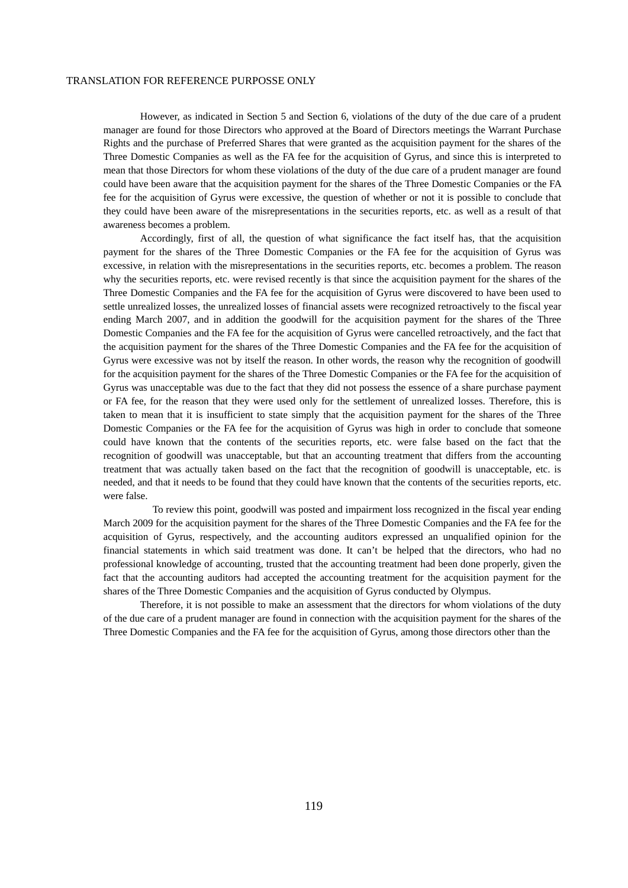However, as indicated in Section 5 and Section 6, violations of the duty of the due care of a prudent manager are found for those Directors who approved at the Board of Directors meetings the Warrant Purchase Rights and the purchase of Preferred Shares that were granted as the acquisition payment for the shares of the Three Domestic Companies as well as the FA fee for the acquisition of Gyrus, and since this is interpreted to mean that those Directors for whom these violations of the duty of the due care of a prudent manager are found could have been aware that the acquisition payment for the shares of the Three Domestic Companies or the FA fee for the acquisition of Gyrus were excessive, the question of whether or not it is possible to conclude that they could have been aware of the misrepresentations in the securities reports, etc. as well as a result of that awareness becomes a problem.

Accordingly, first of all, the question of what significance the fact itself has, that the acquisition payment for the shares of the Three Domestic Companies or the FA fee for the acquisition of Gyrus was excessive, in relation with the misrepresentations in the securities reports, etc. becomes a problem. The reason why the securities reports, etc. were revised recently is that since the acquisition payment for the shares of the Three Domestic Companies and the FA fee for the acquisition of Gyrus were discovered to have been used to settle unrealized losses, the unrealized losses of financial assets were recognized retroactively to the fiscal year ending March 2007, and in addition the goodwill for the acquisition payment for the shares of the Three Domestic Companies and the FA fee for the acquisition of Gyrus were cancelled retroactively, and the fact that the acquisition payment for the shares of the Three Domestic Companies and the FA fee for the acquisition of Gyrus were excessive was not by itself the reason. In other words, the reason why the recognition of goodwill for the acquisition payment for the shares of the Three Domestic Companies or the FA fee for the acquisition of Gyrus was unacceptable was due to the fact that they did not possess the essence of a share purchase payment or FA fee, for the reason that they were used only for the settlement of unrealized losses. Therefore, this is taken to mean that it is insufficient to state simply that the acquisition payment for the shares of the Three Domestic Companies or the FA fee for the acquisition of Gyrus was high in order to conclude that someone could have known that the contents of the securities reports, etc. were false based on the fact that the recognition of goodwill was unacceptable, but that an accounting treatment that differs from the accounting treatment that was actually taken based on the fact that the recognition of goodwill is unacceptable, etc. is needed, and that it needs to be found that they could have known that the contents of the securities reports, etc. were false.

 To review this point, goodwill was posted and impairment loss recognized in the fiscal year ending March 2009 for the acquisition payment for the shares of the Three Domestic Companies and the FA fee for the acquisition of Gyrus, respectively, and the accounting auditors expressed an unqualified opinion for the financial statements in which said treatment was done. It can't be helped that the directors, who had no professional knowledge of accounting, trusted that the accounting treatment had been done properly, given the fact that the accounting auditors had accepted the accounting treatment for the acquisition payment for the shares of the Three Domestic Companies and the acquisition of Gyrus conducted by Olympus.

Therefore, it is not possible to make an assessment that the directors for whom violations of the duty of the due care of a prudent manager are found in connection with the acquisition payment for the shares of the Three Domestic Companies and the FA fee for the acquisition of Gyrus, among those directors other than the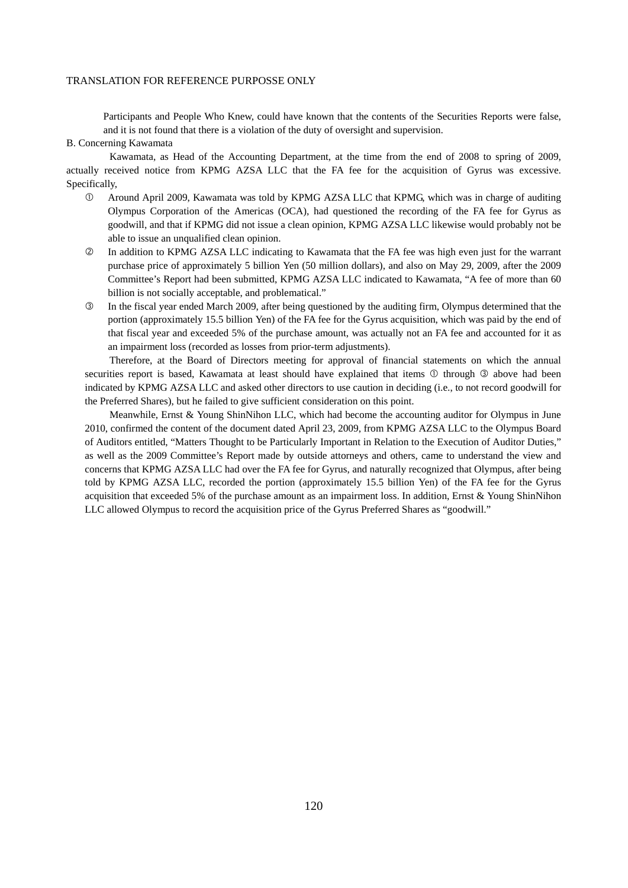Participants and People Who Knew, could have known that the contents of the Securities Reports were false, and it is not found that there is a violation of the duty of oversight and supervision.

#### B. Concerning Kawamata

 Kawamata, as Head of the Accounting Department, at the time from the end of 2008 to spring of 2009, actually received notice from KPMG AZSA LLC that the FA fee for the acquisition of Gyrus was excessive. Specifically,

- Around April 2009, Kawamata was told by KPMG AZSA LLC that KPMG, which was in charge of auditing Olympus Corporation of the Americas (OCA), had questioned the recording of the FA fee for Gyrus as goodwill, and that if KPMG did not issue a clean opinion, KPMG AZSA LLC likewise would probably not be able to issue an unqualified clean opinion.
- In addition to KPMG AZSA LLC indicating to Kawamata that the FA fee was high even just for the warrant purchase price of approximately 5 billion Yen (50 million dollars), and also on May 29, 2009, after the 2009 Committee's Report had been submitted, KPMG AZSA LLC indicated to Kawamata, "A fee of more than 60 billion is not socially acceptable, and problematical."
- In the fiscal year ended March 2009, after being questioned by the auditing firm, Olympus determined that the portion (approximately 15.5 billion Yen) of the FA fee for the Gyrus acquisition, which was paid by the end of that fiscal year and exceeded 5% of the purchase amount, was actually not an FA fee and accounted for it as an impairment loss (recorded as losses from prior-term adjustments).

 Therefore, at the Board of Directors meeting for approval of financial statements on which the annual securities report is based, Kawamata at least should have explained that items  $\mathbb O$  through  $\mathbb O$  above had been indicated by KPMG AZSA LLC and asked other directors to use caution in deciding (i.e., to not record goodwill for the Preferred Shares), but he failed to give sufficient consideration on this point.

 Meanwhile, Ernst & Young ShinNihon LLC, which had become the accounting auditor for Olympus in June 2010, confirmed the content of the document dated April 23, 2009, from KPMG AZSA LLC to the Olympus Board of Auditors entitled, "Matters Thought to be Particularly Important in Relation to the Execution of Auditor Duties," as well as the 2009 Committee's Report made by outside attorneys and others, came to understand the view and concerns that KPMG AZSA LLC had over the FA fee for Gyrus, and naturally recognized that Olympus, after being told by KPMG AZSA LLC, recorded the portion (approximately 15.5 billion Yen) of the FA fee for the Gyrus acquisition that exceeded 5% of the purchase amount as an impairment loss. In addition, Ernst & Young ShinNihon LLC allowed Olympus to record the acquisition price of the Gyrus Preferred Shares as "goodwill."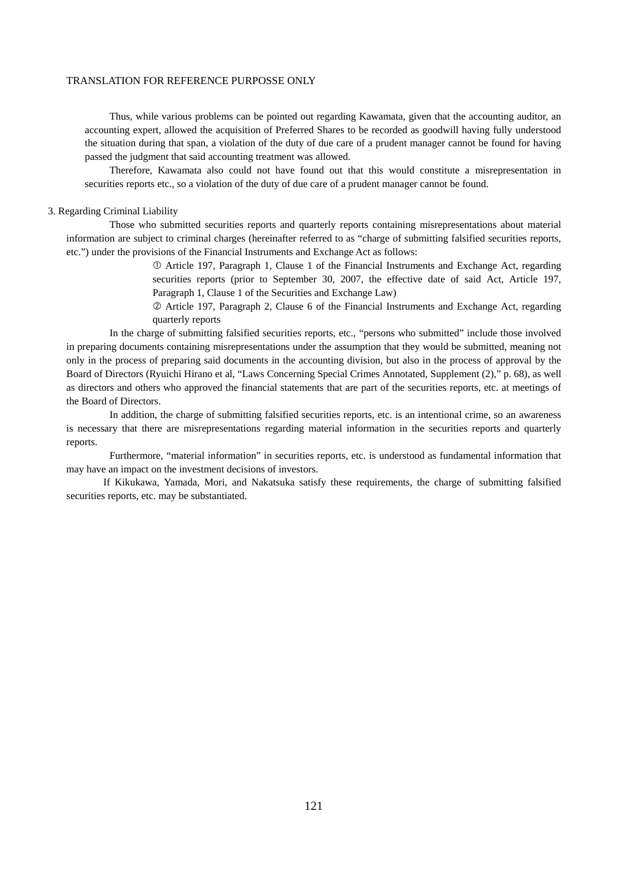Thus, while various problems can be pointed out regarding Kawamata, given that the accounting auditor, an accounting expert, allowed the acquisition of Preferred Shares to be recorded as goodwill having fully understood the situation during that span, a violation of the duty of due care of a prudent manager cannot be found for having passed the judgment that said accounting treatment was allowed.

 Therefore, Kawamata also could not have found out that this would constitute a misrepresentation in securities reports etc., so a violation of the duty of due care of a prudent manager cannot be found.

# 3. Regarding Criminal Liability

 Those who submitted securities reports and quarterly reports containing misrepresentations about material information are subject to criminal charges (hereinafter referred to as "charge of submitting falsified securities reports, etc.") under the provisions of the Financial Instruments and Exchange Act as follows:

> Article 197, Paragraph 1, Clause 1 of the Financial Instruments and Exchange Act, regarding securities reports (prior to September 30, 2007, the effective date of said Act, Article 197, Paragraph 1, Clause 1 of the Securities and Exchange Law)

> Article 197, Paragraph 2, Clause 6 of the Financial Instruments and Exchange Act, regarding quarterly reports

 In the charge of submitting falsified securities reports, etc., "persons who submitted" include those involved in preparing documents containing misrepresentations under the assumption that they would be submitted, meaning not only in the process of preparing said documents in the accounting division, but also in the process of approval by the Board of Directors (Ryuichi Hirano et al, "Laws Concerning Special Crimes Annotated, Supplement (2)," p. 68), as well as directors and others who approved the financial statements that are part of the securities reports, etc. at meetings of the Board of Directors.

 In addition, the charge of submitting falsified securities reports, etc. is an intentional crime, so an awareness is necessary that there are misrepresentations regarding material information in the securities reports and quarterly reports.

 Furthermore, "material information" in securities reports, etc. is understood as fundamental information that may have an impact on the investment decisions of investors.

If Kikukawa, Yamada, Mori, and Nakatsuka satisfy these requirements, the charge of submitting falsified securities reports, etc. may be substantiated.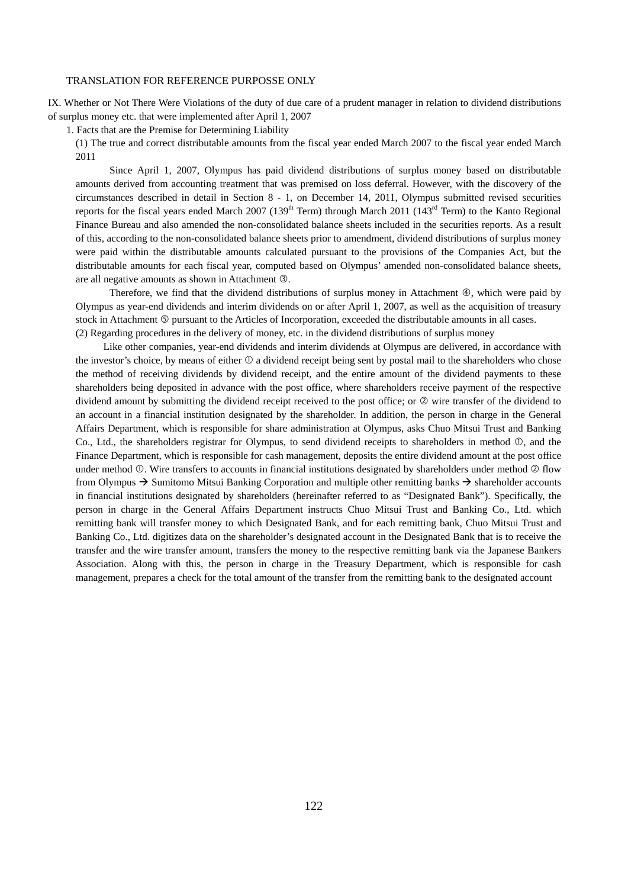IX. Whether or Not There Were Violations of the duty of due care of a prudent manager in relation to dividend distributions of surplus money etc. that were implemented after April 1, 2007

1. Facts that are the Premise for Determining Liability

(1) The true and correct distributable amounts from the fiscal year ended March 2007 to the fiscal year ended March 2011

 Since April 1, 2007, Olympus has paid dividend distributions of surplus money based on distributable amounts derived from accounting treatment that was premised on loss deferral. However, with the discovery of the circumstances described in detail in Section 8 - 1, on December 14, 2011, Olympus submitted revised securities reports for the fiscal years ended March 2007 (139<sup>th</sup> Term) through March 2011 (143<sup>rd</sup> Term) to the Kanto Regional Finance Bureau and also amended the non-consolidated balance sheets included in the securities reports. As a result of this, according to the non-consolidated balance sheets prior to amendment, dividend distributions of surplus money were paid within the distributable amounts calculated pursuant to the provisions of the Companies Act, but the distributable amounts for each fiscal year, computed based on Olympus' amended non-consolidated balance sheets, are all negative amounts as shown in Attachment 3.

Therefore, we find that the dividend distributions of surplus money in Attachment  $\Phi$ , which were paid by Olympus as year-end dividends and interim dividends on or after April 1, 2007, as well as the acquisition of treasury stock in Attachment  $\circledcirc$  pursuant to the Articles of Incorporation, exceeded the distributable amounts in all cases. (2) Regarding procedures in the delivery of money, etc. in the dividend distributions of surplus money

Like other companies, year-end dividends and interim dividends at Olympus are delivered, in accordance with the investor's choice, by means of either  $\mathbb O$  a dividend receipt being sent by postal mail to the shareholders who chose the method of receiving dividends by dividend receipt, and the entire amount of the dividend payments to these shareholders being deposited in advance with the post office, where shareholders receive payment of the respective dividend amount by submitting the dividend receipt received to the post office; or  $\oslash$  wire transfer of the dividend to an account in a financial institution designated by the shareholder. In addition, the person in charge in the General Affairs Department, which is responsible for share administration at Olympus, asks Chuo Mitsui Trust and Banking Co., Ltd., the shareholders registrar for Olympus, to send dividend receipts to shareholders in method  $\mathbb{O}$ , and the Finance Department, which is responsible for cash management, deposits the entire dividend amount at the post office under method  $\mathbb O$ . Wire transfers to accounts in financial institutions designated by shareholders under method  $\mathbb O$  flow from Olympus  $\rightarrow$  Sumitomo Mitsui Banking Corporation and multiple other remitting banks  $\rightarrow$  shareholder accounts in financial institutions designated by shareholders (hereinafter referred to as "Designated Bank"). Specifically, the person in charge in the General Affairs Department instructs Chuo Mitsui Trust and Banking Co., Ltd. which remitting bank will transfer money to which Designated Bank, and for each remitting bank, Chuo Mitsui Trust and Banking Co., Ltd. digitizes data on the shareholder's designated account in the Designated Bank that is to receive the transfer and the wire transfer amount, transfers the money to the respective remitting bank via the Japanese Bankers Association. Along with this, the person in charge in the Treasury Department, which is responsible for cash management, prepares a check for the total amount of the transfer from the remitting bank to the designated account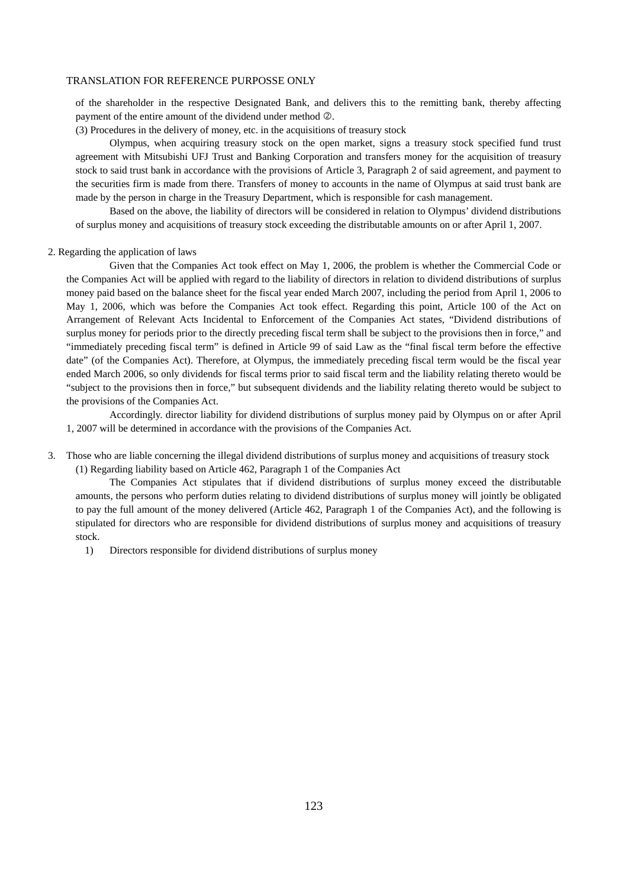of the shareholder in the respective Designated Bank, and delivers this to the remitting bank, thereby affecting payment of the entire amount of the dividend under method  $\oslash$ .

(3) Procedures in the delivery of money, etc. in the acquisitions of treasury stock

 Olympus, when acquiring treasury stock on the open market, signs a treasury stock specified fund trust agreement with Mitsubishi UFJ Trust and Banking Corporation and transfers money for the acquisition of treasury stock to said trust bank in accordance with the provisions of Article 3, Paragraph 2 of said agreement, and payment to the securities firm is made from there. Transfers of money to accounts in the name of Olympus at said trust bank are made by the person in charge in the Treasury Department, which is responsible for cash management.

 Based on the above, the liability of directors will be considered in relation to Olympus' dividend distributions of surplus money and acquisitions of treasury stock exceeding the distributable amounts on or after April 1, 2007.

## 2. Regarding the application of laws

 Given that the Companies Act took effect on May 1, 2006, the problem is whether the Commercial Code or the Companies Act will be applied with regard to the liability of directors in relation to dividend distributions of surplus money paid based on the balance sheet for the fiscal year ended March 2007, including the period from April 1, 2006 to May 1, 2006, which was before the Companies Act took effect. Regarding this point, Article 100 of the Act on Arrangement of Relevant Acts Incidental to Enforcement of the Companies Act states, "Dividend distributions of surplus money for periods prior to the directly preceding fiscal term shall be subject to the provisions then in force," and "immediately preceding fiscal term" is defined in Article 99 of said Law as the "final fiscal term before the effective date" (of the Companies Act). Therefore, at Olympus, the immediately preceding fiscal term would be the fiscal year ended March 2006, so only dividends for fiscal terms prior to said fiscal term and the liability relating thereto would be "subject to the provisions then in force," but subsequent dividends and the liability relating thereto would be subject to the provisions of the Companies Act.

 Accordingly. director liability for dividend distributions of surplus money paid by Olympus on or after April 1, 2007 will be determined in accordance with the provisions of the Companies Act.

3. Those who are liable concerning the illegal dividend distributions of surplus money and acquisitions of treasury stock (1) Regarding liability based on Article 462, Paragraph 1 of the Companies Act

 The Companies Act stipulates that if dividend distributions of surplus money exceed the distributable amounts, the persons who perform duties relating to dividend distributions of surplus money will jointly be obligated to pay the full amount of the money delivered (Article 462, Paragraph 1 of the Companies Act), and the following is stipulated for directors who are responsible for dividend distributions of surplus money and acquisitions of treasury stock.

1) Directors responsible for dividend distributions of surplus money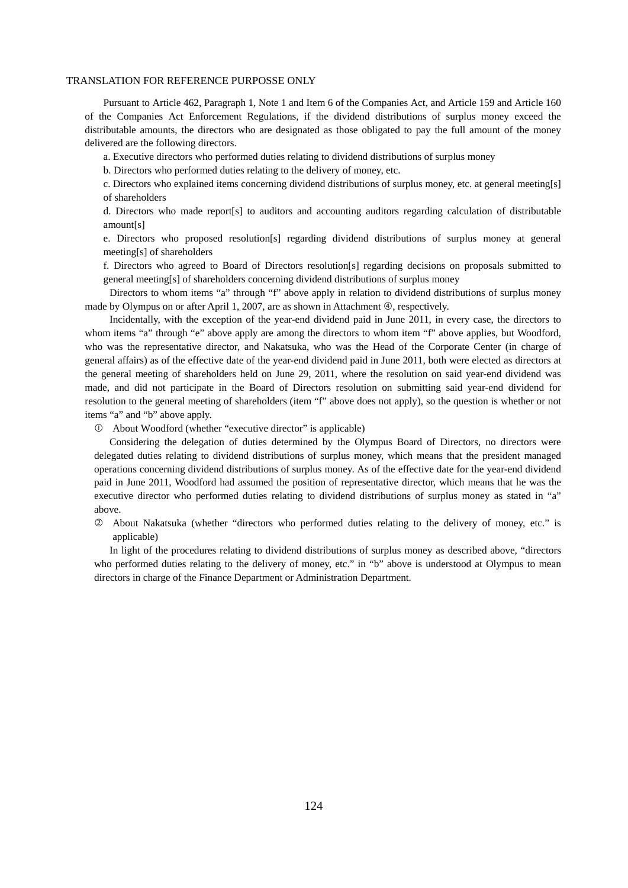Pursuant to Article 462, Paragraph 1, Note 1 and Item 6 of the Companies Act, and Article 159 and Article 160 of the Companies Act Enforcement Regulations, if the dividend distributions of surplus money exceed the distributable amounts, the directors who are designated as those obligated to pay the full amount of the money delivered are the following directors.

a. Executive directors who performed duties relating to dividend distributions of surplus money

b. Directors who performed duties relating to the delivery of money, etc.

c. Directors who explained items concerning dividend distributions of surplus money, etc. at general meeting[s] of shareholders

d. Directors who made report[s] to auditors and accounting auditors regarding calculation of distributable amount[s]

e. Directors who proposed resolution[s] regarding dividend distributions of surplus money at general meeting[s] of shareholders

f. Directors who agreed to Board of Directors resolution[s] regarding decisions on proposals submitted to general meeting[s] of shareholders concerning dividend distributions of surplus money

 Directors to whom items "a" through "f" above apply in relation to dividend distributions of surplus money made by Olympus on or after April 1, 2007, are as shown in Attachment  $\Phi$ , respectively.

 Incidentally, with the exception of the year-end dividend paid in June 2011, in every case, the directors to whom items "a" through "e" above apply are among the directors to whom item "f" above applies, but Woodford, who was the representative director, and Nakatsuka, who was the Head of the Corporate Center (in charge of general affairs) as of the effective date of the year-end dividend paid in June 2011, both were elected as directors at the general meeting of shareholders held on June 29, 2011, where the resolution on said year-end dividend was made, and did not participate in the Board of Directors resolution on submitting said year-end dividend for resolution to the general meeting of shareholders (item "f" above does not apply), so the question is whether or not items "a" and "b" above apply.

About Woodford (whether "executive director" is applicable)

 Considering the delegation of duties determined by the Olympus Board of Directors, no directors were delegated duties relating to dividend distributions of surplus money, which means that the president managed operations concerning dividend distributions of surplus money. As of the effective date for the year-end dividend paid in June 2011, Woodford had assumed the position of representative director, which means that he was the executive director who performed duties relating to dividend distributions of surplus money as stated in "a" above.

 About Nakatsuka (whether "directors who performed duties relating to the delivery of money, etc." is applicable)

 In light of the procedures relating to dividend distributions of surplus money as described above, "directors who performed duties relating to the delivery of money, etc." in "b" above is understood at Olympus to mean directors in charge of the Finance Department or Administration Department.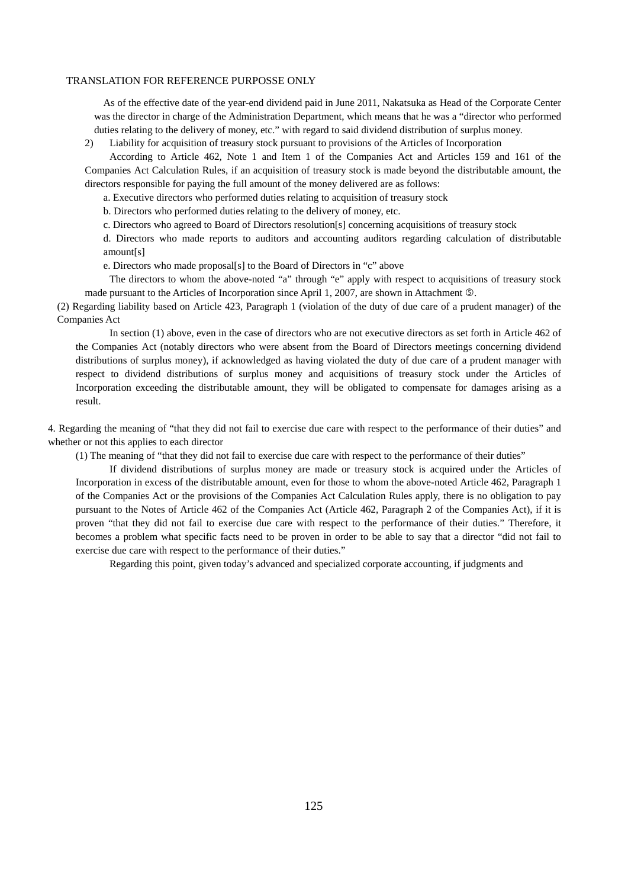As of the effective date of the year-end dividend paid in June 2011, Nakatsuka as Head of the Corporate Center was the director in charge of the Administration Department, which means that he was a "director who performed duties relating to the delivery of money, etc." with regard to said dividend distribution of surplus money.

2) Liability for acquisition of treasury stock pursuant to provisions of the Articles of Incorporation

 According to Article 462, Note 1 and Item 1 of the Companies Act and Articles 159 and 161 of the Companies Act Calculation Rules, if an acquisition of treasury stock is made beyond the distributable amount, the directors responsible for paying the full amount of the money delivered are as follows:

a. Executive directors who performed duties relating to acquisition of treasury stock

b. Directors who performed duties relating to the delivery of money, etc.

c. Directors who agreed to Board of Directors resolution[s] concerning acquisitions of treasury stock

d. Directors who made reports to auditors and accounting auditors regarding calculation of distributable amount[s]

e. Directors who made proposal[s] to the Board of Directors in "c" above

 The directors to whom the above-noted "a" through "e" apply with respect to acquisitions of treasury stock made pursuant to the Articles of Incorporation since April 1, 2007, are shown in Attachment  $\circled$ .

(2) Regarding liability based on Article 423, Paragraph 1 (violation of the duty of due care of a prudent manager) of the Companies Act

 In section (1) above, even in the case of directors who are not executive directors as set forth in Article 462 of the Companies Act (notably directors who were absent from the Board of Directors meetings concerning dividend distributions of surplus money), if acknowledged as having violated the duty of due care of a prudent manager with respect to dividend distributions of surplus money and acquisitions of treasury stock under the Articles of Incorporation exceeding the distributable amount, they will be obligated to compensate for damages arising as a result.

4. Regarding the meaning of "that they did not fail to exercise due care with respect to the performance of their duties" and whether or not this applies to each director

(1) The meaning of "that they did not fail to exercise due care with respect to the performance of their duties"

 If dividend distributions of surplus money are made or treasury stock is acquired under the Articles of Incorporation in excess of the distributable amount, even for those to whom the above-noted Article 462, Paragraph 1 of the Companies Act or the provisions of the Companies Act Calculation Rules apply, there is no obligation to pay pursuant to the Notes of Article 462 of the Companies Act (Article 462, Paragraph 2 of the Companies Act), if it is proven "that they did not fail to exercise due care with respect to the performance of their duties." Therefore, it becomes a problem what specific facts need to be proven in order to be able to say that a director "did not fail to exercise due care with respect to the performance of their duties."

Regarding this point, given today's advanced and specialized corporate accounting, if judgments and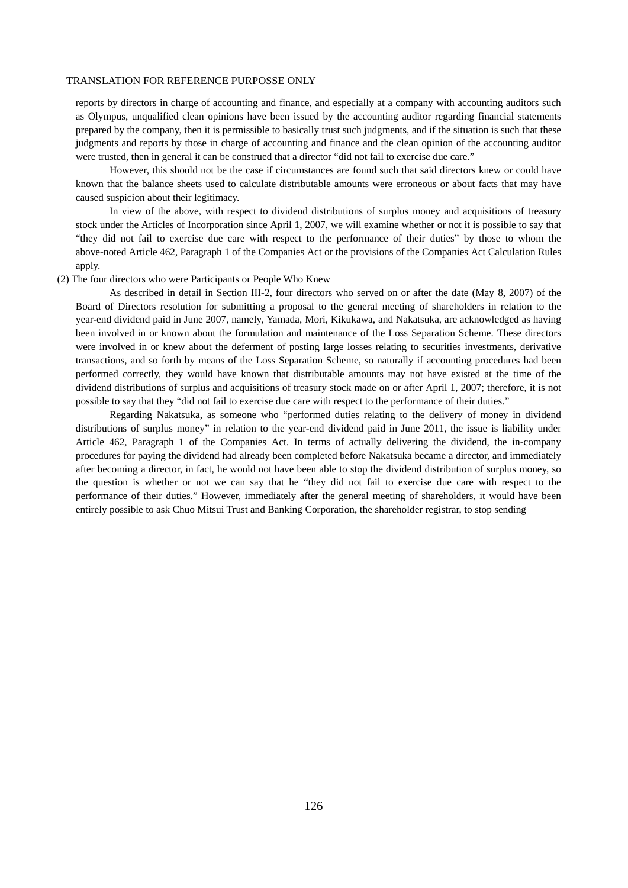reports by directors in charge of accounting and finance, and especially at a company with accounting auditors such as Olympus, unqualified clean opinions have been issued by the accounting auditor regarding financial statements prepared by the company, then it is permissible to basically trust such judgments, and if the situation is such that these judgments and reports by those in charge of accounting and finance and the clean opinion of the accounting auditor were trusted, then in general it can be construed that a director "did not fail to exercise due care."

 However, this should not be the case if circumstances are found such that said directors knew or could have known that the balance sheets used to calculate distributable amounts were erroneous or about facts that may have caused suspicion about their legitimacy.

 In view of the above, with respect to dividend distributions of surplus money and acquisitions of treasury stock under the Articles of Incorporation since April 1, 2007, we will examine whether or not it is possible to say that "they did not fail to exercise due care with respect to the performance of their duties" by those to whom the above-noted Article 462, Paragraph 1 of the Companies Act or the provisions of the Companies Act Calculation Rules apply.

### (2) The four directors who were Participants or People Who Knew

 As described in detail in Section III-2, four directors who served on or after the date (May 8, 2007) of the Board of Directors resolution for submitting a proposal to the general meeting of shareholders in relation to the year-end dividend paid in June 2007, namely, Yamada, Mori, Kikukawa, and Nakatsuka, are acknowledged as having been involved in or known about the formulation and maintenance of the Loss Separation Scheme. These directors were involved in or knew about the deferment of posting large losses relating to securities investments, derivative transactions, and so forth by means of the Loss Separation Scheme, so naturally if accounting procedures had been performed correctly, they would have known that distributable amounts may not have existed at the time of the dividend distributions of surplus and acquisitions of treasury stock made on or after April 1, 2007; therefore, it is not possible to say that they "did not fail to exercise due care with respect to the performance of their duties."

 Regarding Nakatsuka, as someone who "performed duties relating to the delivery of money in dividend distributions of surplus money" in relation to the year-end dividend paid in June 2011, the issue is liability under Article 462, Paragraph 1 of the Companies Act. In terms of actually delivering the dividend, the in-company procedures for paying the dividend had already been completed before Nakatsuka became a director, and immediately after becoming a director, in fact, he would not have been able to stop the dividend distribution of surplus money, so the question is whether or not we can say that he "they did not fail to exercise due care with respect to the performance of their duties." However, immediately after the general meeting of shareholders, it would have been entirely possible to ask Chuo Mitsui Trust and Banking Corporation, the shareholder registrar, to stop sending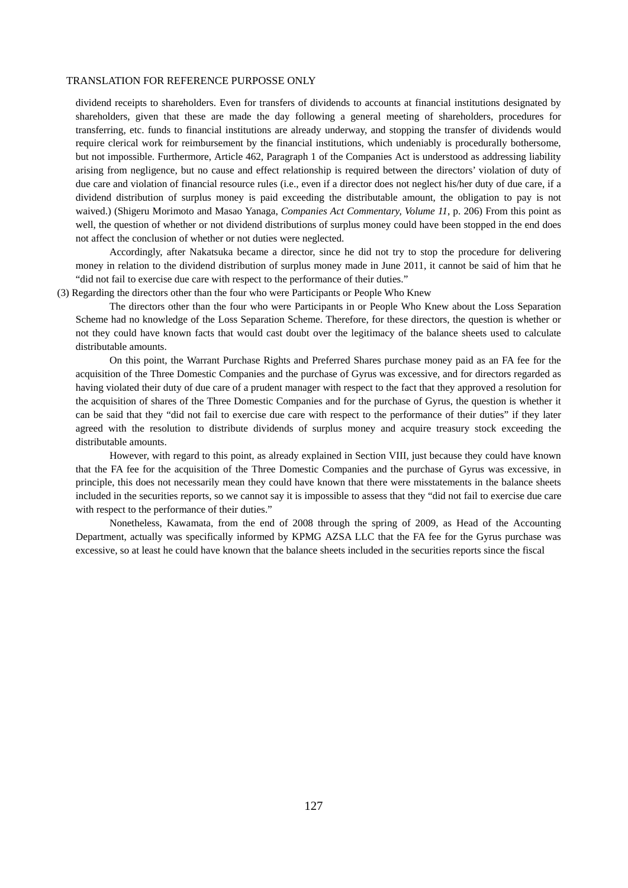dividend receipts to shareholders. Even for transfers of dividends to accounts at financial institutions designated by shareholders, given that these are made the day following a general meeting of shareholders, procedures for transferring, etc. funds to financial institutions are already underway, and stopping the transfer of dividends would require clerical work for reimbursement by the financial institutions, which undeniably is procedurally bothersome, but not impossible. Furthermore, Article 462, Paragraph 1 of the Companies Act is understood as addressing liability arising from negligence, but no cause and effect relationship is required between the directors' violation of duty of due care and violation of financial resource rules (i.e., even if a director does not neglect his/her duty of due care, if a dividend distribution of surplus money is paid exceeding the distributable amount, the obligation to pay is not waived.) (Shigeru Morimoto and Masao Yanaga, *Companies Act Commentary, Volume 11*, p. 206) From this point as well, the question of whether or not dividend distributions of surplus money could have been stopped in the end does not affect the conclusion of whether or not duties were neglected.

 Accordingly, after Nakatsuka became a director, since he did not try to stop the procedure for delivering money in relation to the dividend distribution of surplus money made in June 2011, it cannot be said of him that he "did not fail to exercise due care with respect to the performance of their duties."

(3) Regarding the directors other than the four who were Participants or People Who Knew

 The directors other than the four who were Participants in or People Who Knew about the Loss Separation Scheme had no knowledge of the Loss Separation Scheme. Therefore, for these directors, the question is whether or not they could have known facts that would cast doubt over the legitimacy of the balance sheets used to calculate distributable amounts.

 On this point, the Warrant Purchase Rights and Preferred Shares purchase money paid as an FA fee for the acquisition of the Three Domestic Companies and the purchase of Gyrus was excessive, and for directors regarded as having violated their duty of due care of a prudent manager with respect to the fact that they approved a resolution for the acquisition of shares of the Three Domestic Companies and for the purchase of Gyrus, the question is whether it can be said that they "did not fail to exercise due care with respect to the performance of their duties" if they later agreed with the resolution to distribute dividends of surplus money and acquire treasury stock exceeding the distributable amounts.

 However, with regard to this point, as already explained in Section VIII, just because they could have known that the FA fee for the acquisition of the Three Domestic Companies and the purchase of Gyrus was excessive, in principle, this does not necessarily mean they could have known that there were misstatements in the balance sheets included in the securities reports, so we cannot say it is impossible to assess that they "did not fail to exercise due care with respect to the performance of their duties."

 Nonetheless, Kawamata, from the end of 2008 through the spring of 2009, as Head of the Accounting Department, actually was specifically informed by KPMG AZSA LLC that the FA fee for the Gyrus purchase was excessive, so at least he could have known that the balance sheets included in the securities reports since the fiscal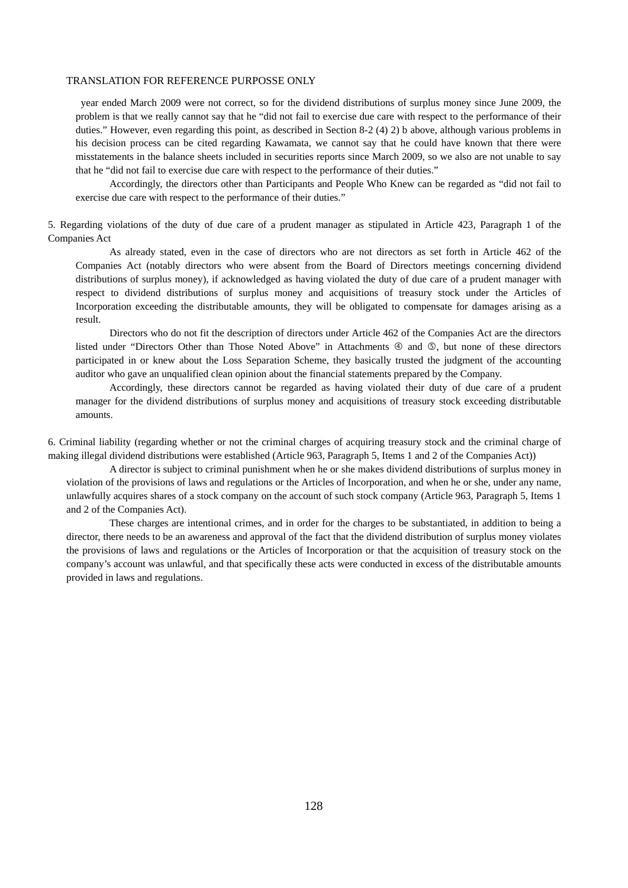year ended March 2009 were not correct, so for the dividend distributions of surplus money since June 2009, the problem is that we really cannot say that he "did not fail to exercise due care with respect to the performance of their duties." However, even regarding this point, as described in Section 8-2 (4) 2) b above, although various problems in his decision process can be cited regarding Kawamata, we cannot say that he could have known that there were misstatements in the balance sheets included in securities reports since March 2009, so we also are not unable to say that he "did not fail to exercise due care with respect to the performance of their duties."

 Accordingly, the directors other than Participants and People Who Knew can be regarded as "did not fail to exercise due care with respect to the performance of their duties."

5. Regarding violations of the duty of due care of a prudent manager as stipulated in Article 423, Paragraph 1 of the Companies Act

 As already stated, even in the case of directors who are not directors as set forth in Article 462 of the Companies Act (notably directors who were absent from the Board of Directors meetings concerning dividend distributions of surplus money), if acknowledged as having violated the duty of due care of a prudent manager with respect to dividend distributions of surplus money and acquisitions of treasury stock under the Articles of Incorporation exceeding the distributable amounts, they will be obligated to compensate for damages arising as a result.

 Directors who do not fit the description of directors under Article 462 of the Companies Act are the directors listed under "Directors Other than Those Noted Above" in Attachments  $\circledA$  and  $\circledB$ , but none of these directors participated in or knew about the Loss Separation Scheme, they basically trusted the judgment of the accounting auditor who gave an unqualified clean opinion about the financial statements prepared by the Company.

 Accordingly, these directors cannot be regarded as having violated their duty of due care of a prudent manager for the dividend distributions of surplus money and acquisitions of treasury stock exceeding distributable amounts.

6. Criminal liability (regarding whether or not the criminal charges of acquiring treasury stock and the criminal charge of making illegal dividend distributions were established (Article 963, Paragraph 5, Items 1 and 2 of the Companies Act))

 A director is subject to criminal punishment when he or she makes dividend distributions of surplus money in violation of the provisions of laws and regulations or the Articles of Incorporation, and when he or she, under any name, unlawfully acquires shares of a stock company on the account of such stock company (Article 963, Paragraph 5, Items 1 and 2 of the Companies Act).

 These charges are intentional crimes, and in order for the charges to be substantiated, in addition to being a director, there needs to be an awareness and approval of the fact that the dividend distribution of surplus money violates the provisions of laws and regulations or the Articles of Incorporation or that the acquisition of treasury stock on the company's account was unlawful, and that specifically these acts were conducted in excess of the distributable amounts provided in laws and regulations.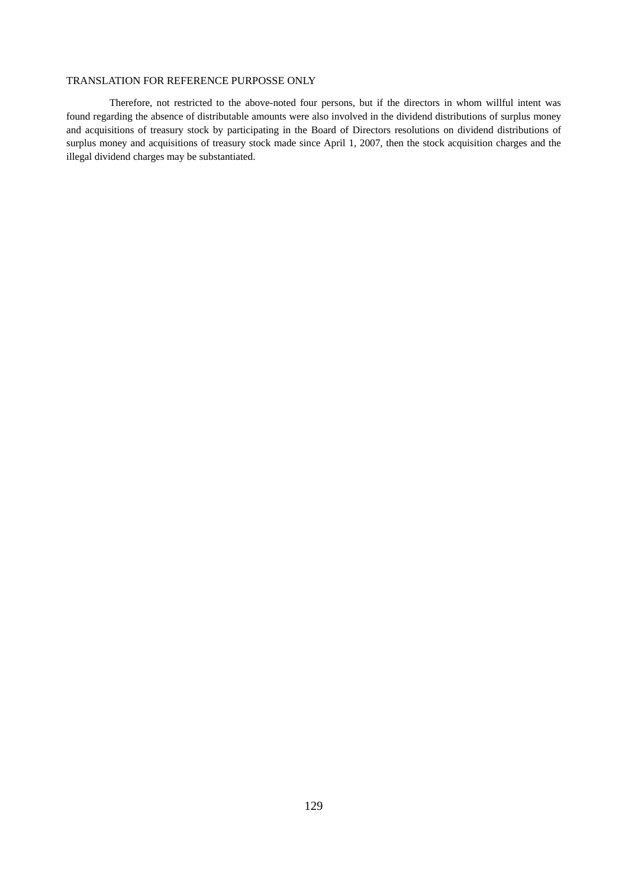Therefore, not restricted to the above-noted four persons, but if the directors in whom willful intent was found regarding the absence of distributable amounts were also involved in the dividend distributions of surplus money and acquisitions of treasury stock by participating in the Board of Directors resolutions on dividend distributions of surplus money and acquisitions of treasury stock made since April 1, 2007, then the stock acquisition charges and the illegal dividend charges may be substantiated.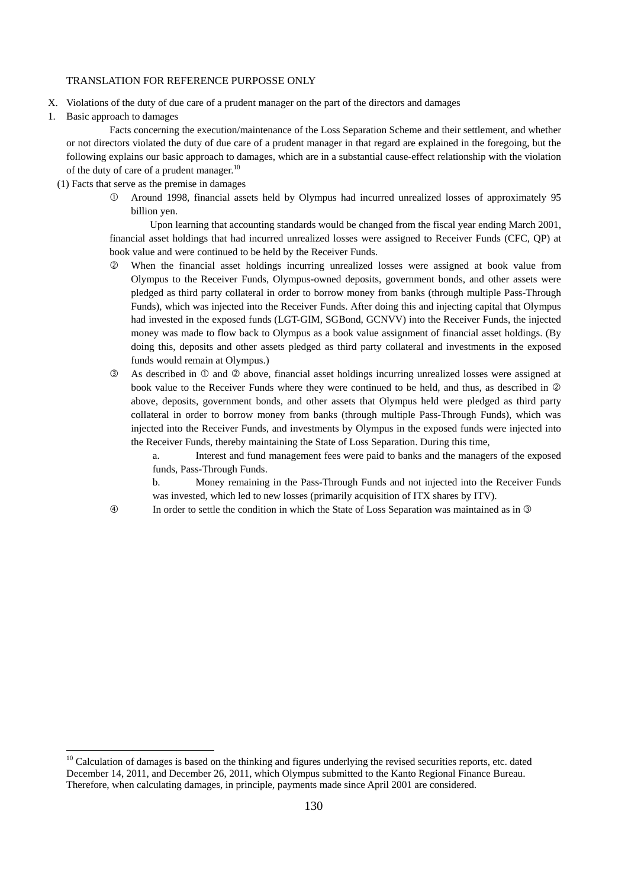- X. Violations of the duty of due care of a prudent manager on the part of the directors and damages
- 1. Basic approach to damages

 Facts concerning the execution/maintenance of the Loss Separation Scheme and their settlement, and whether or not directors violated the duty of due care of a prudent manager in that regard are explained in the foregoing, but the following explains our basic approach to damages, which are in a substantial cause-effect relationship with the violation of the duty of care of a prudent manager.<sup>10</sup>

- (1) Facts that serve as the premise in damages
	- Around 1998, financial assets held by Olympus had incurred unrealized losses of approximately 95 billion yen.

 Upon learning that accounting standards would be changed from the fiscal year ending March 2001, financial asset holdings that had incurred unrealized losses were assigned to Receiver Funds (CFC, QP) at book value and were continued to be held by the Receiver Funds.

- When the financial asset holdings incurring unrealized losses were assigned at book value from Olympus to the Receiver Funds, Olympus-owned deposits, government bonds, and other assets were pledged as third party collateral in order to borrow money from banks (through multiple Pass-Through Funds), which was injected into the Receiver Funds. After doing this and injecting capital that Olympus had invested in the exposed funds (LGT-GIM, SGBond, GCNVV) into the Receiver Funds, the injected money was made to flow back to Olympus as a book value assignment of financial asset holdings. (By doing this, deposits and other assets pledged as third party collateral and investments in the exposed funds would remain at Olympus.)
- $\circled{3}$  As described in  $\circled{1}$  and  $\circled{2}$  above, financial asset holdings incurring unrealized losses were assigned at book value to the Receiver Funds where they were continued to be held, and thus, as described in  $\oslash$ above, deposits, government bonds, and other assets that Olympus held were pledged as third party collateral in order to borrow money from banks (through multiple Pass-Through Funds), which was injected into the Receiver Funds, and investments by Olympus in the exposed funds were injected into the Receiver Funds, thereby maintaining the State of Loss Separation. During this time,

a. Interest and fund management fees were paid to banks and the managers of the exposed funds, Pass-Through Funds.

b. Money remaining in the Pass-Through Funds and not injected into the Receiver Funds was invested, which led to new losses (primarily acquisition of ITX shares by ITV).

-

In order to settle the condition in which the State of Loss Separation was maintained as in

 $10$  Calculation of damages is based on the thinking and figures underlying the revised securities reports, etc. dated December 14, 2011, and December 26, 2011, which Olympus submitted to the Kanto Regional Finance Bureau. Therefore, when calculating damages, in principle, payments made since April 2001 are considered.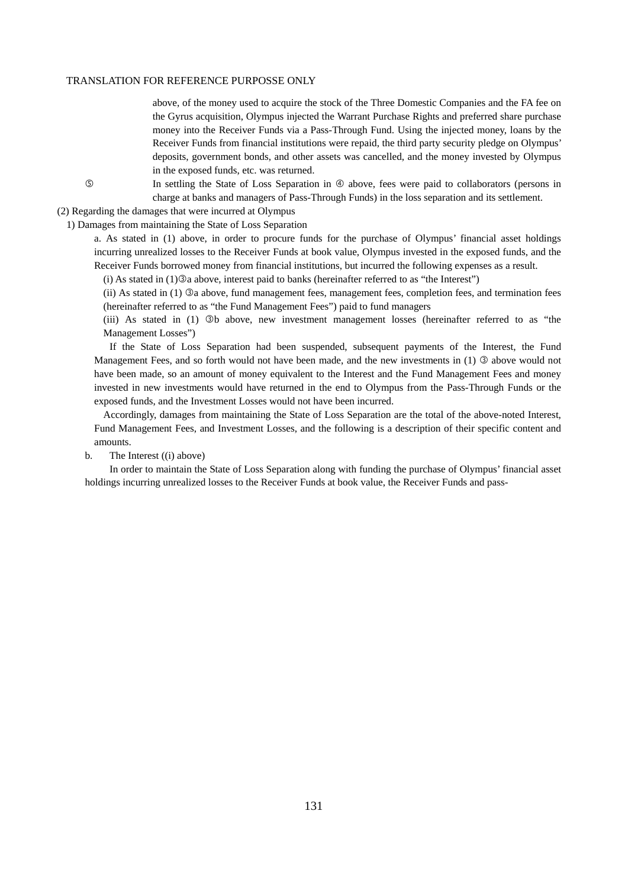above, of the money used to acquire the stock of the Three Domestic Companies and the FA fee on the Gyrus acquisition, Olympus injected the Warrant Purchase Rights and preferred share purchase money into the Receiver Funds via a Pass-Through Fund. Using the injected money, loans by the Receiver Funds from financial institutions were repaid, the third party security pledge on Olympus' deposits, government bonds, and other assets was cancelled, and the money invested by Olympus in the exposed funds, etc. was returned.

**In settling the State of Loss Separation in**  $\Phi$  **above, fees were paid to collaborators (persons in** charge at banks and managers of Pass-Through Funds) in the loss separation and its settlement.

(2) Regarding the damages that were incurred at Olympus

1) Damages from maintaining the State of Loss Separation

a. As stated in (1) above, in order to procure funds for the purchase of Olympus' financial asset holdings incurring unrealized losses to the Receiver Funds at book value, Olympus invested in the exposed funds, and the Receiver Funds borrowed money from financial institutions, but incurred the following expenses as a result.

 $(i)$  As stated in  $(1)$  $@$  a above, interest paid to banks (hereinafter referred to as "the Interest")

(ii) As stated in  $(1)$   $\Im a$  above, fund management fees, management fees, completion fees, and termination fees (hereinafter referred to as "the Fund Management Fees") paid to fund managers

(iii) As stated in (1) b above, new investment management losses (hereinafter referred to as "the Management Losses")

 If the State of Loss Separation had been suspended, subsequent payments of the Interest, the Fund Management Fees, and so forth would not have been made, and the new investments in  $(1)$   $\odot$  above would not have been made, so an amount of money equivalent to the Interest and the Fund Management Fees and money invested in new investments would have returned in the end to Olympus from the Pass-Through Funds or the exposed funds, and the Investment Losses would not have been incurred.

Accordingly, damages from maintaining the State of Loss Separation are the total of the above-noted Interest, Fund Management Fees, and Investment Losses, and the following is a description of their specific content and amounts.

b. The Interest ((i) above)

 In order to maintain the State of Loss Separation along with funding the purchase of Olympus' financial asset holdings incurring unrealized losses to the Receiver Funds at book value, the Receiver Funds and pass-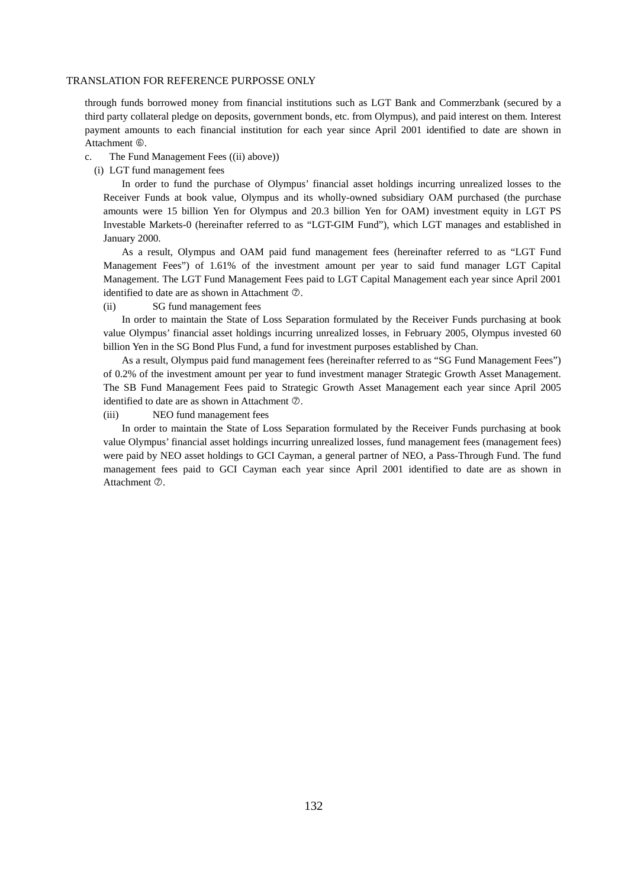through funds borrowed money from financial institutions such as LGT Bank and Commerzbank (secured by a third party collateral pledge on deposits, government bonds, etc. from Olympus), and paid interest on them. Interest payment amounts to each financial institution for each year since April 2001 identified to date are shown in Attachment 6.

- c. The Fund Management Fees ((ii) above))
	- (i) LGT fund management fees

In order to fund the purchase of Olympus' financial asset holdings incurring unrealized losses to the Receiver Funds at book value, Olympus and its wholly-owned subsidiary OAM purchased (the purchase amounts were 15 billion Yen for Olympus and 20.3 billion Yen for OAM) investment equity in LGT PS Investable Markets-0 (hereinafter referred to as "LGT-GIM Fund"), which LGT manages and established in January 2000.

As a result, Olympus and OAM paid fund management fees (hereinafter referred to as "LGT Fund Management Fees") of 1.61% of the investment amount per year to said fund manager LGT Capital Management. The LGT Fund Management Fees paid to LGT Capital Management each year since April 2001 identified to date are as shown in Attachment  $\oslash$ .

#### (ii) SG fund management fees

 In order to maintain the State of Loss Separation formulated by the Receiver Funds purchasing at book value Olympus' financial asset holdings incurring unrealized losses, in February 2005, Olympus invested 60 billion Yen in the SG Bond Plus Fund, a fund for investment purposes established by Chan.

 As a result, Olympus paid fund management fees (hereinafter referred to as "SG Fund Management Fees") of 0.2% of the investment amount per year to fund investment manager Strategic Growth Asset Management. The SB Fund Management Fees paid to Strategic Growth Asset Management each year since April 2005 identified to date are as shown in Attachment  $\oslash$ .

## (iii) NEO fund management fees

 In order to maintain the State of Loss Separation formulated by the Receiver Funds purchasing at book value Olympus' financial asset holdings incurring unrealized losses, fund management fees (management fees) were paid by NEO asset holdings to GCI Cayman, a general partner of NEO, a Pass-Through Fund. The fund management fees paid to GCI Cayman each year since April 2001 identified to date are as shown in Attachment  $\oslash$ .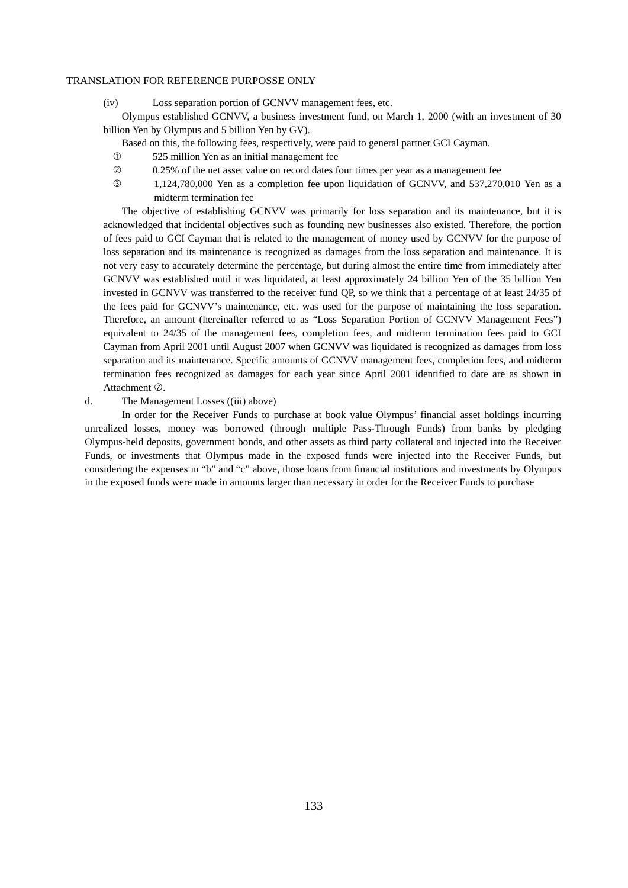(iv) Loss separation portion of GCNVV management fees, etc.

 Olympus established GCNVV, a business investment fund, on March 1, 2000 (with an investment of 30 billion Yen by Olympus and 5 billion Yen by GV).

- Based on this, the following fees, respectively, were paid to general partner GCI Cayman.
- 525 million Yen as an initial management fee
- 0.25% of the net asset value on record dates four times per year as a management fee
- 1,124,780,000 Yen as a completion fee upon liquidation of GCNVV, and 537,270,010 Yen as a midterm termination fee

 The objective of establishing GCNVV was primarily for loss separation and its maintenance, but it is acknowledged that incidental objectives such as founding new businesses also existed. Therefore, the portion of fees paid to GCI Cayman that is related to the management of money used by GCNVV for the purpose of loss separation and its maintenance is recognized as damages from the loss separation and maintenance. It is not very easy to accurately determine the percentage, but during almost the entire time from immediately after GCNVV was established until it was liquidated, at least approximately 24 billion Yen of the 35 billion Yen invested in GCNVV was transferred to the receiver fund QP, so we think that a percentage of at least 24/35 of the fees paid for GCNVV's maintenance, etc. was used for the purpose of maintaining the loss separation. Therefore, an amount (hereinafter referred to as "Loss Separation Portion of GCNVV Management Fees") equivalent to 24/35 of the management fees, completion fees, and midterm termination fees paid to GCI Cayman from April 2001 until August 2007 when GCNVV was liquidated is recognized as damages from loss separation and its maintenance. Specific amounts of GCNVV management fees, completion fees, and midterm termination fees recognized as damages for each year since April 2001 identified to date are as shown in Attachment  $\oslash$ .

d. The Management Losses ((iii) above)

 In order for the Receiver Funds to purchase at book value Olympus' financial asset holdings incurring unrealized losses, money was borrowed (through multiple Pass-Through Funds) from banks by pledging Olympus-held deposits, government bonds, and other assets as third party collateral and injected into the Receiver Funds, or investments that Olympus made in the exposed funds were injected into the Receiver Funds, but considering the expenses in "b" and "c" above, those loans from financial institutions and investments by Olympus in the exposed funds were made in amounts larger than necessary in order for the Receiver Funds to purchase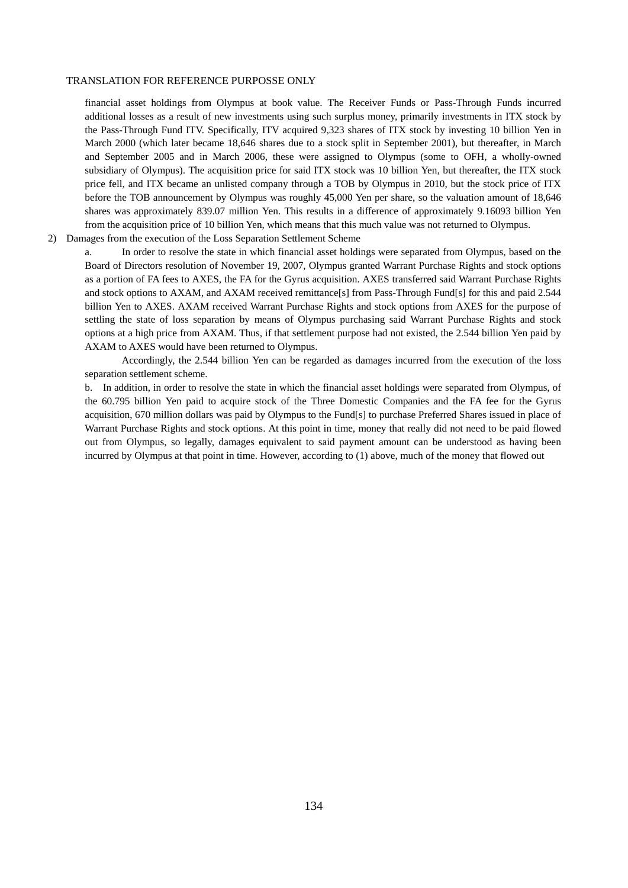financial asset holdings from Olympus at book value. The Receiver Funds or Pass-Through Funds incurred additional losses as a result of new investments using such surplus money, primarily investments in ITX stock by the Pass-Through Fund ITV. Specifically, ITV acquired 9,323 shares of ITX stock by investing 10 billion Yen in March 2000 (which later became 18,646 shares due to a stock split in September 2001), but thereafter, in March and September 2005 and in March 2006, these were assigned to Olympus (some to OFH, a wholly-owned subsidiary of Olympus). The acquisition price for said ITX stock was 10 billion Yen, but thereafter, the ITX stock price fell, and ITX became an unlisted company through a TOB by Olympus in 2010, but the stock price of ITX before the TOB announcement by Olympus was roughly 45,000 Yen per share, so the valuation amount of 18,646 shares was approximately 839.07 million Yen. This results in a difference of approximately 9.16093 billion Yen from the acquisition price of 10 billion Yen, which means that this much value was not returned to Olympus. 2) Damages from the execution of the Loss Separation Settlement Scheme

a. In order to resolve the state in which financial asset holdings were separated from Olympus, based on the Board of Directors resolution of November 19, 2007, Olympus granted Warrant Purchase Rights and stock options as a portion of FA fees to AXES, the FA for the Gyrus acquisition. AXES transferred said Warrant Purchase Rights and stock options to AXAM, and AXAM received remittance[s] from Pass-Through Fund[s] for this and paid 2.544 billion Yen to AXES. AXAM received Warrant Purchase Rights and stock options from AXES for the purpose of settling the state of loss separation by means of Olympus purchasing said Warrant Purchase Rights and stock options at a high price from AXAM. Thus, if that settlement purpose had not existed, the 2.544 billion Yen paid by AXAM to AXES would have been returned to Olympus.

 Accordingly, the 2.544 billion Yen can be regarded as damages incurred from the execution of the loss separation settlement scheme.

b. In addition, in order to resolve the state in which the financial asset holdings were separated from Olympus, of the 60.795 billion Yen paid to acquire stock of the Three Domestic Companies and the FA fee for the Gyrus acquisition, 670 million dollars was paid by Olympus to the Fund[s] to purchase Preferred Shares issued in place of Warrant Purchase Rights and stock options. At this point in time, money that really did not need to be paid flowed out from Olympus, so legally, damages equivalent to said payment amount can be understood as having been incurred by Olympus at that point in time. However, according to (1) above, much of the money that flowed out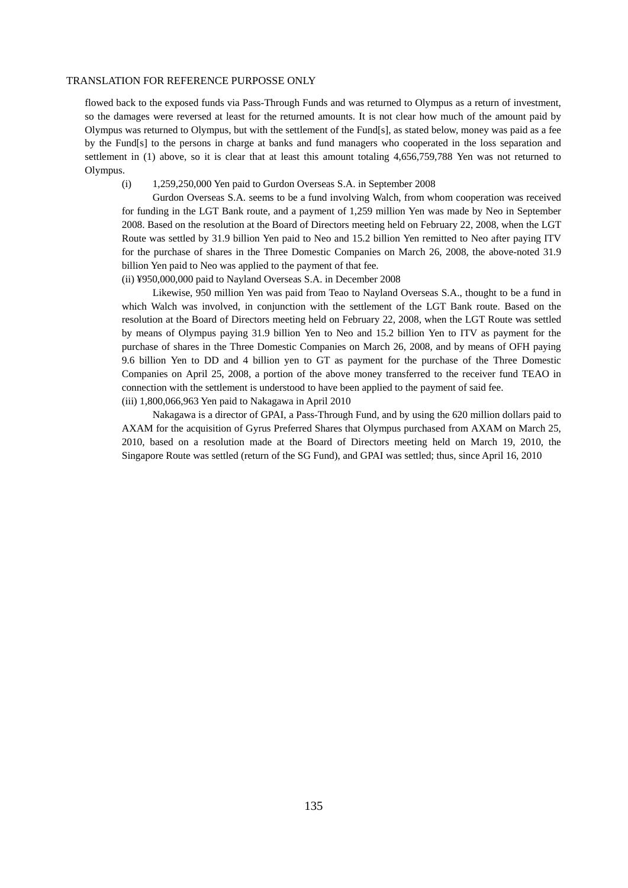flowed back to the exposed funds via Pass-Through Funds and was returned to Olympus as a return of investment, so the damages were reversed at least for the returned amounts. It is not clear how much of the amount paid by Olympus was returned to Olympus, but with the settlement of the Fund[s], as stated below, money was paid as a fee by the Fund[s] to the persons in charge at banks and fund managers who cooperated in the loss separation and settlement in (1) above, so it is clear that at least this amount totaling 4,656,759,788 Yen was not returned to Olympus.

## (i) 1,259,250,000 Yen paid to Gurdon Overseas S.A. in September 2008

 Gurdon Overseas S.A. seems to be a fund involving Walch, from whom cooperation was received for funding in the LGT Bank route, and a payment of 1,259 million Yen was made by Neo in September 2008. Based on the resolution at the Board of Directors meeting held on February 22, 2008, when the LGT Route was settled by 31.9 billion Yen paid to Neo and 15.2 billion Yen remitted to Neo after paying ITV for the purchase of shares in the Three Domestic Companies on March 26, 2008, the above-noted 31.9 billion Yen paid to Neo was applied to the payment of that fee.

(ii) ¥950,000,000 paid to Nayland Overseas S.A. in December 2008

 Likewise, 950 million Yen was paid from Teao to Nayland Overseas S.A., thought to be a fund in which Walch was involved, in conjunction with the settlement of the LGT Bank route. Based on the resolution at the Board of Directors meeting held on February 22, 2008, when the LGT Route was settled by means of Olympus paying 31.9 billion Yen to Neo and 15.2 billion Yen to ITV as payment for the purchase of shares in the Three Domestic Companies on March 26, 2008, and by means of OFH paying 9.6 billion Yen to DD and 4 billion yen to GT as payment for the purchase of the Three Domestic Companies on April 25, 2008, a portion of the above money transferred to the receiver fund TEAO in connection with the settlement is understood to have been applied to the payment of said fee. (iii) 1,800,066,963 Yen paid to Nakagawa in April 2010

 Nakagawa is a director of GPAI, a Pass-Through Fund, and by using the 620 million dollars paid to AXAM for the acquisition of Gyrus Preferred Shares that Olympus purchased from AXAM on March 25, 2010, based on a resolution made at the Board of Directors meeting held on March 19, 2010, the Singapore Route was settled (return of the SG Fund), and GPAI was settled; thus, since April 16, 2010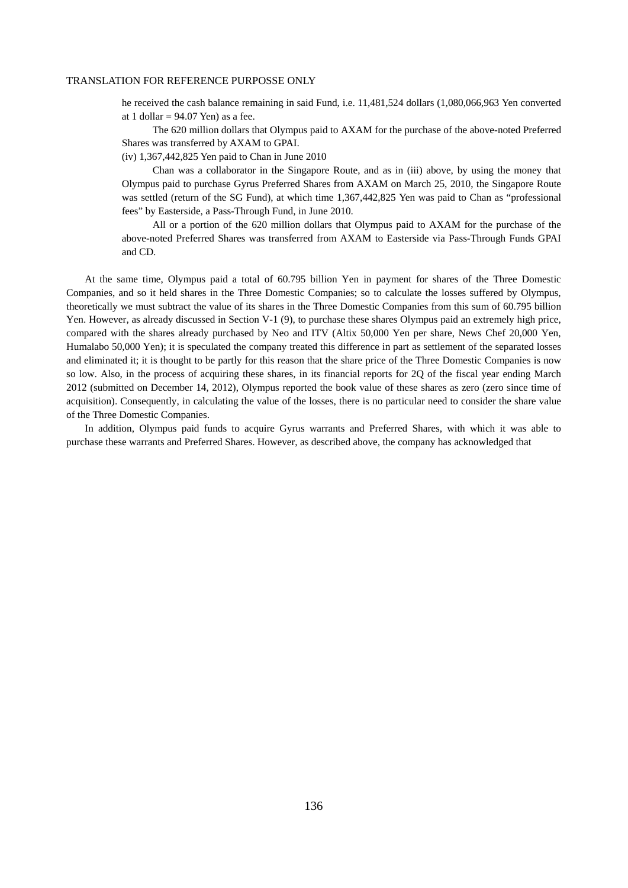he received the cash balance remaining in said Fund, i.e. 11,481,524 dollars (1,080,066,963 Yen converted at 1 dollar  $= 94.07$  Yen) as a fee.

 The 620 million dollars that Olympus paid to AXAM for the purchase of the above-noted Preferred Shares was transferred by AXAM to GPAI.

(iv) 1,367,442,825 Yen paid to Chan in June 2010

 Chan was a collaborator in the Singapore Route, and as in (iii) above, by using the money that Olympus paid to purchase Gyrus Preferred Shares from AXAM on March 25, 2010, the Singapore Route was settled (return of the SG Fund), at which time 1,367,442,825 Yen was paid to Chan as "professional fees" by Easterside, a Pass-Through Fund, in June 2010.

 All or a portion of the 620 million dollars that Olympus paid to AXAM for the purchase of the above-noted Preferred Shares was transferred from AXAM to Easterside via Pass-Through Funds GPAI and CD.

At the same time, Olympus paid a total of 60.795 billion Yen in payment for shares of the Three Domestic Companies, and so it held shares in the Three Domestic Companies; so to calculate the losses suffered by Olympus, theoretically we must subtract the value of its shares in the Three Domestic Companies from this sum of 60.795 billion Yen. However, as already discussed in Section V-1 (9), to purchase these shares Olympus paid an extremely high price, compared with the shares already purchased by Neo and ITV (Altix 50,000 Yen per share, News Chef 20,000 Yen, Humalabo 50,000 Yen); it is speculated the company treated this difference in part as settlement of the separated losses and eliminated it; it is thought to be partly for this reason that the share price of the Three Domestic Companies is now so low. Also, in the process of acquiring these shares, in its financial reports for 2Q of the fiscal year ending March 2012 (submitted on December 14, 2012), Olympus reported the book value of these shares as zero (zero since time of acquisition). Consequently, in calculating the value of the losses, there is no particular need to consider the share value of the Three Domestic Companies.

In addition, Olympus paid funds to acquire Gyrus warrants and Preferred Shares, with which it was able to purchase these warrants and Preferred Shares. However, as described above, the company has acknowledged that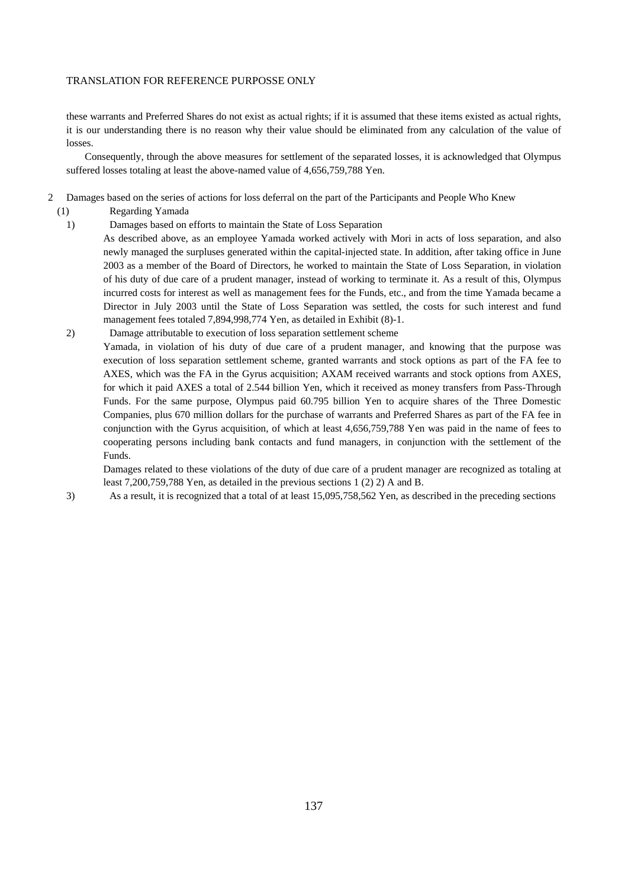these warrants and Preferred Shares do not exist as actual rights; if it is assumed that these items existed as actual rights, it is our understanding there is no reason why their value should be eliminated from any calculation of the value of losses.

Consequently, through the above measures for settlement of the separated losses, it is acknowledged that Olympus suffered losses totaling at least the above-named value of 4,656,759,788 Yen.

- 2 Damages based on the series of actions for loss deferral on the part of the Participants and People Who Knew
	- (1) Regarding Yamada
	- 1) Damages based on efforts to maintain the State of Loss Separation
		- As described above, as an employee Yamada worked actively with Mori in acts of loss separation, and also newly managed the surpluses generated within the capital-injected state. In addition, after taking office in June 2003 as a member of the Board of Directors, he worked to maintain the State of Loss Separation, in violation of his duty of due care of a prudent manager, instead of working to terminate it. As a result of this, Olympus incurred costs for interest as well as management fees for the Funds, etc., and from the time Yamada became a Director in July 2003 until the State of Loss Separation was settled, the costs for such interest and fund management fees totaled 7,894,998,774 Yen, as detailed in Exhibit (8)-1.
	- 2) Damage attributable to execution of loss separation settlement scheme Yamada, in violation of his duty of due care of a prudent manager, and knowing that the purpose was execution of loss separation settlement scheme, granted warrants and stock options as part of the FA fee to AXES, which was the FA in the Gyrus acquisition; AXAM received warrants and stock options from AXES, for which it paid AXES a total of 2.544 billion Yen, which it received as money transfers from Pass-Through Funds. For the same purpose, Olympus paid 60.795 billion Yen to acquire shares of the Three Domestic Companies, plus 670 million dollars for the purchase of warrants and Preferred Shares as part of the FA fee in conjunction with the Gyrus acquisition, of which at least 4,656,759,788 Yen was paid in the name of fees to cooperating persons including bank contacts and fund managers, in conjunction with the settlement of the Funds.

Damages related to these violations of the duty of due care of a prudent manager are recognized as totaling at least 7,200,759,788 Yen, as detailed in the previous sections 1 (2) 2) A and B.

3) As a result, it is recognized that a total of at least 15,095,758,562 Yen, as described in the preceding sections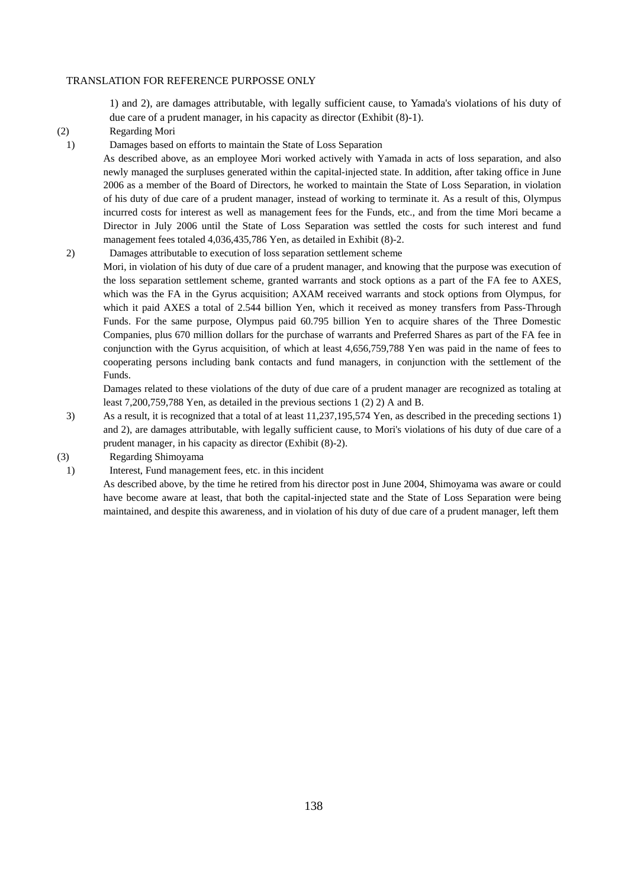1) and 2), are damages attributable, with legally sufficient cause, to Yamada's violations of his duty of due care of a prudent manager, in his capacity as director (Exhibit (8)-1).

- (2) Regarding Mori
- 1) Damages based on efforts to maintain the State of Loss Separation

As described above, as an employee Mori worked actively with Yamada in acts of loss separation, and also newly managed the surpluses generated within the capital-injected state. In addition, after taking office in June 2006 as a member of the Board of Directors, he worked to maintain the State of Loss Separation, in violation of his duty of due care of a prudent manager, instead of working to terminate it. As a result of this, Olympus incurred costs for interest as well as management fees for the Funds, etc., and from the time Mori became a Director in July 2006 until the State of Loss Separation was settled the costs for such interest and fund management fees totaled 4,036,435,786 Yen, as detailed in Exhibit (8)-2.

- 2) Damages attributable to execution of loss separation settlement scheme
	- Mori, in violation of his duty of due care of a prudent manager, and knowing that the purpose was execution of the loss separation settlement scheme, granted warrants and stock options as a part of the FA fee to AXES, which was the FA in the Gyrus acquisition; AXAM received warrants and stock options from Olympus, for which it paid AXES a total of 2.544 billion Yen, which it received as money transfers from Pass-Through Funds. For the same purpose, Olympus paid 60.795 billion Yen to acquire shares of the Three Domestic Companies, plus 670 million dollars for the purchase of warrants and Preferred Shares as part of the FA fee in conjunction with the Gyrus acquisition, of which at least 4,656,759,788 Yen was paid in the name of fees to cooperating persons including bank contacts and fund managers, in conjunction with the settlement of the Funds.

Damages related to these violations of the duty of due care of a prudent manager are recognized as totaling at least 7,200,759,788 Yen, as detailed in the previous sections 1 (2) 2) A and B.

- 3) As a result, it is recognized that a total of at least 11,237,195,574 Yen, as described in the preceding sections 1) and 2), are damages attributable, with legally sufficient cause, to Mori's violations of his duty of due care of a prudent manager, in his capacity as director (Exhibit (8)-2).
- (3) Regarding Shimoyama
- 1) Interest, Fund management fees, etc. in this incident

As described above, by the time he retired from his director post in June 2004, Shimoyama was aware or could have become aware at least, that both the capital-injected state and the State of Loss Separation were being maintained, and despite this awareness, and in violation of his duty of due care of a prudent manager, left them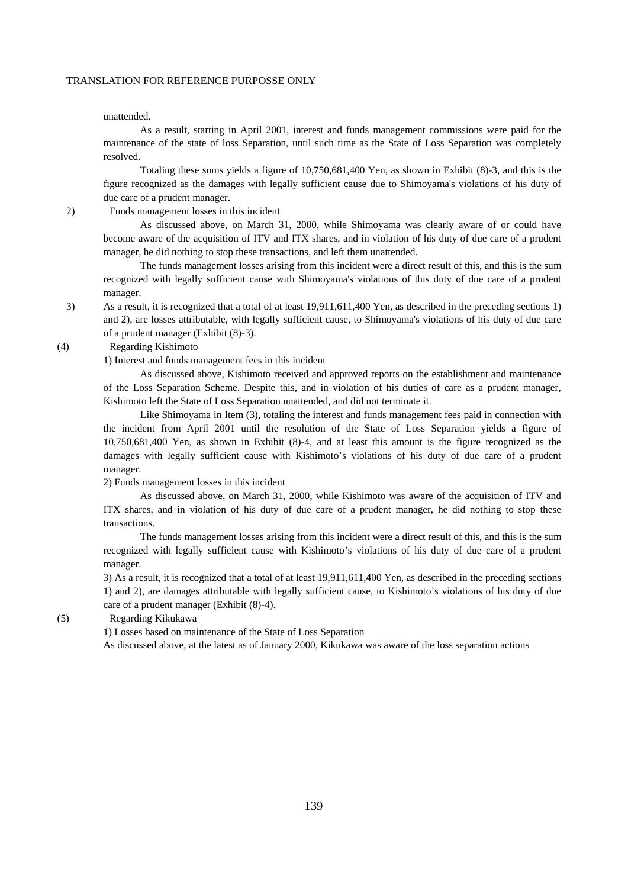unattended.

As a result, starting in April 2001, interest and funds management commissions were paid for the maintenance of the state of loss Separation, until such time as the State of Loss Separation was completely resolved.

Totaling these sums yields a figure of 10,750,681,400 Yen, as shown in Exhibit (8)-3, and this is the figure recognized as the damages with legally sufficient cause due to Shimoyama's violations of his duty of due care of a prudent manager.

2) Funds management losses in this incident

As discussed above, on March 31, 2000, while Shimoyama was clearly aware of or could have become aware of the acquisition of ITV and ITX shares, and in violation of his duty of due care of a prudent manager, he did nothing to stop these transactions, and left them unattended.

The funds management losses arising from this incident were a direct result of this, and this is the sum recognized with legally sufficient cause with Shimoyama's violations of this duty of due care of a prudent manager.

3) As a result, it is recognized that a total of at least 19,911,611,400 Yen, as described in the preceding sections 1) and 2), are losses attributable, with legally sufficient cause, to Shimoyama's violations of his duty of due care of a prudent manager (Exhibit (8)-3).

### (4) Regarding Kishimoto

1) Interest and funds management fees in this incident

As discussed above, Kishimoto received and approved reports on the establishment and maintenance of the Loss Separation Scheme. Despite this, and in violation of his duties of care as a prudent manager, Kishimoto left the State of Loss Separation unattended, and did not terminate it.

Like Shimoyama in Item (3), totaling the interest and funds management fees paid in connection with the incident from April 2001 until the resolution of the State of Loss Separation yields a figure of 10,750,681,400 Yen, as shown in Exhibit (8)-4, and at least this amount is the figure recognized as the damages with legally sufficient cause with Kishimoto's violations of his duty of due care of a prudent manager.

2) Funds management losses in this incident

As discussed above, on March 31, 2000, while Kishimoto was aware of the acquisition of ITV and ITX shares, and in violation of his duty of due care of a prudent manager, he did nothing to stop these transactions.

The funds management losses arising from this incident were a direct result of this, and this is the sum recognized with legally sufficient cause with Kishimoto's violations of his duty of due care of a prudent manager.

3) As a result, it is recognized that a total of at least 19,911,611,400 Yen, as described in the preceding sections 1) and 2), are damages attributable with legally sufficient cause, to Kishimoto's violations of his duty of due care of a prudent manager (Exhibit (8)-4).

(5) Regarding Kikukawa

1) Losses based on maintenance of the State of Loss Separation

As discussed above, at the latest as of January 2000, Kikukawa was aware of the loss separation actions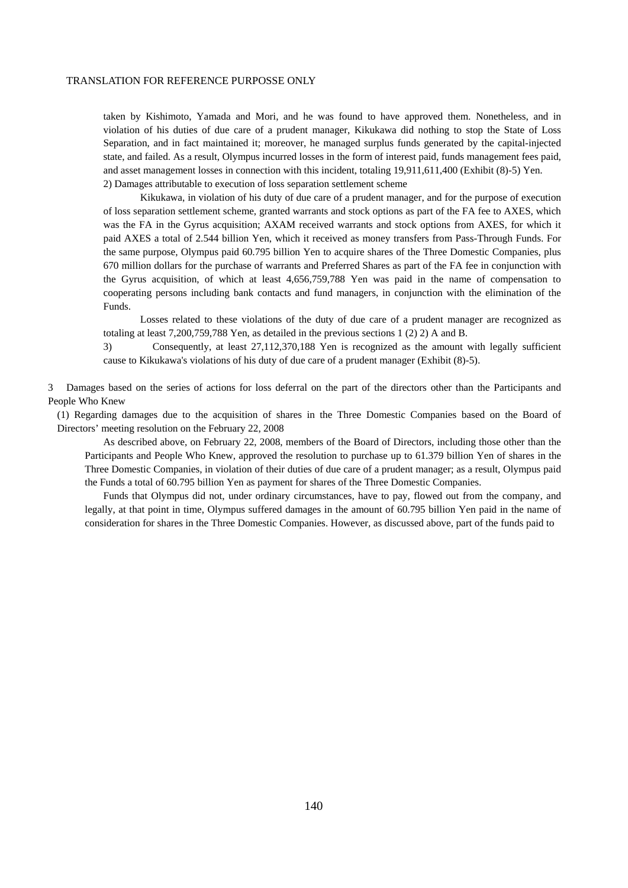taken by Kishimoto, Yamada and Mori, and he was found to have approved them. Nonetheless, and in violation of his duties of due care of a prudent manager, Kikukawa did nothing to stop the State of Loss Separation, and in fact maintained it; moreover, he managed surplus funds generated by the capital-injected state, and failed. As a result, Olympus incurred losses in the form of interest paid, funds management fees paid, and asset management losses in connection with this incident, totaling 19,911,611,400 (Exhibit (8)-5) Yen. 2) Damages attributable to execution of loss separation settlement scheme

Kikukawa, in violation of his duty of due care of a prudent manager, and for the purpose of execution of loss separation settlement scheme, granted warrants and stock options as part of the FA fee to AXES, which was the FA in the Gyrus acquisition; AXAM received warrants and stock options from AXES, for which it paid AXES a total of 2.544 billion Yen, which it received as money transfers from Pass-Through Funds. For the same purpose, Olympus paid 60.795 billion Yen to acquire shares of the Three Domestic Companies, plus 670 million dollars for the purchase of warrants and Preferred Shares as part of the FA fee in conjunction with the Gyrus acquisition, of which at least 4,656,759,788 Yen was paid in the name of compensation to cooperating persons including bank contacts and fund managers, in conjunction with the elimination of the Funds.

Losses related to these violations of the duty of due care of a prudent manager are recognized as totaling at least 7,200,759,788 Yen, as detailed in the previous sections 1 (2) 2) A and B.

3) Consequently, at least 27,112,370,188 Yen is recognized as the amount with legally sufficient cause to Kikukawa's violations of his duty of due care of a prudent manager (Exhibit (8)-5).

3 Damages based on the series of actions for loss deferral on the part of the directors other than the Participants and People Who Knew

(1) Regarding damages due to the acquisition of shares in the Three Domestic Companies based on the Board of Directors' meeting resolution on the February 22, 2008

As described above, on February 22, 2008, members of the Board of Directors, including those other than the Participants and People Who Knew, approved the resolution to purchase up to 61.379 billion Yen of shares in the Three Domestic Companies, in violation of their duties of due care of a prudent manager; as a result, Olympus paid the Funds a total of 60.795 billion Yen as payment for shares of the Three Domestic Companies.

Funds that Olympus did not, under ordinary circumstances, have to pay, flowed out from the company, and legally, at that point in time, Olympus suffered damages in the amount of 60.795 billion Yen paid in the name of consideration for shares in the Three Domestic Companies. However, as discussed above, part of the funds paid to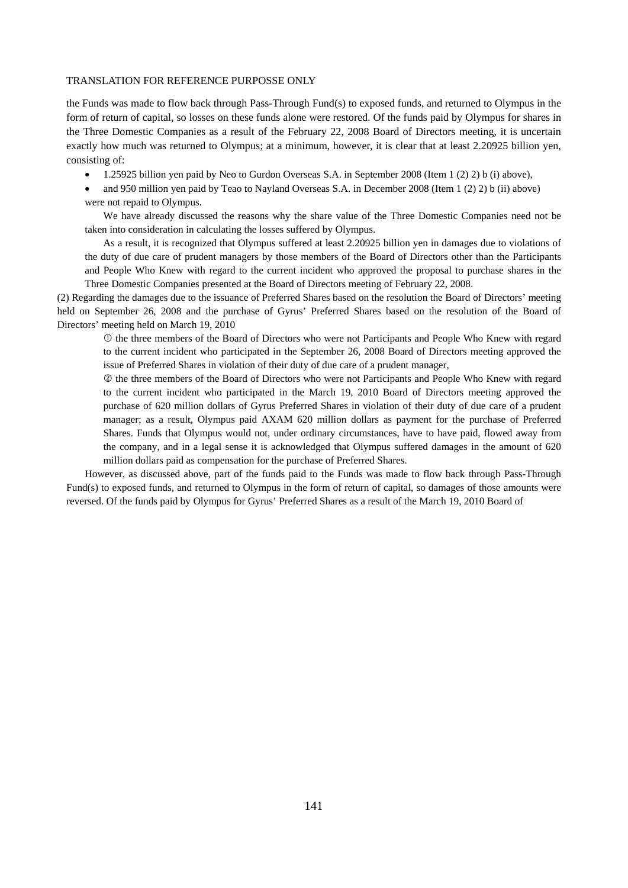the Funds was made to flow back through Pass-Through Fund(s) to exposed funds, and returned to Olympus in the form of return of capital, so losses on these funds alone were restored. Of the funds paid by Olympus for shares in the Three Domestic Companies as a result of the February 22, 2008 Board of Directors meeting, it is uncertain exactly how much was returned to Olympus; at a minimum, however, it is clear that at least 2.20925 billion yen, consisting of:

- 1.25925 billion yen paid by Neo to Gurdon Overseas S.A. in September 2008 (Item 1 (2) 2) b (i) above),
- and 950 million yen paid by Teao to Nayland Overseas S.A. in December 2008 (Item 1 (2) 2) b (ii) above) were not repaid to Olympus.

We have already discussed the reasons why the share value of the Three Domestic Companies need not be taken into consideration in calculating the losses suffered by Olympus.

As a result, it is recognized that Olympus suffered at least 2.20925 billion yen in damages due to violations of the duty of due care of prudent managers by those members of the Board of Directors other than the Participants and People Who Knew with regard to the current incident who approved the proposal to purchase shares in the Three Domestic Companies presented at the Board of Directors meeting of February 22, 2008.

(2) Regarding the damages due to the issuance of Preferred Shares based on the resolution the Board of Directors' meeting held on September 26, 2008 and the purchase of Gyrus' Preferred Shares based on the resolution of the Board of Directors' meeting held on March 19, 2010

 the three members of the Board of Directors who were not Participants and People Who Knew with regard to the current incident who participated in the September 26, 2008 Board of Directors meeting approved the issue of Preferred Shares in violation of their duty of due care of a prudent manager,

 the three members of the Board of Directors who were not Participants and People Who Knew with regard to the current incident who participated in the March 19, 2010 Board of Directors meeting approved the purchase of 620 million dollars of Gyrus Preferred Shares in violation of their duty of due care of a prudent manager; as a result, Olympus paid AXAM 620 million dollars as payment for the purchase of Preferred Shares. Funds that Olympus would not, under ordinary circumstances, have to have paid, flowed away from the company, and in a legal sense it is acknowledged that Olympus suffered damages in the amount of 620 million dollars paid as compensation for the purchase of Preferred Shares.

However, as discussed above, part of the funds paid to the Funds was made to flow back through Pass-Through Fund(s) to exposed funds, and returned to Olympus in the form of return of capital, so damages of those amounts were reversed. Of the funds paid by Olympus for Gyrus' Preferred Shares as a result of the March 19, 2010 Board of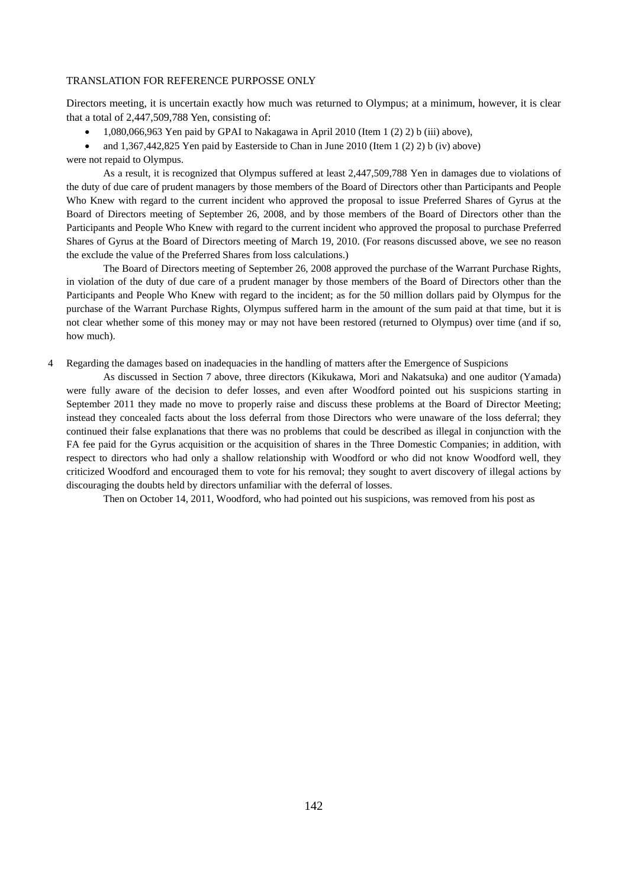Directors meeting, it is uncertain exactly how much was returned to Olympus; at a minimum, however, it is clear that a total of 2,447,509,788 Yen, consisting of:

- 1,080,066,963 Yen paid by GPAI to Nakagawa in April 2010 (Item 1 (2) 2) b (iii) above),
- and 1,367,442,825 Yen paid by Easterside to Chan in June 2010 (Item 1 (2) 2) b (iv) above)

were not repaid to Olympus.

As a result, it is recognized that Olympus suffered at least 2,447,509,788 Yen in damages due to violations of the duty of due care of prudent managers by those members of the Board of Directors other than Participants and People Who Knew with regard to the current incident who approved the proposal to issue Preferred Shares of Gyrus at the Board of Directors meeting of September 26, 2008, and by those members of the Board of Directors other than the Participants and People Who Knew with regard to the current incident who approved the proposal to purchase Preferred Shares of Gyrus at the Board of Directors meeting of March 19, 2010. (For reasons discussed above, we see no reason the exclude the value of the Preferred Shares from loss calculations.)

The Board of Directors meeting of September 26, 2008 approved the purchase of the Warrant Purchase Rights, in violation of the duty of due care of a prudent manager by those members of the Board of Directors other than the Participants and People Who Knew with regard to the incident; as for the 50 million dollars paid by Olympus for the purchase of the Warrant Purchase Rights, Olympus suffered harm in the amount of the sum paid at that time, but it is not clear whether some of this money may or may not have been restored (returned to Olympus) over time (and if so, how much).

4 Regarding the damages based on inadequacies in the handling of matters after the Emergence of Suspicions

As discussed in Section 7 above, three directors (Kikukawa, Mori and Nakatsuka) and one auditor (Yamada) were fully aware of the decision to defer losses, and even after Woodford pointed out his suspicions starting in September 2011 they made no move to properly raise and discuss these problems at the Board of Director Meeting; instead they concealed facts about the loss deferral from those Directors who were unaware of the loss deferral; they continued their false explanations that there was no problems that could be described as illegal in conjunction with the FA fee paid for the Gyrus acquisition or the acquisition of shares in the Three Domestic Companies; in addition, with respect to directors who had only a shallow relationship with Woodford or who did not know Woodford well, they criticized Woodford and encouraged them to vote for his removal; they sought to avert discovery of illegal actions by discouraging the doubts held by directors unfamiliar with the deferral of losses.

Then on October 14, 2011, Woodford, who had pointed out his suspicions, was removed from his post as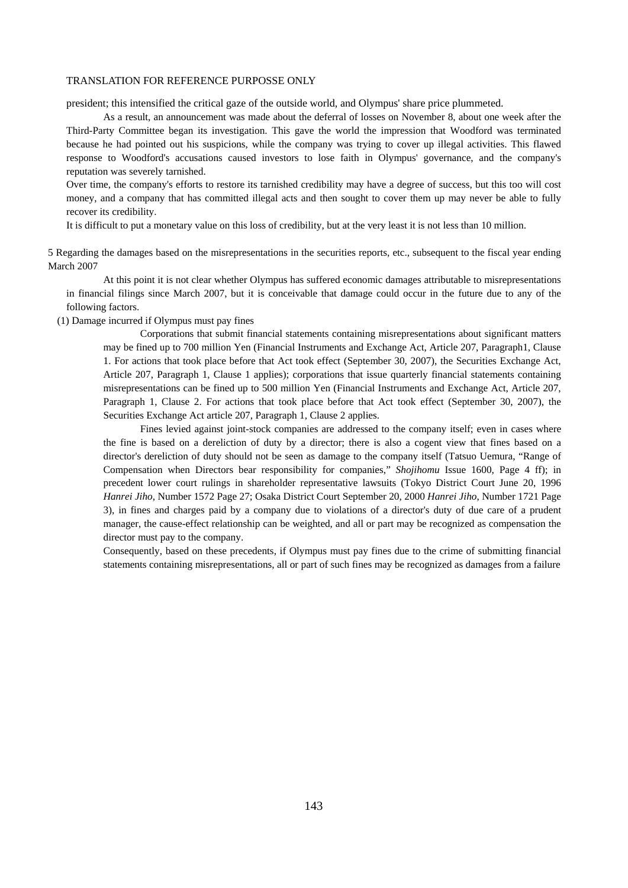president; this intensified the critical gaze of the outside world, and Olympus' share price plummeted.

As a result, an announcement was made about the deferral of losses on November 8, about one week after the Third-Party Committee began its investigation. This gave the world the impression that Woodford was terminated because he had pointed out his suspicions, while the company was trying to cover up illegal activities. This flawed response to Woodford's accusations caused investors to lose faith in Olympus' governance, and the company's reputation was severely tarnished.

Over time, the company's efforts to restore its tarnished credibility may have a degree of success, but this too will cost money, and a company that has committed illegal acts and then sought to cover them up may never be able to fully recover its credibility.

It is difficult to put a monetary value on this loss of credibility, but at the very least it is not less than 10 million.

5 Regarding the damages based on the misrepresentations in the securities reports, etc., subsequent to the fiscal year ending March 2007

At this point it is not clear whether Olympus has suffered economic damages attributable to misrepresentations in financial filings since March 2007, but it is conceivable that damage could occur in the future due to any of the following factors.

(1) Damage incurred if Olympus must pay fines

Corporations that submit financial statements containing misrepresentations about significant matters may be fined up to 700 million Yen (Financial Instruments and Exchange Act, Article 207, Paragraph1, Clause 1. For actions that took place before that Act took effect (September 30, 2007), the Securities Exchange Act, Article 207, Paragraph 1, Clause 1 applies); corporations that issue quarterly financial statements containing misrepresentations can be fined up to 500 million Yen (Financial Instruments and Exchange Act, Article 207, Paragraph 1, Clause 2. For actions that took place before that Act took effect (September 30, 2007), the Securities Exchange Act article 207, Paragraph 1, Clause 2 applies.

Fines levied against joint-stock companies are addressed to the company itself; even in cases where the fine is based on a dereliction of duty by a director; there is also a cogent view that fines based on a director's dereliction of duty should not be seen as damage to the company itself (Tatsuo Uemura, "Range of Compensation when Directors bear responsibility for companies," *Shojihomu* Issue 1600, Page 4 ff); in precedent lower court rulings in shareholder representative lawsuits (Tokyo District Court June 20, 1996 *Hanrei Jiho*, Number 1572 Page 27; Osaka District Court September 20, 2000 *Hanrei Jiho*, Number 1721 Page 3), in fines and charges paid by a company due to violations of a director's duty of due care of a prudent manager, the cause-effect relationship can be weighted, and all or part may be recognized as compensation the director must pay to the company.

Consequently, based on these precedents, if Olympus must pay fines due to the crime of submitting financial statements containing misrepresentations, all or part of such fines may be recognized as damages from a failure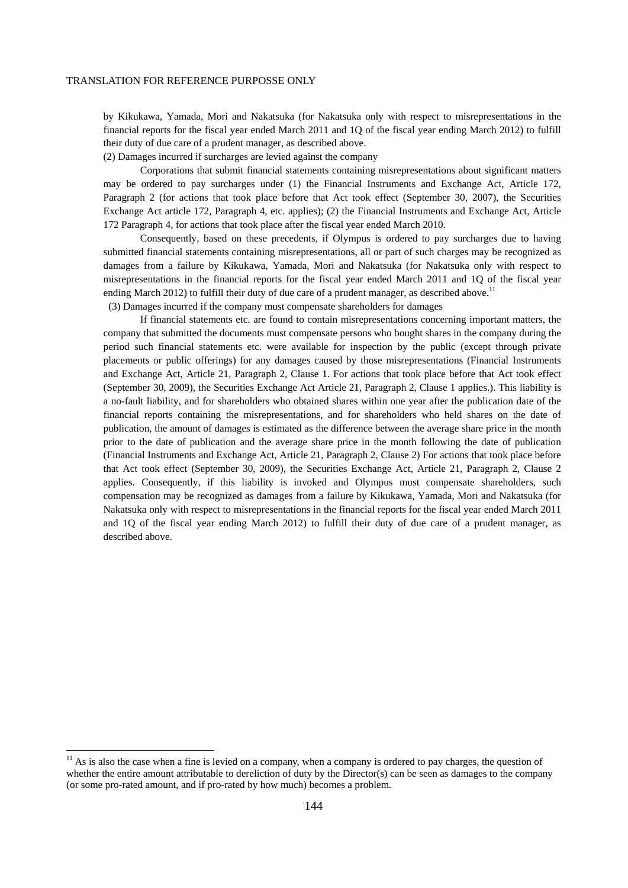by Kikukawa, Yamada, Mori and Nakatsuka (for Nakatsuka only with respect to misrepresentations in the financial reports for the fiscal year ended March 2011 and 1Q of the fiscal year ending March 2012) to fulfill their duty of due care of a prudent manager, as described above.

(2) Damages incurred if surcharges are levied against the company

Corporations that submit financial statements containing misrepresentations about significant matters may be ordered to pay surcharges under (1) the Financial Instruments and Exchange Act, Article 172, Paragraph 2 (for actions that took place before that Act took effect (September 30, 2007), the Securities Exchange Act article 172, Paragraph 4, etc. applies); (2) the Financial Instruments and Exchange Act, Article 172 Paragraph 4, for actions that took place after the fiscal year ended March 2010.

Consequently, based on these precedents, if Olympus is ordered to pay surcharges due to having submitted financial statements containing misrepresentations, all or part of such charges may be recognized as damages from a failure by Kikukawa, Yamada, Mori and Nakatsuka (for Nakatsuka only with respect to misrepresentations in the financial reports for the fiscal year ended March 2011 and 1Q of the fiscal year ending March 2012) to fulfill their duty of due care of a prudent manager, as described above.<sup>11</sup>

(3) Damages incurred if the company must compensate shareholders for damages

If financial statements etc. are found to contain misrepresentations concerning important matters, the company that submitted the documents must compensate persons who bought shares in the company during the period such financial statements etc. were available for inspection by the public (except through private placements or public offerings) for any damages caused by those misrepresentations (Financial Instruments and Exchange Act, Article 21, Paragraph 2, Clause 1. For actions that took place before that Act took effect (September 30, 2009), the Securities Exchange Act Article 21, Paragraph 2, Clause 1 applies.). This liability is a no-fault liability, and for shareholders who obtained shares within one year after the publication date of the financial reports containing the misrepresentations, and for shareholders who held shares on the date of publication, the amount of damages is estimated as the difference between the average share price in the month prior to the date of publication and the average share price in the month following the date of publication (Financial Instruments and Exchange Act, Article 21, Paragraph 2, Clause 2) For actions that took place before that Act took effect (September 30, 2009), the Securities Exchange Act, Article 21, Paragraph 2, Clause 2 applies. Consequently, if this liability is invoked and Olympus must compensate shareholders, such compensation may be recognized as damages from a failure by Kikukawa, Yamada, Mori and Nakatsuka (for Nakatsuka only with respect to misrepresentations in the financial reports for the fiscal year ended March 2011 and 1Q of the fiscal year ending March 2012) to fulfill their duty of due care of a prudent manager, as described above.

-

 $11$  As is also the case when a fine is levied on a company, when a company is ordered to pay charges, the question of whether the entire amount attributable to dereliction of duty by the Director(s) can be seen as damages to the company (or some pro-rated amount, and if pro-rated by how much) becomes a problem.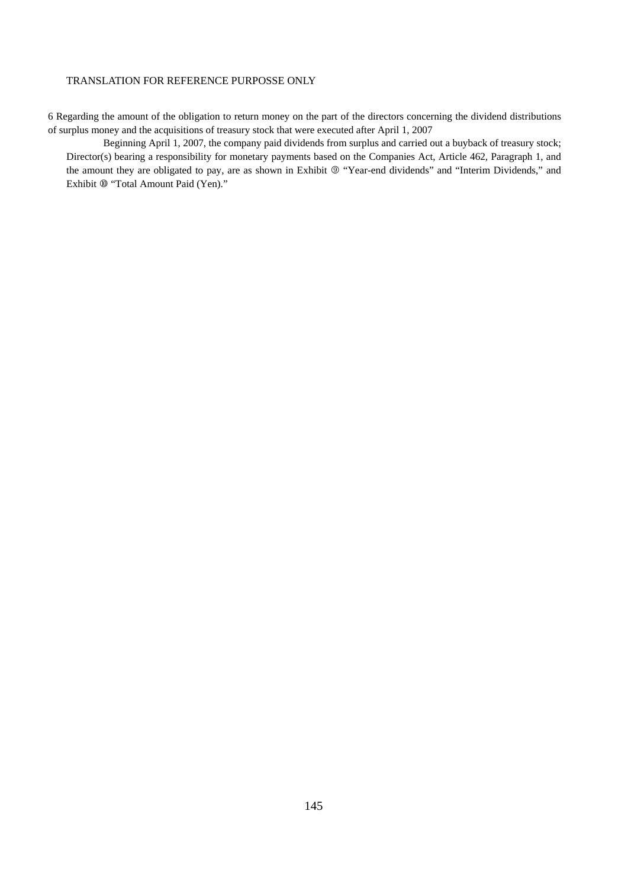6 Regarding the amount of the obligation to return money on the part of the directors concerning the dividend distributions of surplus money and the acquisitions of treasury stock that were executed after April 1, 2007

Beginning April 1, 2007, the company paid dividends from surplus and carried out a buyback of treasury stock; Director(s) bearing a responsibility for monetary payments based on the Companies Act, Article 462, Paragraph 1, and the amount they are obligated to pay, are as shown in Exhibit  $@$  "Year-end dividends" and "Interim Dividends," and Exhibit  $@$  "Total Amount Paid (Yen)."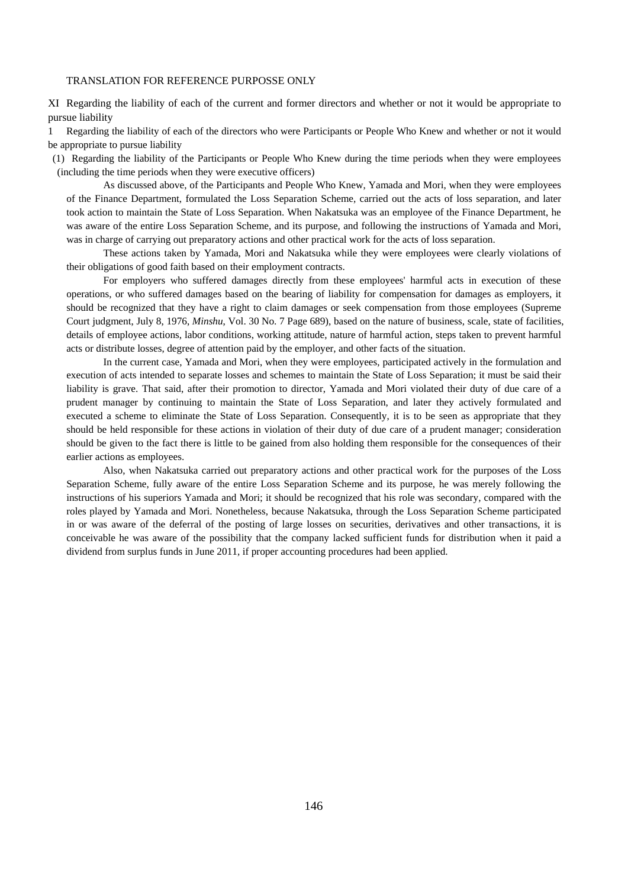XI Regarding the liability of each of the current and former directors and whether or not it would be appropriate to pursue liability

1 Regarding the liability of each of the directors who were Participants or People Who Knew and whether or not it would be appropriate to pursue liability

(1) Regarding the liability of the Participants or People Who Knew during the time periods when they were employees (including the time periods when they were executive officers)

As discussed above, of the Participants and People Who Knew, Yamada and Mori, when they were employees of the Finance Department, formulated the Loss Separation Scheme, carried out the acts of loss separation, and later took action to maintain the State of Loss Separation. When Nakatsuka was an employee of the Finance Department, he was aware of the entire Loss Separation Scheme, and its purpose, and following the instructions of Yamada and Mori, was in charge of carrying out preparatory actions and other practical work for the acts of loss separation.

These actions taken by Yamada, Mori and Nakatsuka while they were employees were clearly violations of their obligations of good faith based on their employment contracts.

For employers who suffered damages directly from these employees' harmful acts in execution of these operations, or who suffered damages based on the bearing of liability for compensation for damages as employers, it should be recognized that they have a right to claim damages or seek compensation from those employees (Supreme Court judgment, July 8, 1976, *Minshu*, Vol. 30 No. 7 Page 689), based on the nature of business, scale, state of facilities, details of employee actions, labor conditions, working attitude, nature of harmful action, steps taken to prevent harmful acts or distribute losses, degree of attention paid by the employer, and other facts of the situation.

In the current case, Yamada and Mori, when they were employees, participated actively in the formulation and execution of acts intended to separate losses and schemes to maintain the State of Loss Separation; it must be said their liability is grave. That said, after their promotion to director, Yamada and Mori violated their duty of due care of a prudent manager by continuing to maintain the State of Loss Separation, and later they actively formulated and executed a scheme to eliminate the State of Loss Separation. Consequently, it is to be seen as appropriate that they should be held responsible for these actions in violation of their duty of due care of a prudent manager; consideration should be given to the fact there is little to be gained from also holding them responsible for the consequences of their earlier actions as employees.

Also, when Nakatsuka carried out preparatory actions and other practical work for the purposes of the Loss Separation Scheme, fully aware of the entire Loss Separation Scheme and its purpose, he was merely following the instructions of his superiors Yamada and Mori; it should be recognized that his role was secondary, compared with the roles played by Yamada and Mori. Nonetheless, because Nakatsuka, through the Loss Separation Scheme participated in or was aware of the deferral of the posting of large losses on securities, derivatives and other transactions, it is conceivable he was aware of the possibility that the company lacked sufficient funds for distribution when it paid a dividend from surplus funds in June 2011, if proper accounting procedures had been applied.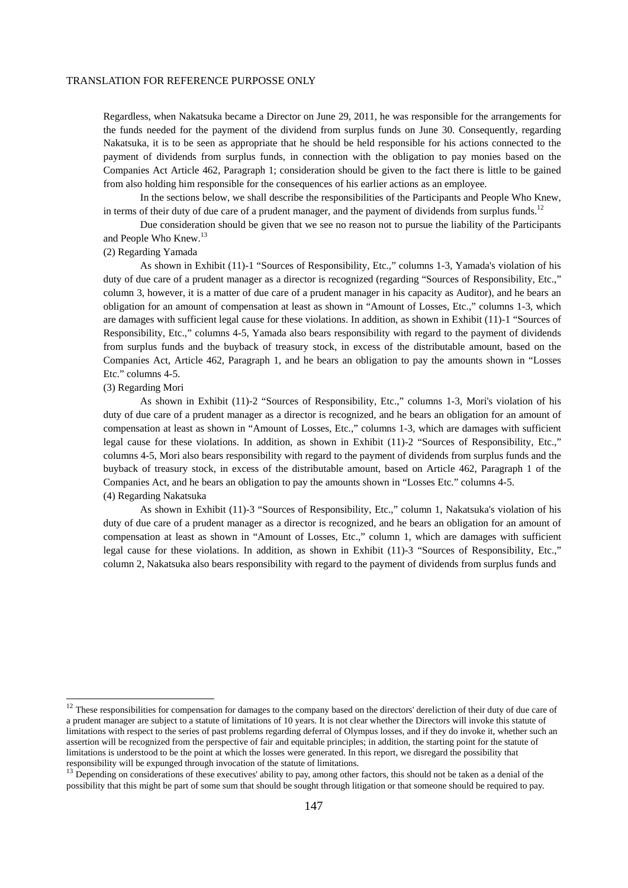Regardless, when Nakatsuka became a Director on June 29, 2011, he was responsible for the arrangements for the funds needed for the payment of the dividend from surplus funds on June 30. Consequently, regarding Nakatsuka, it is to be seen as appropriate that he should be held responsible for his actions connected to the payment of dividends from surplus funds, in connection with the obligation to pay monies based on the Companies Act Article 462, Paragraph 1; consideration should be given to the fact there is little to be gained from also holding him responsible for the consequences of his earlier actions as an employee.

In the sections below, we shall describe the responsibilities of the Participants and People Who Knew, in terms of their duty of due care of a prudent manager, and the payment of dividends from surplus funds.<sup>12</sup>

Due consideration should be given that we see no reason not to pursue the liability of the Participants and People Who Knew.<sup>13</sup>

## (2) Regarding Yamada

As shown in Exhibit (11)-1 "Sources of Responsibility, Etc.," columns 1-3, Yamada's violation of his duty of due care of a prudent manager as a director is recognized (regarding "Sources of Responsibility, Etc.," column 3, however, it is a matter of due care of a prudent manager in his capacity as Auditor), and he bears an obligation for an amount of compensation at least as shown in "Amount of Losses, Etc.," columns 1-3, which are damages with sufficient legal cause for these violations. In addition, as shown in Exhibit (11)-1 "Sources of Responsibility, Etc.," columns 4-5, Yamada also bears responsibility with regard to the payment of dividends from surplus funds and the buyback of treasury stock, in excess of the distributable amount, based on the Companies Act, Article 462, Paragraph 1, and he bears an obligation to pay the amounts shown in "Losses Etc." columns 4-5.

## (3) Regarding Mori

-

As shown in Exhibit (11)-2 "Sources of Responsibility, Etc.," columns 1-3, Mori's violation of his duty of due care of a prudent manager as a director is recognized, and he bears an obligation for an amount of compensation at least as shown in "Amount of Losses, Etc.," columns 1-3, which are damages with sufficient legal cause for these violations. In addition, as shown in Exhibit (11)-2 "Sources of Responsibility, Etc.," columns 4-5, Mori also bears responsibility with regard to the payment of dividends from surplus funds and the buyback of treasury stock, in excess of the distributable amount, based on Article 462, Paragraph 1 of the Companies Act, and he bears an obligation to pay the amounts shown in "Losses Etc." columns 4-5. (4) Regarding Nakatsuka

As shown in Exhibit (11)-3 "Sources of Responsibility, Etc.," column 1, Nakatsuka's violation of his duty of due care of a prudent manager as a director is recognized, and he bears an obligation for an amount of compensation at least as shown in "Amount of Losses, Etc.," column 1, which are damages with sufficient legal cause for these violations. In addition, as shown in Exhibit (11)-3 "Sources of Responsibility, Etc.," column 2, Nakatsuka also bears responsibility with regard to the payment of dividends from surplus funds and

 $12$  These responsibilities for compensation for damages to the company based on the directors' dereliction of their duty of due care of a prudent manager are subject to a statute of limitations of 10 years. It is not clear whether the Directors will invoke this statute of limitations with respect to the series of past problems regarding deferral of Olympus losses, and if they do invoke it, whether such an assertion will be recognized from the perspective of fair and equitable principles; in addition, the starting point for the statute of limitations is understood to be the point at which the losses were generated. In this report, we disregard the possibility that responsibility will be expunged through invocation of the statute of limitations.

<sup>&</sup>lt;sup>13</sup> Depending on considerations of these executives' ability to pay, among other factors, this should not be taken as a denial of the possibility that this might be part of some sum that should be sought through litigation or that someone should be required to pay.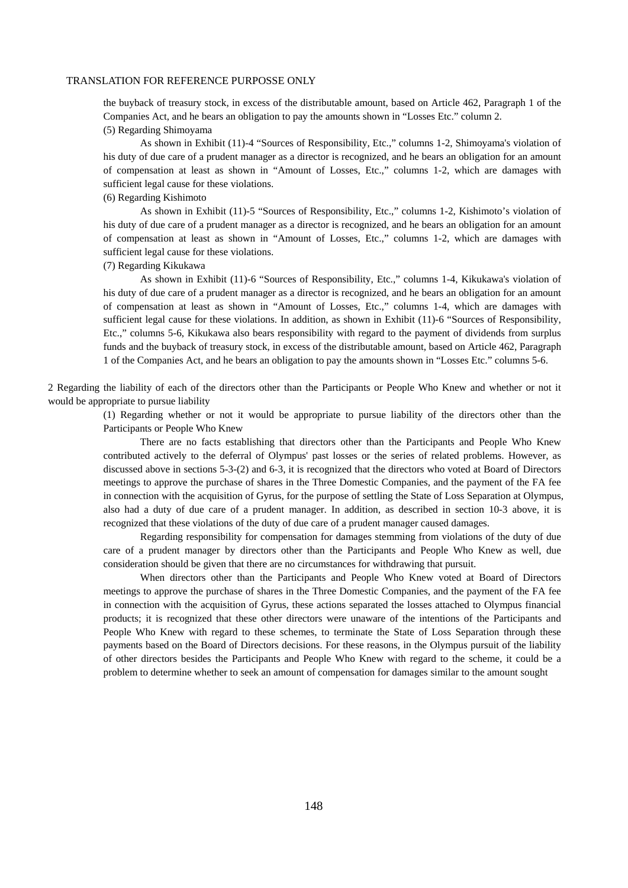the buyback of treasury stock, in excess of the distributable amount, based on Article 462, Paragraph 1 of the Companies Act, and he bears an obligation to pay the amounts shown in "Losses Etc." column 2.

## (5) Regarding Shimoyama

As shown in Exhibit (11)-4 "Sources of Responsibility, Etc.," columns 1-2, Shimoyama's violation of his duty of due care of a prudent manager as a director is recognized, and he bears an obligation for an amount of compensation at least as shown in "Amount of Losses, Etc.," columns 1-2, which are damages with sufficient legal cause for these violations.

## (6) Regarding Kishimoto

As shown in Exhibit (11)-5 "Sources of Responsibility, Etc.," columns 1-2, Kishimoto's violation of his duty of due care of a prudent manager as a director is recognized, and he bears an obligation for an amount of compensation at least as shown in "Amount of Losses, Etc.," columns 1-2, which are damages with sufficient legal cause for these violations.

### (7) Regarding Kikukawa

As shown in Exhibit (11)-6 "Sources of Responsibility, Etc.," columns 1-4, Kikukawa's violation of his duty of due care of a prudent manager as a director is recognized, and he bears an obligation for an amount of compensation at least as shown in "Amount of Losses, Etc.," columns 1-4, which are damages with sufficient legal cause for these violations. In addition, as shown in Exhibit (11)-6 "Sources of Responsibility, Etc.," columns 5-6, Kikukawa also bears responsibility with regard to the payment of dividends from surplus funds and the buyback of treasury stock, in excess of the distributable amount, based on Article 462, Paragraph 1 of the Companies Act, and he bears an obligation to pay the amounts shown in "Losses Etc." columns 5-6.

2 Regarding the liability of each of the directors other than the Participants or People Who Knew and whether or not it would be appropriate to pursue liability

> (1) Regarding whether or not it would be appropriate to pursue liability of the directors other than the Participants or People Who Knew

> There are no facts establishing that directors other than the Participants and People Who Knew contributed actively to the deferral of Olympus' past losses or the series of related problems. However, as discussed above in sections 5-3-(2) and 6-3, it is recognized that the directors who voted at Board of Directors meetings to approve the purchase of shares in the Three Domestic Companies, and the payment of the FA fee in connection with the acquisition of Gyrus, for the purpose of settling the State of Loss Separation at Olympus, also had a duty of due care of a prudent manager. In addition, as described in section 10-3 above, it is recognized that these violations of the duty of due care of a prudent manager caused damages.

> Regarding responsibility for compensation for damages stemming from violations of the duty of due care of a prudent manager by directors other than the Participants and People Who Knew as well, due consideration should be given that there are no circumstances for withdrawing that pursuit.

> When directors other than the Participants and People Who Knew voted at Board of Directors meetings to approve the purchase of shares in the Three Domestic Companies, and the payment of the FA fee in connection with the acquisition of Gyrus, these actions separated the losses attached to Olympus financial products; it is recognized that these other directors were unaware of the intentions of the Participants and People Who Knew with regard to these schemes, to terminate the State of Loss Separation through these payments based on the Board of Directors decisions. For these reasons, in the Olympus pursuit of the liability of other directors besides the Participants and People Who Knew with regard to the scheme, it could be a problem to determine whether to seek an amount of compensation for damages similar to the amount sought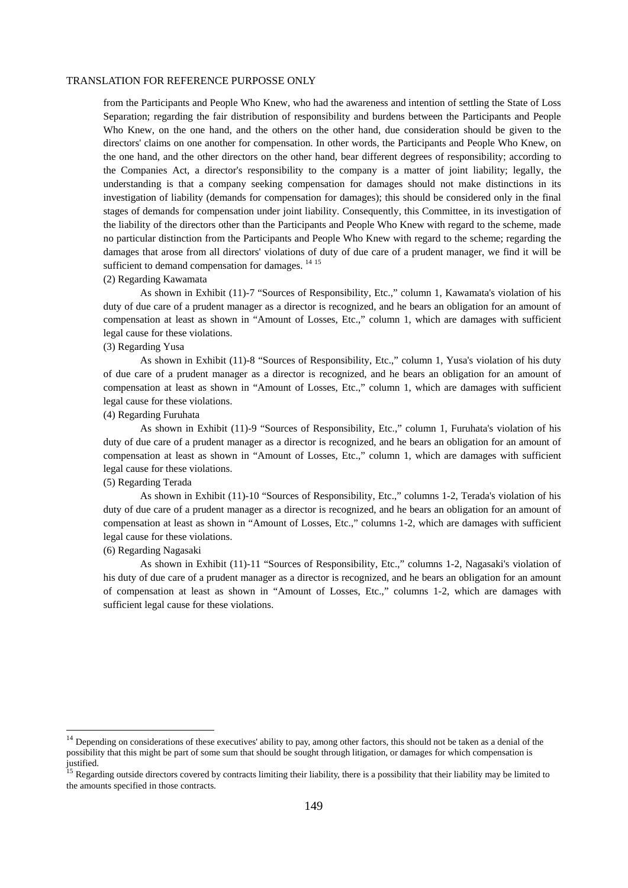from the Participants and People Who Knew, who had the awareness and intention of settling the State of Loss Separation; regarding the fair distribution of responsibility and burdens between the Participants and People Who Knew, on the one hand, and the others on the other hand, due consideration should be given to the directors' claims on one another for compensation. In other words, the Participants and People Who Knew, on the one hand, and the other directors on the other hand, bear different degrees of responsibility; according to the Companies Act, a director's responsibility to the company is a matter of joint liability; legally, the understanding is that a company seeking compensation for damages should not make distinctions in its investigation of liability (demands for compensation for damages); this should be considered only in the final stages of demands for compensation under joint liability. Consequently, this Committee, in its investigation of the liability of the directors other than the Participants and People Who Knew with regard to the scheme, made no particular distinction from the Participants and People Who Knew with regard to the scheme; regarding the damages that arose from all directors' violations of duty of due care of a prudent manager, we find it will be sufficient to demand compensation for damages. <sup>14 15</sup>

## (2) Regarding Kawamata

As shown in Exhibit (11)-7 "Sources of Responsibility, Etc.," column 1, Kawamata's violation of his duty of due care of a prudent manager as a director is recognized, and he bears an obligation for an amount of compensation at least as shown in "Amount of Losses, Etc.," column 1, which are damages with sufficient legal cause for these violations.

## (3) Regarding Yusa

As shown in Exhibit (11)-8 "Sources of Responsibility, Etc.," column 1, Yusa's violation of his duty of due care of a prudent manager as a director is recognized, and he bears an obligation for an amount of compensation at least as shown in "Amount of Losses, Etc.," column 1, which are damages with sufficient legal cause for these violations.

## (4) Regarding Furuhata

As shown in Exhibit (11)-9 "Sources of Responsibility, Etc.," column 1, Furuhata's violation of his duty of due care of a prudent manager as a director is recognized, and he bears an obligation for an amount of compensation at least as shown in "Amount of Losses, Etc.," column 1, which are damages with sufficient legal cause for these violations.

## (5) Regarding Terada

As shown in Exhibit (11)-10 "Sources of Responsibility, Etc.," columns 1-2, Terada's violation of his duty of due care of a prudent manager as a director is recognized, and he bears an obligation for an amount of compensation at least as shown in "Amount of Losses, Etc.," columns 1-2, which are damages with sufficient legal cause for these violations.

## (6) Regarding Nagasaki

<u>.</u>

As shown in Exhibit (11)-11 "Sources of Responsibility, Etc.," columns 1-2, Nagasaki's violation of his duty of due care of a prudent manager as a director is recognized, and he bears an obligation for an amount of compensation at least as shown in "Amount of Losses, Etc.," columns 1-2, which are damages with sufficient legal cause for these violations.

<sup>&</sup>lt;sup>14</sup> Depending on considerations of these executives' ability to pay, among other factors, this should not be taken as a denial of the possibility that this might be part of some sum that should be sought through litigation, or damages for which compensation is justified.

<sup>15</sup> Regarding outside directors covered by contracts limiting their liability, there is a possibility that their liability may be limited to the amounts specified in those contracts.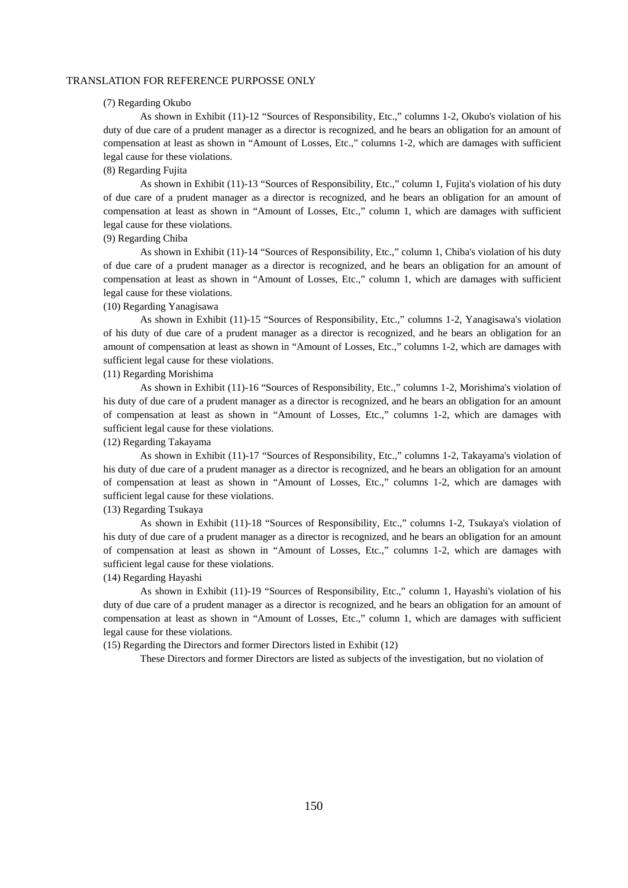## (7) Regarding Okubo

As shown in Exhibit (11)-12 "Sources of Responsibility, Etc.," columns 1-2, Okubo's violation of his duty of due care of a prudent manager as a director is recognized, and he bears an obligation for an amount of compensation at least as shown in "Amount of Losses, Etc.," columns 1-2, which are damages with sufficient legal cause for these violations.

## (8) Regarding Fujita

As shown in Exhibit (11)-13 "Sources of Responsibility, Etc.," column 1, Fujita's violation of his duty of due care of a prudent manager as a director is recognized, and he bears an obligation for an amount of compensation at least as shown in "Amount of Losses, Etc.," column 1, which are damages with sufficient legal cause for these violations.

### (9) Regarding Chiba

As shown in Exhibit (11)-14 "Sources of Responsibility, Etc.," column 1, Chiba's violation of his duty of due care of a prudent manager as a director is recognized, and he bears an obligation for an amount of compensation at least as shown in "Amount of Losses, Etc.," column 1, which are damages with sufficient legal cause for these violations.

## (10) Regarding Yanagisawa

As shown in Exhibit (11)-15 "Sources of Responsibility, Etc.," columns 1-2, Yanagisawa's violation of his duty of due care of a prudent manager as a director is recognized, and he bears an obligation for an amount of compensation at least as shown in "Amount of Losses, Etc.," columns 1-2, which are damages with sufficient legal cause for these violations.

## (11) Regarding Morishima

As shown in Exhibit (11)-16 "Sources of Responsibility, Etc.," columns 1-2, Morishima's violation of his duty of due care of a prudent manager as a director is recognized, and he bears an obligation for an amount of compensation at least as shown in "Amount of Losses, Etc.," columns 1-2, which are damages with sufficient legal cause for these violations.

## (12) Regarding Takayama

As shown in Exhibit (11)-17 "Sources of Responsibility, Etc.," columns 1-2, Takayama's violation of his duty of due care of a prudent manager as a director is recognized, and he bears an obligation for an amount of compensation at least as shown in "Amount of Losses, Etc.," columns 1-2, which are damages with sufficient legal cause for these violations.

## (13) Regarding Tsukaya

As shown in Exhibit (11)-18 "Sources of Responsibility, Etc.," columns 1-2, Tsukaya's violation of his duty of due care of a prudent manager as a director is recognized, and he bears an obligation for an amount of compensation at least as shown in "Amount of Losses, Etc.," columns 1-2, which are damages with sufficient legal cause for these violations.

### (14) Regarding Hayashi

As shown in Exhibit (11)-19 "Sources of Responsibility, Etc.," column 1, Hayashi's violation of his duty of due care of a prudent manager as a director is recognized, and he bears an obligation for an amount of compensation at least as shown in "Amount of Losses, Etc.," column 1, which are damages with sufficient legal cause for these violations.

(15) Regarding the Directors and former Directors listed in Exhibit (12)

These Directors and former Directors are listed as subjects of the investigation, but no violation of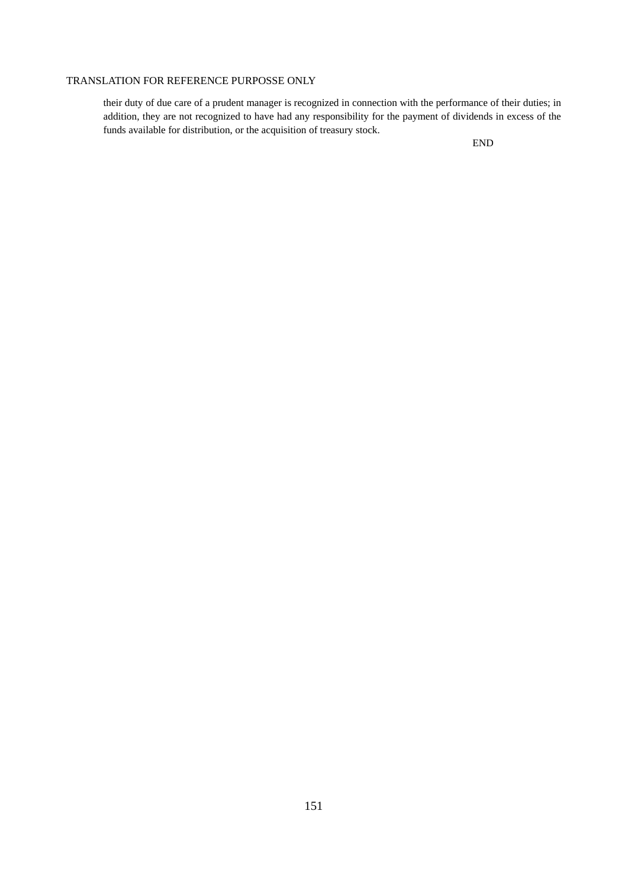their duty of due care of a prudent manager is recognized in connection with the performance of their duties; in addition, they are not recognized to have had any responsibility for the payment of dividends in excess of the funds available for distribution, or the acquisition of treasury stock.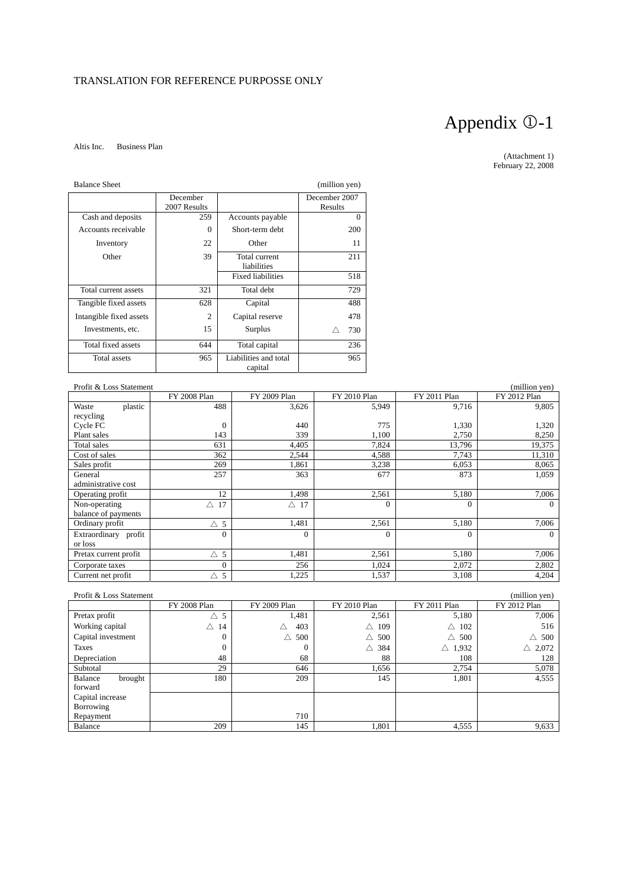## Altis Inc. Business Plan

## Appendix 0-1

(Attachment 1) February 22, 2008

| <b>Balance Sheet</b>    |                          |                                  | (million yen)            |
|-------------------------|--------------------------|----------------------------------|--------------------------|
|                         | December<br>2007 Results |                                  | December 2007<br>Results |
| Cash and deposits       | 259                      | Accounts payable                 | $\Omega$                 |
| Accounts receivable     | $\Omega$                 | Short-term debt                  | 200                      |
| Inventory               | 22                       | Other                            | 11                       |
| Other                   | 39                       | Total current<br>liabilities     | 211                      |
|                         |                          | <b>Fixed liabilities</b>         | 518                      |
| Total current assets    | 321                      | Total debt                       | 729                      |
| Tangible fixed assets   | 628                      | Capital                          | 488                      |
| Intangible fixed assets | $\overline{c}$           | Capital reserve                  | 478                      |
| Investments, etc.       | 15                       | Surplus                          | 730<br>Λ                 |
| Total fixed assets      | 644                      | Total capital                    | 236                      |
| <b>Total assets</b>     | 965                      | Liabilities and total<br>capital | 965                      |

| Profit & Loss Statement |               |                |              |              | (million yen) |
|-------------------------|---------------|----------------|--------------|--------------|---------------|
|                         | FY 2008 Plan  | FY 2009 Plan   | FY 2010 Plan | FY 2011 Plan | FY 2012 Plan  |
| plastic<br>Waste        | 488           | 3,626          | 5,949        | 9,716        | 9,805         |
| recycling               |               |                |              |              |               |
| Cycle FC                | $\Omega$      | 440            | 775          | 1,330        | 1,320         |
| Plant sales             | 143           | 339            | 1,100        | 2,750        | 8,250         |
| Total sales             | 631           | 4,405          | 7,824        | 13,796       | 19,375        |
| Cost of sales           | 362           | 2,544          | 4,588        | 7,743        | 11,310        |
| Sales profit            | 269           | 1,861          | 3,238        | 6,053        | 8,065         |
| General                 | 257           | 363            | 677          | 873          | 1,059         |
| administrative cost     |               |                |              |              |               |
| Operating profit        | 12            | 1,498          | 2,561        | 5,180        | 7,006         |
| Non-operating           | 17<br>Δ       | $\triangle$ 17 | $\Omega$     | $\Omega$     | $\Omega$      |
| balance of payments     |               |                |              |              |               |
| Ordinary profit         | $\triangle$ 5 | 1,481          | 2,561        | 5,180        | 7,006         |
| Extraordinary profit    | $\Omega$      | $\mathbf{0}$   | $\Omega$     | $\Omega$     | $\Omega$      |
| or loss                 |               |                |              |              |               |
| Pretax current profit   | $\triangle$ 5 | 1,481          | 2,561        | 5,180        | 7,006         |
| Corporate taxes         | $\Omega$      | 256            | 1,024        | 2,072        | 2,802         |
| Current net profit      | $\triangle$ 5 | 1,225          | 1,537        | 3,108        | 4,204         |

| Profit & Loss Statement |               |              |                      |                   | (million yen)     |
|-------------------------|---------------|--------------|----------------------|-------------------|-------------------|
|                         | FY 2008 Plan  | FY 2009 Plan | FY 2010 Plan         | FY 2011 Plan      | FY 2012 Plan      |
| Pretax profit           | $\triangle$ 5 | 1,481        | 2,561                | 5,180             | 7,006             |
| Working capital         | 14<br>Δ       | 403<br>Δ     | 109<br>$\triangle$   | 102<br>Δ          | 516               |
| Capital investment      | $\theta$      | 500<br>Δ     | 500<br>$\triangle^-$ | 500<br>Л          | $\triangle$ 500   |
| Taxes                   | $\Omega$      | $\mathbf{0}$ | $\triangle$ 384      | $\triangle$ 1.932 | $\triangle$ 2,072 |
| Depreciation            | 48            | 68           | 88                   | 108               | 128               |
| Subtotal                | 29            | 646          | 1,656                | 2,754             | 5,078             |
| Balance<br>brought      | 180           | 209          | 145                  | 1,801             | 4,555             |
| forward                 |               |              |                      |                   |                   |
| Capital increase        |               |              |                      |                   |                   |
| Borrowing               |               |              |                      |                   |                   |
| Repayment               |               | 710          |                      |                   |                   |
| Balance                 | 209           | 145          | 1,801                | 4,555             | 9,633             |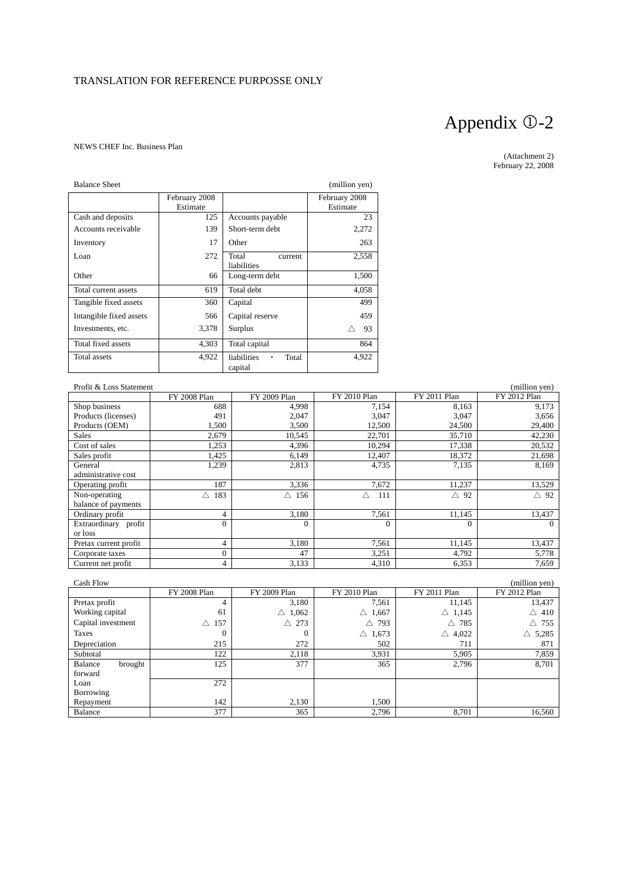## NEWS CHEF Inc. Business Plan

| <b>Balance Sheet</b>    |                           |                                      | (million yen)             |
|-------------------------|---------------------------|--------------------------------------|---------------------------|
|                         | February 2008<br>Estimate |                                      | February 2008<br>Estimate |
| Cash and deposits       | 125                       | Accounts payable                     | 23                        |
| Accounts receivable     | 139                       | Short-term debt                      | 2,272                     |
| Inventory               | 17                        | Other                                | 263                       |
| Loan                    | 272                       | Total<br>current<br>liabilities      | 2,558                     |
| Other                   | 66                        | Long-term debt                       | 1,500                     |
| Total current assets    | 619                       | Total debt                           | 4,058                     |
| Tangible fixed assets   | 360                       | Capital                              | 499                       |
| Intangible fixed assets | 566                       | Capital reserve                      | 459                       |
| Investments, etc.       | 3,378                     | Surplus                              | 93                        |
| Total fixed assets      | 4,303                     | Total capital                        | 864                       |
| <b>Total assets</b>     | 4,922                     | liabilities<br>Total<br>٠<br>capital | 4,922                     |

| Profit & Loss Statement |                |              |              |              | (million yen)  |
|-------------------------|----------------|--------------|--------------|--------------|----------------|
|                         | FY 2008 Plan   | FY 2009 Plan | FY 2010 Plan | FY 2011 Plan | FY 2012 Plan   |
| Shop business           | 688            | 4,998        | 7,154        | 8,163        | 9,173          |
| Products (licenses)     | 491            | 2,047        | 3,047        | 3,047        | 3,656          |
| Products (OEM)          | 1,500          | 3,500        | 12,500       | 24,500       | 29,400         |
| <b>Sales</b>            | 2,679          | 10,545       | 22,701       | 35,710       | 42,230         |
| Cost of sales           | 1,253          | 4,396        | 10,294       | 17,338       | 20,532         |
| Sales profit            | 1,425          | 6,149        | 12,407       | 18,372       | 21,698         |
| General                 | 1,239          | 2,813        | 4,735        | 7,135        | 8,169          |
| administrative cost     |                |              |              |              |                |
| Operating profit        | 187            | 3,336        | 7,672        | 11,237       | 13,529         |
| Non-operating           | 183<br>Λ       | 156<br>Δ     | Δ<br>111     | 92<br>Δ      | $\triangle$ 92 |
| balance of payments     |                |              |              |              |                |
| Ordinary profit         | 4              | 3,180        | 7,561        | 11,145       | 13,437         |
| Extraordinary profit    | $\Omega$       | $\mathbf{0}$ | $\Omega$     | 0            | $\Omega$       |
| or loss                 |                |              |              |              |                |
| Pretax current profit   | 4              | 3,180        | 7.561        | 11.145       | 13,437         |
| Corporate taxes         | $\overline{0}$ | 47           | 3,251        | 4,792        | 5,778          |
| Current net profit      | 4              | 3.133        | 4,310        | 6,353        | 7,659          |

| Cash Flow          |                 |                      |                   |                        | (million yen)     |
|--------------------|-----------------|----------------------|-------------------|------------------------|-------------------|
|                    | FY 2008 Plan    | FY 2009 Plan         | FY 2010 Plan      | FY 2011 Plan           | FY 2012 Plan      |
| Pretax profit      | 4               | 3,180                | 7,561             | 11,145                 | 13,437            |
| Working capital    | 61              | 1,062<br>$\triangle$ | $\triangle$ 1,667 | $\triangle$ 1,145      | $\triangle$ 410   |
| Capital investment | $\triangle$ 157 | $\triangle$ 273      | $\triangle$ 793   | Λ.<br>785              | $\triangle$ 755   |
| Taxes              | 0               | 0                    | $\triangle$ 1,673 | 4,022<br>$\triangle^-$ | $\triangle$ 5,285 |
| Depreciation       | 215             | 272                  | 502               | 711                    | 871               |
| Subtotal           | 122             | 2,118                | 3.931             | 5,905                  | 7,859             |
| Balance<br>brought | 125             | 377                  | 365               | 2,796                  | 8,701             |
| forward            |                 |                      |                   |                        |                   |
| Loan               | 272             |                      |                   |                        |                   |
| Borrowing          |                 |                      |                   |                        |                   |
| Repayment          | 142             | 2,130                | 1,500             |                        |                   |
| Balance            | 377             | 365                  | 2.796             | 8.701                  | 16,560            |

## Appendix 0-2

(Attachment 2) February 22, 2008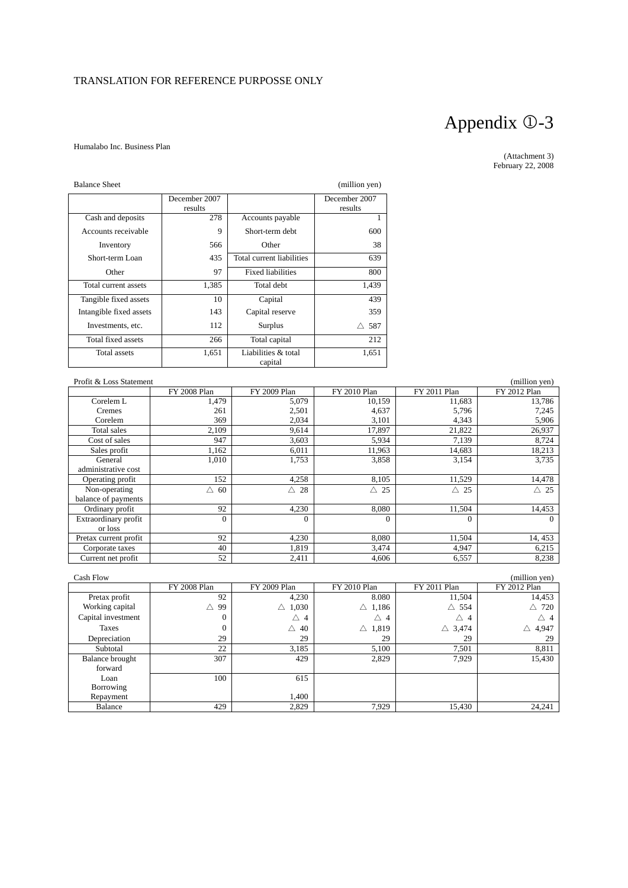## Humalabo Inc. Business Plan

## Appendix 0-3

(Attachment 3) February 22, 2008

| <b>Balance Sheet</b>    |               |                                | (million yen) |
|-------------------------|---------------|--------------------------------|---------------|
|                         | December 2007 |                                | December 2007 |
|                         | results       |                                | results       |
| Cash and deposits       | 278           | Accounts payable               |               |
| Accounts receivable     | 9             | Short-term debt                | 600           |
| Inventory               | 566           | Other                          | 38            |
| Short-term Loan         | 435           | Total current liabilities      | 639           |
| Other                   | 97            | <b>Fixed liabilities</b>       | 800           |
| Total current assets    | 1,385         | Total debt                     | 1,439         |
| Tangible fixed assets   | 10            | Capital                        | 439           |
| Intangible fixed assets | 143           | Capital reserve                | 359           |
| Investments, etc.       | 112           | Surplus                        | 587<br>Λ      |
| Total fixed assets      | 266           | Total capital                  | 212           |
| Total assets            | 1,651         | Liabilities & total<br>capital | 1,651         |

| Profit & Loss Statement |              |                |                |                | (million yen)  |
|-------------------------|--------------|----------------|----------------|----------------|----------------|
|                         | FY 2008 Plan | FY 2009 Plan   | FY 2010 Plan   | FY 2011 Plan   | FY 2012 Plan   |
| Corelem L               | 1,479        | 5,079          | 10,159         | 11,683         | 13,786         |
| Cremes                  | 261          | 2,501          | 4,637          | 5,796          | 7,245          |
| Corelem                 | 369          | 2,034          | 3,101          | 4,343          | 5,906          |
| Total sales             | 2,109        | 9,614          | 17,897         | 21,822         | 26,937         |
| Cost of sales           | 947          | 3,603          | 5,934          | 7,139          | 8,724          |
| Sales profit            | 1,162        | 6,011          | 11,963         | 14,683         | 18,213         |
| General                 | 1,010        | 1,753          | 3,858          | 3,154          | 3,735          |
| administrative cost     |              |                |                |                |                |
| Operating profit        | 152          | 4,258          | 8,105          | 11,529         | 14,478         |
| Non-operating           | 60<br>Λ      | $\triangle$ 28 | $\triangle$ 25 | $\triangle$ 25 | $\triangle$ 25 |
| balance of payments     |              |                |                |                |                |
| Ordinary profit         | 92           | 4,230          | 8.080          | 11,504         | 14,453         |
| Extraordinary profit    | $\Omega$     | $\Omega$       | $\Omega$       | $\Omega$       | $\Omega$       |
| or loss                 |              |                |                |                |                |
| Pretax current profit   | 92           | 4,230          | 8,080          | 11,504         | 14, 453        |
| Corporate taxes         | 40           | 1,819          | 3,474          | 4,947          | 6,215          |
| Current net profit      | 52           | 2,411          | 4,606          | 6,557          | 8,238          |

| Cash Flow          |              |                     |                   |                 | (million yen)     |
|--------------------|--------------|---------------------|-------------------|-----------------|-------------------|
|                    | FY 2008 Plan | FY 2009 Plan        | FY 2010 Plan      | FY 2011 Plan    | FY 2012 Plan      |
| Pretax profit      | 92           | 4,230               | 8.080             | 11,504          | 14,453            |
| Working capital    | 99<br>Δ      | 1,030<br>Δ          | $\triangle$ 1,186 | $\triangle$ 554 | $\triangle$ 720   |
| Capital investment | 0            | Δ<br>$\overline{4}$ | $\triangle$ 4     | $\triangle$ 4   | $\triangle$ 4     |
| Taxes              | $\mathbf{0}$ | $\triangle$ 40      | $\triangle$ 1,819 | Δ<br>3,474      | $\triangle$ 4,947 |
| Depreciation       | 29           | 29                  | 29                | 29              | 29                |
| Subtotal           | 22           | 3,185               | 5,100             | 7,501           | 8,811             |
| Balance brought    | 307          | 429                 | 2,829             | 7,929           | 15,430            |
| forward            |              |                     |                   |                 |                   |
| Loan               | 100          | 615                 |                   |                 |                   |
| Borrowing          |              |                     |                   |                 |                   |
| Repayment          |              | 1.400               |                   |                 |                   |
| Balance            | 429          | 2,829               | 7,929             | 15,430          | 24,241            |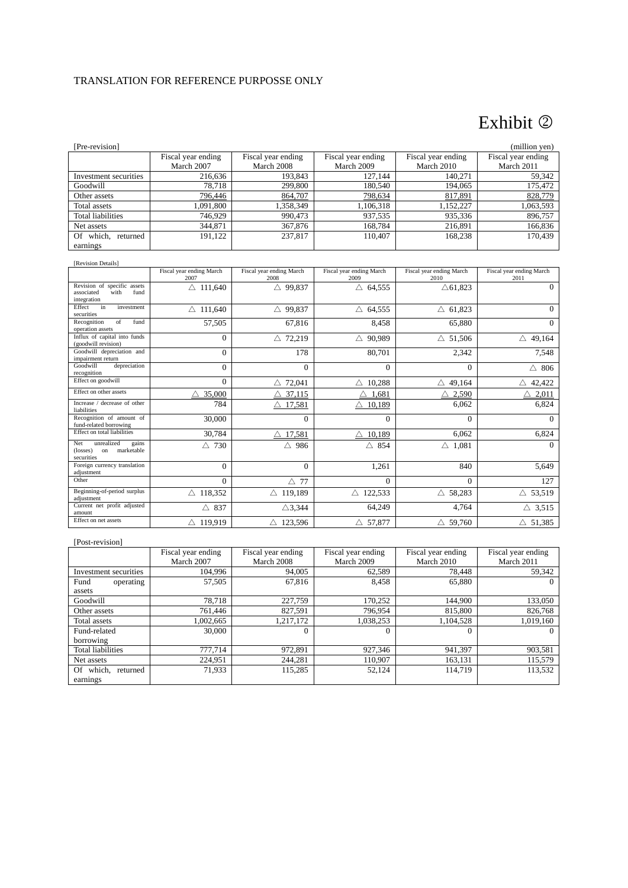## Exhibit 2

| [Pre-revision]           |                                  |                                  |                                  |                                  | (million yen)                    |
|--------------------------|----------------------------------|----------------------------------|----------------------------------|----------------------------------|----------------------------------|
|                          | Fiscal year ending<br>March 2007 | Fiscal year ending<br>March 2008 | Fiscal year ending<br>March 2009 | Fiscal year ending<br>March 2010 | Fiscal year ending<br>March 2011 |
| Investment securities    | 216,636                          | 193,843                          | 127,144                          | 140,271                          | 59,342                           |
| Goodwill                 | 78,718                           | 299,800                          | 180,540                          | 194,065                          | 175,472                          |
| Other assets             | 796,446                          | 864,707                          | 798,634                          | 817,891                          | 828,779                          |
| Total assets             | 1,091,800                        | 1,358,349                        | 1,106,318                        | 1,152,227                        | 1,063,593                        |
| Total liabilities        | 746,929                          | 990,473                          | 937,535                          | 935,336                          | 896,757                          |
| Net assets               | 344,871                          | 367,876                          | 168.784                          | 216,891                          | 166,836                          |
| which,<br>Of<br>returned | 191,122                          | 237,817                          | 110.407                          | 168,238                          | 170,439                          |
| earnings                 |                                  |                                  |                                  |                                  |                                  |
| [Revision Details]       |                                  |                                  |                                  |                                  |                                  |

|                                                                          | Fiscal year ending March<br>2007 | Fiscal year ending March<br>2008 | Fiscal year ending March<br>2009 | Fiscal year ending March<br>2010 | Fiscal year ending March<br>2011 |
|--------------------------------------------------------------------------|----------------------------------|----------------------------------|----------------------------------|----------------------------------|----------------------------------|
| Revision of specific assets<br>associated<br>with<br>fund<br>integration | $\triangle$ 111,640              | $\triangle$ 99,837               | $\triangle$ 64,555               | $\triangle$ 61,823               | $\Omega$                         |
| in<br>Effect<br>investment<br>securities                                 | $\triangle$ 111,640              | $\triangle$ 99,837               | $\triangle$ 64,555               | $\triangle$ 61,823               | $\Omega$                         |
| Recognition<br>of<br>fund<br>operation assets                            | 57,505                           | 67,816                           | 8,458                            | 65,880                           | $\Omega$                         |
| Influx of capital into funds<br>(goodwill revision)                      | $\Omega$                         | 72,219<br>Δ                      | 90,989<br>Δ                      | $\triangle$ 51,506               | Δ<br>49,164                      |
| Goodwill depreciation and<br>impairment return                           | $\Omega$                         | 178                              | 80,701                           | 2,342                            | 7,548                            |
| Goodwill<br>depreciation<br>recognition                                  | $\Omega$                         | $\Omega$                         | $\Omega$                         | $\Omega$                         | $\triangle$ 806                  |
| Effect on goodwill                                                       | $\Omega$                         | 72,041                           | 10,288<br>Δ                      | 49,164<br>Δ                      | 42,422                           |
| Effect on other assets                                                   | 35,000                           | 37,115                           | 1,681                            | 2,590<br>Δ                       | 2,011                            |
| Increase / decrease of other<br>liabilities                              | 784                              | 17,581                           | 10,189                           | 6,062                            | 6,824                            |
| Recognition of amount of<br>fund-related borrowing                       | 30,000                           | $\mathbf{0}$                     | $\Omega$                         | $\Omega$                         | $\Omega$                         |
| Effect on total liabilities                                              | 30,784                           | 17,581                           | 10,189<br>Λ                      | 6,062                            | 6,824                            |
| unrealized<br>Net<br>gains<br>marketable<br>on<br>(losses)<br>securities | 730<br>Δ                         | 986<br>Δ                         | $\triangle$ 854                  | $\triangle$ 1,081                | $\Omega$                         |
| Foreign currency translation<br>adjustment                               | $\Omega$                         | $\mathbf{0}$                     | 1,261                            | 840                              | 5,649                            |
| Other                                                                    | $\Omega$                         | $\triangle$ 77                   | $\Omega$                         | $\Omega$                         | 127                              |
| Beginning-of-period surplus<br>adjustment                                | $\triangle$ 118,352              | $\triangle$ 119,189              | $\triangle$ 122,533              | $\triangle$ 58,283               | $\triangle$ 53,519               |
| Current net profit adjusted<br>amount                                    | $\triangle$ 837                  | $\triangle$ 3,344                | 64,249                           | 4,764                            | $\triangle$ 3,515                |
| Effect on net assets                                                     | $\triangle$ 119,919              | $\triangle$ 123,596              | $\triangle$ 57,877               | $\triangle$ 59,760               | $\triangle$ 51,385               |

## [Post-revision]

|                          | Fiscal year ending<br>March 2007 | Fiscal year ending<br>March 2008 | Fiscal year ending<br>March 2009 | Fiscal year ending<br>March 2010 | Fiscal year ending<br>March 2011 |
|--------------------------|----------------------------------|----------------------------------|----------------------------------|----------------------------------|----------------------------------|
| Investment securities    | 104.996                          | 94,005                           | 62.589                           | 78.448                           | 59,342                           |
| Fund<br>operating        | 57,505                           | 67,816                           | 8,458                            | 65,880                           | $\theta$                         |
| assets                   |                                  |                                  |                                  |                                  |                                  |
| Goodwill                 | 78,718                           | 227,759                          | 170,252                          | 144,900                          | 133,050                          |
| Other assets             | 761,446                          | 827,591                          | 796,954                          | 815,800                          | 826,768                          |
| Total assets             | 1,002,665                        | 1,217,172                        | 1,038,253                        | 1,104,528                        | 1,019,160                        |
| Fund-related             | 30,000                           | $\Omega$                         | $\theta$                         |                                  | $\theta$                         |
| borrowing                |                                  |                                  |                                  |                                  |                                  |
| <b>Total liabilities</b> | 777,714                          | 972,891                          | 927,346                          | 941,397                          | 903,581                          |
| Net assets               | 224,951                          | 244.281                          | 110.907                          | 163.131                          | 115,579                          |
| Of which, returned       | 71,933                           | 115,285                          | 52,124                           | 114,719                          | 113,532                          |
| earnings                 |                                  |                                  |                                  |                                  |                                  |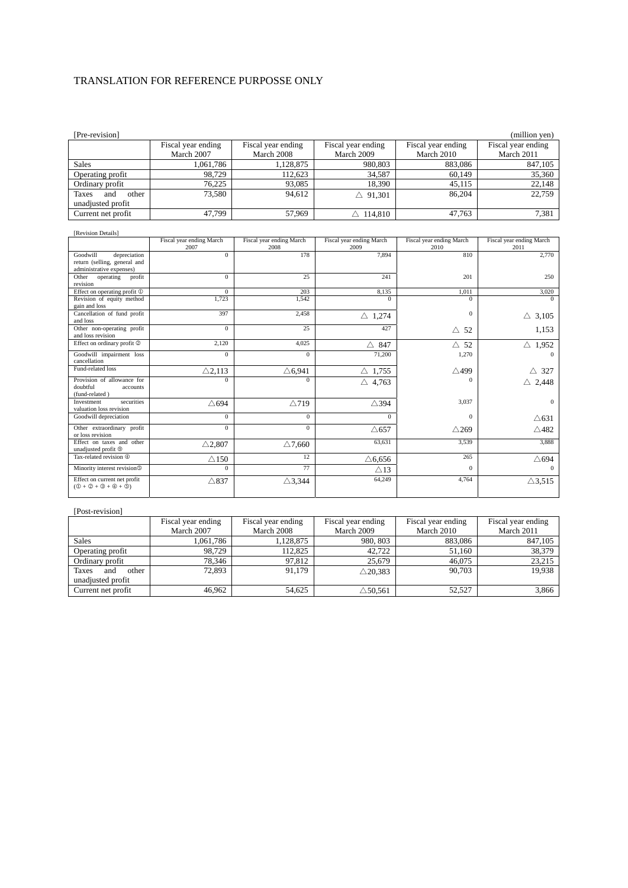| [Pre-revision]                                                                                     |                                  |                                  |                                  |                                  | (million yen)                    |
|----------------------------------------------------------------------------------------------------|----------------------------------|----------------------------------|----------------------------------|----------------------------------|----------------------------------|
|                                                                                                    | Fiscal year ending<br>March 2007 | Fiscal year ending<br>March 2008 | Fiscal year ending<br>March 2009 | Fiscal year ending<br>March 2010 | Fiscal year ending<br>March 2011 |
| <b>Sales</b>                                                                                       | 1,061,786                        | 1,128,875                        | 980,803                          | 883.086                          | 847,105                          |
| Operating profit                                                                                   | 98,729                           | 112,623                          | 34,587                           | 60,149                           | 35,360                           |
| Ordinary profit                                                                                    | 76,225                           | 93,085                           | 18,390                           | 45,115                           | 22.148                           |
| and<br><b>Taxes</b><br>other<br>unadjusted profit                                                  | 73,580                           | 94,612                           | $\triangle$ 91,301               | 86,204                           | 22,759                           |
| Current net profit                                                                                 | 47,799                           | 57,969                           | $\triangle$ 114,810              | 47,763                           | 7,381                            |
| [Revision Details]                                                                                 |                                  |                                  |                                  |                                  |                                  |
|                                                                                                    | Fiscal year ending March<br>2007 | Fiscal year ending March<br>2008 | Fiscal year ending March<br>2009 | Fiscal year ending March<br>2010 | Fiscal year ending March<br>2011 |
| Goodwill<br>depreciation<br>return (selling, general and<br>administrative expenses)               | $\mathbf{0}$                     | 178                              | 7.894                            | 810                              | 2,770                            |
| Other<br>operating<br>profit<br>revision                                                           | $\overline{0}$                   | 25                               | 241                              | 201                              | 250                              |
| Effect on operating profit $\mathbb D$                                                             | $\overline{0}$                   | 203                              | 8,135                            | 1,011                            | 3,020                            |
| Revision of equity method<br>gain and loss                                                         | 1.723                            | 1.542                            | $\Omega$                         | $\Omega$                         | $\Omega$                         |
| Cancellation of fund profit<br>and loss                                                            | 397                              | 2.458                            | $\triangle$ 1,274                | $\mathbf{0}$                     | $\triangle$ 3.105                |
| Other non-operating profit<br>and loss revision                                                    | $\overline{0}$                   | 25                               | 427                              | $\triangle$ 52                   | 1,153                            |
| Effect on ordinary profit 2                                                                        | 2,120                            | 4.025                            | $\triangle$ 847                  | $\triangle$ 52                   | $\triangle$ 1,952                |
| Goodwill impairment loss<br>cancellation                                                           | $\Omega$                         | $\Omega$                         | 71,200                           | 1,270                            | $\Omega$                         |
| Fund-related loss                                                                                  | $\triangle$ 2,113                | $\triangle$ 6,941                | $\triangle$ 1,755                | $\triangle$ 499                  | $\wedge$ 327                     |
| Provision of allowance for<br>doubtful<br>accounts<br>(fund-related)                               | $\Omega$                         | $\Omega$                         | $\triangle$ 4,763                | $\Omega$                         | $\triangle$ 2.448                |
| Investment<br>securities<br>valuation loss revision                                                | $\triangle$ 694                  | $\triangle$ 719                  | $\triangle$ 394                  | 3,037                            | $\Omega$                         |
| Goodwill depreciation                                                                              | $\mathbf{0}$                     | $\mathbf{0}$                     | $\Omega$                         | $\Omega$                         | $\triangle$ 631                  |
| Other extraordinary profit<br>or loss revision                                                     | $\Omega$                         | $\Omega$                         | $\triangle 657$                  | $\triangle$ 269                  | $\triangle$ 482                  |
| Effect on taxes and other<br>unadjusted profit <sup>®</sup>                                        | $\triangle$ 2,807                | $\triangle$ 7,660                | 63,631                           | 3,539                            | 3,888                            |
| Tax-related revision $@$                                                                           | $\triangle$ 150                  | 12                               | $\triangle 6,656$                | 265                              | $\triangle$ 694                  |
| Minority interest revision <sup>®</sup>                                                            | $\mathbf{0}$                     | 77                               | $\triangle$ 13                   | $\mathbf{0}$                     | $\Omega$                         |
| Effect on current net profit<br>$(\mathbb{O} + \mathbb{O} + \mathbb{O} + \mathbb{O} + \mathbb{O})$ | $\triangle$ 837                  | $\triangle$ 3,344                | 64,249                           | 4,764                            | $\triangle$ 3,515                |

## [Post-revision]

|                       | Fiscal year ending | Fiscal year ending | Fiscal year ending | Fiscal year ending | Fiscal year ending |
|-----------------------|--------------------|--------------------|--------------------|--------------------|--------------------|
|                       | March 2007         | March 2008         | March 2009         | March 2010         | March 2011         |
| <b>Sales</b>          | 1,061,786          | 1,128,875          | 980, 803           | 883,086            | 847,105            |
| Operating profit      | 98.729             | 112.825            | 42.722             | 51.160             | 38,379             |
| Ordinary profit       | 78.346             | 97.812             | 25,679             | 46,075             | 23,215             |
| other<br>Taxes<br>and | 72.893             | 91.179             | $\triangle$ 20.383 | 90.703             | 19,938             |
| unadjusted profit     |                    |                    |                    |                    |                    |
| Current net profit    | 46.962             | 54.625             | $\triangle$ 50.561 | 52,527             | 3,866              |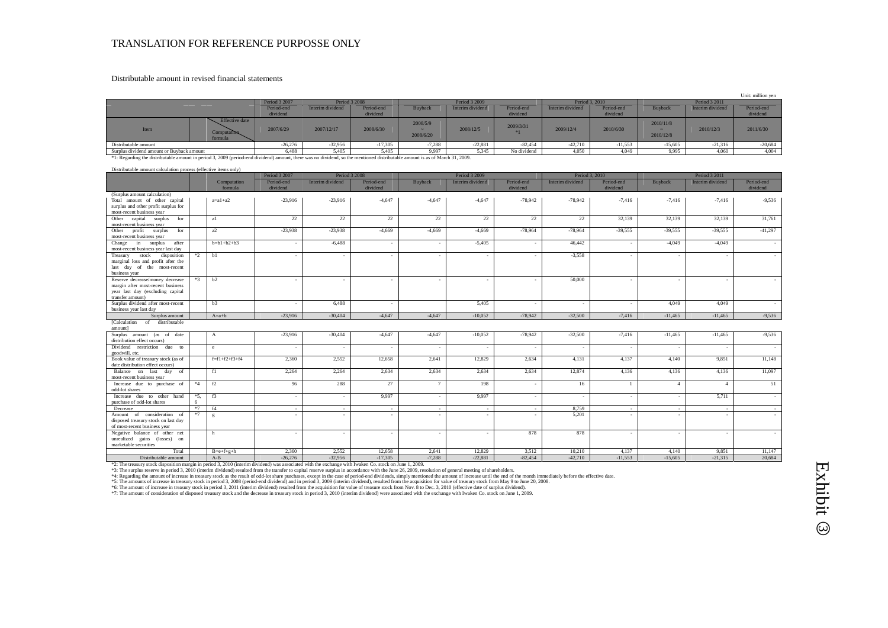### Distributable amount in revised financial statements

|                                                  |                        |                 |                        |                       |                  |                        |                  |                        |                                                    |                  | Unit: million yen      |
|--------------------------------------------------|------------------------|-----------------|------------------------|-----------------------|------------------|------------------------|------------------|------------------------|----------------------------------------------------|------------------|------------------------|
|                                                  | Period 3 2007          |                 | <b>Period 3 2008</b>   |                       | Period 3 2009    |                        |                  | Period 3, 2010         |                                                    | Period 3 2011    |                        |
|                                                  | Period-end<br>dividend | Interim dividen | Period-end<br>dividend | Buyback               | Interim dividend | Period-end<br>dividend | Interim dividend | Period-end<br>dividend | <b>Buyback</b>                                     | Interim dividend | Period-end<br>dividend |
| Effective date<br>Item<br>Computation<br>formula | 2007/6/29              | 2007/12/17      | 2008/6/30              | 2008/5/9<br>2008/6/20 | 2008/12/5        | 2009/3/31              | 2009/12/4        | 2010/6/30              | 2010/11/8<br>$\overline{\phantom{a}}$<br>2010/12/8 | 2010/12/3        | 2011/6/30              |
| Distributable amount                             | $-26,276$              | $-32,956$       | $-17,305$              | $-7,288$              | $-22,881$        | $-82,454$              | $-42,710$        | $-11,553$              | $-15,605$                                          | $-21,316$        | $-20,684$              |
| Surplus dividend amount or Buyback amount        | 6.488                  | 5.405           | 5,405                  | 9,997                 | 5.345            | No dividend            | 4,050            | 4.049                  | 9.995                                              | 4,060            | 4.004                  |

\*1: Regarding the distributable amount in period 3, 2009 (period-end dividend) amount, there was no dividend, so the mentioned distributable amount is as of March 31, 2009.

|                                                                      | Distributable amount calculation process (effective items only) |                        |                                |                  |                        |               |                  |                        |                          |                        |               |                   |                        |
|----------------------------------------------------------------------|-----------------------------------------------------------------|------------------------|--------------------------------|------------------|------------------------|---------------|------------------|------------------------|--------------------------|------------------------|---------------|-------------------|------------------------|
|                                                                      |                                                                 |                        | Period 3 2007<br>Period 3 2008 |                  |                        | Period 3 2009 |                  |                        | Period 3, 2010           |                        | Period 3 2011 |                   |                        |
|                                                                      |                                                                 | Computation<br>formula | Period-end<br>dividend         | Interim dividend | Period-end<br>dividend | Buyback       | Interim dividend | Period-end<br>dividend | Interim dividend         | Period-end<br>dividend | Buyback       | Interim dividend  | Period-end<br>dividend |
| (Surplus amount calculation)                                         |                                                                 |                        |                                |                  |                        |               |                  |                        |                          |                        |               |                   |                        |
| Total amount of other capital                                        |                                                                 | $a=a1+a2$              | $-23.916$                      | $-23.916$        | $-4.647$               | $-4.647$      | $-4.647$         | $-78.942$              | $-78.942$                | $-7.416$               | $-7,416$      | $-7,416$          | $-9.536$               |
| surplus and other profit surplus for<br>most-recent business year    |                                                                 |                        |                                |                  |                        |               |                  |                        |                          |                        |               |                   |                        |
| capital surplus<br>Other<br>for                                      |                                                                 | a1                     | 22                             | 22               | 22                     | 22            | 22               | 22                     | 22                       | 32,139                 | 32,139        | 32,139            | 31,761                 |
| most-recent business year                                            |                                                                 |                        |                                |                  |                        |               |                  |                        |                          |                        |               |                   |                        |
| profit surplus<br>for<br>Other                                       |                                                                 | a2                     | $-23,938$                      | $-23,938$        | $-4,669$               | $-4,669$      | $-4,669$         | $-78,964$              | $-78,964$                | $-39,555$              | $-39,555$     | $-39,555$         | $-41,297$              |
| most-recent business year                                            |                                                                 |                        |                                |                  |                        |               |                  |                        |                          |                        |               |                   |                        |
| in surplus<br>after<br>Change                                        |                                                                 | $b=b1+b2+b3$           |                                | $-6,488$         | ٠.                     |               | $-5,405$         |                        | 46,442                   |                        | $-4,049$      | $-4,049$          |                        |
| most-recent business year last day                                   |                                                                 |                        |                                |                  |                        |               |                  |                        |                          |                        |               |                   |                        |
| stock disposition<br>Treasury                                        | $*2$                                                            | b1                     |                                |                  |                        |               |                  |                        | $-3.558$                 |                        |               |                   |                        |
| marginal loss and profit after the                                   |                                                                 |                        |                                |                  |                        |               |                  |                        |                          |                        |               |                   |                        |
| last day of the most-recent                                          |                                                                 |                        |                                |                  |                        |               |                  |                        |                          |                        |               |                   |                        |
| business year                                                        |                                                                 |                        |                                |                  |                        |               |                  |                        |                          |                        |               |                   |                        |
| Reserve decrease/money decrease<br>margin after most-recent business | $*3$                                                            | b2                     |                                |                  |                        |               |                  |                        | 50,000                   |                        |               |                   |                        |
| year last day (excluding capital                                     |                                                                 |                        |                                |                  |                        |               |                  |                        |                          |                        |               |                   |                        |
| transfer amount)                                                     |                                                                 |                        |                                |                  |                        |               |                  |                        |                          |                        |               |                   |                        |
| Surplus dividend after most-recent                                   |                                                                 | b3                     |                                | 6,488            | ٠.                     |               | 5,405            | $\sim$                 |                          |                        | 4,049         | 4,049             |                        |
| business year last day                                               |                                                                 |                        |                                |                  |                        |               |                  |                        |                          |                        |               |                   |                        |
| Surplus amount                                                       |                                                                 | $A=a+b$                | $-23.916$                      | $-30,404$        | $-4.647$               | $-4.647$      | $-10.052$        | $-78.942$              | $-32.500$                | $-7,416$               | $-11.465$     | $-11.465$         | $-9,536$               |
| [Calculation of<br>distributable<br>amount]                          |                                                                 |                        |                                |                  |                        |               |                  |                        |                          |                        |               |                   |                        |
| Surplus amount (as of date                                           |                                                                 | $\mathbf{A}$           | $-23,916$                      | $-30,404$        | $-4,647$               | $-4,647$      | $-10,052$        | $-78,942$              | $-32,500$                | $-7,416$               | $-11,465$     | $-11,465$         | $-9,536$               |
| distribution effect occurs)                                          |                                                                 |                        |                                |                  |                        |               |                  |                        |                          |                        |               |                   |                        |
| Dividend restriction due to                                          |                                                                 | e                      | $\overline{\phantom{a}}$       |                  | ٠.                     |               |                  | ٠                      |                          |                        |               |                   |                        |
| goodwill, etc.                                                       |                                                                 |                        |                                |                  |                        |               |                  |                        |                          |                        |               |                   |                        |
| Book value of treasury stock (as of                                  |                                                                 | $f=f1+f2+f3+f4$        | 2,360                          | 2,552            | 12,658                 | 2,641         | 12,829           | 2,634                  | 4,131                    | 4,137                  | 4,140         | 9,851             | 11,148                 |
| date distribution effect occurs)                                     |                                                                 |                        |                                |                  |                        |               |                  |                        |                          |                        |               |                   |                        |
| Balance on last day of                                               |                                                                 | f1                     | 2,264                          | 2,264            | 2,634                  | 2.634         | 2.634            | 2,634                  | 12,874                   | 4,136                  | 4,136         | 4,136             | 11,097                 |
| most-recent business year                                            |                                                                 |                        |                                |                  |                        |               |                  |                        |                          |                        |               |                   |                        |
| Increase due to purchase of<br>odd-lot shares                        | $*4$                                                            | f2                     | 96                             | 288              | 27                     | 7             | 198              | ٠                      | 16                       |                        | $\Delta$      | $\mathbf{\Delta}$ | 51                     |
| Increase due to other hand                                           | $*5$ ,                                                          | f3                     |                                |                  | 9,997                  |               | 9,997            | ٠                      | $\overline{\phantom{a}}$ |                        |               | 5,711             | $\sim$                 |
| purchase of odd-lot shares                                           |                                                                 |                        | $\overline{\phantom{a}}$       |                  |                        |               |                  |                        |                          |                        |               |                   |                        |
| Decrease                                                             | $*7$                                                            | f4                     | $\sim$                         | $\sim$           | $\sim$                 | $\sim$        | $\sim$           | $\sim$                 | 8,759                    | $\sim$                 | ٠.            | $\sim$            | $\sim$                 |
| Amount of consideration of                                           | $*7$                                                            | g                      |                                |                  |                        |               |                  |                        | 5,201                    |                        |               |                   |                        |
| disposed treasury stock on last day                                  |                                                                 |                        |                                |                  |                        |               |                  |                        |                          |                        |               |                   |                        |
| of most-recent business year                                         |                                                                 |                        |                                |                  |                        |               |                  |                        |                          |                        |               |                   |                        |
| Negative balance of other net                                        |                                                                 | h                      | $\overline{\phantom{a}}$       | $\sim$           | ٠.                     |               | . .              | 878                    | 878                      |                        |               | $\blacksquare$    | $\sim$                 |
| unrealized gains (losses) on                                         |                                                                 |                        |                                |                  |                        |               |                  |                        |                          |                        |               |                   |                        |
| marketable securities                                                |                                                                 |                        |                                |                  |                        |               |                  |                        |                          |                        |               |                   |                        |
| Total                                                                |                                                                 | $B=e+f+g+h$            | 2.360                          | 2,552            | 12.658                 | 2.641         | 12,829           | 3.512                  | 10.210                   | 4,137                  | 4.140         | 9,851             | 11.147                 |
| Distributable amount                                                 |                                                                 | $A-B$                  | $-26,276$                      | $-32,956$        | $-17,305$              | $-7,288$      | $-22,881$        | $-82,454$              | $-42,710$                | $-11,553$              | $-15,605$     | $-21,315$         | 20,684                 |

\*2: The treasury stock disposition margin in period 3, 2010 (interim dividend) was associated with the exchange with Iwaken Co. stock on June 1, 2009.

\*3. The surplus reserve in period 3, 2010 (interim dividend) resulted from the transfer to capital reserve surplus in accordance with the June 26, 2009, resoluted mount of increase until the end of the mount of increase in

\*7: The amount of consideration of disposed treasury stock and the decrease in treasury stock in period 3, 2010 (interim dividend) were associated with the exchange with Iwaken Co. stock on June 1, 2009.

# Exhibit  $\odot$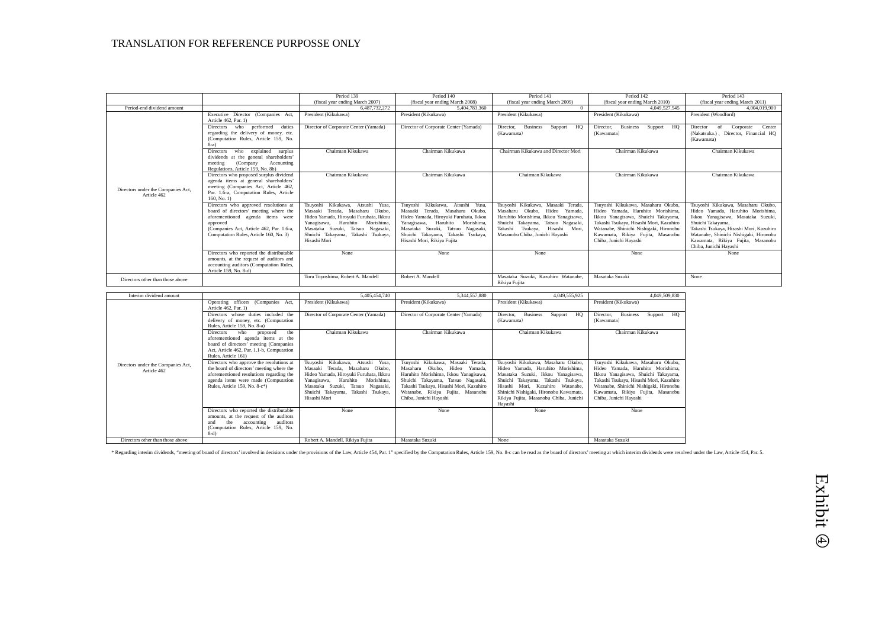|                                                   |                                                                                                                                                                                                                      | Period 139                                                                                                                                                                                                                                     | Period 140                                                                                                                                                                                                                                                 | Period 141                                                                                                                                                                                                              | Period 142                                                                                                                                                                                                                                                         | Period 143                                                                                                                                                                                                                                                                             |
|---------------------------------------------------|----------------------------------------------------------------------------------------------------------------------------------------------------------------------------------------------------------------------|------------------------------------------------------------------------------------------------------------------------------------------------------------------------------------------------------------------------------------------------|------------------------------------------------------------------------------------------------------------------------------------------------------------------------------------------------------------------------------------------------------------|-------------------------------------------------------------------------------------------------------------------------------------------------------------------------------------------------------------------------|--------------------------------------------------------------------------------------------------------------------------------------------------------------------------------------------------------------------------------------------------------------------|----------------------------------------------------------------------------------------------------------------------------------------------------------------------------------------------------------------------------------------------------------------------------------------|
|                                                   |                                                                                                                                                                                                                      | (fiscal year ending March 2007)                                                                                                                                                                                                                | (fiscal year ending March 2008)                                                                                                                                                                                                                            | (fiscal year ending March 2009)                                                                                                                                                                                         | (fiscal year ending March 2010)                                                                                                                                                                                                                                    | (fiscal year ending March 2011)                                                                                                                                                                                                                                                        |
| Period-end dividend amount                        |                                                                                                                                                                                                                      | 6.487.732.272                                                                                                                                                                                                                                  | 5.404.783.360                                                                                                                                                                                                                                              | $\Omega$                                                                                                                                                                                                                | 4.049.527.545                                                                                                                                                                                                                                                      | 4,004,019,900                                                                                                                                                                                                                                                                          |
|                                                   | Executive Director (Companies Act.<br>Article 462, Par. 1)                                                                                                                                                           | President (Kikukawa)                                                                                                                                                                                                                           | President (Kikukawa)                                                                                                                                                                                                                                       | President (Kikukawa)                                                                                                                                                                                                    | President (Kikukawa)                                                                                                                                                                                                                                               | President (Woodford)                                                                                                                                                                                                                                                                   |
|                                                   | who performed<br>duties<br>Directors<br>regarding the delivery of money, etc.<br>(Computation Rules, Article 159, No.<br>$8-a)$                                                                                      | Director of Corporate Center (Yamada)                                                                                                                                                                                                          | Director of Corporate Center (Yamada)                                                                                                                                                                                                                      | <b>Business</b><br>HQ<br>Director.<br>Support<br>(Kawamata)                                                                                                                                                             | Director.<br><b>Business</b><br>Support HQ<br>(Kawamata)                                                                                                                                                                                                           | Center<br>Corporate<br>Director<br>of<br>(Nakatsuka.), Director, Financial HQ<br>(Kawamata)                                                                                                                                                                                            |
|                                                   | who explained surplus<br><b>Directors</b><br>dividends at the general shareholders'<br>(Company<br>Accounting<br>meeting<br>Regulations, Article 159, No. 8b)                                                        | Chairman Kikukawa                                                                                                                                                                                                                              | Chairman Kikukawa                                                                                                                                                                                                                                          | Chairman Kikukawa and Director Mori                                                                                                                                                                                     | Chairman Kikukawa                                                                                                                                                                                                                                                  | Chairman Kikukawa                                                                                                                                                                                                                                                                      |
| Directors under the Companies Act.<br>Article 462 | Directors who proposed surplus dividend<br>agenda items at general shareholders'<br>meeting (Companies Act, Article 462,<br>Par. 1.6-a. Computation Rules. Article<br>160, No. 1)                                    | Chairman Kikukawa                                                                                                                                                                                                                              | Chairman Kikukawa                                                                                                                                                                                                                                          | Chairman Kikukawa                                                                                                                                                                                                       | Chairman Kikukawa                                                                                                                                                                                                                                                  | Chairman Kikukawa                                                                                                                                                                                                                                                                      |
|                                                   | Directors who approved resolutions at<br>board of directors' meeting where the<br>aforementioned agenda items were<br>approved<br>(Companies Act, Article 462, Par. 1.6-a,<br>Computation Rules, Article 160, No. 3) | Kikukawa, Atsushi Yusa,<br>Tsuvoshi<br>Masaaki Terada, Masaharu Okubo,<br>Hideo Yamada, Hirovuki Furuhata, Ikkou<br>Yanagisawa, Haruhito Morishima,<br>Masataka Suzuki. Tatsuo Nagasaki.<br>Shuichi Takayama, Takashi Tsukaya,<br>Hisashi Mori | Tsuvoshi Kikukawa, Atsushi Yusa,<br>Masaaki Terada, Masaharu Okubo.<br>Hideo Yamada, Hirovuki Furuhata, Ikkou<br>Yanagisawa, Haruhito Morishima,<br>Masataka Suzuki, Tatsuo Nagasaki,<br>Shuichi Takayama, Takashi Tsukaya,<br>Hisashi Mori, Rikiya Fujita | Tsuvoshi Kikukawa, Masaaki Terada,<br>Masaharu Okubo, Hideo Yamada,<br>Haruhito Morishima, Ikkou Yanagisawa,<br>Shuichi Takayama, Tatsuo Nagasaki,<br>Takashi Tsukava, Hisashi Mori,<br>Masanobu Chiba, Junichi Havashi | Tsuvoshi Kikukawa, Masaharu Okubo,<br>Hideo Yamada, Haruhito Morishima,<br>Ikkou Yanagisawa, Shuichi Takayama,<br>Takashi Tsukaya, Hisashi Mori, Kazuhiro<br>Watanabe, Shinichi Nishigaki, Hironobu<br>Kawamata, Rikiya Fujita, Masanobu<br>Chiba, Junichi Hayashi | Tsuyoshi Kikukawa, Masaharu Okubo,<br>Hideo Yamada, Haruhito Morishima,<br>Ikkou Yanagisawa, Masataka Suzuki,<br>Shuichi Takayama,<br>Takashi Tsukaya, Hisashi Mori, Kazuhiro<br>Watanabe, Shinichi Nishigaki, Hironobu<br>Kawamata, Rikiya Fujita, Masanobu<br>Chiba, Junichi Havashi |
|                                                   | Directors who reported the distributable<br>amounts, at the request of auditors and<br>accounting auditors (Computation Rules,<br>Article 159, No. 8-d)                                                              | <b>None</b>                                                                                                                                                                                                                                    | None                                                                                                                                                                                                                                                       | None                                                                                                                                                                                                                    | None                                                                                                                                                                                                                                                               | None                                                                                                                                                                                                                                                                                   |
| Directors other than those above                  |                                                                                                                                                                                                                      | Toru Tovoshima, Robert A. Mandell                                                                                                                                                                                                              | Robert A. Mandell                                                                                                                                                                                                                                          | Masataka Suzuki, Kazuhiro Watanabe,<br>Rikiya Fujita                                                                                                                                                                    | Masataka Suzuki                                                                                                                                                                                                                                                    | None                                                                                                                                                                                                                                                                                   |

| Interim dividend amount                           |                                                                                                                                                                                                           | 5.405.454.740                                                                                                                                                                                                                                                 | 5.344.557.880                                                                                                                                                                                                                                                | 4.049.555.925                                                                                                                                                                                                                                                                          | 4.049.509.830                                                                                                                                                                                                                                                      |
|---------------------------------------------------|-----------------------------------------------------------------------------------------------------------------------------------------------------------------------------------------------------------|---------------------------------------------------------------------------------------------------------------------------------------------------------------------------------------------------------------------------------------------------------------|--------------------------------------------------------------------------------------------------------------------------------------------------------------------------------------------------------------------------------------------------------------|----------------------------------------------------------------------------------------------------------------------------------------------------------------------------------------------------------------------------------------------------------------------------------------|--------------------------------------------------------------------------------------------------------------------------------------------------------------------------------------------------------------------------------------------------------------------|
|                                                   | Operating officers (Companies Act,<br>Article 462, Par. 1)                                                                                                                                                | President (Kikukawa)                                                                                                                                                                                                                                          | President (Kikukawa)                                                                                                                                                                                                                                         | President (Kikukawa)                                                                                                                                                                                                                                                                   | President (Kikukawa)                                                                                                                                                                                                                                               |
|                                                   | Directors whose duties included the<br>delivery of money, etc. (Computation<br>Rules, Article 159, No. 8-a)                                                                                               | Director of Corporate Center (Yamada)                                                                                                                                                                                                                         | Director of Corporate Center (Yamada)                                                                                                                                                                                                                        | <b>Business</b><br>HO<br>Director,<br>Support<br>(Kawamata)                                                                                                                                                                                                                            | HQ<br>Director,<br><b>Business</b><br>Support<br>(Kawamata)                                                                                                                                                                                                        |
|                                                   | who<br>Directors<br>the<br>proposed<br>aforementioned agenda items at the<br>board of directors' meeting (Companies<br>Act, Article 462, Par. 1.1-b, Computation<br>Rules, Article 161)                   | Chairman Kikukawa                                                                                                                                                                                                                                             | Chairman Kikukawa                                                                                                                                                                                                                                            | Chairman Kikukawa                                                                                                                                                                                                                                                                      | Chairman Kikukawa                                                                                                                                                                                                                                                  |
| Directors under the Companies Act,<br>Article 462 | Directors who approve the resolutions at<br>the board of directors' meeting where the<br>aforementioned resolutions regarding the<br>agenda items were made (Computation<br>Rules, Article 159, No. 8-c*) | Kikukawa, Atsushi<br>Yusa.<br>Tsuyoshi<br>Terada, Masaharu Okubo,<br>Masaaki<br>Hideo Yamada, Hiroyuki Furuhata, Ikkou<br>Haruhito<br>Yanagisawa,<br>Morishima.<br>Masataka Suzuki, Tatsuo Nagasaki,<br>Shuichi Takayama,<br>Takashi Tsukaya,<br>Hisashi Mori | Tsuyoshi Kikukawa, Masaaki Terada,<br>Masaharu Okubo, Hideo Yamada,<br>Haruhito Morishima, Ikkou Yanagisawa,<br>Shuichi Takayama, Tatsuo Nagasaki,<br>Takashi Tsukaya, Hisashi Mori, Kazuhiro<br>Watanabe, Rikiya Fujita, Masanobu<br>Chiba, Junichi Hayashi | Tsuyoshi Kikukawa, Masaharu Okubo,<br>Hideo Yamada, Haruhito Morishima,<br>Masataka Suzuki, Ikkou Yanagisawa,<br>Shuichi Takayama, Takashi Tsukaya,<br>Hisashi Mori, Kazuhiro Watanabe,<br>Shinichi Nishigaki, Hironobu Kawamata,<br>Rikiya Fujita, Masanobu Chiba, Junichi<br>Hayashi | Tsuyoshi Kikukawa, Masaharu Okubo,<br>Hideo Yamada, Haruhito Morishima,<br>Ikkou Yanagisawa, Shuichi Takayama,<br>Takashi Tsukaya, Hisashi Mori, Kazuhiro<br>Watanabe, Shinichi Nishigaki, Hironobu<br>Kawamata, Rikiya Fujita, Masanobu<br>Chiba, Junichi Hayashi |
|                                                   | Directors who reported the distributable<br>amounts, at the request of the auditors<br>the<br>auditors<br>accounting<br>and<br>(Computation Rules, Article 159, No.<br>$8-d$                              | None                                                                                                                                                                                                                                                          | None                                                                                                                                                                                                                                                         | None                                                                                                                                                                                                                                                                                   | None                                                                                                                                                                                                                                                               |
| Directors other than those above                  |                                                                                                                                                                                                           | Robert A. Mandell, Rikiya Fujita                                                                                                                                                                                                                              | Masataka Suzuki                                                                                                                                                                                                                                              | None                                                                                                                                                                                                                                                                                   | Masataka Suzuki                                                                                                                                                                                                                                                    |

\* Regarding interim dividends, "meeting of board of directors' involved in decisions under the provisions of the Law, Article 454, Par. 1" specified by the Computation Rules, Article 159, No. 8-c can be read as the board o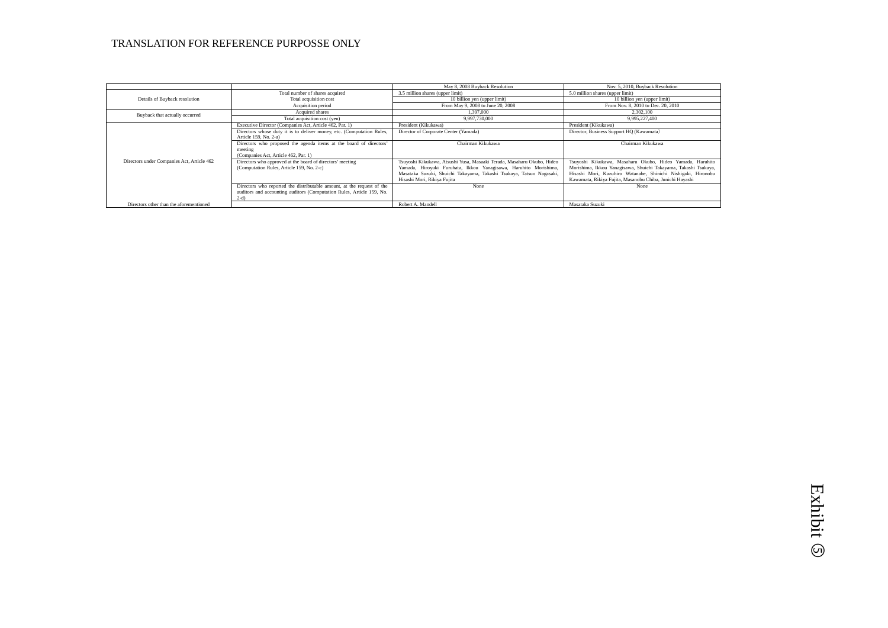|                                            |                                                                                                                                                          | May 8, 2008 Buyback Resolution                                                                                                                                                                                                                    | Nov. 5, 2010, Buyback Resolution                                                                                                                                                                                                                          |
|--------------------------------------------|----------------------------------------------------------------------------------------------------------------------------------------------------------|---------------------------------------------------------------------------------------------------------------------------------------------------------------------------------------------------------------------------------------------------|-----------------------------------------------------------------------------------------------------------------------------------------------------------------------------------------------------------------------------------------------------------|
|                                            | Total number of shares acquired                                                                                                                          | 3.5 million shares (upper limit)                                                                                                                                                                                                                  | 5.0 million shares (upper limit)                                                                                                                                                                                                                          |
| Details of Buyback resolution              | Total acquisition cost                                                                                                                                   | 10 billion yen (upper limit)                                                                                                                                                                                                                      | 10 billion yen (upper limit)                                                                                                                                                                                                                              |
|                                            | Acquisition period                                                                                                                                       | From May 9, 2008 to June 20, 2008                                                                                                                                                                                                                 | From Nov. 8, 2010 to Dec. 20, 2010                                                                                                                                                                                                                        |
| Buyback that actually occurred             | Acquired shares                                                                                                                                          | 1.397.000                                                                                                                                                                                                                                         | 2,302,100                                                                                                                                                                                                                                                 |
|                                            | Total acquisition cost (yen)                                                                                                                             | 9.997.730.000                                                                                                                                                                                                                                     | 9.995.227.400                                                                                                                                                                                                                                             |
|                                            | Executive Director (Companies Act, Article 462, Par. 1)                                                                                                  | President (Kikukawa)                                                                                                                                                                                                                              | President (Kikukawa)                                                                                                                                                                                                                                      |
|                                            | Directors whose duty it is to deliver money, etc. (Computation Rules,<br>Article 159, No. 2-a)                                                           | Director of Corporate Center (Yamada)                                                                                                                                                                                                             | Director, Business Support HQ (Kawamata)                                                                                                                                                                                                                  |
|                                            | Directors who proposed the agenda items at the board of directors'<br>meeting<br>(Companies Act, Article 462, Par. 1)                                    | Chairman Kikukawa                                                                                                                                                                                                                                 | Chairman Kikukawa                                                                                                                                                                                                                                         |
| Directors under Companies Act, Article 462 | Directors who approved at the board of directors' meeting<br>(Computation Rules, Article 159, No. 2-c)                                                   | Tsuyoshi Kikukawa, Atsushi Yusa, Masaaki Terada, Masaharu Okubo, Hideo<br>Yamada, Hiroyuki Furuhata, Ikkou Yanagisawa, Haruhito Morishima,<br>Masataka Suzuki, Shuichi Takayama, Takashi Tsukaya, Tatsuo Nagasaki,<br>Hisashi Mori, Rikiya Fujita | Tsuyoshi Kikukawa, Masaharu Okubo, Hideo Yamada, Haruhito<br>Morishima, Ikkou Yanagisawa, Shuichi Takayama, Takashi Tsukaya,<br>Hisashi Mori, Kazuhiro Watanabe, Shinichi Nishigaki, Hironobu<br>Kawamata, Rikiya Fujita, Masanobu Chiba, Junichi Hayashi |
|                                            | Directors who reported the distributable amount, at the request of the<br>auditors and accounting auditors (Computation Rules, Article 159, No.<br>$2-d$ | None                                                                                                                                                                                                                                              | None                                                                                                                                                                                                                                                      |
| Directors other than the aforementioned    |                                                                                                                                                          | Robert A. Mandell                                                                                                                                                                                                                                 | Masataka Suzuki                                                                                                                                                                                                                                           |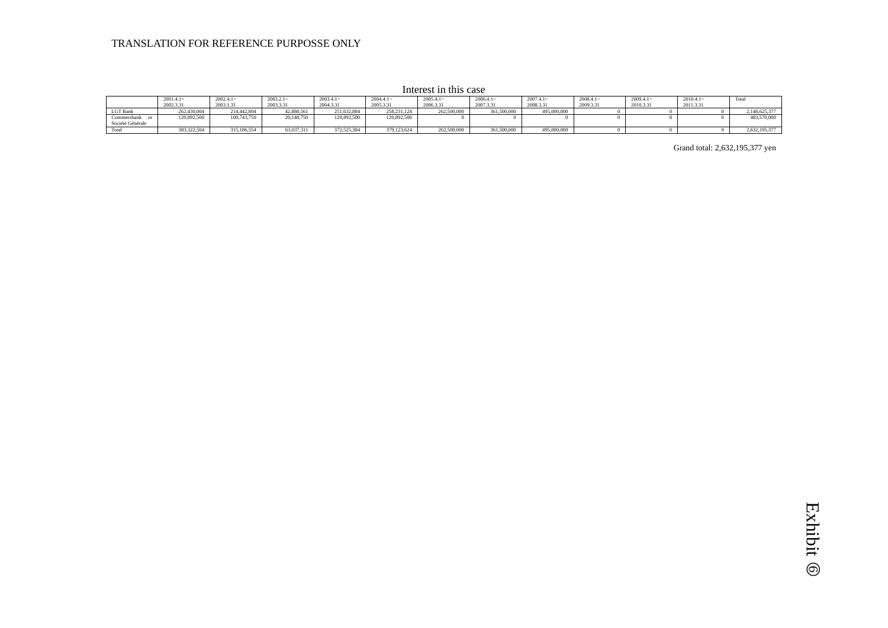$2001.4.1~$  $262,430,004$ 2002.4.1~ 2003.1.31 214,442,804 2003.2.1~ 2003.3.31  $42,888,561$ 2003.4.1~ 2004.3.31 251,632,884 2004.4.1~ 2005.3.31  $258,231,124$ 2005.4.1~ 2006.3.31 262,500,000 2006.4.1~ 2007.3.31  $361,500,000$ 2007.4.1~ 2008.3.31 495,000,000 2008.4.1~ 2009.3.31 2009.4.1~ 2010.3.31 2010.4.1~ 2011.3.31 Total LGT Bank 262,430,004 214,442,804 42,888,561 251,632,884 258,231,124 262,500,000 361,500,000 495,000,000 0 0 0 2,148,625,377 Commerzbank or Société Générale 120,892,500 | 100,743,750 | 20,148,750 | 120,892,500 | 120,892,500 | 0 0 0 0 0 0 0 0 0 0 0 0 0 483,570,000 Total 383,322,504 315,186,554 63,037,311 372,525,384 379,123,624 262,500,000 361,500,000 495,000,000 0 0 0 2,632,195,377

Grand total: 2,632,195,377 yen

Interest in this case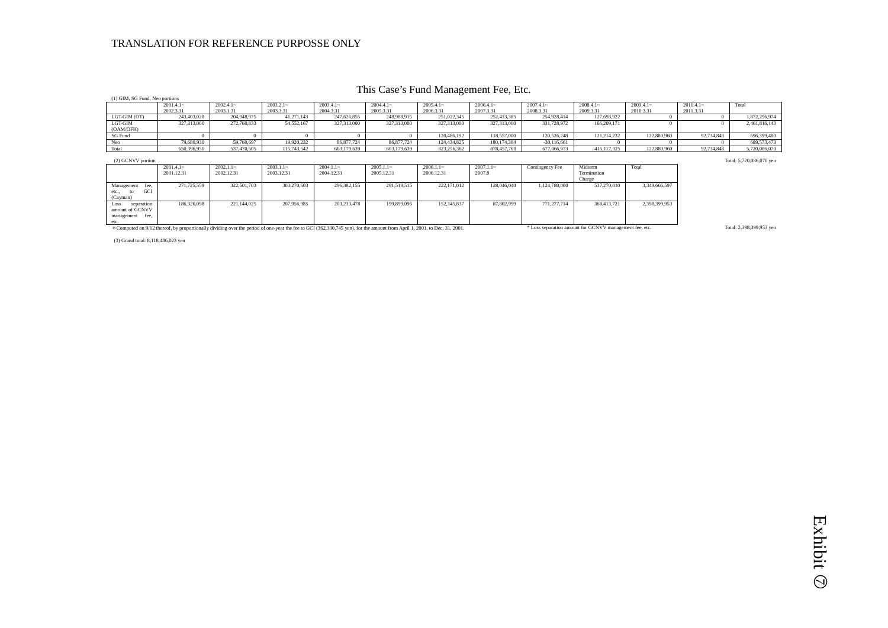## This Case's Fund Management Fee, Etc.

|                                                             |                           |                            |                           |                            |                           | $\ldots$ $\ldots$ $\ldots$ $\ldots$ $\ldots$ $\ldots$ $\ldots$ $\ldots$ $\ldots$ $\ldots$ $\ldots$ $\ldots$ $\ldots$ |                        |                 |                                  |               |             |               |
|-------------------------------------------------------------|---------------------------|----------------------------|---------------------------|----------------------------|---------------------------|----------------------------------------------------------------------------------------------------------------------|------------------------|-----------------|----------------------------------|---------------|-------------|---------------|
| (1) GIM, SG Fund, Neo portions                              |                           |                            |                           |                            |                           |                                                                                                                      |                        |                 |                                  |               |             |               |
|                                                             | $2001.4.1-$               | $2002.4.1-$                | $2003.2.1-$               | $2003.4.1-$                | $2004.4.1-$               | $2005.4.1-$                                                                                                          | $2006.4.1-$            | $2007.4.1-$     | $2008.4.1-$                      | $2009.4.1-$   | $2010.4.1-$ | Total         |
|                                                             | 2002.3.31                 | 2003.1.31                  | 2003.3.31                 | 2004.3.31                  | 2005.3.31                 | 2006.3.31                                                                                                            | 2007.3.31              | 2008.3.31       | 2009.3.31                        | 2010.3.31     | 2011.3.31   |               |
| LGT-GIM (OT)                                                | 243,403,020               | 204,948,975                | 41,271,143                | 247,626,855                | 248,988,915               | 251,022,345                                                                                                          | 252,413,385            | 254,928,414     | 127,693,922                      |               | $\Omega$    | 1,872,296,974 |
| LGT-GIM<br>(OAM/OFH)                                        | 327,313,000               | 272,760,833                | 54,552,167                | 327,313,000                | 327,313,000               | 327,313,000                                                                                                          | 327,313,000            | 331,728,972     | 166,209,171                      |               | $\Omega$    | 2,461,816,143 |
| SG Fund                                                     |                           |                            |                           |                            |                           | 120,486,192                                                                                                          | 118,557,000            | 120,526,248     | 121.214.232                      | 122,880,960   | 92,734,848  | 696,399,480   |
| Neo                                                         | 79,680,930                | 59,760,697                 | 19,920,232                | 86,877,724                 | 86,877,724                | 124,434,825                                                                                                          | 180, 174, 384          | $-30,116,661$   |                                  |               | $\Omega$    | 689,573,473   |
| Total                                                       | 650,396,950               | 537,470,505                | 115,743,542               | 663,179,639                | 663,179,639               | 823,256,362                                                                                                          | 878,457,769            | 677,066,973     | 415, 117, 325                    | 122,880,960   | 92,734,848  | 5,720,086,070 |
| (2) GCNVV portion                                           | Total: 5,720,086,070 yen  |                            |                           |                            |                           |                                                                                                                      |                        |                 |                                  |               |             |               |
|                                                             | $2001.4.1-$<br>2001.12.31 | $2002.1.1 -$<br>2002.12.31 | $2003.1.1-$<br>2003.12.31 | $2004.1.1 -$<br>2004.12.31 | $2005.1.1-$<br>2005.12.31 | $2006.1.1-$<br>2006.12.31                                                                                            | $2007.1.1 -$<br>2007.8 | Contingency Fee | Midterm<br>Termination<br>Charge | Total         |             |               |
| Management<br>fee.<br>GCI<br>etc.,<br>(Cayman)              | 271,725,559               | 322,501,703                | 303.270.603               | 296, 382, 155              | 291,519,515               | 222,171,012                                                                                                          | 128,046,040            | 1.124.780.000   | 537,270,010                      | 3.349.666.597 |             |               |
| Loss<br>separation<br>amount of GCNVV<br>management<br>fee, | 186,326,098               | 221.144.025                | 207,956,985               | 203,233,478                | 199,899,096               | 152,345,837                                                                                                          | 87,802,999             | 771.277.714     | 368,413,721                      | 2,398,399,953 |             |               |

etc.<br>\*Computed on 9/12 thereof, by proportionally dividing over the period of one-year the fee to GCI (362,300,745 yen), for the amount from April 1, 2001, to Dec. 31, 2001.

(3) Grand total: 8,118,486,023 yen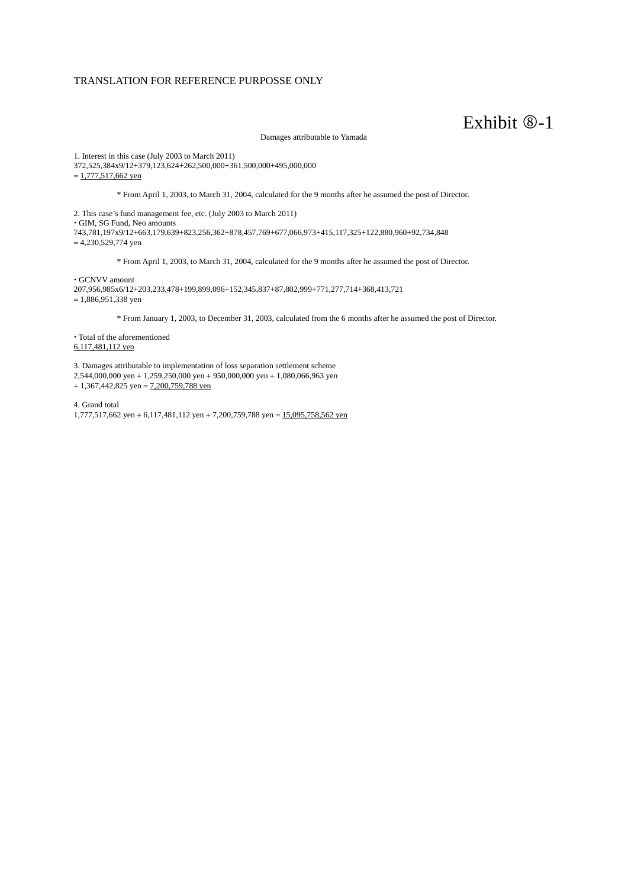## Exhibit  $\mathcal{D}-1$

Damages attributable to Yamada

1. Interest in this case (July 2003 to March 2011) 372,525,384x9/12+379,123,624+262,500,000+361,500,000+495,000,000  $= 1,777,517,662$  yen

\* From April 1, 2003, to March 31, 2004, calculated for the 9 months after he assumed the post of Director.

2. This case's fund management fee, etc. (July 2003 to March 2011) GIM, SG Fund, Neo amounts 743,781,197x9/12+663,179,639+823,256,362+878,457,769+677,066,973+415,117,325+122,880,960+92,734,848  $= 4,230,529,774$  yen

\* From April 1, 2003, to March 31, 2004, calculated for the 9 months after he assumed the post of Director.

GCNVV amount

207,956,985x6/12+203,233,478+199,899,096+152,345,837+87,802,999+771,277,714+368,413,721  $= 1.886,951,338$  yen

\* From January 1, 2003, to December 31, 2003, calculated from the 6 months after he assumed the post of Director.

 Total of the aforementioned 6,117,481,112 yen

3. Damages attributable to implementation of loss separation settlement scheme

 $2,544,000,000$  yen +  $1,259,250,000$  yen +  $950,000,000$  yen +  $1,080,066,963$  yen

 $+1,367,442,825$  yen =  $7,200,759,788$  yen

4. Grand total  $1,777,517,662$  yen  $+ 6,117,481,112$  yen  $+ 7,200,759,788$  yen  $= 15,095,758,562$  yen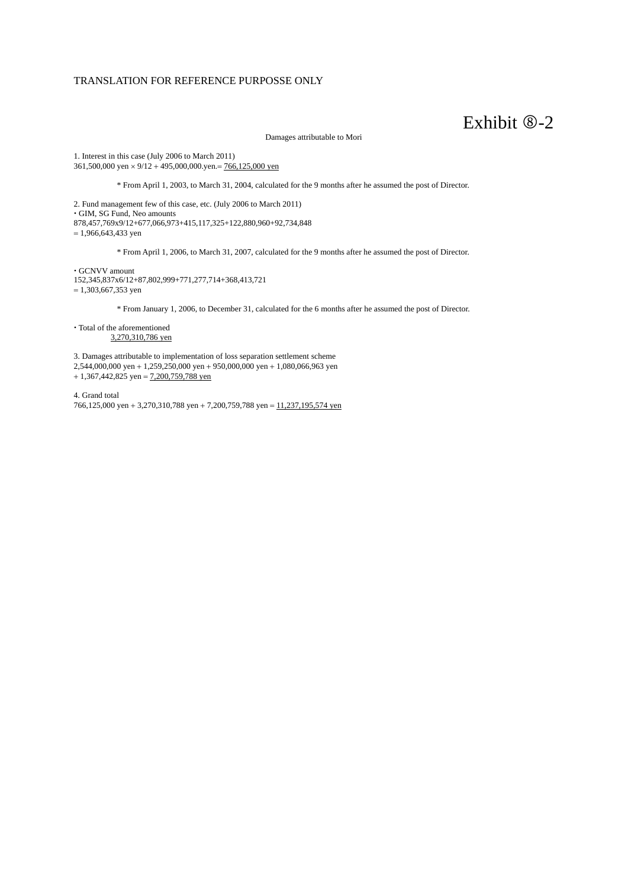## Exhibit  $\mathcal{D}-2$

Damages attributable to Mori

1. Interest in this case (July 2006 to March 2011) 361,500,000 yen  $\times$  9/12 + 495,000,000.yen. = 766,125,000 yen

\* From April 1, 2003, to March 31, 2004, calculated for the 9 months after he assumed the post of Director.

2. Fund management few of this case, etc. (July 2006 to March 2011) GIM, SG Fund, Neo amounts 878,457,769x9/12+677,066,973+415,117,325+122,880,960+92,734,848  $= 1,966,643,433$  yen

\* From April 1, 2006, to March 31, 2007, calculated for the 9 months after he assumed the post of Director.

 $\cdot$  GCNVV amount 152,345,837x6/12+87,802,999+771,277,714+368,413,721  $= 1,303,667,353$  yen

\* From January 1, 2006, to December 31, calculated for the 6 months after he assumed the post of Director.

 $\cdot$  Total of the aforementioned 3,270,310,786 yen

3. Damages attributable to implementation of loss separation settlement scheme  $2,544,000,000$  yen +  $1,259,250,000$  yen +  $950,000,000$  yen +  $1,080,066,963$  yen

 $+1,367,442,825$  yen = 7,200,759,788 yen

4. Grand total 766,125,000 yen + 3,270,310,788 yen + 7,200,759,788 yen =  $11,237,195,574$  yen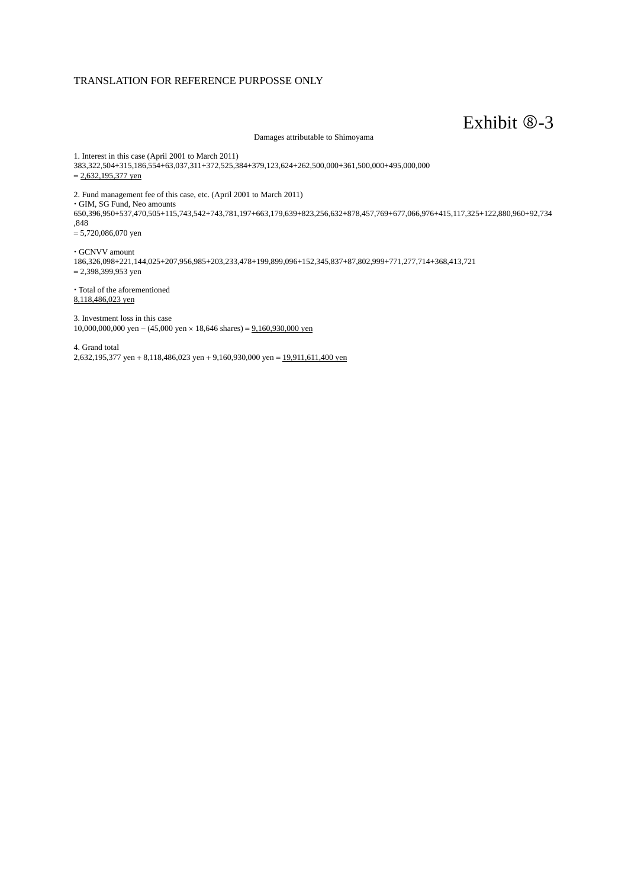## Exhibit  $\otimes$ -3

Damages attributable to Shimoyama

1. Interest in this case (April 2001 to March 2011) 383,322,504+315,186,554+63,037,311+372,525,384+379,123,624+262,500,000+361,500,000+495,000,000  $= 2,632,195,377$  yen

2. Fund management fee of this case, etc. (April 2001 to March 2011) GIM, SG Fund, Neo amounts 650,396,950+537,470,505+115,743,542+743,781,197+663,179,639+823,256,632+878,457,769+677,066,976+415,117,325+122,880,960+92,734 ,848 5,720,086,070 yen

 GCNVV amount 186,326,098+221,144,025+207,956,985+203,233,478+199,899,096+152,345,837+87,802,999+771,277,714+368,413,721  $= 2,398,399,953$  yen

 Total of the aforementioned 8,118,486,023 yen

3. Investment loss in this case 10,000,000,000 yen  $-$  (45,000 yen  $\times$  18,646 shares) = 9,160,930,000 yen

4. Grand total 2,632,195,377 yen + 8,118,486,023 yen + 9,160,930,000 yen =  $19,911,611,400$  yen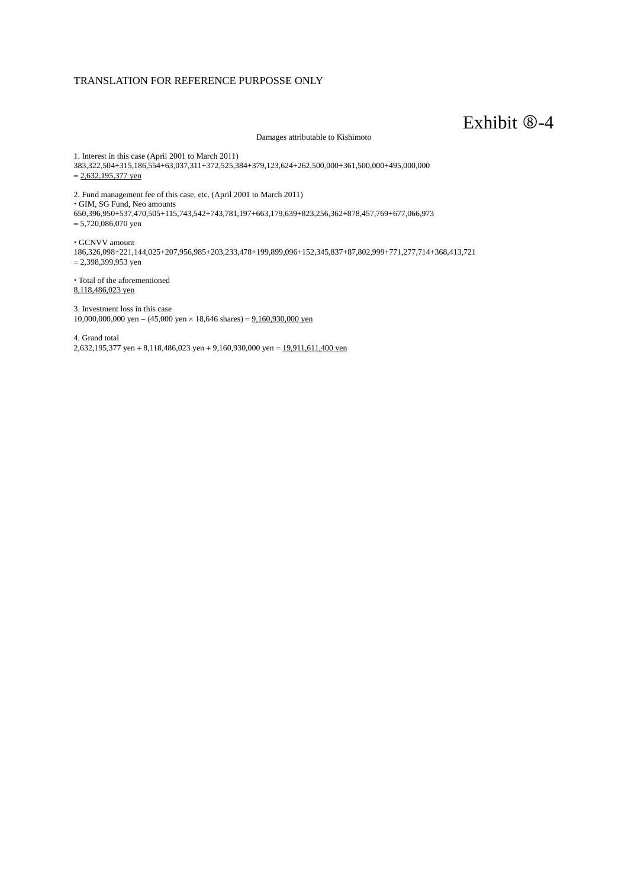## Exhibit  $\otimes$ -4

Damages attributable to Kishimoto

1. Interest in this case (April 2001 to March 2011) 383,322,504+315,186,554+63,037,311+372,525,384+379,123,624+262,500,000+361,500,000+495,000,000  $= 2,632,195,377$  yen

2. Fund management fee of this case, etc. (April 2001 to March 2011) GIM, SG Fund, Neo amounts 650,396,950+537,470,505+115,743,542+743,781,197+663,179,639+823,256,362+878,457,769+677,066,973 5,720,086,070 yen

 GCNVV amount 186,326,098+221,144,025+207,956,985+203,233,478+199,899,096+152,345,837+87,802,999+771,277,714+368,413,721 2,398,399,953 yen

 Total of the aforementioned 8,118,486,023 yen

3. Investment loss in this case 10,000,000,000 yen  $- (45,000 \text{ yen} \times 18,646 \text{ shares}) = 9,160,930,000 \text{ yen}$ 

4. Grand total 2,632,195,377 yen + 8,118,486,023 yen + 9,160,930,000 yen =  $19,911,611,400$  yen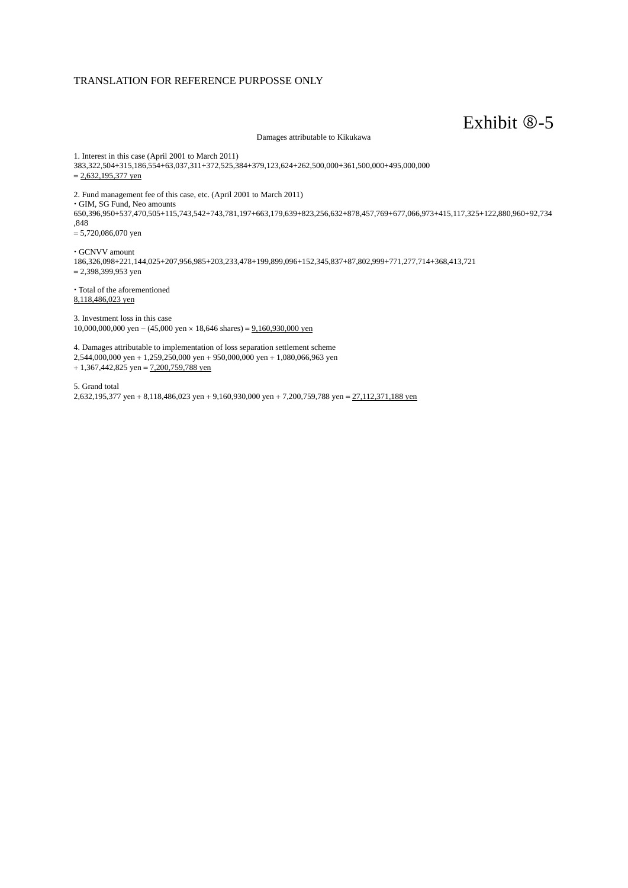## Exhibit  $\otimes$ -5

Damages attributable to Kikukawa

1. Interest in this case (April 2001 to March 2011) 383,322,504+315,186,554+63,037,311+372,525,384+379,123,624+262,500,000+361,500,000+495,000,000  $= 2,632,195,377$  yen

2. Fund management fee of this case, etc. (April 2001 to March 2011) GIM, SG Fund, Neo amounts 650,396,950+537,470,505+115,743,542+743,781,197+663,179,639+823,256,632+878,457,769+677,066,973+415,117,325+122,880,960+92,734 ,848 5,720,086,070 yen

 GCNVV amount 186,326,098+221,144,025+207,956,985+203,233,478+199,899,096+152,345,837+87,802,999+771,277,714+368,413,721  $= 2,398,399,953$  yen

 Total of the aforementioned 8,118,486,023 yen

3. Investment loss in this case 10,000,000,000 yen  $-$  (45,000 yen  $\times$  18,646 shares) = 9,160,930,000 yen

4. Damages attributable to implementation of loss separation settlement scheme 2,544,000,000 yen 1,259,250,000 yen 950,000,000 yen 1,080,066,963 yen  $+1,367,442,825$  yen = 7,200,759,788 yen

5. Grand total 2,632,195,377 yen + 8,118,486,023 yen + 9,160,930,000 yen + 7,200,759,788 yen =  $27,112,371,188$  yen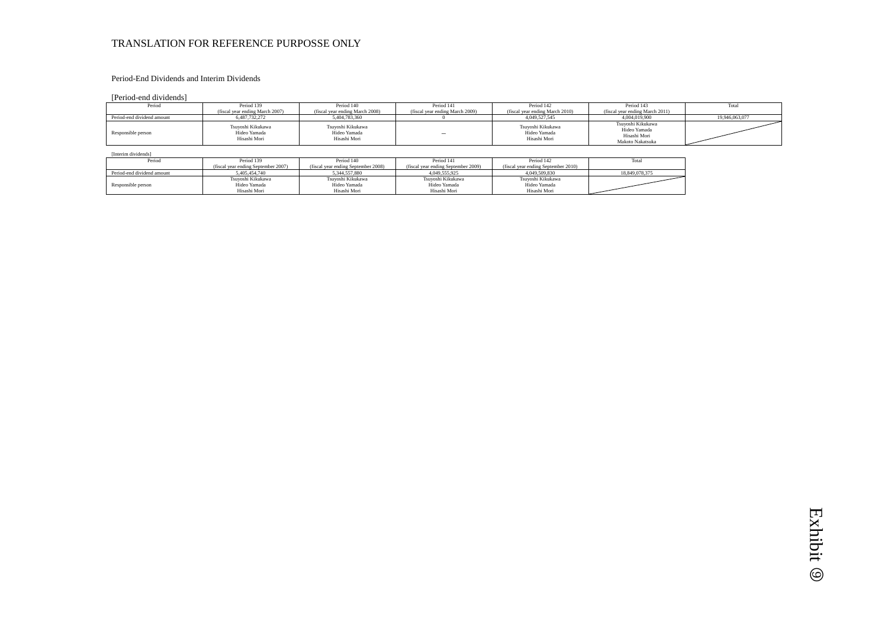### Period-End Dividends and Interim Dividends

[Period-end dividends]

| Period                     | Period 139                                        | Period 140                                        | Period 141                      | Period 142                                        | Period 143                                                            | Total          |
|----------------------------|---------------------------------------------------|---------------------------------------------------|---------------------------------|---------------------------------------------------|-----------------------------------------------------------------------|----------------|
|                            | (fiscal year ending March 2007)                   | (fiscal year ending March 2008)                   | (fiscal vear ending March 2009) | (fiscal year ending March 2010)                   | (fiscal year ending March 2011)                                       |                |
| Period-end dividend amount | 6,487,732,272                                     | 5.404.783.360                                     |                                 | 4.049.527.545                                     | 4,004,019,900                                                         | 19.946.063.077 |
| Responsible person         | Tsuvoshi Kikukawa<br>Hideo Yamada<br>Hisashi Mori | Tsuvoshi Kikukawa<br>Hideo Yamada<br>Hisashi Mori | $\overline{\phantom{0}}$        | Tsuvoshi Kikukawa<br>Hideo Yamada<br>Hisashi Mori | Tsuvoshi Kikukawa<br>Hideo Yamada<br>Hisashi Mori<br>Makoto Nakatsuka |                |

| [Interim dividends]        |                                     |                                     |                                     |                                     |                |
|----------------------------|-------------------------------------|-------------------------------------|-------------------------------------|-------------------------------------|----------------|
| Period                     | Period 139                          | Period 140                          | Period 141                          | Period 142                          | Total          |
|                            | (fiscal year ending September 2007) | (fiscal year ending September 2008) | (fiscal year ending September 2009) | (fiscal year ending September 2010) |                |
| Period-end dividend amount | 5.405.454.740                       | 5.344.557.880                       | 4.049.555.925                       | 4.049.509.830                       | 18.849.078.375 |
|                            | Tsuyoshi Kikukawa                   | Tsuyoshi Kikukawa                   | Tsuyoshi Kikukawa                   | Tsuyoshi Kikukawa                   |                |
| Responsible person         | Hideo Yamada                        | Hideo Yamada                        | Hideo Yamada                        | Hideo Yamada                        |                |
|                            | Hisashi Mori                        | Hisashi Mori                        | Hisashi Mori                        | Hisashi Mori                        |                |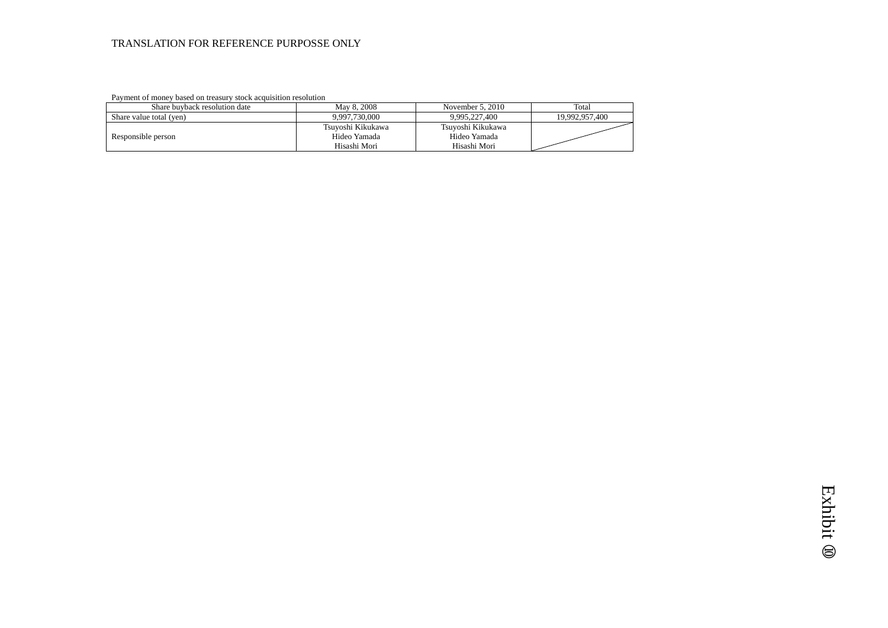Payment of money based on treasury stock acquisition resolution

| Share buyback resolution date | May 8, 2008                                       | November 5, 2010                                  | Total          |
|-------------------------------|---------------------------------------------------|---------------------------------------------------|----------------|
| Share value total (yen)       | 9.997.730.000                                     | 9,995,227,400                                     | 19.992.957.400 |
| Responsible person            | Tsuvoshi Kikukawa<br>Hideo Yamada<br>Hisashi Mori | Tsuvoshi Kikukawa<br>Hideo Yamada<br>Hisashi Mori |                |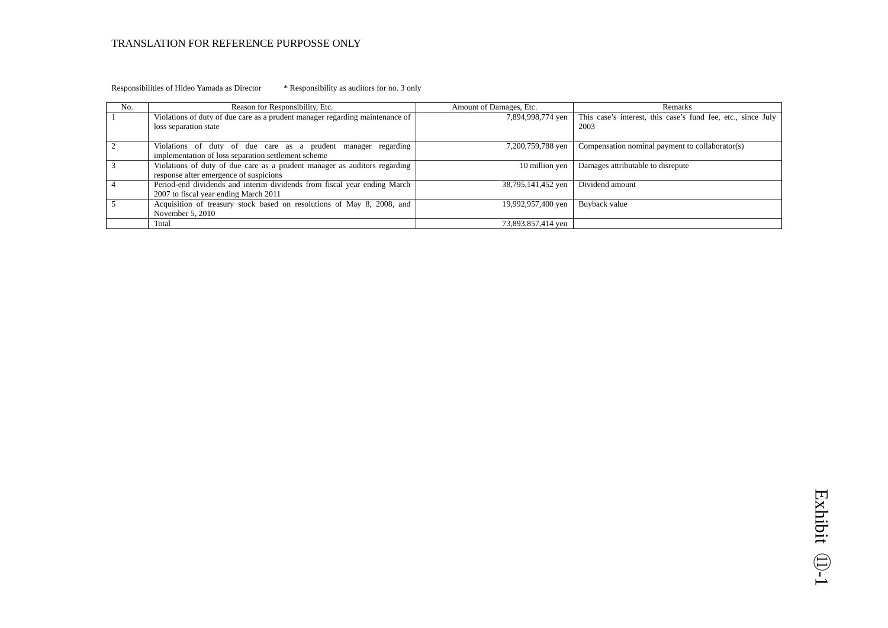#### Responsibilities of Hideo Yamada as Director \* Responsibility as auditors for no. 3 only

| No. | Reason for Responsibility, Etc.                                                                                      | Amount of Damages, Etc. | Remarks                                                                                |
|-----|----------------------------------------------------------------------------------------------------------------------|-------------------------|----------------------------------------------------------------------------------------|
|     | Violations of duty of due care as a prudent manager regarding maintenance of<br>loss separation state                |                         | 7,894,998,774 yen This case's interest, this case's fund fee, etc., since July<br>2003 |
|     | Violations of duty of due care as a prudent manager regarding<br>implementation of loss separation settlement scheme | 7,200,759,788 yen       | Compensation nominal payment to collaborator(s)                                        |
|     | Violations of duty of due care as a prudent manager as auditors regarding<br>response after emergence of suspicions  | 10 million yen          | Damages attributable to disrepute                                                      |
|     | Period-end dividends and interim dividends from fiscal year ending March<br>2007 to fiscal year ending March 2011    | 38,795,141,452 yen      | Dividend amount                                                                        |
|     | Acquisition of treasury stock based on resolutions of May 8, 2008, and<br>November $5, 2010$                         | 19,992,957,400 yen      | Buyback value                                                                          |
|     | Total                                                                                                                | 73,893,857,414 yen      |                                                                                        |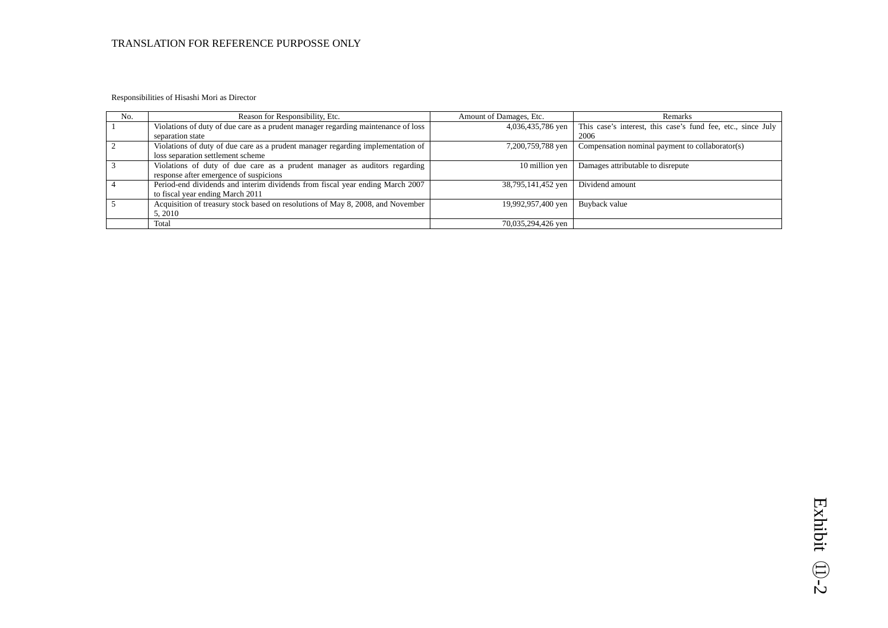Responsibilities of Hisashi Mori as Director

| No. | Reason for Responsibility, Etc.                                                                                      | Amount of Damages, Etc. | Remarks                                                              |
|-----|----------------------------------------------------------------------------------------------------------------------|-------------------------|----------------------------------------------------------------------|
|     | Violations of duty of due care as a prudent manager regarding maintenance of loss<br>separation state                | 4,036,435,786 yen       | This case's interest, this case's fund fee, etc., since July<br>2006 |
|     | Violations of duty of due care as a prudent manager regarding implementation of<br>loss separation settlement scheme | 7,200,759,788 yen       | Compensation nominal payment to collaborator(s)                      |
|     | Violations of duty of due care as a prudent manager as auditors regarding<br>response after emergence of suspicions  | 10 million yen          | Damages attributable to disrepute                                    |
|     | Period-end dividends and interim dividends from fiscal year ending March 2007<br>to fiscal year ending March 2011    | 38,795,141,452 yen      | Dividend amount                                                      |
|     | Acquisition of treasury stock based on resolutions of May 8, 2008, and November<br>5, 2010                           | 19,992,957,400 yen      | Buyback value                                                        |
|     | Total                                                                                                                | 70,035,294,426 yen      |                                                                      |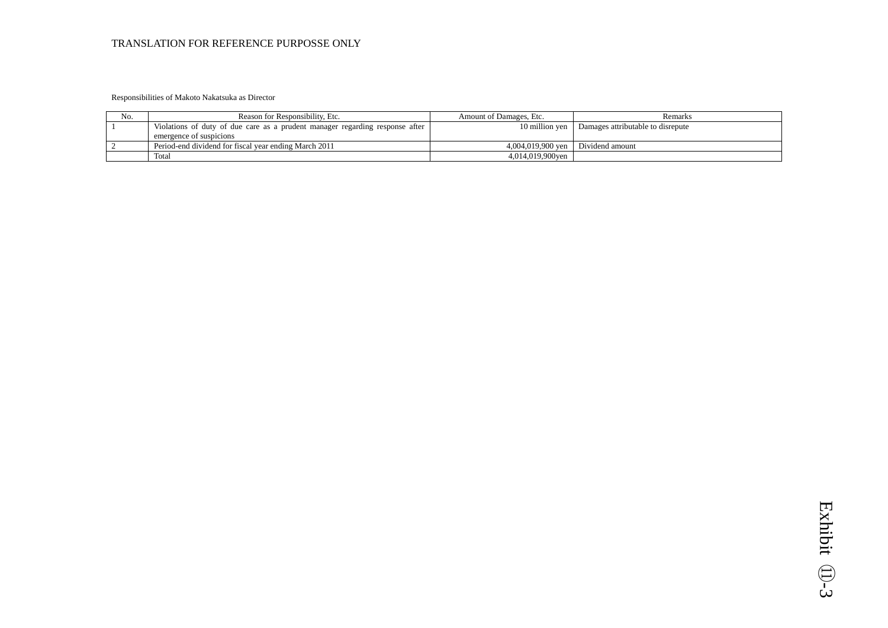#### Responsibilities of Makoto Nakatsuka as Director

| No. | Reason for Responsibility, Etc.                                                                         | Amount of Damages, Etc.             | Remarks                           |
|-----|---------------------------------------------------------------------------------------------------------|-------------------------------------|-----------------------------------|
|     | Violations of duty of due care as a prudent manager regarding response after<br>emergence of suspicions | 10 million ven                      | Damages attributable to disrepute |
|     | Period-end dividend for fiscal vear ending March 2011                                                   | $4.004.019.900$ ven Dividend amount |                                   |
|     | Total                                                                                                   | 4,014,019,900yen                    |                                   |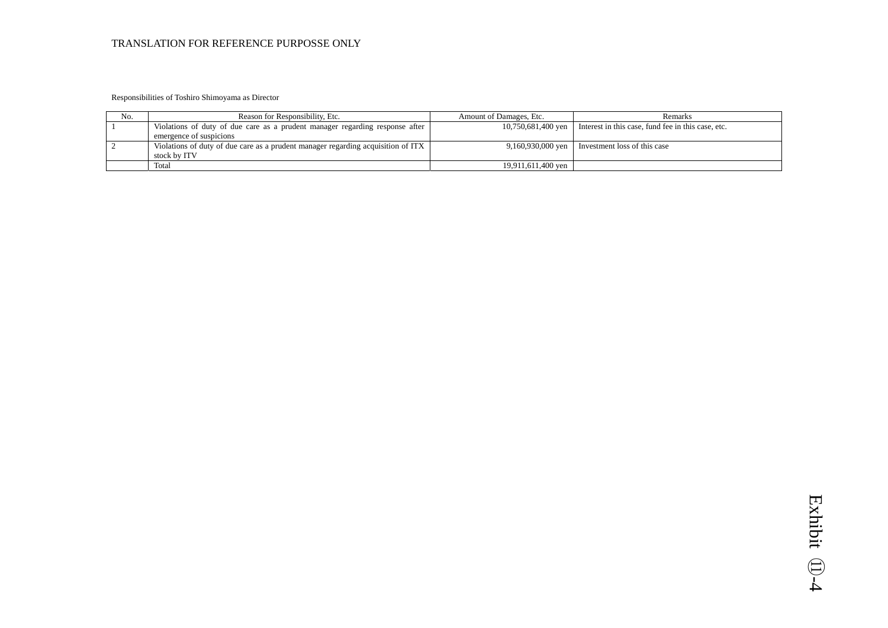Responsibilities of Toshiro Shimoyama as Director

| No. | Reason for Responsibility, Etc.                                                  | Amount of Damages, Etc. | Remarks                                                               |
|-----|----------------------------------------------------------------------------------|-------------------------|-----------------------------------------------------------------------|
|     | Violations of duty of due care as a prudent manager regarding response after     |                         | 10,750,681,400 yen Interest in this case, fund fee in this case, etc. |
|     | emergence of suspicions                                                          |                         |                                                                       |
|     | Violations of duty of due care as a prudent manager regarding acquisition of ITX |                         | $9,160,930,000$ yen   Investment loss of this case                    |
|     | stock by ITV                                                                     |                         |                                                                       |
|     | Total                                                                            | 19.911.611.400 ven      |                                                                       |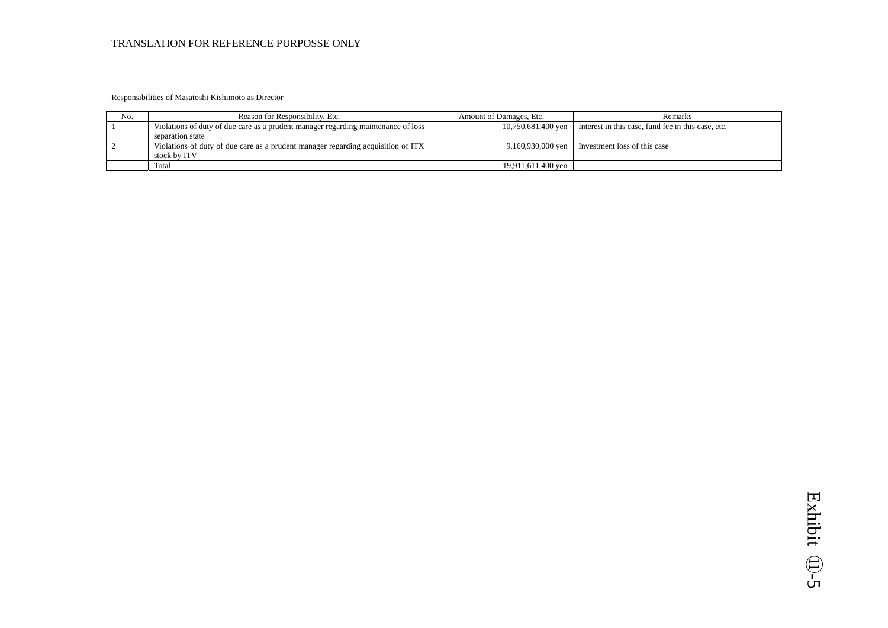Responsibilities of Masatoshi Kishimoto as Director

| No. | Reason for Responsibility, Etc.                                                   | Amount of Damages, Etc. | Remarks                                                                 |
|-----|-----------------------------------------------------------------------------------|-------------------------|-------------------------------------------------------------------------|
|     | Violations of duty of due care as a prudent manager regarding maintenance of loss |                         | 10,750,681,400 yen   Interest in this case, fund fee in this case, etc. |
|     | separation state                                                                  |                         |                                                                         |
|     | Violations of duty of due care as a prudent manager regarding acquisition of ITX  |                         | 9,160,930,000 yen I nvestment loss of this case                         |
|     | stock by ITV                                                                      |                         |                                                                         |
|     | Total                                                                             | 19,911,611,400 yen      |                                                                         |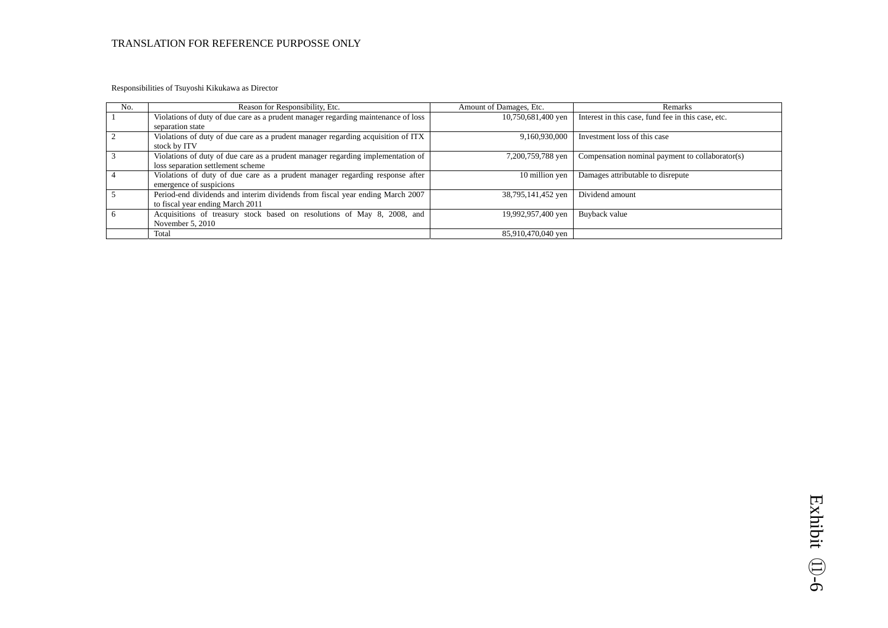Responsibilities of Tsuyoshi Kikukawa as Director

| No. | Reason for Responsibility, Etc.                                                   | Amount of Damages, Etc. | Remarks                                            |
|-----|-----------------------------------------------------------------------------------|-------------------------|----------------------------------------------------|
|     | Violations of duty of due care as a prudent manager regarding maintenance of loss | 10,750,681,400 yen      | Interest in this case, fund fee in this case, etc. |
|     | separation state                                                                  |                         |                                                    |
|     | Violations of duty of due care as a prudent manager regarding acquisition of ITX  | 9,160,930,000           | Investment loss of this case                       |
|     | stock by ITV                                                                      |                         |                                                    |
|     | Violations of duty of due care as a prudent manager regarding implementation of   | 7,200,759,788 yen       | Compensation nominal payment to collaborator(s)    |
|     | loss separation settlement scheme                                                 |                         |                                                    |
|     | Violations of duty of due care as a prudent manager regarding response after      | 10 million yen          | Damages attributable to disrepute                  |
|     | emergence of suspicions                                                           |                         |                                                    |
|     | Period-end dividends and interim dividends from fiscal year ending March 2007     | 38,795,141,452 yen      | Dividend amount                                    |
|     | to fiscal year ending March 2011                                                  |                         |                                                    |
|     | Acquisitions of treasury stock based on resolutions of May 8, 2008, and           | 19,992,957,400 yen      | Buyback value                                      |
|     | November $5, 2010$                                                                |                         |                                                    |
|     | Total                                                                             | 85.910.470.040 ven      |                                                    |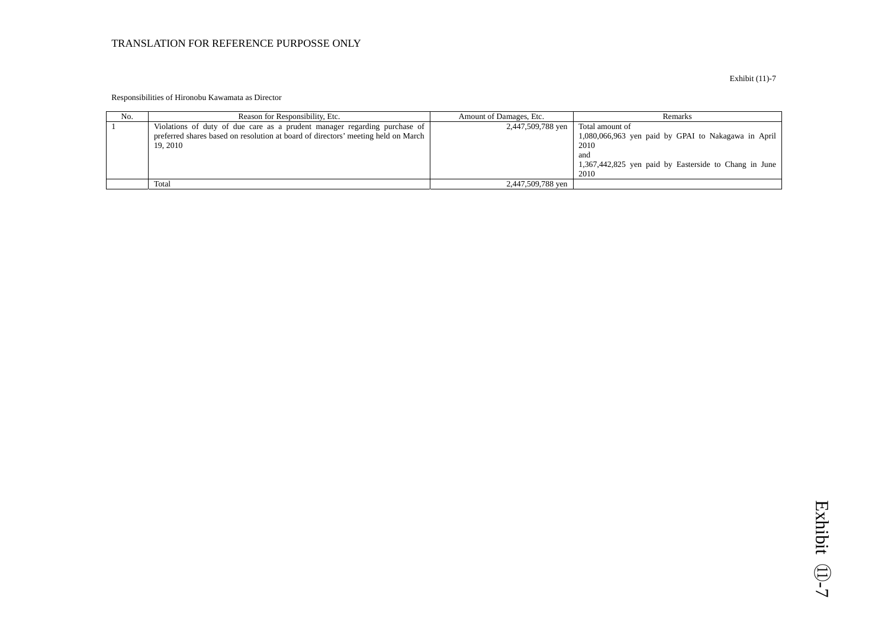#### Responsibilities of Hironobu Kawamata as Director

| No. | Reason for Responsibility, Etc.                                                                                                                                           | Amount of Damages, Etc. | Remarks                                                                                                                                                |
|-----|---------------------------------------------------------------------------------------------------------------------------------------------------------------------------|-------------------------|--------------------------------------------------------------------------------------------------------------------------------------------------------|
|     | Violations of duty of due care as a prudent manager regarding purchase of<br>preferred shares based on resolution at board of directors' meeting held on March<br>19.2010 | 2,447,509,788 yen       | Total amount of<br>1,080,066,963 yen paid by GPAI to Nakagawa in April<br>2010<br>and<br>1,367,442,825 yen paid by Easterside to Chang in June<br>2010 |
|     | Total                                                                                                                                                                     | 2,447,509,788 yen       |                                                                                                                                                        |

Exhibit (11)-7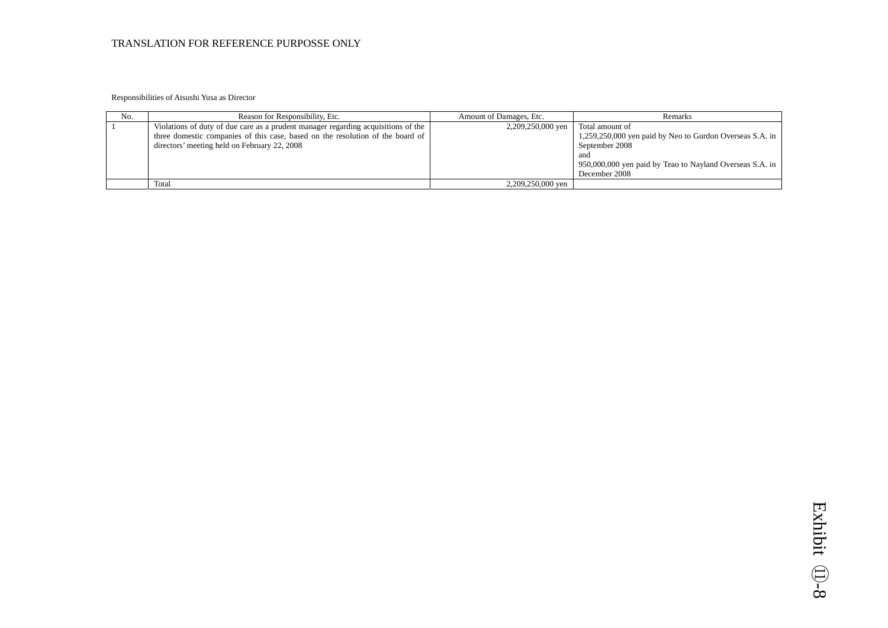Responsibilities of Atsushi Yusa as Director

| No. | Reason for Responsibility, Etc.                                                                                                                                                                                     | Amount of Damages, Etc. | <b>Remarks</b>                                                                                                                                                                            |
|-----|---------------------------------------------------------------------------------------------------------------------------------------------------------------------------------------------------------------------|-------------------------|-------------------------------------------------------------------------------------------------------------------------------------------------------------------------------------------|
|     | Violations of duty of due care as a prudent manager regarding acquisitions of the<br>three domestic companies of this case, based on the resolution of the board of<br>directors' meeting held on February 22, 2008 | 2,209,250,000 yen       | Total amount of<br>1,259,250,000 yen paid by Neo to Gurdon Overseas S.A. in $\vert$<br>September 2008<br>and<br>950,000,000 yen paid by Teao to Nayland Overseas S.A. in<br>December 2008 |
|     | Total                                                                                                                                                                                                               | 2,209,250,000 yen       |                                                                                                                                                                                           |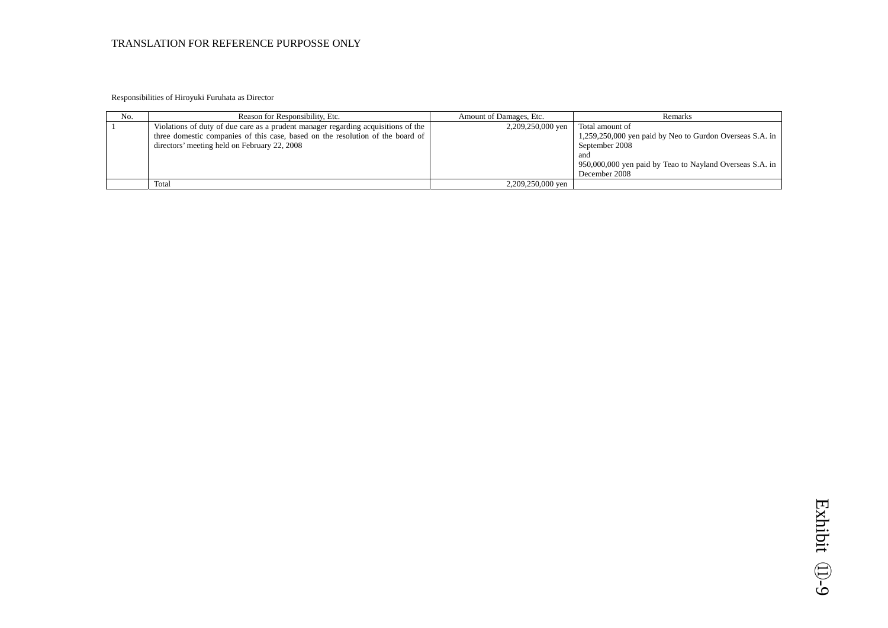Responsibilities of Hiroyuki Furuhata as Director

| No. | Reason for Responsibility, Etc.                                                                                                                                                                                     | Amount of Damages, Etc. | Remarks                                                                                                                                                                           |
|-----|---------------------------------------------------------------------------------------------------------------------------------------------------------------------------------------------------------------------|-------------------------|-----------------------------------------------------------------------------------------------------------------------------------------------------------------------------------|
|     | Violations of duty of due care as a prudent manager regarding acquisitions of the<br>three domestic companies of this case, based on the resolution of the board of<br>directors' meeting held on February 22, 2008 | 2,209,250,000 yen       | Total amount of<br>1,259,250,000 yen paid by Neo to Gurdon Overseas S.A. in<br>September 2008<br>and<br>950,000,000 yen paid by Teao to Nayland Overseas S.A. in<br>December 2008 |
|     | Total                                                                                                                                                                                                               | 2,209,250,000 yen       |                                                                                                                                                                                   |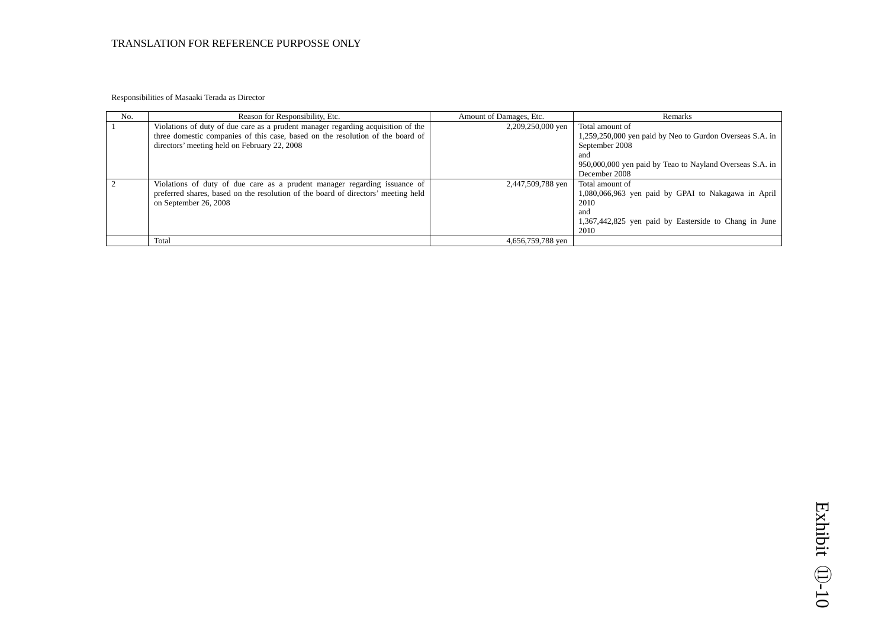Responsibilities of Masaaki Terada as Director

| No. | Reason for Responsibility, Etc.                                                                                                                                                                                    | Amount of Damages, Etc. | Remarks                                                                                                                                                                           |
|-----|--------------------------------------------------------------------------------------------------------------------------------------------------------------------------------------------------------------------|-------------------------|-----------------------------------------------------------------------------------------------------------------------------------------------------------------------------------|
|     | Violations of duty of due care as a prudent manager regarding acquisition of the<br>three domestic companies of this case, based on the resolution of the board of<br>directors' meeting held on February 22, 2008 | 2,209,250,000 yen       | Total amount of<br>1,259,250,000 yen paid by Neo to Gurdon Overseas S.A. in<br>September 2008<br>and<br>950,000,000 yen paid by Teao to Nayland Overseas S.A. in<br>December 2008 |
|     | Violations of duty of due care as a prudent manager regarding issuance of<br>preferred shares, based on the resolution of the board of directors' meeting held<br>on September 26, 2008                            | 2,447,509,788 yen       | Total amount of<br>1,080,066,963 yen paid by GPAI to Nakagawa in April<br>2010<br>and<br>1,367,442,825 yen paid by Easterside to Chang in June<br>2010                            |
|     | Total                                                                                                                                                                                                              | 4,656,759,788 yen       |                                                                                                                                                                                   |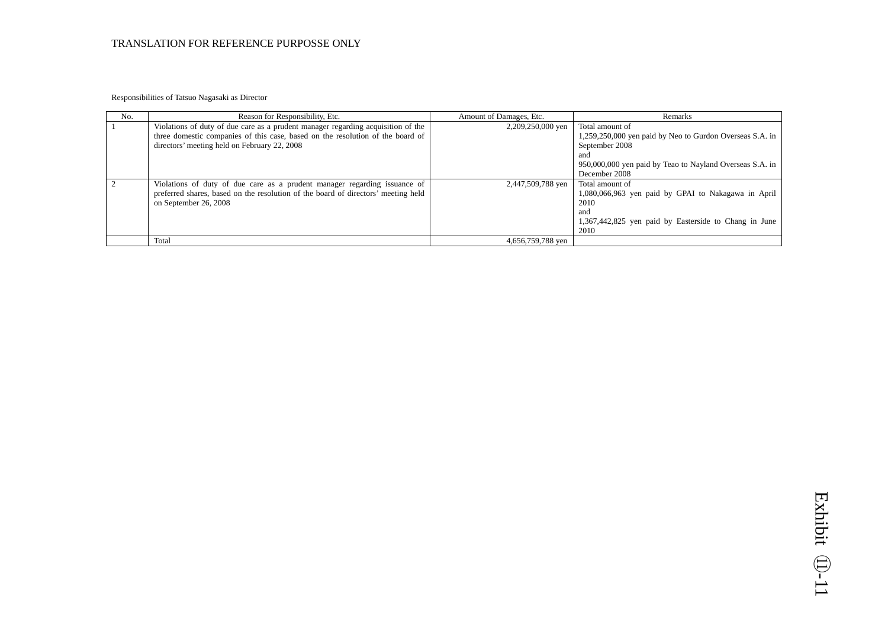Responsibilities of Tatsuo Nagasaki as Director

| No. | Reason for Responsibility, Etc.                                                                                                                                                                                    | Amount of Damages, Etc. | Remarks                                                                                                                                                                           |
|-----|--------------------------------------------------------------------------------------------------------------------------------------------------------------------------------------------------------------------|-------------------------|-----------------------------------------------------------------------------------------------------------------------------------------------------------------------------------|
|     | Violations of duty of due care as a prudent manager regarding acquisition of the<br>three domestic companies of this case, based on the resolution of the board of<br>directors' meeting held on February 22, 2008 | 2,209,250,000 yen       | Total amount of<br>1,259,250,000 yen paid by Neo to Gurdon Overseas S.A. in<br>September 2008<br>and<br>950,000,000 yen paid by Teao to Nayland Overseas S.A. in<br>December 2008 |
|     | Violations of duty of due care as a prudent manager regarding issuance of<br>preferred shares, based on the resolution of the board of directors' meeting held<br>on September 26, 2008                            | 2,447,509,788 yen       | Total amount of<br>1,080,066,963 yen paid by GPAI to Nakagawa in April<br>2010<br>and<br>1,367,442,825 yen paid by Easterside to Chang in June<br>2010                            |
|     | Total                                                                                                                                                                                                              | 4,656,759,788 yen       |                                                                                                                                                                                   |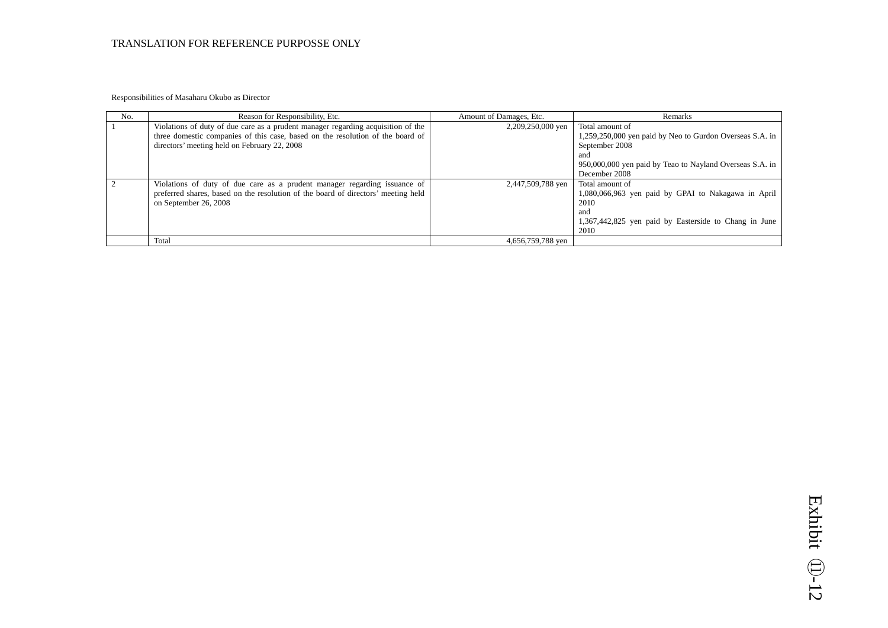Responsibilities of Masaharu Okubo as Director

| No. | Reason for Responsibility, Etc.                                                                                                                                                                                    | Amount of Damages, Etc. | Remarks                                                                                                                                                                           |
|-----|--------------------------------------------------------------------------------------------------------------------------------------------------------------------------------------------------------------------|-------------------------|-----------------------------------------------------------------------------------------------------------------------------------------------------------------------------------|
|     | Violations of duty of due care as a prudent manager regarding acquisition of the<br>three domestic companies of this case, based on the resolution of the board of<br>directors' meeting held on February 22, 2008 | 2,209,250,000 yen       | Total amount of<br>1,259,250,000 yen paid by Neo to Gurdon Overseas S.A. in<br>September 2008<br>and<br>950,000,000 yen paid by Teao to Nayland Overseas S.A. in<br>December 2008 |
|     | Violations of duty of due care as a prudent manager regarding issuance of<br>preferred shares, based on the resolution of the board of directors' meeting held<br>on September 26, 2008                            | 2,447,509,788 yen       | Total amount of<br>1,080,066,963 yen paid by GPAI to Nakagawa in April<br>2010<br>and<br>1,367,442,825 yen paid by Easterside to Chang in June<br>2010                            |
|     | Total                                                                                                                                                                                                              | 4,656,759,788 yen       |                                                                                                                                                                                   |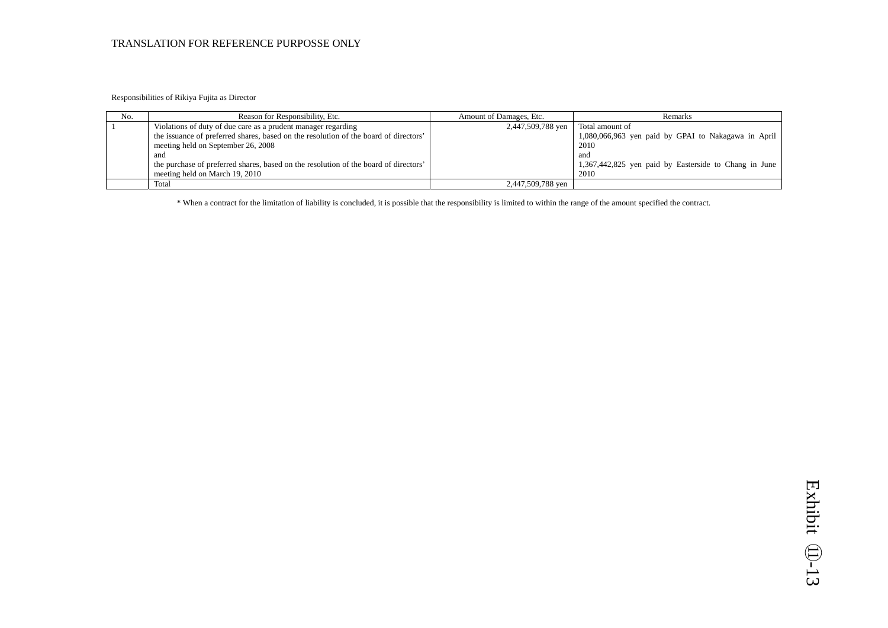Responsibilities of Rikiya Fujita as Director

| No. | Reason for Responsibility, Etc.                                                      | Amount of Damages, Etc. | <b>Remarks</b>                                        |
|-----|--------------------------------------------------------------------------------------|-------------------------|-------------------------------------------------------|
|     | Violations of duty of due care as a prudent manager regarding                        | 2,447,509,788 yen       | Total amount of                                       |
|     | the issuance of preferred shares, based on the resolution of the board of directors' |                         | 1,080,066,963 yen paid by GPAI to Nakagawa in April   |
|     | meeting held on September 26, 2008                                                   |                         | 2010                                                  |
|     | and                                                                                  |                         | and                                                   |
|     | the purchase of preferred shares, based on the resolution of the board of directors' |                         | 1,367,442,825 yen paid by Easterside to Chang in June |
|     | meeting held on March 19, 2010                                                       |                         | 2010                                                  |
|     | Total                                                                                | 2,447,509,788 yen       |                                                       |

\* When a contract for the limitation of liability is concluded, it is possible that the responsibility is limited to within the range of the amount specified the contract.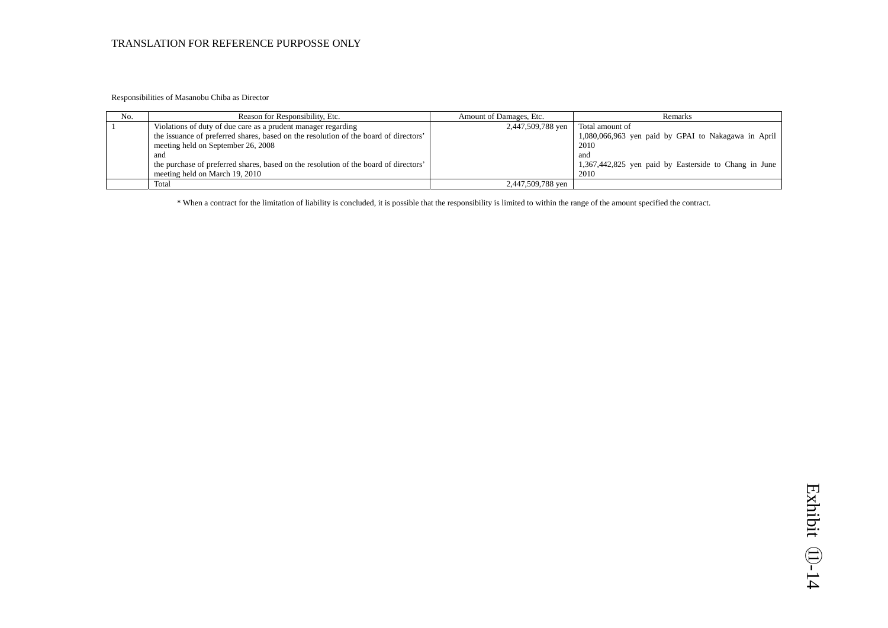Responsibilities of Masanobu Chiba as Director

| No. | Reason for Responsibility, Etc.                                                      | Amount of Damages, Etc. | <b>Remarks</b>                                        |
|-----|--------------------------------------------------------------------------------------|-------------------------|-------------------------------------------------------|
|     | Violations of duty of due care as a prudent manager regarding                        | 2,447,509,788 yen       | Total amount of                                       |
|     | the issuance of preferred shares, based on the resolution of the board of directors' |                         | 1,080,066,963 yen paid by GPAI to Nakagawa in April   |
|     | meeting held on September 26, 2008                                                   |                         | 2010                                                  |
|     | and                                                                                  |                         | and                                                   |
|     | the purchase of preferred shares, based on the resolution of the board of directors' |                         | 1,367,442,825 yen paid by Easterside to Chang in June |
|     | meeting held on March 19, 2010                                                       |                         | 2010                                                  |
|     | Total                                                                                | 2,447,509,788 yen       |                                                       |

\* When a contract for the limitation of liability is concluded, it is possible that the responsibility is limited to within the range of the amount specified the contract.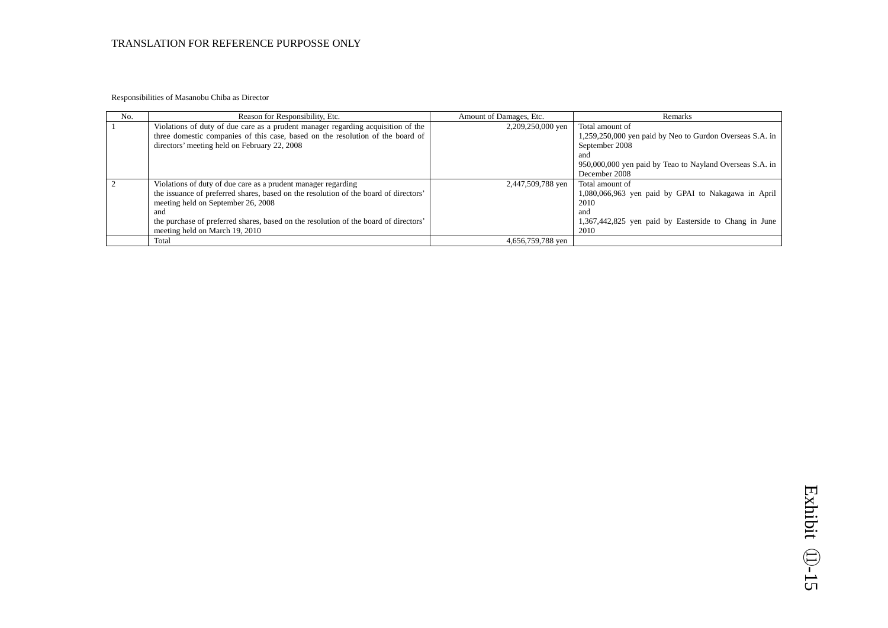Responsibilities of Masanobu Chiba as Director

| No. | Reason for Responsibility, Etc.                                                      | Amount of Damages, Etc. | Remarks                                                  |
|-----|--------------------------------------------------------------------------------------|-------------------------|----------------------------------------------------------|
|     | Violations of duty of due care as a prudent manager regarding acquisition of the     | 2,209,250,000 yen       | Total amount of                                          |
|     | three domestic companies of this case, based on the resolution of the board of       |                         | 1,259,250,000 yen paid by Neo to Gurdon Overseas S.A. in |
|     | directors' meeting held on February 22, 2008                                         |                         | September 2008                                           |
|     |                                                                                      |                         | and                                                      |
|     |                                                                                      |                         | 950,000,000 yen paid by Teao to Nayland Overseas S.A. in |
|     |                                                                                      |                         | December 2008                                            |
|     | Violations of duty of due care as a prudent manager regarding                        | 2,447,509,788 yen       | Total amount of                                          |
|     | the issuance of preferred shares, based on the resolution of the board of directors' |                         | 1,080,066,963 yen paid by GPAI to Nakagawa in April      |
|     | meeting held on September 26, 2008                                                   |                         | 2010                                                     |
|     | and                                                                                  |                         | and                                                      |
|     | the purchase of preferred shares, based on the resolution of the board of directors' |                         | 1,367,442,825 yen paid by Easterside to Chang in June    |
|     | meeting held on March 19, 2010                                                       |                         | 2010                                                     |
|     | Total                                                                                | 4,656,759,788 yen       |                                                          |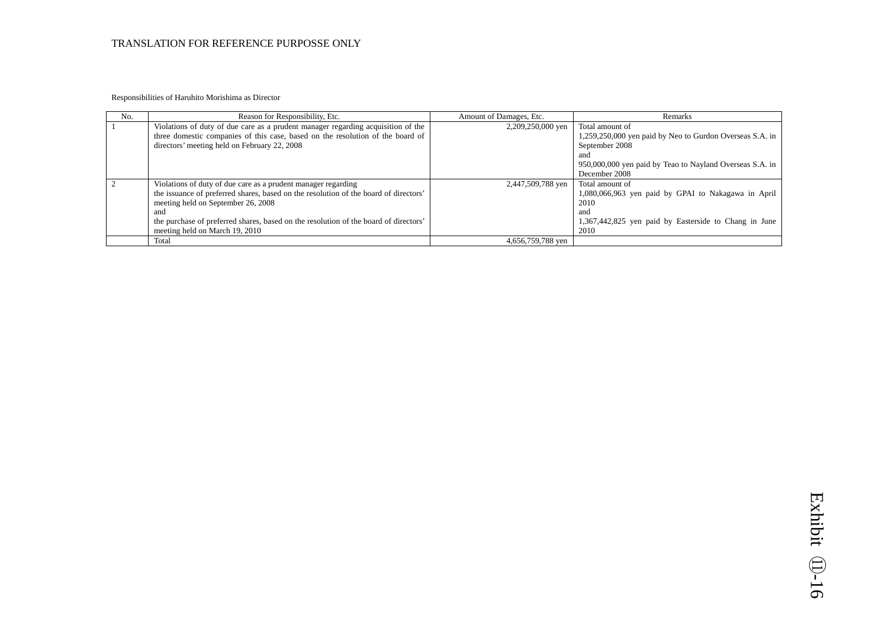Responsibilities of Haruhito Morishima as Director

| No. | Reason for Responsibility, Etc.                                                                                                | Amount of Damages, Etc. | Remarks                                                                    |
|-----|--------------------------------------------------------------------------------------------------------------------------------|-------------------------|----------------------------------------------------------------------------|
|     | Violations of duty of due care as a prudent manager regarding acquisition of the                                               | 2,209,250,000 yen       | Total amount of                                                            |
|     | three domestic companies of this case, based on the resolution of the board of<br>directors' meeting held on February 22, 2008 |                         | 1,259,250,000 yen paid by Neo to Gurdon Overseas S.A. in<br>September 2008 |
|     |                                                                                                                                |                         | and                                                                        |
|     |                                                                                                                                |                         | 950,000,000 yen paid by Teao to Nayland Overseas S.A. in                   |
|     |                                                                                                                                |                         | December 2008                                                              |
|     | Violations of duty of due care as a prudent manager regarding                                                                  | 2,447,509,788 yen       | Total amount of                                                            |
|     | the issuance of preferred shares, based on the resolution of the board of directors'                                           |                         | 1,080,066,963 yen paid by GPAI to Nakagawa in April                        |
|     | meeting held on September 26, 2008                                                                                             |                         | 2010                                                                       |
|     | and                                                                                                                            |                         | and                                                                        |
|     | the purchase of preferred shares, based on the resolution of the board of directors'                                           |                         | 1,367,442,825 yen paid by Easterside to Chang in June                      |
|     | meeting held on March 19, 2010                                                                                                 |                         | 2010                                                                       |
|     | Total                                                                                                                          | 4,656,759,788 ven       |                                                                            |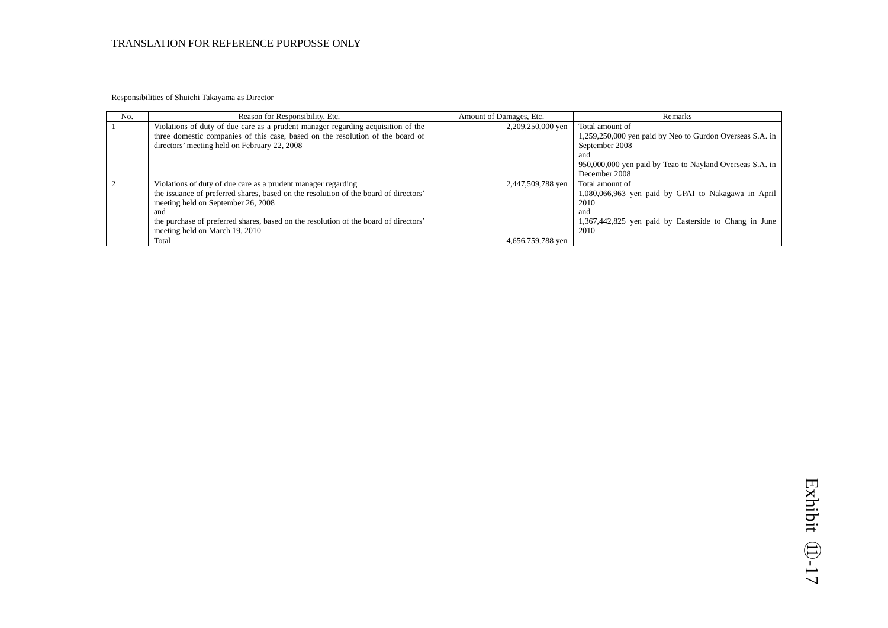Responsibilities of Shuichi Takayama as Director

| No. | Reason for Responsibility, Etc.                                                                                                                                                                                                                                                                                              | Amount of Damages, Etc. | Remarks                                                                                                                                                                 |
|-----|------------------------------------------------------------------------------------------------------------------------------------------------------------------------------------------------------------------------------------------------------------------------------------------------------------------------------|-------------------------|-------------------------------------------------------------------------------------------------------------------------------------------------------------------------|
|     | Violations of duty of due care as a prudent manager regarding acquisition of the<br>three domestic companies of this case, based on the resolution of the board of<br>directors' meeting held on February 22, 2008                                                                                                           | 2,209,250,000 yen       | Total amount of<br>1,259,250,000 yen paid by Neo to Gurdon Overseas S.A. in<br>September 2008<br>and<br>950,000,000 yen paid by Teao to Nayland Overseas S.A. in        |
|     | Violations of duty of due care as a prudent manager regarding<br>the issuance of preferred shares, based on the resolution of the board of directors'<br>meeting held on September 26, 2008<br>and<br>the purchase of preferred shares, based on the resolution of the board of directors'<br>meeting held on March 19, 2010 | 2,447,509,788 yen       | December 2008<br>Total amount of<br>1,080,066,963 yen paid by GPAI to Nakagawa in April<br>2010<br>and<br>1,367,442,825 yen paid by Easterside to Chang in June<br>2010 |
|     | Total                                                                                                                                                                                                                                                                                                                        | 4,656,759,788 yen       |                                                                                                                                                                         |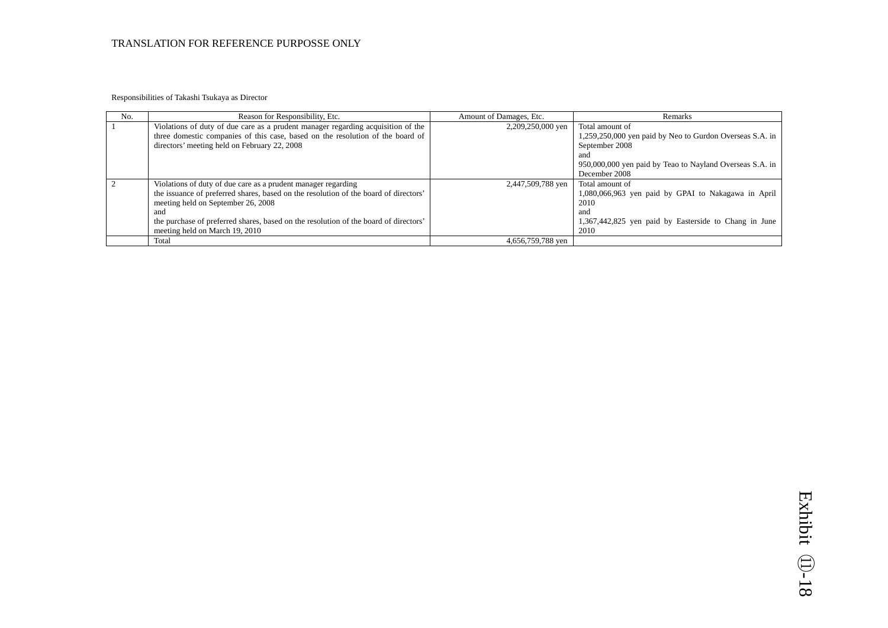Responsibilities of Takashi Tsukaya as Director

| No. | Reason for Responsibility, Etc.                                                      | Amount of Damages, Etc. | Remarks                                                         |
|-----|--------------------------------------------------------------------------------------|-------------------------|-----------------------------------------------------------------|
|     | Violations of duty of due care as a prudent manager regarding acquisition of the     | 2,209,250,000 yen       | Total amount of                                                 |
|     | three domestic companies of this case, based on the resolution of the board of       |                         | 1,259,250,000 yen paid by Neo to Gurdon Overseas S.A. in        |
|     | directors' meeting held on February 22, 2008                                         |                         | September 2008                                                  |
|     |                                                                                      |                         | and<br>950,000,000 yen paid by Teao to Nayland Overseas S.A. in |
|     |                                                                                      |                         | December 2008                                                   |
|     | Violations of duty of due care as a prudent manager regarding                        | 2,447,509,788 yen       | Total amount of                                                 |
|     | the issuance of preferred shares, based on the resolution of the board of directors' |                         | 1,080,066,963 yen paid by GPAI to Nakagawa in April             |
|     | meeting held on September 26, 2008                                                   |                         | 2010                                                            |
|     | and                                                                                  |                         | and                                                             |
|     | the purchase of preferred shares, based on the resolution of the board of directors' |                         | 1,367,442,825 yen paid by Easterside to Chang in June           |
|     | meeting held on March 19, 2010                                                       |                         | 2010                                                            |
|     | Total                                                                                | 4,656,759,788 yen       |                                                                 |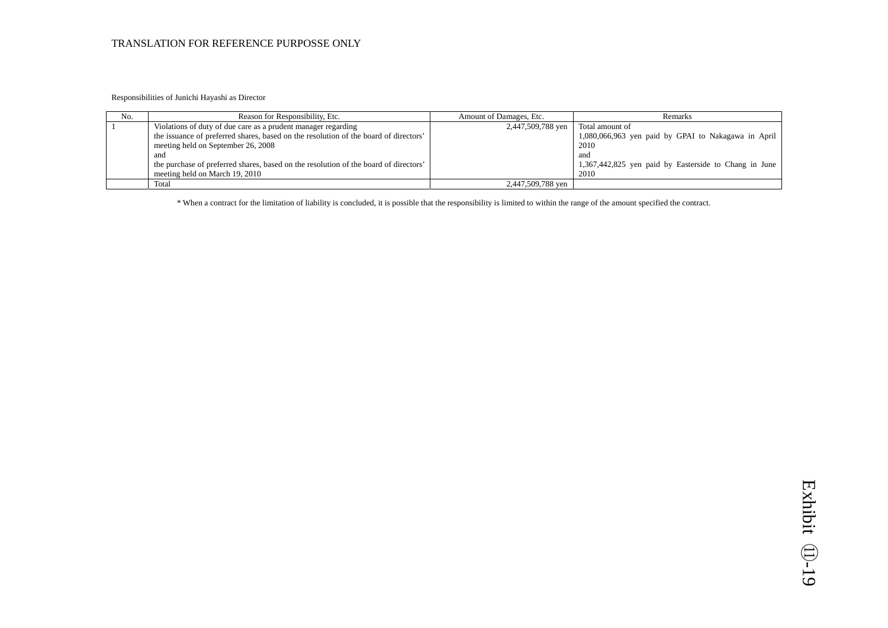Responsibilities of Junichi Hayashi as Director

| No. | Reason for Responsibility, Etc.                                                      | Amount of Damages, Etc. | <b>Remarks</b>                                        |
|-----|--------------------------------------------------------------------------------------|-------------------------|-------------------------------------------------------|
|     | Violations of duty of due care as a prudent manager regarding                        | 2,447,509,788 yen       | Total amount of                                       |
|     | the issuance of preferred shares, based on the resolution of the board of directors' |                         | 1,080,066,963 yen paid by GPAI to Nakagawa in April   |
|     | meeting held on September 26, 2008                                                   |                         | 2010                                                  |
|     | and                                                                                  |                         | and                                                   |
|     | the purchase of preferred shares, based on the resolution of the board of directors' |                         | 1,367,442,825 yen paid by Easterside to Chang in June |
|     | meeting held on March 19, 2010                                                       |                         | 2010                                                  |
|     | Total                                                                                | 2,447,509,788 yen       |                                                       |

\* When a contract for the limitation of liability is concluded, it is possible that the responsibility is limited to within the range of the amount specified the contract.